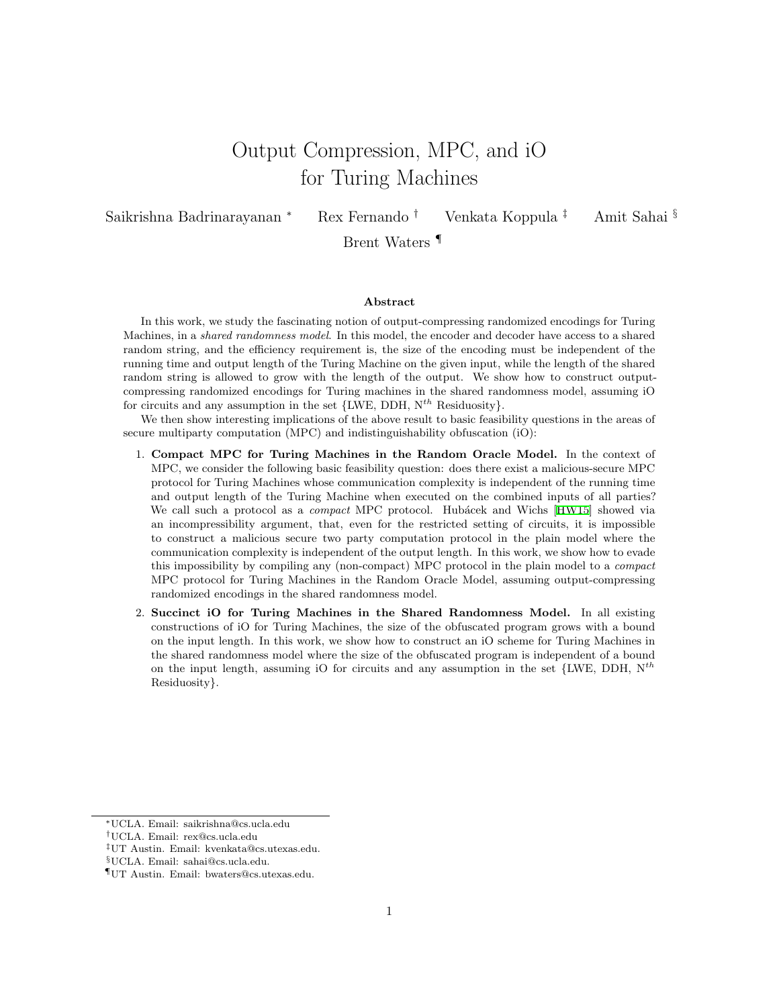# Output Compression, MPC, and iO for Turing Machines

Saikrishna Badrinarayanan *<sup>∗</sup>* Rex Fernando *†* Venkata Koppula *‡* Amit Sahai *§*

Brent Waters *¶*

#### **Abstract**

In this work, we study the fascinating notion of output-compressing randomized encodings for Turing Machines, in a *shared randomness model*. In this model, the encoder and decoder have access to a shared random string, and the efficiency requirement is, the size of the encoding must be independent of the running time and output length of the Turing Machine on the given input, while the length of the shared random string is allowed to grow with the length of the output. We show how to construct outputcompressing randomized encodings for Turing machines in the shared randomness model, assuming iO for circuits and any assumption in the set *{*LWE, DDH, N*th* Residuosity*}*.

We then show interesting implications of the above result to basic feasibility questions in the areas of secure multiparty computation (MPC) and indistinguishability obfuscation (iO):

- 1. **Compact MPC for Turing Machines in the Random Oracle Model.** In the context of MPC, we consider the following basic feasibility question: does there exist a malicious-secure MPC protocol for Turing Machines whose communication complexity is independent of the running time and output length of the Turing Machine when executed on the combined inputs of all parties? We call such a protocol as a *compact* MPC protocol. Hubácek and Wichs [[HW15](#page-44-0)] showed via an incompressibility argument, that, even for the restricted setting of circuits, it is impossible to construct a malicious secure two party computation protocol in the plain model where the communication complexity is independent of the output length. In this work, we show how to evade this impossibility by compiling any (non-compact) MPC protocol in the plain model to a *compact* MPC protocol for Turing Machines in the Random Oracle Model, assuming output-compressing randomized encodings in the shared randomness model.
- 2. **Succinct iO for Turing Machines in the Shared Randomness Model.** In all existing constructions of iO for Turing Machines, the size of the obfuscated program grows with a bound on the input length. In this work, we show how to construct an iO scheme for Turing Machines in the shared randomness model where the size of the obfuscated program is independent of a bound on the input length, assuming iO for circuits and any assumption in the set *{*LWE, DDH, N*th* Residuosity*}*.

*<sup>∗</sup>*UCLA. Email: saikrishna@cs.ucla.edu

*<sup>†</sup>*UCLA. Email: rex@cs.ucla.edu

*<sup>‡</sup>*UT Austin. Email: kvenkata@cs.utexas.edu.

*<sup>§</sup>*UCLA. Email: sahai@cs.ucla.edu.

*<sup>¶</sup>*UT Austin. Email: bwaters@cs.utexas.edu.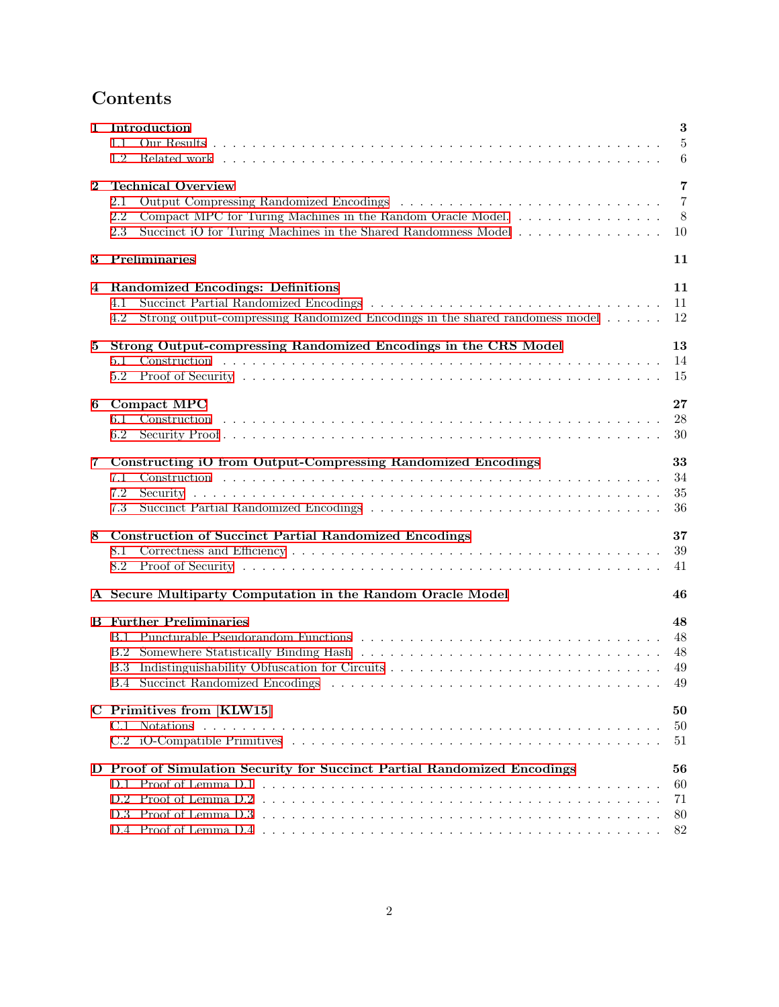# **Contents**

| $\mathbf 1$ | Introduction<br>1.1<br>1.2                                                                                                                                                     | 3<br>$\overline{5}$<br>$\boldsymbol{6}$ |  |
|-------------|--------------------------------------------------------------------------------------------------------------------------------------------------------------------------------|-----------------------------------------|--|
| $\bf{2}$    | <b>Technical Overview</b><br>2.1<br>2.2<br>Compact MPC for Turing Machines in the Random Oracle Model<br>Succinct iO for Turing Machines in the Shared Randomness Model<br>2.3 | 7<br>$\overline{7}$<br>8<br>10          |  |
| 3           | Preliminaries<br>11                                                                                                                                                            |                                         |  |
| 4           | <b>Randomized Encodings: Definitions</b><br>4.1<br>Strong output-compressing Randomized Encodings in the shared randomess model<br>4.2                                         | 11<br>11<br>12                          |  |
| 5           | Strong Output-compressing Randomized Encodings in the CRS Model<br>$5.1\,$<br>5.2                                                                                              | 13<br>14<br>15                          |  |
| 6           | Compact MPC<br>Construction<br>6.1<br>6.2                                                                                                                                      | 27<br>28<br>30                          |  |
| 7           | Constructing iO from Output-Compressing Randomized Encodings<br>7.1<br>7.2<br>7.3                                                                                              | 33<br>34<br>35<br>36                    |  |
| 8           | <b>Construction of Succinct Partial Randomized Encodings</b><br>8.1<br>8.2                                                                                                     | 37<br>39<br>41                          |  |
|             | A Secure Multiparty Computation in the Random Oracle Model<br>46                                                                                                               |                                         |  |
|             | <b>B</b> Further Preliminaries<br>B.2<br>B.3                                                                                                                                   | 48<br>48<br>48<br>49<br>49              |  |
|             | C Primitives from [KLW15]                                                                                                                                                      | 50<br>50<br>51                          |  |
|             | D Proof of Simulation Security for Succinct Partial Randomized Encodings<br>D.2                                                                                                | 56<br>60<br>71<br>80<br>82              |  |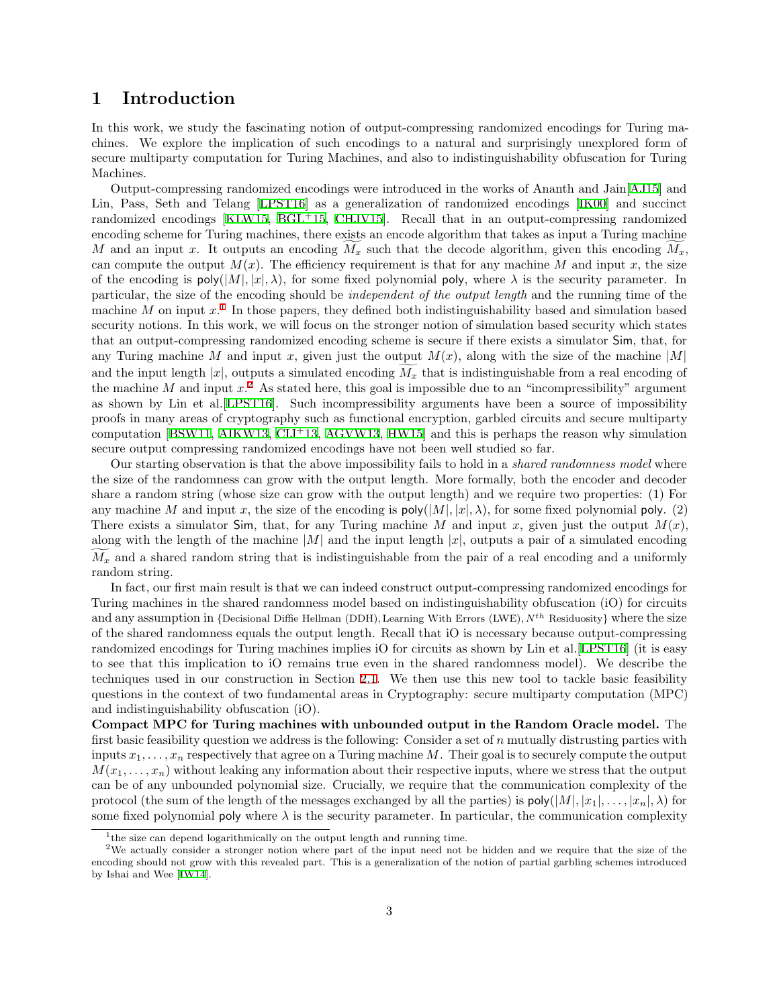## <span id="page-2-0"></span>**1 Introduction**

In this work, we study the fascinating notion of output-compressing randomized encodings for Turing machines. We explore the implication of such encodings to a natural and surprisingly unexplored form of secure multiparty computation for Turing Machines, and also to indistinguishability obfuscation for Turing Machines.

Output-compressing randomized encodings were introduced in the works of Ananth and Jain[[AJ15\]](#page-42-0) and Lin, Pass, Seth and Telang [\[LPST16\]](#page-44-1) as a generalization of randomized encodings [\[IK00\]](#page-44-2) and succinct randomized encodings [\[KLW15,](#page-44-3) [BGL](#page-42-1)<sup>+</sup>15, [CHJV15\]](#page-43-0). Recall that in an output-compressing randomized encoding scheme for Turing machines, there exists an encode algorithm that takes as input a Turing machine Output-compressing randomized encodings were introduced in the works of Ananth and Jain[AJ15] and<br>Lin, Pass, Seth and Telang [LPST16] as a generalization of randomized encodings [IK00] and succinct<br>randomized encodings [K can compute the output  $M(x)$ . The efficiency requirement is that for any machine M and input x, the size of the encoding is  $poly(|M|, |x|, \lambda)$ , for some fixed polynomial poly, where  $\lambda$  is the security parameter. In particular, the size of the encoding should be *independent of the output length* and the running time of the machine *M* on input  $x$ <sup>[1](#page-2-1)</sup>. In those papers, they defined both indistinguishability based and simulation based security notions. In this work, we will focus on the stronger notion of simulation based security which states that an output-compressing randomized encoding scheme is secure if there exists a simulator Sim, that, for any Turing machine *M* and input *x*, given just the output  $M(x)$ , along with the size of the machine  $|M|$ machine *M* on input  $x$ <sup>2</sup>. In those papers, they defined both indistinguishability based and simulation based<br>security notions. In this work, we will focus on the stronger notion of simulation based security which state the machine  $M$  and input  $x^2$  $x^2$ . As stated here, this goal is impossible due to an "incompressibility" argument as shown by Lin et al.[\[LPST16\]](#page-44-1). Such incompressibility arguments have been a source of impossibility proofs in many areas of cryptography such as functional encryption, garbled circuits and secure multiparty computation [[BSW11,](#page-42-2) [AIKW13,](#page-42-3) [CIJ](#page-43-1)<sup>+</sup>13, [AGVW13,](#page-42-4) [HW15](#page-44-0)] and this is perhaps the reason why simulation secure output compressing randomized encodings have not been well studied so far.

Our starting observation is that the above impossibility fails to hold in a *shared randomness model* where the size of the randomness can grow with the output length. More formally, both the encoder and decoder share a random string (whose size can grow with the output length) and we require two properties: (1) For any machine *M* and input *x*, the size of the encoding is  $poly(|M|, |x|, \lambda)$ , for some fixed polynomial poly. (2) There exists a simulator Sim, that, for any Turing machine *M* and input *x*, given just the output  $M(x)$ . along with the length of the machine  $|M|$  and the input length  $|x|$ , outputs a pair of a simulated encoding share a random string (whose size can grow with the output length) and we require two properties: (1) For<br>any machine *M* and input *x*, the size of the encoding is  $poly(|M|, |x|, \lambda)$ , for some fixed polynomial poly. (2)<br>Ther random string.

In fact, our first main result is that we can indeed construct output-compressing randomized encodings for Turing machines in the shared randomness model based on indistinguishability obfuscation (iO) for circuits and any assumption in *{*Decisional Diffie Hellman (DDH)*,* Learning With Errors (LWE)*, Nth* Residuosity*}* where the size of the shared randomness equals the output length. Recall that iO is necessary because output-compressing randomized encodings for Turing machines implies iO for circuits as shown by Lin et al.[[LPST16](#page-44-1)] (it is easy to see that this implication to iO remains true even in the shared randomness model). We describe the techniques used in our construction in Section [2.1](#page-6-1). We then use this new tool to tackle basic feasibility questions in the context of two fundamental areas in Cryptography: secure multiparty computation (MPC) and indistinguishability obfuscation (iO).

**Compact MPC for Turing machines with unbounded output in the Random Oracle model.** The first basic feasibility question we address is the following: Consider a set of *n* mutually distrusting parties with inputs  $x_1, \ldots, x_n$  respectively that agree on a Turing machine M. Their goal is to securely compute the output  $M(x_1, \ldots, x_n)$  without leaking any information about their respective inputs, where we stress that the output can be of any unbounded polynomial size. Crucially, we require that the communication complexity of the protocol (the sum of the length of the messages exchanged by all the parties) is  $poly(|M|, |x_1|, \ldots, |x_n|, \lambda)$  for some fixed polynomial poly where  $\lambda$  is the security parameter. In particular, the communication complexity

<span id="page-2-2"></span><span id="page-2-1"></span><sup>&</sup>lt;sup>1</sup>the size can depend logarithmically on the output length and running time.

<sup>&</sup>lt;sup>2</sup>We actually consider a stronger notion where part of the input need not be hidden and we require that the size of the encoding should not grow with this revealed part. This is a generalization of the notion of partial garbling schemes introduced by Ishai and Wee [\[IW14\]](#page-44-4).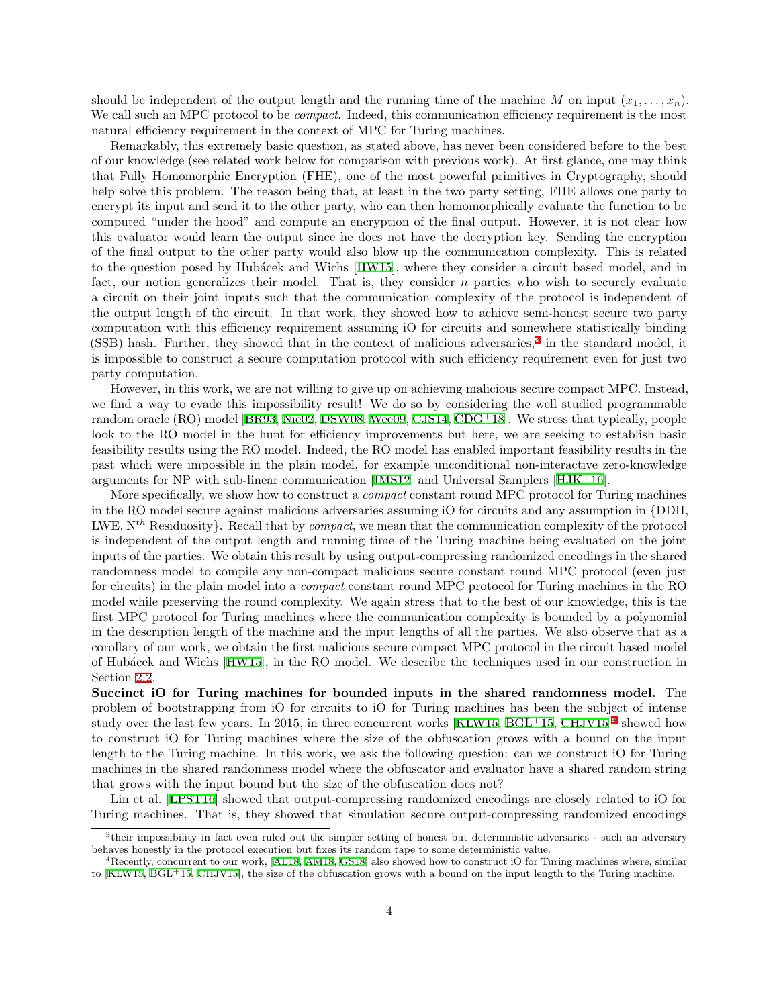should be independent of the output length and the running time of the machine *M* on input  $(x_1, \ldots, x_n)$ . We call such an MPC protocol to be *compact*. Indeed, this communication efficiency requirement is the most natural efficiency requirement in the context of MPC for Turing machines.

Remarkably, this extremely basic question, as stated above, has never been considered before to the best of our knowledge (see related work below for comparison with previous work). At first glance, one may think that Fully Homomorphic Encryption (FHE), one of the most powerful primitives in Cryptography, should help solve this problem. The reason being that, at least in the two party setting, FHE allows one party to encrypt its input and send it to the other party, who can then homomorphically evaluate the function to be computed "under the hood" and compute an encryption of the final output. However, it is not clear how this evaluator would learn the output since he does not have the decryption key. Sending the encryption of the final output to the other party would also blow up the communication complexity. This is related to the question posed by Hubácek and Wichs [[HW15](#page-44-0)], where they consider a circuit based model, and in fact, our notion generalizes their model. That is, they consider *n* parties who wish to securely evaluate a circuit on their joint inputs such that the communication complexity of the protocol is independent of the output length of the circuit. In that work, they showed how to achieve semi-honest secure two party computation with this efficiency requirement assuming iO for circuits and somewhere statistically binding (SSB) hash. Further, they showed that in the context of malicious adversaries,<sup>[3](#page-3-0)</sup> in the standard model, it is impossible to construct a secure computation protocol with such efficiency requirement even for just two party computation.

However, in this work, we are not willing to give up on achieving malicious secure compact MPC. Instead, we find a way to evade this impossibility result! We do so by considering the well studied programmable random oracle (RO) model [[BR93,](#page-42-5) [Nie02,](#page-45-1) [DSW08](#page-43-2), [Wee09,](#page-45-2) [CJS14](#page-43-3), [CDG](#page-43-4)<sup>+</sup>18]. We stress that typically, people look to the RO model in the hunt for efficiency improvements but here, we are seeking to establish basic feasibility results using the RO model. Indeed, the RO model has enabled important feasibility results in the past which were impossible in the plain model, for example unconditional non-interactive zero-knowledge arguments for NP with sub-linear communication [\[IMS12\]](#page-44-5) and Universal Samplers [[HJK](#page-44-6)<sup>+</sup>16].

More specifically, we show how to construct a *compact* constant round MPC protocol for Turing machines in the RO model secure against malicious adversaries assuming iO for circuits and any assumption in *{*DDH, LWE, N*th* Residuosity*}*. Recall that by *compact*, we mean that the communication complexity of the protocol is independent of the output length and running time of the Turing machine being evaluated on the joint inputs of the parties. We obtain this result by using output-compressing randomized encodings in the shared randomness model to compile any non-compact malicious secure constant round MPC protocol (even just for circuits) in the plain model into a *compact* constant round MPC protocol for Turing machines in the RO model while preserving the round complexity. We again stress that to the best of our knowledge, this is the first MPC protocol for Turing machines where the communication complexity is bounded by a polynomial in the description length of the machine and the input lengths of all the parties. We also observe that as a corollary of our work, we obtain the first malicious secure compact MPC protocol in the circuit based model of Hub´acek and Wichs [[HW15\]](#page-44-0), in the RO model. We describe the techniques used in our construction in Section [2.2.](#page-7-0)

**Succinct iO for Turing machines for bounded inputs in the shared randomness model.** The problem of bootstrapping from iO for circuits to iO for Turing machines has been the subject of intense study over the last few years. In 2015, in three concurrent works [[KLW15,](#page-44-3) [BGL](#page-42-1)<sup>+</sup>15, [CHJV15](#page-43-0)]<sup>[4](#page-3-1)</sup> showed how to construct iO for Turing machines where the size of the obfuscation grows with a bound on the input length to the Turing machine. In this work, we ask the following question: can we construct iO for Turing machines in the shared randomness model where the obfuscator and evaluator have a shared random string that grows with the input bound but the size of the obfuscation does not?

Lin et al. [\[LPST16](#page-44-1)] showed that output-compressing randomized encodings are closely related to iO for Turing machines. That is, they showed that simulation secure output-compressing randomized encodings

<span id="page-3-0"></span><sup>&</sup>lt;sup>3</sup>their impossibility in fact even ruled out the simpler setting of honest but deterministic adversaries - such an adversary behaves honestly in the protocol execution but fixes its random tape to some deterministic value.

<span id="page-3-1"></span><sup>4</sup>Recently, concurrent to our work, [[AL18](#page-42-6), [AM18](#page-42-7), [GS18](#page-43-5)] also showed how to construct iO for Turing machines where, similar to [[KLW15,](#page-44-3) [BGL](#page-42-1)<sup>+</sup>15, [CHJV15](#page-43-0)], the size of the obfuscation grows with a bound on the input length to the Turing machine.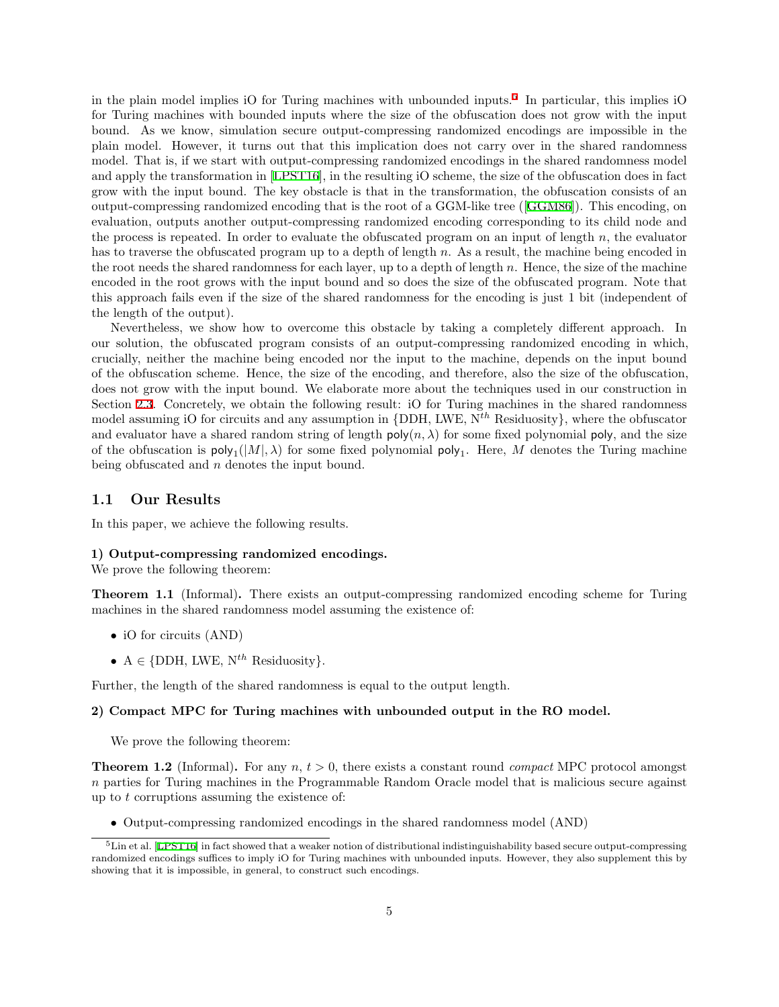in the plain model implies iO for Turing machines with unbounded inputs.[5](#page-4-1) In particular, this implies iO for Turing machines with bounded inputs where the size of the obfuscation does not grow with the input bound. As we know, simulation secure output-compressing randomized encodings are impossible in the plain model. However, it turns out that this implication does not carry over in the shared randomness model. That is, if we start with output-compressing randomized encodings in the shared randomness model and apply the transformation in [[LPST16\]](#page-44-1), in the resulting iO scheme, the size of the obfuscation does in fact grow with the input bound. The key obstacle is that in the transformation, the obfuscation consists of an output-compressing randomized encoding that is the root of a GGM-like tree ([\[GGM86](#page-43-6)]). This encoding, on evaluation, outputs another output-compressing randomized encoding corresponding to its child node and the process is repeated. In order to evaluate the obfuscated program on an input of length *n*, the evaluator has to traverse the obfuscated program up to a depth of length *n*. As a result, the machine being encoded in the root needs the shared randomness for each layer, up to a depth of length *n*. Hence, the size of the machine encoded in the root grows with the input bound and so does the size of the obfuscated program. Note that this approach fails even if the size of the shared randomness for the encoding is just 1 bit (independent of the length of the output).

Nevertheless, we show how to overcome this obstacle by taking a completely different approach. In our solution, the obfuscated program consists of an output-compressing randomized encoding in which, crucially, neither the machine being encoded nor the input to the machine, depends on the input bound of the obfuscation scheme. Hence, the size of the encoding, and therefore, also the size of the obfuscation, does not grow with the input bound. We elaborate more about the techniques used in our construction in Section [2.3](#page-9-0). Concretely, we obtain the following result: iO for Turing machines in the shared randomness model assuming iO for circuits and any assumption in *{*DDH, LWE, N*th* Residuosity*}*, where the obfuscator and evaluator have a shared random string of length  $poly(n, \lambda)$  for some fixed polynomial poly, and the size of the obfuscation is  $poly_1(|M|,\lambda)$  for some fixed polynomial  $poly_1$ . Here, M denotes the Turing machine being obfuscated and *n* denotes the input bound.

#### <span id="page-4-0"></span>**1.1 Our Results**

In this paper, we achieve the following results.

#### **1) Output-compressing randomized encodings.**

We prove the following theorem:

**Theorem 1.1** (Informal)**.** There exists an output-compressing randomized encoding scheme for Turing machines in the shared randomness model assuming the existence of:

- iO for circuits (AND)
- *•* A *∈ {*DDH, LWE, N*th* Residuosity*}*.

Further, the length of the shared randomness is equal to the output length.

#### **2) Compact MPC for Turing machines with unbounded output in the RO model.**

We prove the following theorem:

**Theorem 1.2** (Informal)**.** For any *n, t >* 0, there exists a constant round *compact* MPC protocol amongst *n* parties for Turing machines in the Programmable Random Oracle model that is malicious secure against up to *t* corruptions assuming the existence of:

• Output-compressing randomized encodings in the shared randomness model (AND)

<span id="page-4-1"></span><sup>5</sup>Lin et al. [[LPST16\]](#page-44-1) in fact showed that a weaker notion of distributional indistinguishability based secure output-compressing randomized encodings suffices to imply iO for Turing machines with unbounded inputs. However, they also supplement this by showing that it is impossible, in general, to construct such encodings.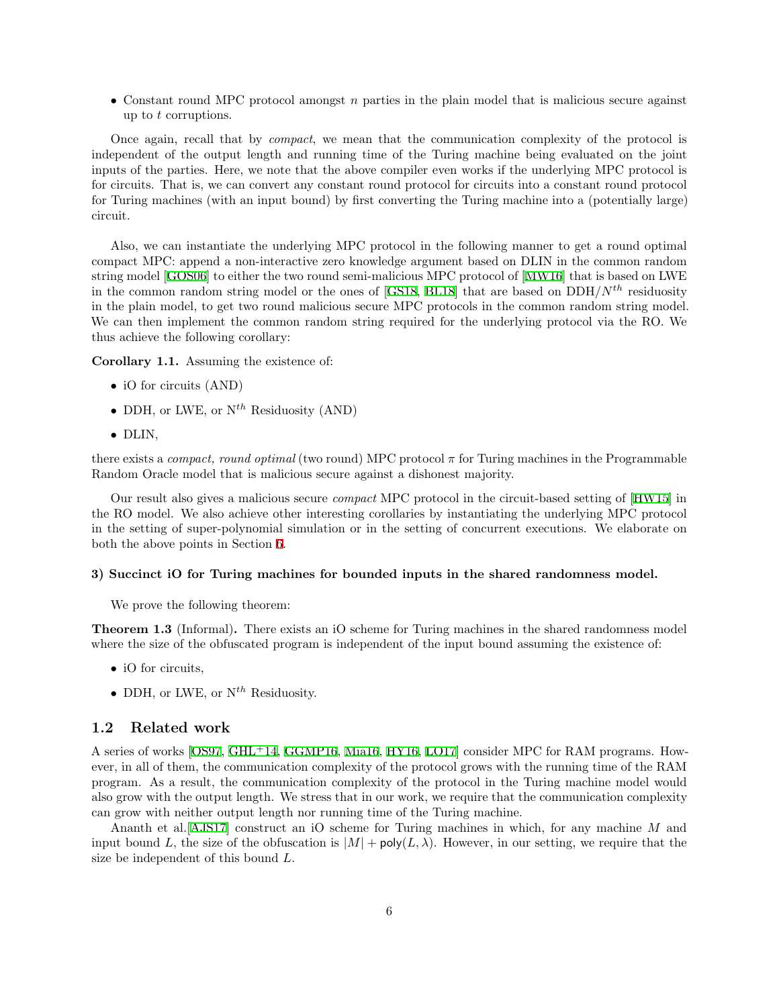*•* Constant round MPC protocol amongst *n* parties in the plain model that is malicious secure against up to *t* corruptions.

Once again, recall that by *compact*, we mean that the communication complexity of the protocol is independent of the output length and running time of the Turing machine being evaluated on the joint inputs of the parties. Here, we note that the above compiler even works if the underlying MPC protocol is for circuits. That is, we can convert any constant round protocol for circuits into a constant round protocol for Turing machines (with an input bound) by first converting the Turing machine into a (potentially large) circuit.

Also, we can instantiate the underlying MPC protocol in the following manner to get a round optimal compact MPC: append a non-interactive zero knowledge argument based on DLIN in the common random string model [\[GOS06](#page-43-7)] to either the two round semi-malicious MPC protocol of [[MW16](#page-45-3)] that is based on LWE in the common random string model or the ones of [\[GS18,](#page-43-5) [BL18](#page-42-8)] that are based on DDH/*Nth* residuosity in the plain model, to get two round malicious secure MPC protocols in the common random string model. We can then implement the common random string required for the underlying protocol via the RO. We thus achieve the following corollary:

**Corollary 1.1.** Assuming the existence of:

- iO for circuits (AND)
- *•* DDH, or LWE, or N*th* Residuosity (AND)
- *•* DLIN,

there exists a *compact, round optimal* (two round) MPC protocol *π* for Turing machines in the Programmable Random Oracle model that is malicious secure against a dishonest majority.

Our result also gives a malicious secure *compact* MPC protocol in the circuit-based setting of [[HW15\]](#page-44-0) in the RO model. We also achieve other interesting corollaries by instantiating the underlying MPC protocol in the setting of super-polynomial simulation or in the setting of concurrent executions. We elaborate on both the above points in Section [6](#page-26-0).

#### **3) Succinct iO for Turing machines for bounded inputs in the shared randomness model.**

We prove the following theorem:

**Theorem 1.3** (Informal)**.** There exists an iO scheme for Turing machines in the shared randomness model where the size of the obfuscated program is independent of the input bound assuming the existence of:

- **iO** for circuits.
- *•* DDH, or LWE, or N*th* Residuosity.

#### <span id="page-5-0"></span>**1.2 Related work**

A series of works [[OS97,](#page-45-4) [GHL](#page-43-8)<sup>+</sup>14, [GGMP16](#page-43-9), [Mia16,](#page-45-5) [HY16,](#page-44-7) [LO17\]](#page-44-8) consider MPC for RAM programs. However, in all of them, the communication complexity of the protocol grows with the running time of the RAM program. As a result, the communication complexity of the protocol in the Turing machine model would also grow with the output length. We stress that in our work, we require that the communication complexity can grow with neither output length nor running time of the Turing machine.

Ananth et al.[[AJS17\]](#page-42-9) construct an iO scheme for Turing machines in which, for any machine *M* and input bound *L*, the size of the obfuscation is  $|M| + \text{poly}(L, \lambda)$ . However, in our setting, we require that the size be independent of this bound *L*.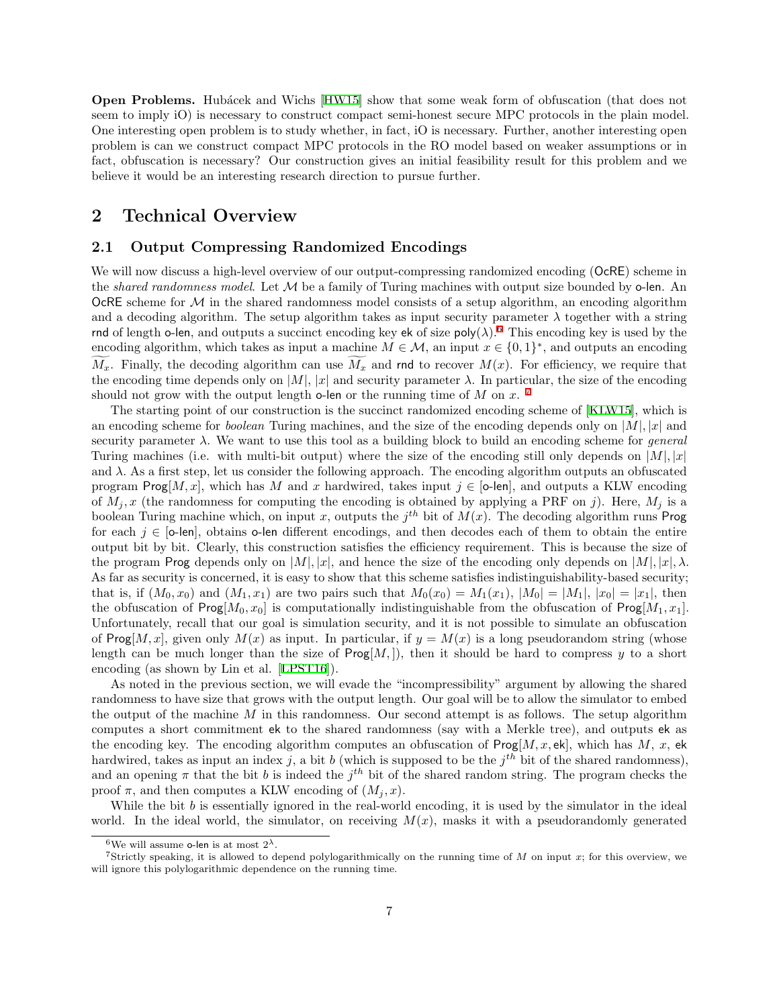**Open Problems.** Hubácek and Wichs [[HW15](#page-44-0)] show that some weak form of obfuscation (that does not seem to imply iO) is necessary to construct compact semi-honest secure MPC protocols in the plain model. One interesting open problem is to study whether, in fact, iO is necessary. Further, another interesting open problem is can we construct compact MPC protocols in the RO model based on weaker assumptions or in fact, obfuscation is necessary? Our construction gives an initial feasibility result for this problem and we believe it would be an interesting research direction to pursue further.

## <span id="page-6-0"></span>**2 Technical Overview**

#### <span id="page-6-1"></span>**2.1 Output Compressing Randomized Encodings**

We will now discuss a high-level overview of our output-compressing randomized encoding (OcRE) scheme in the *shared randomness model*. Let *M* be a family of Turing machines with output size bounded by o-len. An OcRE scheme for  $M$  in the shared randomness model consists of a setup algorithm, an encoding algorithm and a decoding algorithm. The setup algorithm takes as input security parameter  $\lambda$  together with a string rnd of length o-len, and outputs a succinct encoding key ek of size  $poly(\lambda)$ .<sup>[6](#page-6-2)</sup> This encoding key is used by the encoding algorithm, which takes as input a machine  $M \in \mathcal{M}$ , an input  $x \in \{0,1\}^*$ , and outputs an encoding OCKE scheme for *M* in the shared randomness model consists of a setup algorithm, an encoding algorithm and a decoding algorithm. The setup algorithm takes as input security parameter *λ* together with a string rnd of l the encoding time depends only on  $|M|, |x|$  and security parameter  $\lambda$ . In particular, the size of the encoding should not grow with the output length o-len or the running time of *M* on *x*. [7](#page-6-3)

The starting point of our construction is the succinct randomized encoding scheme of [[KLW15](#page-44-3)], which is an encoding scheme for *boolean* Turing machines, and the size of the encoding depends only on  $|M|, |x|$  and security parameter *λ*. We want to use this tool as a building block to build an encoding scheme for *general* Turing machines (i.e. with multi-bit output) where the size of the encoding still only depends on *|M|, |x|* and  $\lambda$ . As a first step, let us consider the following approach. The encoding algorithm outputs an obfuscated program  $\text{Prog}[M, x]$ , which has *M* and *x* hardwired, takes input  $j \in [\text{o-len}]$ , and outputs a KLW encoding of  $M_j$ , x (the randomness for computing the encoding is obtained by applying a PRF on *j*). Here,  $M_j$  is a boolean Turing machine which, on input *x*, outputs the  $j^{th}$  bit of  $M(x)$ . The decoding algorithm runs Prog for each  $j \in$  [o-len], obtains o-len different encodings, and then decodes each of them to obtain the entire output bit by bit. Clearly, this construction satisfies the efficiency requirement. This is because the size of the program Prog depends only on  $|M|, |x|$ , and hence the size of the encoding only depends on  $|M|, |x|, \lambda$ . As far as security is concerned, it is easy to show that this scheme satisfies indistinguishability-based security; that is, if  $(M_0, x_0)$  and  $(M_1, x_1)$  are two pairs such that  $M_0(x_0) = M_1(x_1), |M_0| = |M_1|, |x_0| = |x_1|$ , then the obfuscation of  $\text{Prog}[M_0, x_0]$  is computationally indistinguishable from the obfuscation of  $\text{Prog}[M_1, x_1]$ . Unfortunately, recall that our goal is simulation security, and it is not possible to simulate an obfuscation of Prog $[M, x]$ , given only  $M(x)$  as input. In particular, if  $y = M(x)$  is a long pseudorandom string (whose length can be much longer than the size of  $\text{Prog}[M,])$ , then it should be hard to compress *y* to a short encoding (as shown by Lin et al. [\[LPST16\]](#page-44-1)).

As noted in the previous section, we will evade the "incompressibility" argument by allowing the shared randomness to have size that grows with the output length. Our goal will be to allow the simulator to embed the output of the machine *M* in this randomness. Our second attempt is as follows. The setup algorithm computes a short commitment ek to the shared randomness (say with a Merkle tree), and outputs ek as the encoding key. The encoding algorithm computes an obfuscation of  $\text{Prog}[M, x, \text{ek}]$ , which has  $M, x$ , ek hardwired, takes as input an index  $j$ , a bit  $b$  (which is supposed to be the  $j<sup>th</sup>$  bit of the shared randomness), and an opening  $\pi$  that the bit *b* is indeed the  $j<sup>th</sup>$  bit of the shared random string. The program checks the proof  $\pi$ , and then computes a KLW encoding of  $(M_i, x)$ .

While the bit *b* is essentially ignored in the real-world encoding, it is used by the simulator in the ideal world. In the ideal world, the simulator, on receiving  $M(x)$ , masks it with a pseudorandomly generated

<span id="page-6-3"></span><span id="page-6-2"></span><sup>6</sup>We will assume o-len is at most 2*λ*.

<sup>7</sup>Strictly speaking, it is allowed to depend polylogarithmically on the running time of *M* on input *x*; for this overview, we will ignore this polylogarithmic dependence on the running time.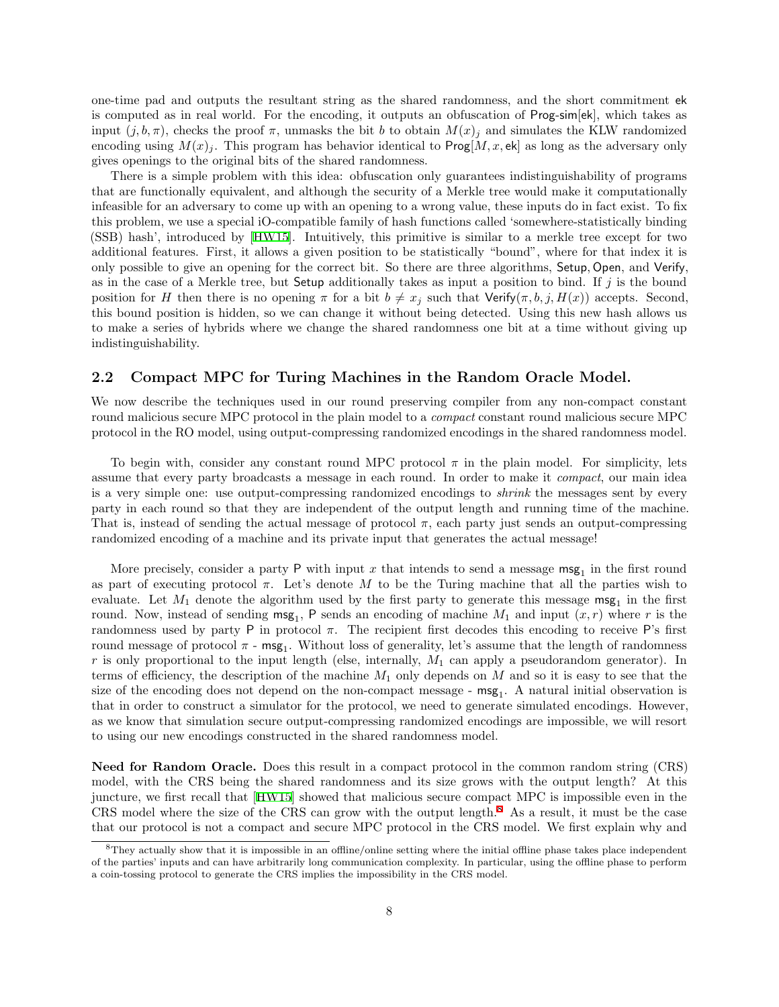one-time pad and outputs the resultant string as the shared randomness, and the short commitment ek is computed as in real world. For the encoding, it outputs an obfuscation of Prog-sim[ek], which takes as input  $(j, b, \pi)$ , checks the proof  $\pi$ , unmasks the bit *b* to obtain  $M(x)$ <sub>*j*</sub> and simulates the KLW randomized encoding using  $M(x)$ <sup>*j*</sup>. This program has behavior identical to  $\text{Prog}[M, x, \text{ek}]$  as long as the adversary only gives openings to the original bits of the shared randomness.

There is a simple problem with this idea: obfuscation only guarantees indistinguishability of programs that are functionally equivalent, and although the security of a Merkle tree would make it computationally infeasible for an adversary to come up with an opening to a wrong value, these inputs do in fact exist. To fix this problem, we use a special iO-compatible family of hash functions called 'somewhere-statistically binding (SSB) hash', introduced by [\[HW15\]](#page-44-0). Intuitively, this primitive is similar to a merkle tree except for two additional features. First, it allows a given position to be statistically "bound", where for that index it is only possible to give an opening for the correct bit. So there are three algorithms, Setup*,* Open*,* and Verify, as in the case of a Merkle tree, but Setup additionally takes as input a position to bind. If *j* is the bound position for *H* then there is no opening  $\pi$  for a bit  $b \neq x_j$  such that Verify( $\pi, b, j, H(x)$ ) accepts. Second, this bound position is hidden, so we can change it without being detected. Using this new hash allows us to make a series of hybrids where we change the shared randomness one bit at a time without giving up indistinguishability.

#### <span id="page-7-0"></span>**2.2 Compact MPC for Turing Machines in the Random Oracle Model.**

We now describe the techniques used in our round preserving compiler from any non-compact constant round malicious secure MPC protocol in the plain model to a *compact* constant round malicious secure MPC protocol in the RO model, using output-compressing randomized encodings in the shared randomness model.

To begin with, consider any constant round MPC protocol  $\pi$  in the plain model. For simplicity, lets assume that every party broadcasts a message in each round. In order to make it *compact*, our main idea is a very simple one: use output-compressing randomized encodings to *shrink* the messages sent by every party in each round so that they are independent of the output length and running time of the machine. That is, instead of sending the actual message of protocol  $\pi$ , each party just sends an output-compressing randomized encoding of a machine and its private input that generates the actual message!

More precisely, consider a party  $P$  with input  $x$  that intends to send a message  $\mathsf{msg}_1$  in the first round as part of executing protocol *π*. Let's denote *M* to be the Turing machine that all the parties wish to evaluate. Let  $M_1$  denote the algorithm used by the first party to generate this message  $\text{msg}_1$  in the first round. Now, instead of sending  $\text{msg}_1$ , P sends an encoding of machine  $M_1$  and input  $(x,r)$  where r is the randomness used by party P in protocol *π*. The recipient first decodes this encoding to receive P's first round message of protocol  $\pi$  - msg<sub>1</sub>. Without loss of generality, let's assume that the length of randomness *r* is only proportional to the input length (else, internally, *M*<sup>1</sup> can apply a pseudorandom generator). In terms of efficiency, the description of the machine *M*<sup>1</sup> only depends on *M* and so it is easy to see that the size of the encoding does not depend on the non-compact message  $-$  msg<sub>1</sub>. A natural initial observation is that in order to construct a simulator for the protocol, we need to generate simulated encodings. However, as we know that simulation secure output-compressing randomized encodings are impossible, we will resort to using our new encodings constructed in the shared randomness model.

**Need for Random Oracle.** Does this result in a compact protocol in the common random string (CRS) model, with the CRS being the shared randomness and its size grows with the output length? At this juncture, we first recall that [[HW15](#page-44-0)] showed that malicious secure compact MPC is impossible even in the CRS model where the size of the CRS can grow with the output length.[8](#page-7-1) As a result, it must be the case that our protocol is not a compact and secure MPC protocol in the CRS model. We first explain why and

<span id="page-7-1"></span><sup>8</sup>They actually show that it is impossible in an offline/online setting where the initial offline phase takes place independent of the parties' inputs and can have arbitrarily long communication complexity. In particular, using the offline phase to perform a coin-tossing protocol to generate the CRS implies the impossibility in the CRS model.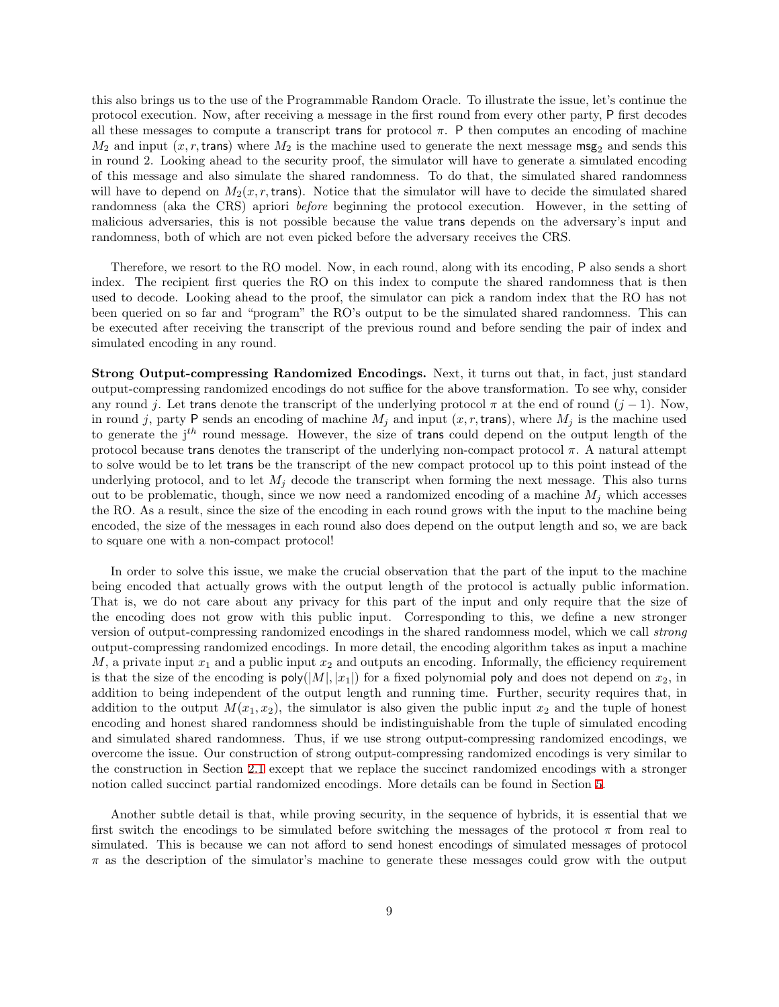this also brings us to the use of the Programmable Random Oracle. To illustrate the issue, let's continue the protocol execution. Now, after receiving a message in the first round from every other party, P first decodes all these messages to compute a transcript trans for protocol  $\pi$ . P then computes an encoding of machine  $M_2$  and input  $(x, r, \text{trans})$  where  $M_2$  is the machine used to generate the next message msg<sub>2</sub> and sends this in round 2. Looking ahead to the security proof, the simulator will have to generate a simulated encoding of this message and also simulate the shared randomness. To do that, the simulated shared randomness will have to depend on  $M_2(x, r, \text{trans})$ . Notice that the simulator will have to decide the simulated shared randomness (aka the CRS) apriori *before* beginning the protocol execution. However, in the setting of malicious adversaries, this is not possible because the value trans depends on the adversary's input and randomness, both of which are not even picked before the adversary receives the CRS.

Therefore, we resort to the RO model. Now, in each round, along with its encoding, P also sends a short index. The recipient first queries the RO on this index to compute the shared randomness that is then used to decode. Looking ahead to the proof, the simulator can pick a random index that the RO has not been queried on so far and "program" the RO's output to be the simulated shared randomness. This can be executed after receiving the transcript of the previous round and before sending the pair of index and simulated encoding in any round.

**Strong Output-compressing Randomized Encodings.** Next, it turns out that, in fact, just standard output-compressing randomized encodings do not suffice for the above transformation. To see why, consider any round *j*. Let trans denote the transcript of the underlying protocol  $\pi$  at the end of round (*j* − 1). Now, in round *j*, party P sends an encoding of machine  $M_j$  and input  $(x, r, t$  and, where  $M_j$  is the machine used to generate the j*th* round message. However, the size of trans could depend on the output length of the protocol because trans denotes the transcript of the underlying non-compact protocol  $\pi$ . A natural attempt to solve would be to let trans be the transcript of the new compact protocol up to this point instead of the underlying protocol, and to let  $M_j$  decode the transcript when forming the next message. This also turns out to be problematic, though, since we now need a randomized encoding of a machine  $M_j$  which accesses the RO. As a result, since the size of the encoding in each round grows with the input to the machine being encoded, the size of the messages in each round also does depend on the output length and so, we are back to square one with a non-compact protocol!

In order to solve this issue, we make the crucial observation that the part of the input to the machine being encoded that actually grows with the output length of the protocol is actually public information. That is, we do not care about any privacy for this part of the input and only require that the size of the encoding does not grow with this public input. Corresponding to this, we define a new stronger version of output-compressing randomized encodings in the shared randomness model, which we call *strong* output-compressing randomized encodings. In more detail, the encoding algorithm takes as input a machine  $M$ , a private input  $x_1$  and a public input  $x_2$  and outputs an encoding. Informally, the efficiency requirement is that the size of the encoding is  $poly(|M|, |x_1|)$  for a fixed polynomial poly and does not depend on  $x_2$ , in addition to being independent of the output length and running time. Further, security requires that, in addition to the output  $M(x_1, x_2)$ , the simulator is also given the public input  $x_2$  and the tuple of honest encoding and honest shared randomness should be indistinguishable from the tuple of simulated encoding and simulated shared randomness. Thus, if we use strong output-compressing randomized encodings, we overcome the issue. Our construction of strong output-compressing randomized encodings is very similar to the construction in Section [2.1](#page-6-1) except that we replace the succinct randomized encodings with a stronger notion called succinct partial randomized encodings. More details can be found in Section [5.](#page-12-0)

Another subtle detail is that, while proving security, in the sequence of hybrids, it is essential that we first switch the encodings to be simulated before switching the messages of the protocol  $\pi$  from real to simulated. This is because we can not afford to send honest encodings of simulated messages of protocol *π* as the description of the simulator's machine to generate these messages could grow with the output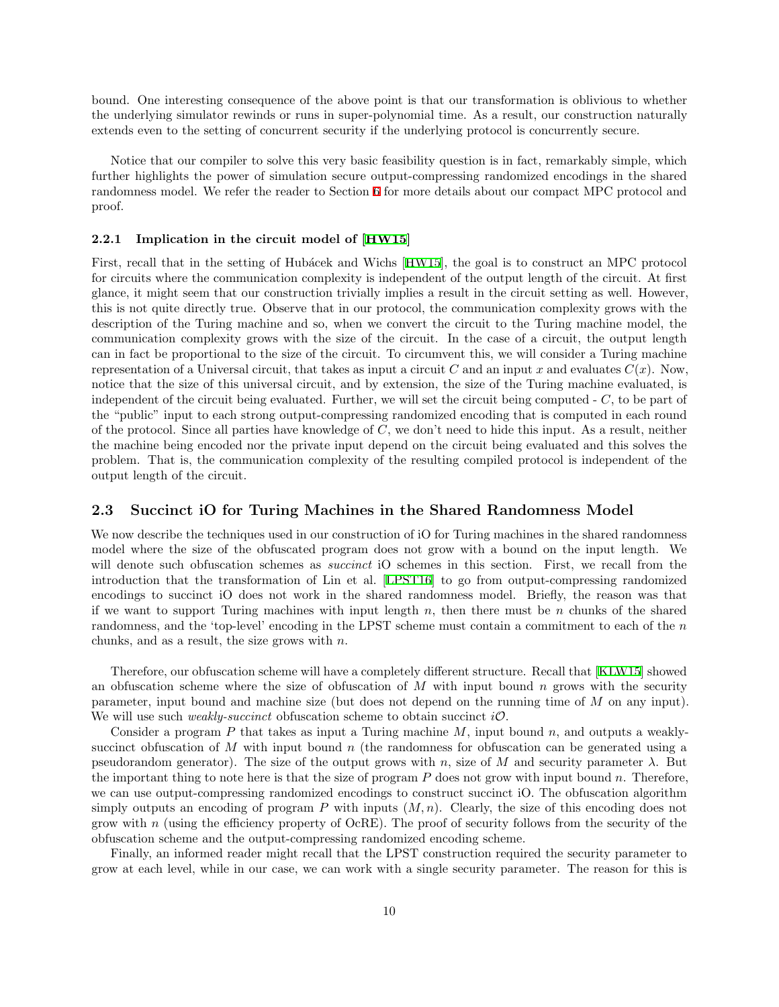bound. One interesting consequence of the above point is that our transformation is oblivious to whether the underlying simulator rewinds or runs in super-polynomial time. As a result, our construction naturally extends even to the setting of concurrent security if the underlying protocol is concurrently secure.

Notice that our compiler to solve this very basic feasibility question is in fact, remarkably simple, which further highlights the power of simulation secure output-compressing randomized encodings in the shared randomness model. We refer the reader to Section [6](#page-26-0) for more details about our compact MPC protocol and proof.

#### **2.2.1 Implication in the circuit model of [\[HW15\]](#page-44-0)**

First, recall that in the setting of Hubácek and Wichs [[HW15](#page-44-0)], the goal is to construct an MPC protocol for circuits where the communication complexity is independent of the output length of the circuit. At first glance, it might seem that our construction trivially implies a result in the circuit setting as well. However, this is not quite directly true. Observe that in our protocol, the communication complexity grows with the description of the Turing machine and so, when we convert the circuit to the Turing machine model, the communication complexity grows with the size of the circuit. In the case of a circuit, the output length can in fact be proportional to the size of the circuit. To circumvent this, we will consider a Turing machine representation of a Universal circuit, that takes as input a circuit *C* and an input *x* and evaluates  $C(x)$ . Now, notice that the size of this universal circuit, and by extension, the size of the Turing machine evaluated, is independent of the circuit being evaluated. Further, we will set the circuit being computed - *C*, to be part of the "public" input to each strong output-compressing randomized encoding that is computed in each round of the protocol. Since all parties have knowledge of *C*, we don't need to hide this input. As a result, neither the machine being encoded nor the private input depend on the circuit being evaluated and this solves the problem. That is, the communication complexity of the resulting compiled protocol is independent of the output length of the circuit.

#### <span id="page-9-0"></span>**2.3 Succinct iO for Turing Machines in the Shared Randomness Model**

We now describe the techniques used in our construction of iO for Turing machines in the shared randomness model where the size of the obfuscated program does not grow with a bound on the input length. We will denote such obfuscation schemes as *succinct* iO schemes in this section. First, we recall from the introduction that the transformation of Lin et al. [[LPST16](#page-44-1)] to go from output-compressing randomized encodings to succinct iO does not work in the shared randomness model. Briefly, the reason was that if we want to support Turing machines with input length *n*, then there must be *n* chunks of the shared randomness, and the 'top-level' encoding in the LPST scheme must contain a commitment to each of the *n* chunks, and as a result, the size grows with *n*.

Therefore, our obfuscation scheme will have a completely different structure. Recall that [[KLW15\]](#page-44-3) showed an obfuscation scheme where the size of obfuscation of *M* with input bound *n* grows with the security parameter, input bound and machine size (but does not depend on the running time of *M* on any input). We will use such *weakly-succinct* obfuscation scheme to obtain succinct *iO*.

Consider a program *P* that takes as input a Turing machine *M*, input bound *n*, and outputs a weaklysuccinct obfuscation of *M* with input bound *n* (the randomness for obfuscation can be generated using a pseudorandom generator). The size of the output grows with *n*, size of *M* and security parameter  $\lambda$ . But the important thing to note here is that the size of program *P* does not grow with input bound *n*. Therefore, we can use output-compressing randomized encodings to construct succinct iO. The obfuscation algorithm simply outputs an encoding of program *P* with inputs (*M, n*). Clearly, the size of this encoding does not grow with *n* (using the efficiency property of OcRE). The proof of security follows from the security of the obfuscation scheme and the output-compressing randomized encoding scheme.

Finally, an informed reader might recall that the LPST construction required the security parameter to grow at each level, while in our case, we can work with a single security parameter. The reason for this is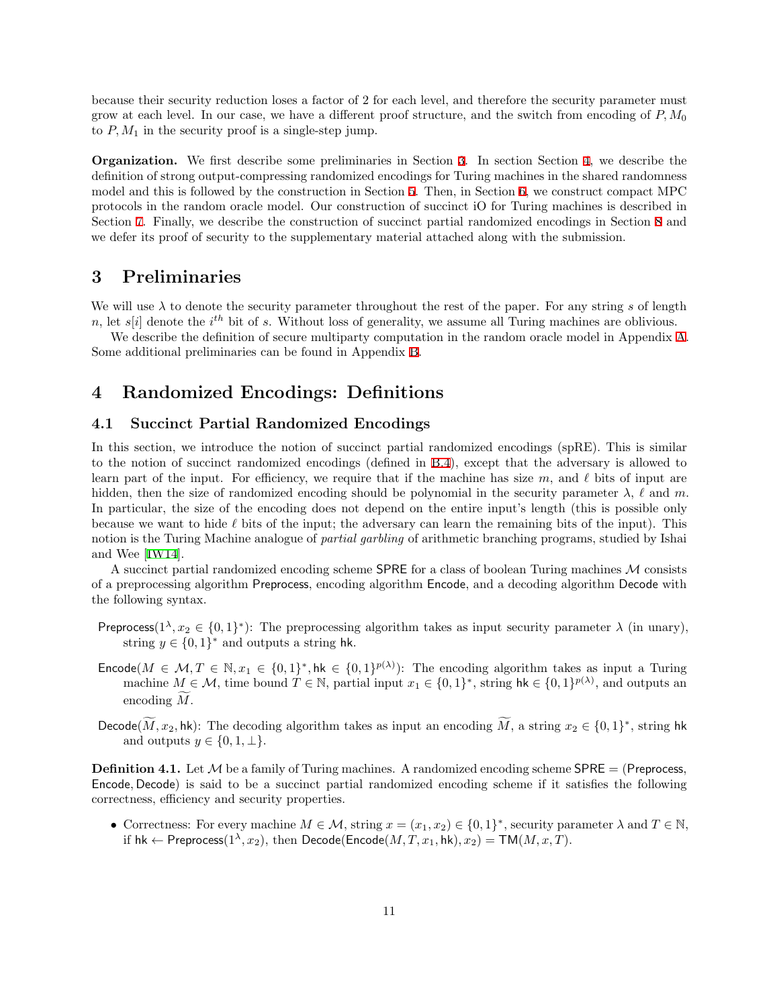because their security reduction loses a factor of 2 for each level, and therefore the security parameter must grow at each level. In our case, we have a different proof structure, and the switch from encoding of *P, M*<sup>0</sup> to  $P, M_1$  in the security proof is a single-step jump.

**Organization.** We first describe some preliminaries in Section [3.](#page-10-0) In section Section [4,](#page-10-1) we describe the definition of strong output-compressing randomized encodings for Turing machines in the shared randomness model and this is followed by the construction in Section [5](#page-12-0). Then, in Section [6](#page-26-0), we construct compact MPC protocols in the random oracle model. Our construction of succinct iO for Turing machines is described in Section [7](#page-32-0). Finally, we describe the construction of succinct partial randomized encodings in Section [8](#page-36-0) and we defer its proof of security to the supplementary material attached along with the submission.

## <span id="page-10-0"></span>**3 Preliminaries**

We will use  $\lambda$  to denote the security parameter throughout the rest of the paper. For any string *s* of length *n*, let *s*[*i*] denote the *i th* bit of *s*. Without loss of generality, we assume all Turing machines are oblivious.

We describe the definition of secure multiparty computation in the random oracle model in Appendix [A](#page-45-0). Some additional preliminaries can be found in Appendix [B](#page-47-0).

## <span id="page-10-1"></span>**4 Randomized Encodings: Definitions**

#### <span id="page-10-2"></span>**4.1 Succinct Partial Randomized Encodings**

In this section, we introduce the notion of succinct partial randomized encodings (spRE). This is similar to the notion of succinct randomized encodings (defined in [B.4](#page-48-1)), except that the adversary is allowed to learn part of the input. For efficiency, we require that if the machine has size  $m$ , and  $\ell$  bits of input are hidden, then the size of randomized encoding should be polynomial in the security parameter  $\lambda$ ,  $\ell$  and  $m$ . In particular, the size of the encoding does not depend on the entire input's length (this is possible only because we want to hide *ℓ* bits of the input; the adversary can learn the remaining bits of the input). This notion is the Turing Machine analogue of *partial garbling* of arithmetic branching programs, studied by Ishai and Wee [[IW14\]](#page-44-4).

A succinct partial randomized encoding scheme SPRE for a class of boolean Turing machines *M* consists of a preprocessing algorithm Preprocess, encoding algorithm Encode, and a decoding algorithm Decode with the following syntax.

- Preprocess( $1^{\lambda}, x_2 \in \{0, 1\}^*$ ): The preprocessing algorithm takes as input security parameter  $\lambda$  (in unary), string  $y \in \{0, 1\}^*$  and outputs a string hk.
- Encode( $M \in \mathcal{M}, T \in \mathbb{N}, x_1 \in \{0,1\}^*,$  hk  $\in \{0,1\}^{p(\lambda)}$ ): The encoding algorithm takes as input a Turing machine  $M \in \mathcal{M}$ , time bound  $T \in \mathbb{N}$ , partial input  $x_1 \in \{0,1\}^*$ , string  $\mathsf{hk} \in \{0,1\}^{p(\lambda)}$ , and outputs an string  $y \in \{0$ <br>de( $M \in \mathcal{M}$ ,<br>machine  $M \in \text{encoding } \widetilde{M}$ . Encode( $M \in \mathcal{M}, T \in \mathbb{N}, x_1 \in \{0, 1\}^*$ , hk  $\in \{0, 1\}^{p(\lambda)}$ ): The encoding algorithm takes as input a Turing machine  $M \in \mathcal{M}$ , time bound  $T \in \mathbb{N}$ , partial input  $x_1 \in \{0, 1\}^*$ , string hk  $\in \{0, 1\}^{p(\lambda)}$ ,
- and outputs  $y \in \{0, 1, \perp\}.$

**Definition 4.1.** Let *M* be a family of Turing machines. A randomized encoding scheme SPRE = (Preprocess*,* Encode*,* Decode) is said to be a succinct partial randomized encoding scheme if it satisfies the following correctness, efficiency and security properties.

*•* Correctness: For every machine *M ∈ M*, string *x* = (*x*1*, x*2) *∈ {*0*,* 1*} ∗* , security parameter *λ* and *T ∈* N, if hk ← Preprocess $(1^{\lambda}, x_2)$ , then Decode(Encode( $M, T, x_1$ , hk),  $x_2)$  = TM( $M, x, T$ ).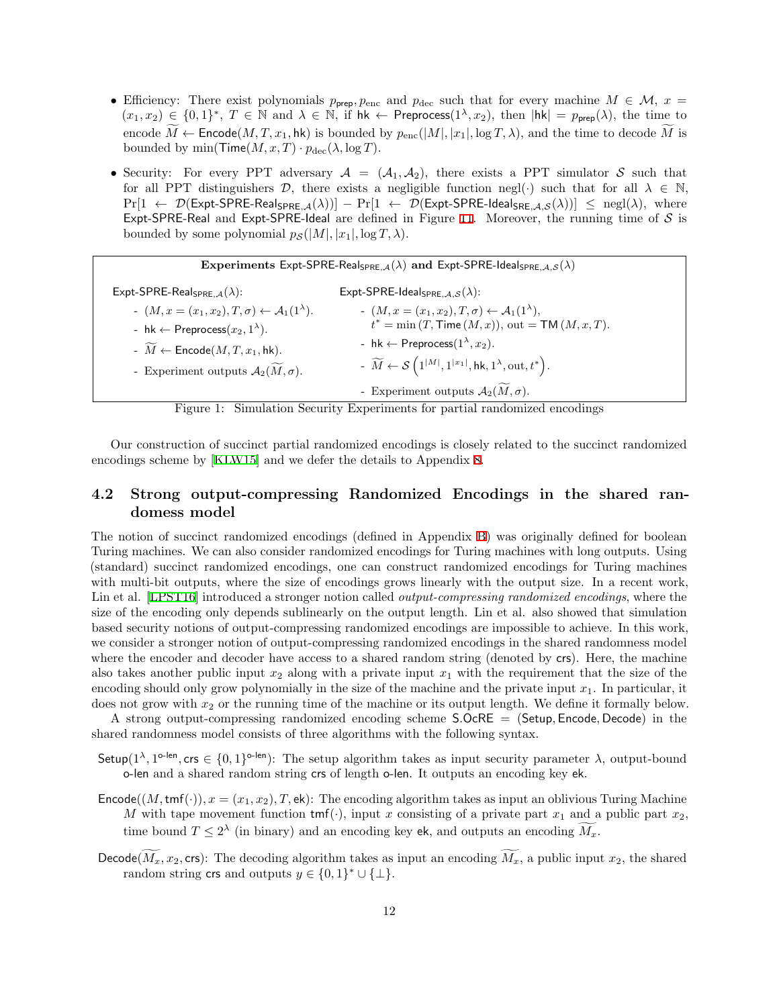- Efficiency: There exist polynomials  $p_{\text{prep}}, p_{\text{enc}}$  and  $p_{\text{dec}}$  such that for every machine  $M \in \mathcal{M}$ ,  $x =$  $(x_1, x_2) \in \{0, 1\}^*, T \in \mathbb{N}$  and  $\lambda \in \mathbb{N}$ , if hk  $\leftarrow$  Preprocess $(1^{\lambda}, x_2)$ , then  $|hk| = p_{\text{prep}}(\lambda)$ , the time to Efficiency: There exist polynomials  $p_{\text{prep}}, p_{\text{enc}}$  and  $p_{\text{dec}}$  such that for every machine  $M \in \mathcal{M}, x = (x_1, x_2) \in \{0, 1\}^*, T \in \mathbb{N}$  and  $\lambda \in \mathbb{N}$ , if  $\mathsf{hk} \leftarrow \text{Preprocess}(1^\lambda, x_2)$ , then  $|\mathsf{hk}| = p_{\text{prep}}(\lambda)$ , the time bounded by  $min(\textsf{Time}(M, x, T) \cdot p_{\text{dec}}(\lambda, \log T)).$
- Security: For every PPT adversary  $A = (A_1, A_2)$ , there exists a PPT simulator *S* such that for all PPT distinguishers  $D$ , there exists a negligible function negl(*·*) such that for all  $\lambda \in \mathbb{N}$ ,  $Pr[1 \leftarrow \mathcal{D}(Expt\text{-}SPRE\text{-}Real_{SPRE},\mathcal{A}(\lambda))] - Pr[1 \leftarrow \mathcal{D}(Expt\text{-}SPRE\text{-}Ideals_{RE},\mathcal{A},\mathcal{S}(\lambda))] \leq neg(\lambda),$  where Expt-SPRE-Real and Expt-SPRE-Ideal are defined in Figure [11.](#page-36-1) Moreover, the running time of *S* is bounded by some polynomial  $p_{\mathcal{S}}(|M|, |x_1|, \log T, \lambda)$ .

| Experiments Expt-SPRE-Real $_{SPRE, \mathcal{A}}(\lambda)$ and Expt-SPRE-Ideal $_{SPRE, \mathcal{A}, \mathcal{S}}(\lambda)$                                                                                                                             |                                                                                                                                                                                                                                                                                                                      |  |  |
|---------------------------------------------------------------------------------------------------------------------------------------------------------------------------------------------------------------------------------------------------------|----------------------------------------------------------------------------------------------------------------------------------------------------------------------------------------------------------------------------------------------------------------------------------------------------------------------|--|--|
| Expt-SPRE-Real $_{\text{SPRE, A}}(\lambda)$ :                                                                                                                                                                                                           | Expt-SPRE-Ideal <sub>SPRE, <math>A.S(\lambda)</math>:</sub>                                                                                                                                                                                                                                                          |  |  |
| $( M, x = (x_1, x_2), T, \sigma ) \leftarrow A_1(1^{\lambda}).$<br>- hk $\leftarrow$ Preprocess $(x_2, 1^{\lambda})$ .<br>$\widetilde{M} \leftarrow$ Encode( $M, T, x_1, \text{hk}$ ).<br>- Experiment outputs $\mathcal{A}_2(\widetilde{M}, \sigma)$ . | $(X, x = (x_1, x_2), T, \sigma) \leftarrow A_1(1^{\lambda}),$<br>$t^* = \min(T, \text{Time}(M, x)), \text{ out} = \text{TM}(M, x, T).$<br>- hk $\leftarrow$ Preprocess $(1^{\lambda}, x_2)$ .<br>$\widetilde{M} \leftarrow \mathcal{S}\left(1^{ M }, 1^{ x_1 }, \textsf{hk}, 1^{\lambda}, \textsf{out}, t^*\right).$ |  |  |
|                                                                                                                                                                                                                                                         | - Experiment outputs $\mathcal{A}_2(M,\sigma)$ .                                                                                                                                                                                                                                                                     |  |  |

Figure 1: Simulation Security Experiments for partial randomized encodings

Our construction of succinct partial randomized encodings is closely related to the succinct randomized encodings scheme by [\[KLW15](#page-44-3)] and we defer the details to Appendix [8.](#page-36-0)

### <span id="page-11-0"></span>**4.2 Strong output-compressing Randomized Encodings in the shared randomess model**

The notion of succinct randomized encodings (defined in Appendix [B](#page-47-0)) was originally defined for boolean Turing machines. We can also consider randomized encodings for Turing machines with long outputs. Using (standard) succinct randomized encodings, one can construct randomized encodings for Turing machines with multi-bit outputs, where the size of encodings grows linearly with the output size. In a recent work, Lin et al. [[LPST16\]](#page-44-1) introduced a stronger notion called *output-compressing randomized encodings*, where the size of the encoding only depends sublinearly on the output length. Lin et al. also showed that simulation based security notions of output-compressing randomized encodings are impossible to achieve. In this work, we consider a stronger notion of output-compressing randomized encodings in the shared randomness model where the encoder and decoder have access to a shared random string (denoted by crs). Here, the machine also takes another public input  $x_2$  along with a private input  $x_1$  with the requirement that the size of the encoding should only grow polynomially in the size of the machine and the private input  $x_1$ . In particular, it does not grow with  $x_2$  or the running time of the machine or its output length. We define it formally below.

A strong output-compressing randomized encoding scheme S*.*OcRE = (Setup*,* Encode*,* Decode) in the shared randomness model consists of three algorithms with the following syntax.

- Setup( $1^{\lambda}$ ,  $1^{\circ$ -len, crs  $\in \{0,1\}^{\circ}$ -len): The setup algorithm takes as input security parameter  $\lambda$ , output-bound o-len and a shared random string crs of length o-len. It outputs an encoding key ek.
- $\mathsf{Encode}((M,\mathsf{tmf}(\cdot)), x = (x_1,x_2), T,\mathsf{ek})$ : The encoding algorithm takes as input an oblivious Turing Machine *M* with tape movement function  $\text{tmf}(\cdot)$ , input *x* consisting of a private part  $x_1$  and a public part  $x_2$ , time bound  $T \leq 2^{\lambda}$ andom string crs of length o-len. It outputs an encoding key ek.<br>  $(x_1, x_2), T$ , ek): The encoding algorithm takes as input an oblivious<br>
nent function  $tmf(\cdot)$ , input x consisting of a private part  $x_1$  and a<br>
(in binary)
- Decode( $\widetilde{M_x}$ ,  $x_2$ , crs): The decoding algorithm takes as input an encoding  $\widetilde{M_x}$ , a public input  $x_2$ , the shared random string crs and outputs  $y \in \{0, 1\}^* \cup \{\perp\}.$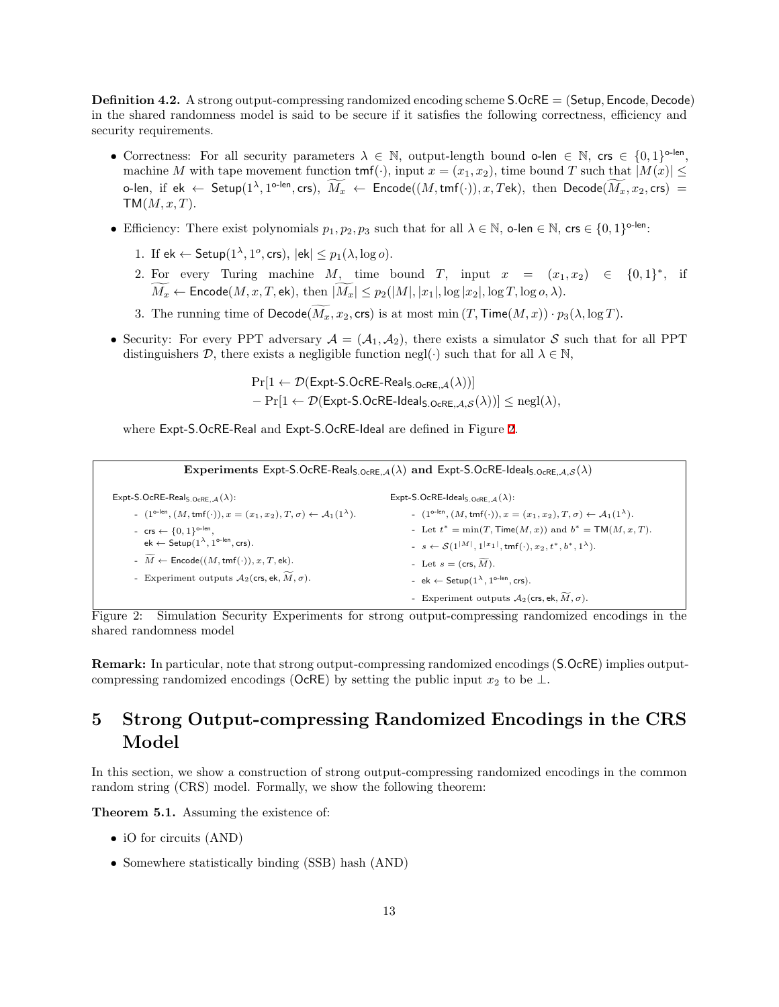**Definition 4.2.** A strong output-compressing randomized encoding scheme S*.*OcRE = (Setup*,* Encode*,* Decode) in the shared randomness model is said to be secure if it satisfies the following correctness, efficiency and security requirements.

- Correctness: For all security parameters  $\lambda \in \mathbb{N}$ , output-length bound **o-len**  $\in \mathbb{N}$ , crs  $\in \{0,1\}$ <sup>o-len</sup>, machine *M* with tape movement function  $\text{tmf}(\cdot)$ , input  $x = (x_1, x_2)$ , time bound *T* such that  $|M(x)| \leq$ ty requirements.<br>
Correctness: For all security parameters  $\lambda \in \mathbb{N}$ , output-length bound  $o$ -len  $\in \mathbb{N}$ ,  $\text{crs} \in \{0,1\}^{o-\text{len}}$ <br>
machine *M* with tape movement function  $\text{tmf}(\cdot)$ , input  $x = (x_1, x_2)$ , time bou TM(*M, x, T*).
- Efficiency: There exist polynomials  $p_1, p_2, p_3$  such that for all  $\lambda \in \mathbb{N}$ , o-len  $\in \mathbb{N}$ , crs  $\in \{0, 1\}$ <sup>o-len</sup>:
	- 1. If  $ek \leftarrow$  Setup $(1^{\lambda}, 1^o, \text{crs}), |\text{ek}| \leq p_1(\lambda, \log o).$
	- 2. For every Turing machine *M*, time bound *T*, input  $x = (x_1, x_2) \in \{0, 1\}^*$ , if  $\widetilde{M_x} \leftarrow \mathsf{Encode}(M, x, T, \mathsf{ek}), \text{ then } |\widetilde{M_x}| \leq p_2(|M|, |x_1|, \log |x_2|, \log T, \log o, \lambda).$
	- 3. The running time of  $\widetilde{\text{Decode}}(\widetilde{M_x}, x_2, \text{crs})$  is at most min  $(T, \text{Time}(M, x)) \cdot p_3(\lambda, \log T)$ .
- Security: For every PPT adversary  $A = (A_1, A_2)$ , there exists a simulator *S* such that for all PPT distinguishers *D*, there exists a negligible function negl( $\cdot$ ) such that for all  $\lambda \in \mathbb{N}$ ,

 $Pr[1 \leftarrow \mathcal{D}(\mathsf{Expt\text{-}S}.\mathsf{OcRE}\text{-}Reals_{\mathsf{.OcRE},\mathcal{A}}(\lambda))]$  $P$  Pr[1 ← D(Expt-S.OcRE-Ideal<sub>S.OcRE</sub>,*A,S*( $\lambda$ ))] ≤ negl( $\lambda$ )*,* 

where Expt-S*.*OcRE-Real and Expt-S*.*OcRE-Ideal are defined in Figure [2.](#page-12-1)

<span id="page-12-1"></span>

| <b>Experiments Expt-S.OcRE-Reals.ocRE.</b> $A(\lambda)$ and Expt-S.OcRE-Ideals.ocRE. $A.S(\lambda)$    |                                                                                                      |  |  |
|--------------------------------------------------------------------------------------------------------|------------------------------------------------------------------------------------------------------|--|--|
| Expt-S.OcRE-Real <sub>S.OcRE. A</sub> $(\lambda)$ :                                                    | Expt-S.OcRE-Ideal <sub>S.OcRE.A</sub> $(\lambda)$ :                                                  |  |  |
| - $(1^{\text{o-len}}, (M, \text{tmf}(\cdot)), x = (x_1, x_2), T, \sigma) \leftarrow A_1(1^{\lambda}).$ | $(1^{\text{o-len}}, (M, \text{tmf}(\cdot)), x = (x_1, x_2), T, \sigma) \leftarrow A_1(1^{\lambda}).$ |  |  |
| - $\mathsf{crs} \leftarrow \{0,1\}^{\mathsf{o}\text{-len}},$                                           | - Let $t^* = \min(T, \text{Time}(M, x))$ and $b^* = \text{TM}(M, x, T)$ .                            |  |  |
| $ek \leftarrow$ Setup $(1^{\lambda}, 1^{\text{o-len}}, \text{crs}).$                                   | $s \leftarrow \mathcal{S}(1^{ M }, 1^{ x_1 }, \text{tmf}(\cdot), x_2, t^*, b^*, 1^{\lambda}).$       |  |  |
| $\widetilde{M} \leftarrow$ Encode( $(M, \text{tmf}(\cdot)), x, T, \text{ek}$ ).                        | - Let $s = (crs, \widetilde{M}).$                                                                    |  |  |
| - Experiment outputs $A_2(\text{crs}, \text{ek}, \widetilde{M}, \sigma)$ .                             | - ek $\leftarrow$ Setup $(1^{\lambda}, 1^{\text{o-len}}, \text{crs}).$                               |  |  |
|                                                                                                        | - Experiment outputs $A_2$ (crs, ek, $\overline{M}, \sigma$ ).                                       |  |  |

Figure 2: Simulation Security Experiments for strong output-compressing randomized encodings in the shared randomness model

**Remark:** In particular, note that strong output-compressing randomized encodings (S*.*OcRE) implies outputcompressing randomized encodings (OcRE) by setting the public input  $x_2$  to be  $\perp$ .

## <span id="page-12-0"></span>**5 Strong Output-compressing Randomized Encodings in the CRS Model**

In this section, we show a construction of strong output-compressing randomized encodings in the common random string (CRS) model. Formally, we show the following theorem:

**Theorem 5.1.** Assuming the existence of:

- iO for circuits (AND)
- *•* Somewhere statistically binding (SSB) hash (AND)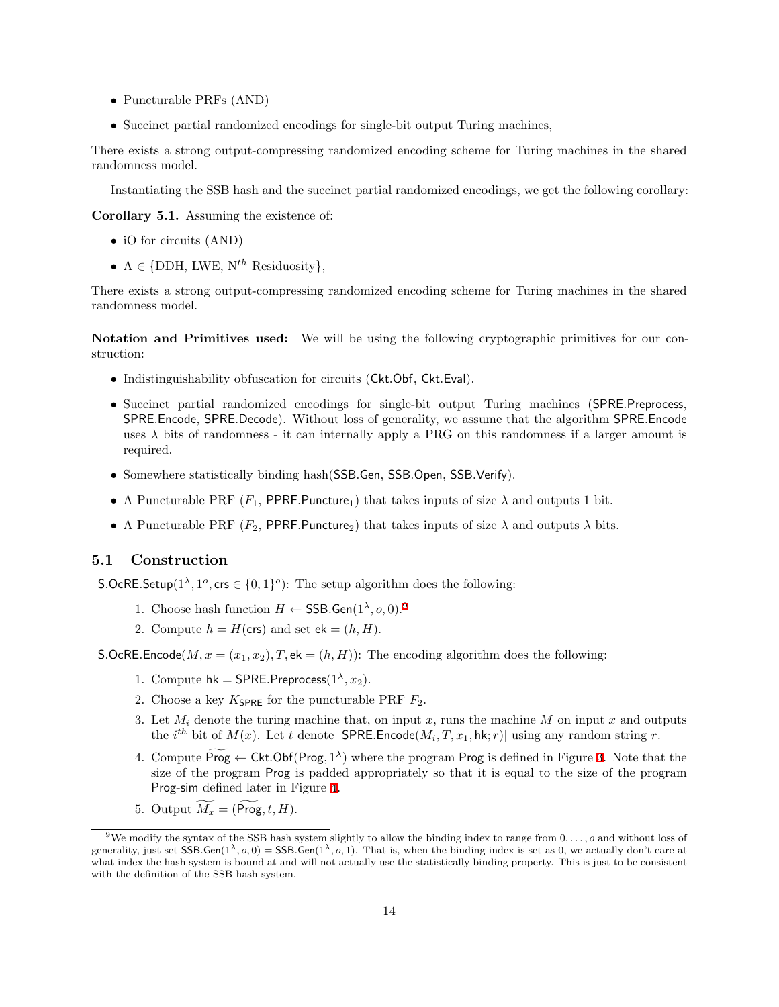- *•* Puncturable PRFs (AND)
- *•* Succinct partial randomized encodings for single-bit output Turing machines,

There exists a strong output-compressing randomized encoding scheme for Turing machines in the shared randomness model.

Instantiating the SSB hash and the succinct partial randomized encodings, we get the following corollary:

**Corollary 5.1.** Assuming the existence of:

- iO for circuits (AND)
- *•* A *∈ {*DDH, LWE, N*th* Residuosity*}*,

There exists a strong output-compressing randomized encoding scheme for Turing machines in the shared randomness model.

**Notation and Primitives used:** We will be using the following cryptographic primitives for our construction:

- *•* Indistinguishability obfuscation for circuits (Ckt*.*Obf, Ckt*.*Eval).
- *•* Succinct partial randomized encodings for single-bit output Turing machines (SPRE*.*Preprocess*,* SPRE*.*Encode, SPRE*.*Decode). Without loss of generality, we assume that the algorithm SPRE*.*Encode uses  $\lambda$  bits of randomness - it can internally apply a PRG on this randomness if a larger amount is required.
- *•* Somewhere statistically binding hash(SSB*.*Gen, SSB*.*Open, SSB*.*Verify).
- A Puncturable PRF  $(F_1, \text{PPRF.Puncture}_1)$  that takes inputs of size  $\lambda$  and outputs 1 bit.
- A Puncturable PRF ( $F_2$ , PPRF. Puncture<sub>2</sub>) that takes inputs of size  $\lambda$  and outputs  $\lambda$  bits.

#### <span id="page-13-0"></span>**5.1 Construction**

S.OcRE.Setup( $1^{\lambda}$ ,  $1^{\circ}$ , crs  $\in \{0,1\}^{\circ}$ ): The setup algorithm does the following:

- 1. Choose hash function  $H \leftarrow$  SSB.Gen( $1^{\lambda}, o, 0$ ).<sup>[9](#page-13-1)</sup>
- 2. Compute  $h = H(\text{crs})$  and set  $\text{ek} = (h, H)$ .

S.OcRE.Encode $(M, x = (x_1, x_2), T$ , ek =  $(h, H)$ ): The encoding algorithm does the following:

- 1. Compute  $hk =$  SPRE.Preprocess( $1^{\lambda}, x_2$ ).
- 2. Choose a key  $K_{\text{SPRE}}$  for the puncturable PRF  $F_2$ .
- 3. Let  $M_i$  denote the turing machine that, on input x, runs the machine M on input x and outputs the *i*<sup>th</sup> bit of  $M(x)$ . Let *t* denote *|*SPRE. Encode $(M_i, T, x_1, \text{hk}; r)$ *|* using any random string *r*.
- 2. Choose a key  $K_{\text{SPRE}}$  for the puncturable PRF  $F_2$ .<br> [3](#page-14-1). Let  $M_i$  denote the turing machine that, on input *x*, runs the machine *M* on input *x* and outputs<br>
the *i*<sup>th</sup> bit of  $M(x)$ . Let *t* denote |SPRE.Encode( $M$ size of the program Prog is padded appropriately so that it is equal to the size of the program Prog-sim defined later in Figure [4](#page-15-0).
- 

<span id="page-13-1"></span><sup>9</sup>We modify the syntax of the SSB hash system slightly to allow the binding index to range from 0*, . . . , o* and without loss of generality, just set SSB.Gen( $1^{\lambda}$ ,  $o$ , 0) = SSB.Gen( $1^{\lambda}$ ,  $o$ , 1). That is, when the binding index is set as 0, we actually don't care at what index the hash system is bound at and will not actually use the statistically binding property. This is just to be consistent with the definition of the SSB hash system.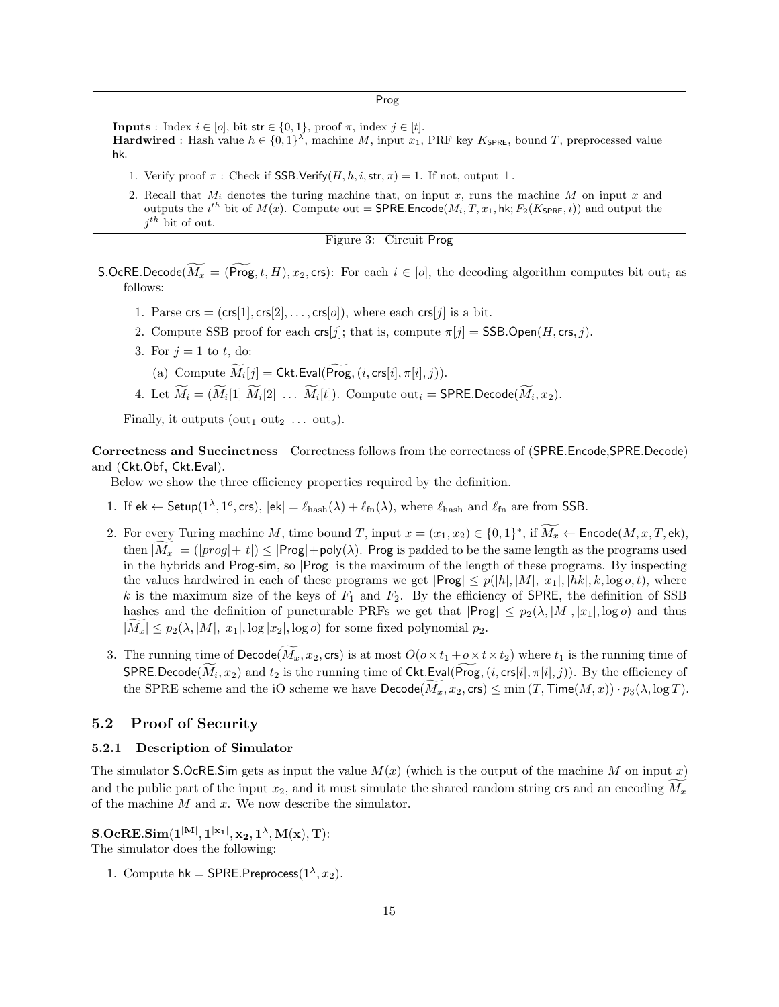#### Prog

<span id="page-14-1"></span>**Inputs** : Index  $i \in [o]$ , bit str  $\in \{0, 1\}$ , proof  $\pi$ , index  $j \in [t]$ . **Hardwired** : Hash value  $h \in \{0,1\}^{\lambda}$ , machine *M*, input  $x_1$ , PRF key  $K_{\text{SPRE}}$ , bound *T*, preprocessed value hk.

- 1. Verify proof  $\pi$  : Check if SSB.Verify(*H*, *h*, *i*, str,  $\pi$ ) = 1. If not, output  $\bot$ .
- 2. Recall that *M<sup>i</sup>* denotes the turing machine that, on input *x*, runs the machine *M* on input *x* and outputs the *i*<sup>th</sup> bit of  $M(x)$ . Compute out = SPRE. Encode $(M_i, T, x_1, \text{hk}; F_2(K_{\text{SPRE}}, i))$  and output the *j th* bit of out.

Figure 3: Circuit Prog

S.OcRE.Decode( $\widetilde{M_x} = (\widetilde{Prog}, t, H), x_2$ , crs): For each  $i \in [o]$ , the decoding algorithm computes bit out<sub>*i*</sub> as follows:

- 1. Parse  $\mathsf{crs} = (\mathsf{crs}[1], \mathsf{crs}[2], \ldots, \mathsf{crs}[o]),$  where each  $\mathsf{crs}[j]$  is a bit.
- 2. Compute SSB proof for each crs[*j*]; that is, compute  $\pi$ [*j*] = SSB.Open(*H*, crs, *j*).
- 3. For  $j = 1$  to *t*, do:
- Parse crs = (crs[1], crs[2], ..., crs[*o*]), where each crs[*j*]<br>
Compute *SSB* proof for each crs[*j*]; that is, compute *?*<br>
For  $j = 1$  to *t*, do:<br>
(a) Compute  $\widetilde{M}_i[j] = \text{Ckt}.\text{Eval}(\widetilde{\text{Prog}}, (i, \text{crs}[i], \pi[i], j)).$
- 4. Let  $\widetilde{M}_i = (\widetilde{M}_i[1] \widetilde{M}_i[2] \ldots \widetilde{M}_i[t])$ . Compute  $\pi[j] = \text{SSB.Dpen}(H, G)$ <br>4. Let  $\widetilde{M}_i = (\widetilde{M}_i[1] \widetilde{M}_i[2] \ldots \widetilde{M}_i[t])$ . Compute  $\text{out}_i = \text{SPRE.Decode}(\widetilde{M}_i, x_2)$ .

Finally, it outputs (out<sub>1</sub> out<sub>2</sub>  $\dots$  out<sub>o</sub>).

**Correctness and Succinctness** Correctness follows from the correctness of (SPRE*.*Encode,SPRE*.*Decode) and (Ckt*.*Obf, Ckt*.*Eval).

Below we show the three efficiency properties required by the definition.

- 1. If  $ek \leftarrow$  Setup( $1^{\lambda}, 1^{\circ}, \text{crs}$ ),  $|ek| = \ell_{\text{hash}}(\lambda) + \ell_{\text{fn}}(\lambda)$ , where  $\ell_{\text{hash}}$  and  $\ell_{\text{fn}}$  are from SSB.
- 2. For every Turing machine *M*, time bound *T*, input  $x = (x_1, x_2) \in \{0, 1\}^*$ , if  $\widetilde{M}_x$  ← Encode(*M, x, T*, ek), If  $ek \leftarrow$  Setup( $1^{\lambda}, 1^o$ , crs),  $|ek| = \ell_{\text{hash}}(\lambda) + \ell_{\text{fn}}(\lambda)$ , where  $\ell_{\text{hash}}$  and  $\ell_{\text{fn}}$  are from SSB.<br>For every Turing machine *M*, time bound *T*, input  $x = (x_1, x_2) \in \{0, 1\}^*$ , if  $\widetilde{M_x} \leftarrow \text{Encode}(M, x, T, ek)$ . in the hybrids and Prog-sim, so *|*Prog*|* is the maximum of the length of these programs. By inspecting the values hardwired in each of these programs we get  $|\mathsf{Prog}| \leq p(|h|, |M|, |x_1|, |hk|, k, \log o, t)$ , where *k* is the maximum size of the keys of  $F_1$  and  $F_2$ . By the efficiency of SPRE, the definition of SSB hashes and the definition of puncturable PRFs we get that  $|\text{Prog}| \leq p_2(\lambda, |M|, |x_1|, \log o)$  and thus In the hybrids and Prog-sim, so  $|P \text{rog}|$  is the maximum of the lengthe values hardwired in each of these programs we get  $|P \text{rog}| \leq p$ <br>*k* is the maximum size of the keys of  $F_1$  and  $F_2$ . By the efficier<br>hashes and *k* is the maximum size of the keys of  $F_1$  and  $F_2$ . By the efficiency of SPRE, the definition of SSB hashes and the definition of puncturable PRFs we get that  $|\text{Prog}| \leq p_2(\lambda, |M|, |x_1|, \log o)$  and thus  $|\widetilde{M_x}| \leq p_2(\lambda,$
- hashes and the definition of puncturable PRFs we get that  $|\text{Prog}| \leq p_2(\lambda, |M|, |x_1|, \log o)$  and thus  $|\widetilde{M}_x| \leq p_2(\lambda, |M|, |x_1|, \log |x_2|, \log o)$  for some fixed polynomial  $p_2$ .<br>The running time of  $\text{Decode}(\widetilde{M}_x, x_2, \text{crs})$  $|M_x| \leq p_2(\lambda, |M|, |x_1|, \log |x_2|, \log \sigma)$  for some fixed polynomial  $p_2$ .<br>The running time of Decode( $\widetilde{M}_x, x_2, \text{crs}$ ) is at most  $O(o \times t_1 + o \times t \times t_2)$  where  $t_1$  is the running time of SPRE.Decode( $\widetilde{M}_i, x_2$ ) and

#### <span id="page-14-0"></span>**5.2 Proof of Security**

#### **5.2.1 Description of Simulator**

The simulator S.OcRE.Sim gets as input the value  $M(x)$  (which is the output of the machine M on input x) and the public part of the input  $x_2$ , and it must simulate the shared random string crs and an encoding  $\overline{M_x}$ of the machine *M* and *x*. We now describe the simulator.

 $\mathbf{S}.\mathbf{OcRE}.\mathbf{Sim}(1^{|\mathbf{M}|},1^{|\mathbf{x_1}|},\mathbf{x_2},1^\lambda,\mathbf{M}(\mathbf{x}),\mathbf{T})$ : The simulator does the following:

1. Compute  $hk =$  SPRE.Preprocess( $1^{\lambda}, x_2$ ).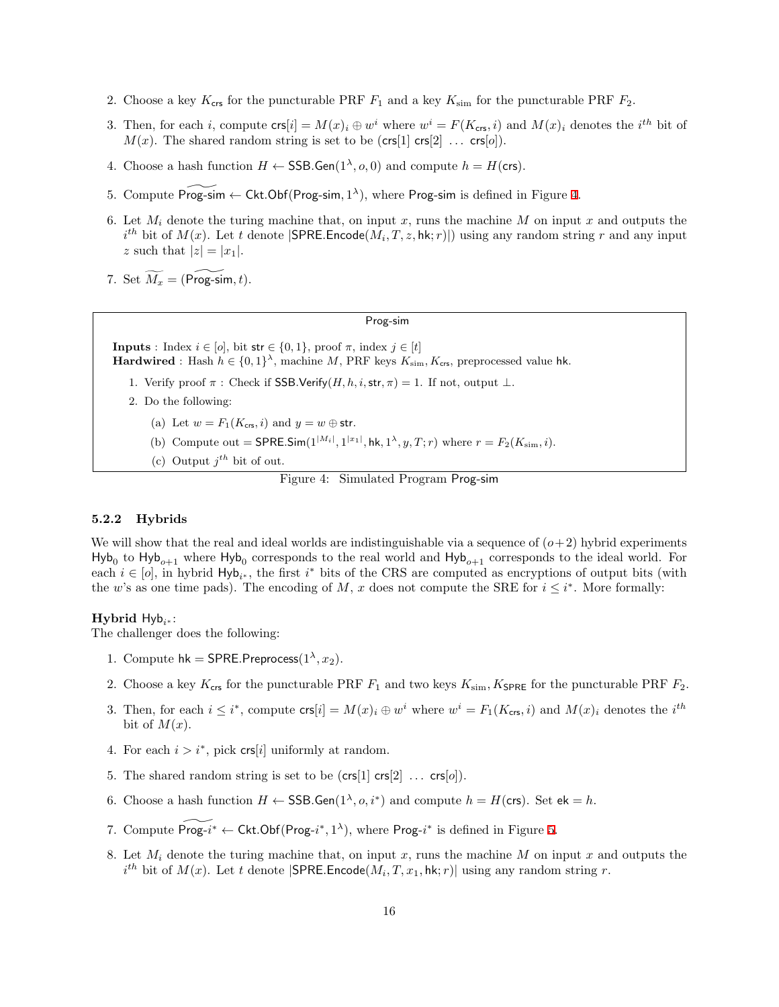- 2. Choose a key  $K_{\text{crs}}$  for the puncturable PRF  $F_1$  and a key  $K_{\text{sim}}$  for the puncturable PRF  $F_2$ .
- 3. Then, for each i, compute  $\text{crs}[i] = M(x)_i \oplus w^i$  where  $w^i = F(K_{\text{crs}}, i)$  and  $M(x)_i$  denotes the i<sup>th</sup> bit of  $M(x)$ . The shared random string is set to be  $(crs[1] crs[2] \ldots crs[0])$ .
- 4. Choose a hash function  $H \leftarrow$  SSB.Gen( $1^{\lambda}, o, 0$ ) and compute  $h = H(\text{crs})$ .
- 5. Compute Prog-sim  $\leftarrow$  Ckt.Obf(Prog-sim, 1<sup> $\lambda$ </sup>), where Prog-sim is defined in Figure [4](#page-15-0).
- 6. Let *M<sup>i</sup>* denote the turing machine that, on input *x*, runs the machine *M* on input *x* and outputs the  $i^{th}$  bit of  $M(x)$ . Let *t* denote *|*SPRE*.*Encode( $M_i, T, z$ , hk; *r*)*|*) using any random string *r* and any input  $\overline{z}$  such that  $|z| = |x_1|$ .
- <span id="page-15-0"></span>7. Set  $\widetilde{M_x}$  = (Prog-sim, t).

#### Prog-sim

**Inputs** : Index  $i \in [o]$ , bit str  $\in \{0, 1\}$ , proof  $\pi$ , index  $j \in [t]$ **Hardwired** : Hash  $h \in \{0,1\}^{\lambda}$ , machine *M*, PRF keys  $K_{\text{sim}}$ ,  $K_{\text{crs}}$ , preprocessed value hk.

- 1. Verify proof  $\pi$ : Check if SSB.Verify $(H, h, i, str, \pi) = 1$ . If not, output  $\perp$ .
- 2. Do the following:
	- (a) Let  $w = F_1(K_{\text{crs}}, i)$  and  $y = w \oplus \text{str.}$
	- (b) Compute out = SPRE.Sim( $1^{|M_i|}, 1^{|x_1|},$  hk,  $1^{\lambda}, y, T; r$ ) where  $r = F_2(K_{\text{sim}}, i)$ .
	- (c) Output  $j^{th}$  bit of out.

Figure 4: Simulated Program Prog-sim

#### **5.2.2 Hybrids**

We will show that the real and ideal worlds are indistinguishable via a sequence of  $(o+2)$  hybrid experiments  $Hyb_0$  to  $Hyb_{o+1}$  where  $Hyb_0$  corresponds to the real world and  $Hyb_{o+1}$  corresponds to the ideal world. For each  $i \in [o]$ , in hybrid  $H$ yb<sub>i</sub><sup>\*</sup>, the first *i*<sup>\*</sup> bits of the CRS are computed as encryptions of output bits (with the *w*'s as one time pads). The encoding of *M*, *x* does not compute the SRE for  $i \leq i^*$ . More formally:

### **Hybrid** Hyb*<sup>i</sup> ∗* :

The challenger does the following:

- 1. Compute  $hk =$  SPRE.Preprocess( $1^{\lambda}, x_2$ ).
- 2. Choose a key  $K_{\text{crs}}$  for the puncturable PRF  $F_1$  and two keys  $K_{\text{sim}}$ ,  $K_{\text{SPRE}}$  for the puncturable PRF  $F_2$ .
- 3. Then, for each  $i \leq i^*$ , compute  $\text{crs}[i] = M(x)$   $\oplus w^i$  where  $w^i = F_1(K_{\text{crs}}, i)$  and  $M(x)_i$  denotes the  $i^{th}$ bit of  $M(x)$ .
- 4. For each  $i > i^*$ , pick crs[*i*] uniformly at random.
- 5. The shared random string is set to be  $(crs[1] crs[2] ... crs[0])$ .
- 6. Choose a hash function  $H \leftarrow$  SSB. Gen( $1^{\lambda}, o, i^*$ ) and compute  $h = H(\text{crs})$ . Set  $\text{ek} = h$ .
- 7. Compute  $\text{Prog-}i^* \leftarrow \text{Ckt.Obf}(\text{Prog-}i^*, 1^\lambda)$ , where  $\text{Prog-}i^*$  is defined in Figure [5.](#page-16-0)
- 8. Let *M<sup>i</sup>* denote the turing machine that, on input *x*, runs the machine *M* on input *x* and outputs the  $i^{th}$  bit of  $M(x)$ . Let *t* denote *|*SPRE*.*Encode $(M_i, T, x_1, \text{hk}; r)$ *|* using any random string *r*.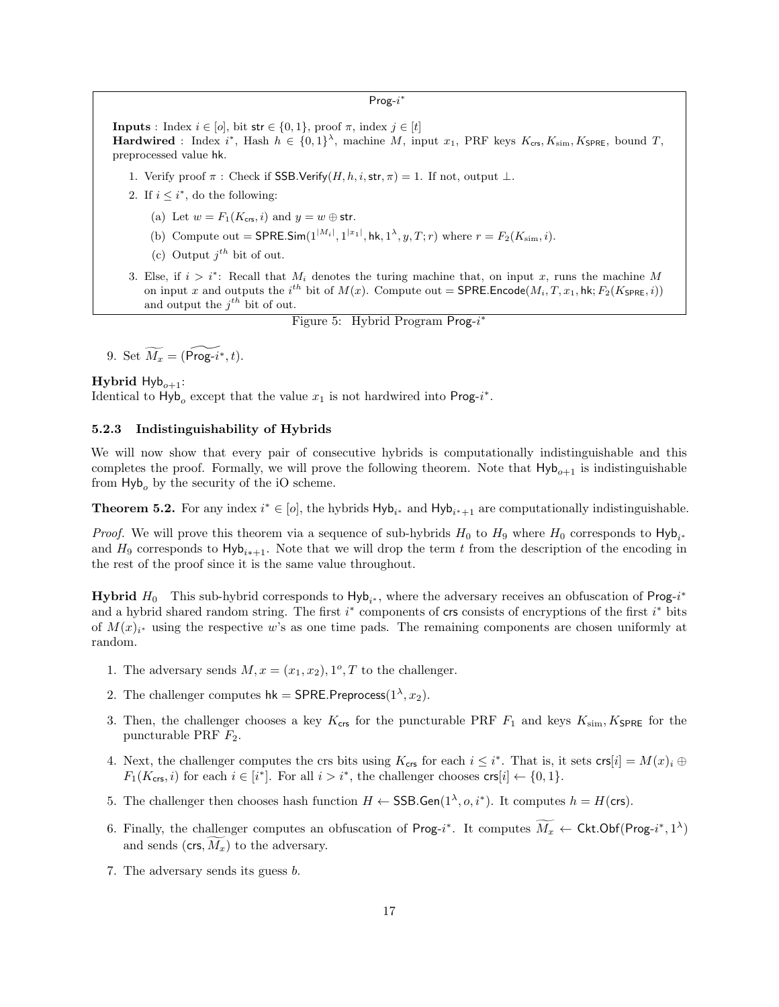Prog-*i ∗*

<span id="page-16-0"></span>**Inputs** : Index  $i \in [o]$ , bit str  $\in \{0, 1\}$ , proof  $\pi$ , index  $j \in [t]$ **Hardwired** : Index *i*<sup>\*</sup>, Hash  $h \in \{0,1\}^{\lambda}$ , machine *M*, input  $x_1$ , PRF keys  $K_{\text{crs}}$ ,  $K_{\text{sim}}$ ,  $K_{\text{SPRE}}$ , bound *T*, preprocessed value hk.

- 1. Verify proof  $\pi$ : Check if SSB.Verify $(H, h, i, str, \pi) = 1$ . If not, output  $\perp$ .
- 2. If  $i \leq i^*$ , do the following:
	- (a) Let  $w = F_1(K_{\text{crs}}, i)$  and  $y = w \oplus \text{str.}$
	- (b) Compute out = SPRE.Sim( $1^{|M_i|}, 1^{|x_1|},$  hk,  $1^{\lambda}, y, T; r$ ) where  $r = F_2(K_{\text{sim}}, i)$ .
	- (c) Output  $j^{th}$  bit of out.
- 3. Else, if *i > i<sup>∗</sup>* : Recall that *M<sup>i</sup>* denotes the turing machine that, on input *x*, runs the machine *M* on input *x* and outputs the  $i^{th}$  bit of  $M(x)$ . Compute out = SPRE. Encode $(M_i, T, x_1, \text{hk}; F_2(K_{\text{SPRE}}, i))$ and output the  $j^{th}$  bit of out. and output the  $j^{th}$ <br>and output the  $j^{th}$ <br>9. Set  $\widetilde{M_x} = (\widetilde{\text{Prog-}i^*}, t)$ .
	- Figure 5: Hybrid Program Prog-*i ∗*

 $Hybrid$  Hyb<sub> $o+1$ </sub>:

Identical to  $Hyb<sub>o</sub>$  except that the value  $x<sub>1</sub>$  is not hardwired into Prog- $i^*$ .

#### **5.2.3 Indistinguishability of Hybrids**

We will now show that every pair of consecutive hybrids is computationally indistinguishable and this completes the proof. Formally, we will prove the following theorem. Note that  $\text{Hyp}_{o+1}$  is indistinguishable from Hyb*<sup>o</sup>* by the security of the iO scheme.

<span id="page-16-1"></span>**Theorem 5.2.** For any index  $i^* \in [o]$ , the hybrids  $Hyb_{i^*}$  and  $Hyb_{i^*+1}$  are computationally indistinguishable.

*Proof.* We will prove this theorem via a sequence of sub-hybrids  $H_0$  to  $H_9$  where  $H_0$  corresponds to  $\text{Hyb}_{i^*}$ and  $H_9$  corresponds to  $Hy_{i*+1}$ . Note that we will drop the term t from the description of the encoding in the rest of the proof since it is the same value throughout.

**Hybrid**  $H_0$  This sub-hybrid corresponds to  $Hyb_{i^*}$ , where the adversary receives an obfuscation of Prog- $i^*$ and a hybrid shared random string. The first *i ∗* components of crs consists of encryptions of the first *i <sup>∗</sup>* bits of  $M(x)_{i^*}$  using the respective w's as one time pads. The remaining components are chosen uniformly at random.

- 1. The adversary sends  $M, x = (x_1, x_2), 1^o, T$  to the challenger.
- 2. The challenger computes  $hk =$  **SPRE**.Preprocess( $1^{\lambda}, x_2$ ).
- 3. Then, the challenger chooses a key  $K_{\text{crs}}$  for the puncturable PRF  $F_1$  and keys  $K_{\text{sim}}$ ,  $K_{\text{SPRE}}$  for the puncturable PRF *F*2.
- 4. Next, the challenger computes the crs bits using  $K_{\text{crs}}$  for each  $i \leq i^*$ . That is, it sets  $\text{crs}[i] = M(x)_i \oplus$  $F_1(K_{\text{crs}}, i)$  for each  $i \in [i^*]$ . For all  $i > i^*$ , the challenger chooses  $\text{crs}[i] \leftarrow \{0, 1\}$ . 6. Finally, the challenger computes an obfuscation of Prog-*i*<sup>\*</sup>. It computes  $\widetilde{M}_x \leftarrow$  Ckt.Obf(Prog-*i*<sup>\*</sup>, 1<sup> $\lambda$ </sup>)<br>6. Finally, the challenger computes an obfuscation of Prog-*i*<sup>\*</sup>. It computes  $\widetilde{M}_x \leftarrow$  Ckt.O
- 5. The challenger then chooses hash function  $H \leftarrow$  SSB.Gen( $1^{\lambda}, o, i^*$ ). It computes  $h = H(\text{crs})$ .
- The challenger then chooses hash fur<br>Finally, the challenger computes an<br>and sends  $(\text{crs}, \widetilde{M_x})$  to the adversary.
- 7. The adversary sends its guess *b*.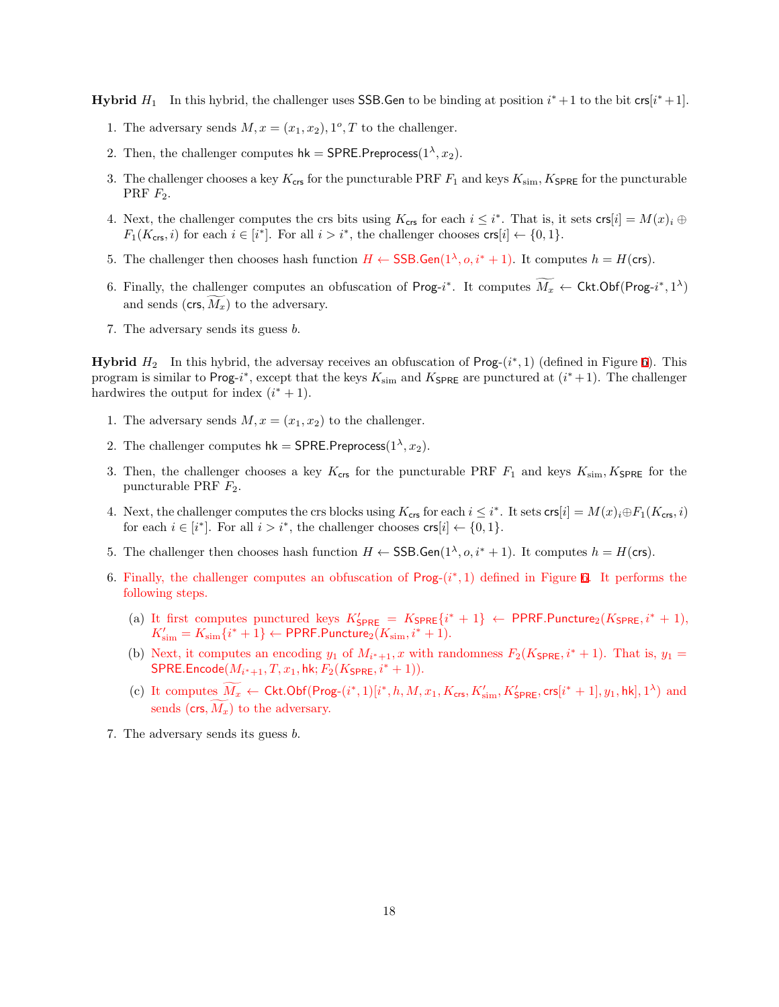**Hybrid**  $H_1$  In this hybrid, the challenger uses SSB. Gen to be binding at position  $i^* + 1$  to the bit crs[ $i^* + 1$ ].

- 1. The adversary sends  $M, x = (x_1, x_2), 1^o, T$  to the challenger.
- 2. Then, the challenger computes  $hk =$  SPRE.Preprocess( $1^{\lambda}, x_2$ ).
- 3. The challenger chooses a key  $K_{\text{crs}}$  for the puncturable PRF  $F_1$  and keys  $K_{\text{sim}}$ ,  $K_{\text{SPRE}}$  for the puncturable PRF *F*2.
- 4. Next, the challenger computes the crs bits using  $K_{\text{crs}}$  for each  $i \leq i^*$ . That is, it sets  $\text{crs}[i] = M(x)_i \oplus$  $F_1(K_{\text{crs}}, i)$  for each  $i \in [i^*]$ . For all  $i > i^*$ , the challenger chooses  $\text{crs}[i] \leftarrow \{0, 1\}$ . 6. Finally, the challenger computes an obfuscation of Prog-*i*<sup>\*</sup>. It computes  $\widetilde{M}_x \leftarrow$  Ckt.Obf(Prog-*i*<sup>\*</sup>, 1<sup> $\lambda$ </sup>)<br>6. Finally, the challenger computes an obfuscation of Prog-*i*<sup>\*</sup>. It computes  $\widetilde{M}_x \leftarrow$  Ckt.O
- 5. The challenger then chooses hash function  $H \leftarrow$  SSB.Gen( $1^{\lambda}, o, i^* + 1$ ). It computes  $h = H(\text{crs})$ .
- The challenger then chooses hash fur<br>Finally, the challenger computes an<br>and sends  $(\text{crs}, \widetilde{M_x})$  to the adversary.
- 7. The adversary sends its guess *b*.

**Hybrid**  $H_2$  In this hybrid, the adversay receives an obfuscation of Prog- $(i^*, 1)$  (defined in Figure [6\)](#page-18-0). This program is similar to Prog-*i*<sup>\*</sup>, except that the keys  $K_{\text{sim}}$  and  $K_{\text{SPRE}}$  are punctured at  $(i^*+1)$ . The challenger hardwires the output for index  $(i^* + 1)$ .

- 1. The adversary sends  $M, x = (x_1, x_2)$  to the challenger.
- 2. The challenger computes  $hk =$  SPRE.Preprocess( $1^{\lambda}, x_2$ ).
- 3. Then, the challenger chooses a key  $K_{\text{crs}}$  for the puncturable PRF  $F_1$  and keys  $K_{\text{sim}}$ ,  $K_{\text{SPRE}}$  for the puncturable PRF *F*2.
- 4. Next, the challenger computes the crs blocks using  $K_{\text{crs}}$  for each  $i \leq i^*$ . It sets  $\text{crs}[i] = M(x)_{i} \oplus F_1(K_{\text{crs}}, i)$ for each  $i \in [i^*]$ . For all  $i > i^*$ , the challenger chooses  $\text{crs}[i] \leftarrow \{0, 1\}$ .
- 5. The challenger then chooses hash function  $H \leftarrow$  SSB.Gen( $1^{\lambda}, o, i^* + 1$ ). It computes  $h = H(\text{crs})$ .
- [6](#page-18-0). Finally, the challenger computes an obfuscation of  $\text{Prog-}(i^*,1)$  defined in Figure 6. It performs the following steps.
	- (a) It first computes punctured keys  $K'_{\text{SPRE}} = K_{\text{SPRE}}\{i^* + 1\} \leftarrow \text{PPRF.Puncture}_2(K_{\text{SPRE}}, i^* + 1),$  $K'_{\text{sim}} = K_{\text{sim}}\{i^* + 1\} \leftarrow \text{PPRF.Puncture}_2(K_{\text{sim}}, i^* + 1).$
	- (b) Next, it computes an encoding  $y_1$  of  $M_{i^*+1}$ , x with randomness  $F_2(K_{\text{SPRE}}, i^* + 1)$ . That is,  $y_1 =$  $SPRE.$ Encode $(M_{i^*+1}, T, x_1, \text{hk}; F_2(K_{SPRE}, i^* + 1)).$  $K'_{\text{sim}} = K_{\text{sim}}\{i^* + 1\} \leftarrow \text{PPRF.Puncture}_2(K_{\text{sim}}, i^* + 1).$ <br>
	(b) Next, it computes an encoding  $y_1$  of  $M_{i^*+1}, x$  with randomness  $F_2(K_{\text{SPRE}}, i^* + 1)$ . That is,  $y_1 = \text{SPRE.Encode}(M_{i^*+1}, T, x_1, \text{hk}; F_2(K_{\text{SPRE}}, i^* + 1)).$ <br>
	(c) It co
	- Next, it computes an encoding y<br>SPRE.Encode( $M_{i^*+1}, T, x_1$ , hk;  $F_2$ <br>It computes  $\widetilde{M}_x \leftarrow \text{Ckt.Obf}(\text{Pro}$ <br>sends (crs,  $\widetilde{M}_x$ ) to the adversary.
- 7. The adversary sends its guess *b*.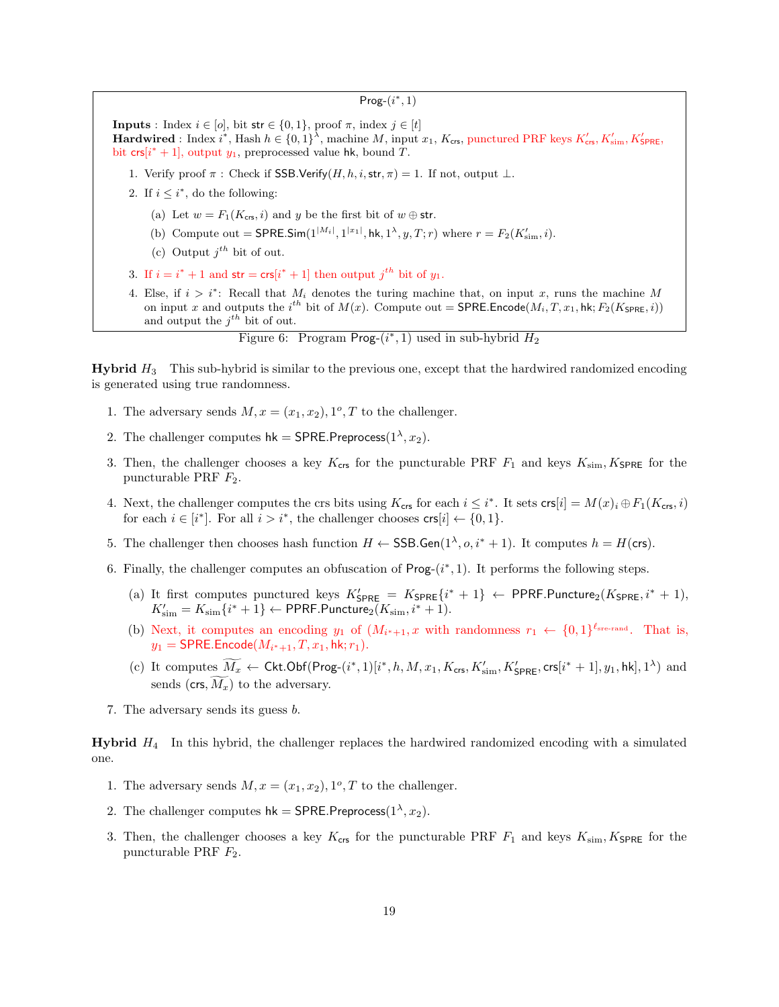$\mathsf{Prog}\text{-}(i^*,1)$ 

<span id="page-18-0"></span>**Inputs** : Index  $i \in [o]$ , bit str  $\in \{0, 1\}$ , proof  $\pi$ , index  $j \in [t]$ **Hardwired**: Index  $i^*$ , Hash  $h \in \{0,1\}^{\lambda}$ , machine M, input  $x_1$ ,  $K_{\text{crs}}$ , punctured PRF keys  $K'_{\text{crs}}$ ,  $K'_{\text{sim}}$ ,  $K'_{\text{SPRE}}$ , bit  $\text{crs}[i^* + 1]$ , output  $y_1$ , preprocessed value hk, bound *T*.

- 1. Verify proof  $\pi$  : Check if SSB.Verify(*H*, *h*, *i*, str,  $\pi$ ) = 1. If not, output  $\bot$ .
- 2. If  $i \leq i^*$ , do the following:
	- (a) Let  $w = F_1(K_{\text{crs}}, i)$  and *y* be the first bit of  $w \oplus \text{str.}$
	- (b) Compute out = SPRE.Sim( $1^{|M_i|}, 1^{|x_1|},$  hk,  $1^{\lambda}, y, T; r$ ) where  $r = F_2(K'_{\text{sim}}, i)$ .
	- (c) Output  $j^{th}$  bit of out.
- 3. If  $i = i^* + 1$  and  $str = \text{crs}[i^* + 1]$  then output  $j^{th}$  bit of  $y_1$ .
- 4. Else, if *i > i<sup>∗</sup>* : Recall that *M<sup>i</sup>* denotes the turing machine that, on input *x*, runs the machine *M* on input *x* and outputs the  $i^{th}$  bit of  $M(x)$ . Compute out = SPRE. Encode $(M_i, T, x_1, \text{hk}; F_2(K_{\text{SPRE}}, i))$ and output the  $j^{th}$  bit of out.

Figure 6: Program Prog- $(i^*, 1)$  used in sub-hybrid  $H_2$ 

**Hybrid** *H*<sup>3</sup> This sub-hybrid is similar to the previous one, except that the hardwired randomized encoding is generated using true randomness.

- 1. The adversary sends  $M, x = (x_1, x_2), 1^o, T$  to the challenger.
- 2. The challenger computes  $hk =$  SPRE.Preprocess( $1^{\lambda}, x_2$ ).
- 3. Then, the challenger chooses a key  $K_{\text{crs}}$  for the puncturable PRF  $F_1$  and keys  $K_{\text{sim}}$ ,  $K_{\text{SPRE}}$  for the puncturable PRF *F*2.
- 4. Next, the challenger computes the crs bits using  $K_{\text{crs}}$  for each  $i \leq i^*$ . It sets  $\text{crs}[i] = M(x)_{i} \oplus F_1(K_{\text{crs}}, i)$ for each  $i \in [i^*]$ . For all  $i > i^*$ , the challenger chooses  $\text{crs}[i] \leftarrow \{0, 1\}.$
- 5. The challenger then chooses hash function  $H \leftarrow$  SSB.Gen( $1^{\lambda}, o, i^* + 1$ ). It computes  $h = H(\text{crs})$ .
- 6. Finally, the challenger computes an obfuscation of  $\text{Prog-}(i^*, 1)$ . It performs the following steps.
	- (a) It first computes punctured keys  $K'_{\text{SPRE}} = K_{\text{SPRE}}\{i^* + 1\} \leftarrow \text{PPRF.Puncture}_2(K_{\text{SPRE}}, i^* + 1),$  $K'_{\text{sim}} = K_{\text{sim}}\{i^* + 1\} \leftarrow \text{PPRF.Puncture}_2(K_{\text{sim}}, i^* + 1).$
	- (b) Next, it computes an encoding  $y_1$  of  $(M_{i^*+1}, x$  with randomness  $r_1 \leftarrow \{0,1\}^{\ell_{\text{src-rand}}}$ . That is,  $y_1 = \mathsf{SPRE}.\mathsf{Encode}(M_{i^*+1},T,x_1,\mathsf{hk};r_1).$  $K'_{\text{sim}} = K_{\text{sim}}\{i^* + 1\} \leftarrow \text{PPRF.Puncture}_2(K_{\text{sim}}, i^* + 1).$ <br>
	(b) Next, it computes an encoding  $y_1$  of  $(M_{i^*+1}, x$  with randomness  $r_1 \leftarrow \{0, 1\}^{\ell_{\text{src-rand}}}$ . That is  $y_1 = \text{SPRE.Encode}(M_{i^*+1}, T, x_1, \text{hk}; r_1).$ <br>
	(c) It computes
	- Next, it computes an encoding<br>  $y_1$  = SPRE.Encode( $M_{i^*+1}, T, x_1$ ,<br>
	It computes  $\widetilde{M}_x \leftarrow \text{Ckt.Obf}(\text{Pro}$ <br>
	sends (crs,  $\widetilde{M}_x$ ) to the adversary.
- 7. The adversary sends its guess *b*.

**Hybrid** *H*<sup>4</sup> In this hybrid, the challenger replaces the hardwired randomized encoding with a simulated one.

- 1. The adversary sends  $M, x = (x_1, x_2), 1^o, T$  to the challenger.
- 2. The challenger computes  $hk =$  SPRE.Preprocess( $1^{\lambda}, x_2$ ).
- 3. Then, the challenger chooses a key  $K_{\text{crs}}$  for the puncturable PRF  $F_1$  and keys  $K_{\text{sim}}$ ,  $K_{\text{SPRE}}$  for the puncturable PRF *F*2.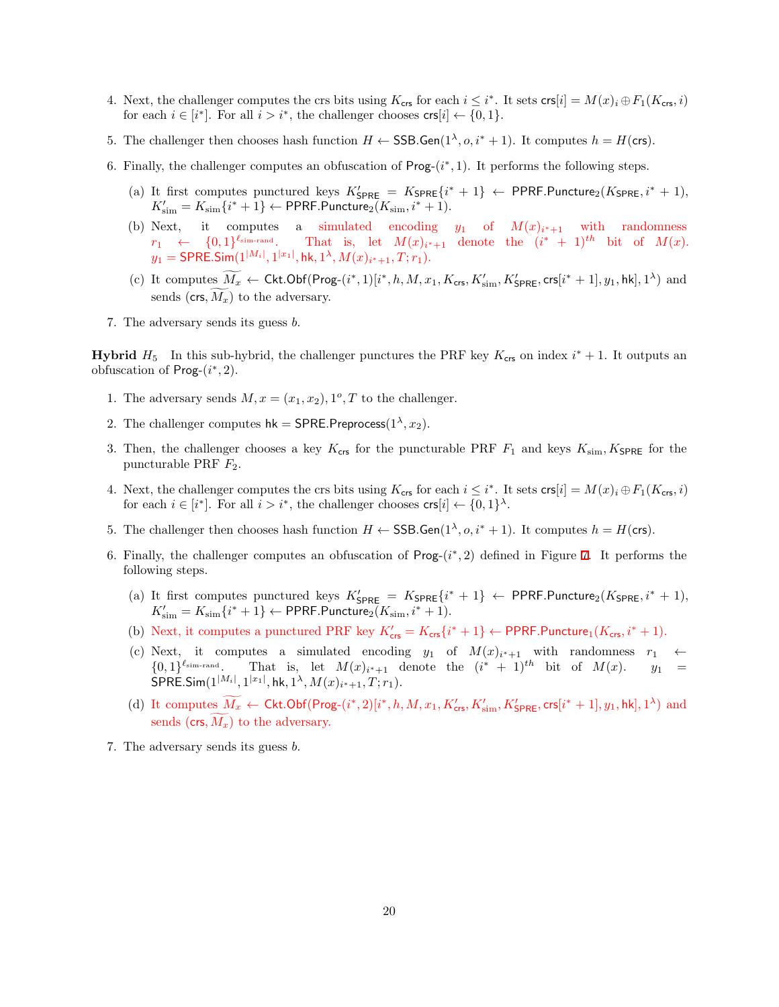- 4. Next, the challenger computes the crs bits using  $K_{\text{crs}}$  for each  $i \leq i^*$ . It sets  $\text{crs}[i] = M(x)_{i} \oplus F_1(K_{\text{crs}}, i)$ for each  $i \in [i^*]$ . For all  $i > i^*$ , the challenger chooses  $\text{crs}[i] \leftarrow \{0, 1\}.$
- 5. The challenger then chooses hash function  $H \leftarrow$  SSB.Gen( $1^{\lambda}, o, i^* + 1$ ). It computes  $h = H(\text{crs})$ .
- 6. Finally, the challenger computes an obfuscation of  $\text{Prog-}(i^*, 1)$ . It performs the following steps.
	- (a) It first computes punctured keys  $K'_{\text{SPRE}} = K_{\text{SPRE}}\{i^* + 1\} \leftarrow \text{PPRF.Puncture}_2(K_{\text{SPRE}}, i^* + 1),$  $K'_{\text{sim}} = K_{\text{sim}}\{i^* + 1\} \leftarrow \text{PPRF.Puncture}_2(K_{\text{sim}}, i^* + 1).$
	- (b) Next, it computes a simulated encoding  $y_1$  of  $M(x)_{i^*+1}$  with randomness  $r_1 \leftarrow \{0,1\}^{\ell_{\text{sim-random}}}.$  $\ell_{\text{sim-random}}$ . That is, let  $M(x)_{i^*+1}$  denote the  $(i^* + 1)^{th}$  bit of  $M(x)$ .  $y_1 = \mathsf{SPRE}.\mathsf{Sim}(1^{|M_i|},1^{|x_1|},\mathsf{hk},1^\lambda,M(x)_{i^*+1},T;r_1).$ (b) Next, it computes a simulated encoding  $y_1$  of  $M(x)_{i^*+1}$  with randomness  $r_1 \leftarrow \{0,1\}^{\ell_{\text{sim-rand}}}$ . That is, let  $M(x)_{i^*+1}$  denote the  $(i^* + 1)^{th}$  bit of  $M(x)$ <br> $y_1 = \text{SPRE}.\text{Sim}(1^{|M_i|}, 1^{|x_1|}, \text{hk}, 1^{\lambda}, M(x)_{i^$  $r_1 \leftarrow \{0,1\}^{\ell_{\text{sim-random}}}.$  That<br>  $y_1 = \text{SPRE.Sim}(1^{|M_i|}, 1^{|x_1|}, \text{hk}, 1^{\lambda})$ <br>
	It computes  $\widetilde{M_x} \leftarrow \text{Ckt.Obf}(\text{Pro}$ <br>
	sends  $(\text{crs}, \widetilde{M_x})$  to the adversary.
	-
- 7. The adversary sends its guess *b*.

**Hybrid**  $H_5$  In this sub-hybrid, the challenger punctures the PRF key  $K_{\text{crs}}$  on index  $i^* + 1$ . It outputs an obfuscation of  $\text{Prog-}(i^*, 2)$ .

- 1. The adversary sends  $M, x = (x_1, x_2), 1^o, T$  to the challenger.
- 2. The challenger computes  $hk =$  SPRE.Preprocess( $1^{\lambda}, x_2$ ).
- 3. Then, the challenger chooses a key  $K_{\text{crs}}$  for the puncturable PRF  $F_1$  and keys  $K_{\text{sim}}$ ,  $K_{\text{SPRE}}$  for the puncturable PRF *F*2.
- 4. Next, the challenger computes the crs bits using  $K_{\text{crs}}$  for each  $i \leq i^*$ . It sets  $\text{crs}[i] = M(x)_{i} \oplus F_1(K_{\text{crs}}, i)$ for each  $i \in [i^*]$ . For all  $i > i^*$ , the challenger chooses  $\text{crs}[i] \leftarrow \{0,1\}^{\lambda}$ .
- 5. The challenger then chooses hash function  $H \leftarrow$  SSB.Gen( $1^{\lambda}, o, i^* + 1$ ). It computes  $h = H(\text{crs})$ .
- 6. Finally, the challenger computes an obfuscation of  $\text{Prog-}(i^*, 2)$  defined in Figure [7](#page-20-0). It performs the following steps.
	- (a) It first computes punctured keys  $K'_{\text{SPRE}} = K_{\text{SPRE}}\{i^* + 1\} \leftarrow \text{PPRF.Puncture}_2(K_{\text{SPRE}}, i^* + 1),$  $K'_{\text{sim}} = K_{\text{sim}}\{i^* + 1\} \leftarrow \text{PPRF.Puncture}_2(K_{\text{sim}}, i^* + 1).$
	- (b) Next, it computes a punctured PRF key  $K'_{\text{crs}} = K_{\text{crs}}\{i^* + 1\} \leftarrow \text{PPRF.Puncture}_1(K_{\text{crs}}, i^* + 1)$ .
	- (c) Next, it computes a simulated encoding  $y_1$  of  $M(x)_{i^*+1}$  with randomness  $r_1 \leftarrow$  $\{0,1\}^{\ell_{\text{sim-random}}}.$  That is, let  $M(x)_{i^{*}+1}$  denote the  $(i^{*} + 1)^{th}$  bit of  $M(x)$ .  $y_{1}$  =  $\mathsf{SPRE}.\mathsf{Sim}(1^{|M_i|},1^{|x_1|},\mathsf{hk},1^\lambda,M(x)_{i^*+1},T;r_1).$ (c) Next, it computes a simulated encoding  $y_1$  of  $M(x)_{i^*+1}$  with randomness  $r_1 \leftarrow \{0,1\}^{\ell_{\text{sim-random}}}$ . That is, let  $M(x)_{i^*+1}$  denote the  $(i^* + 1)^{th}$  bit of  $M(x)$ .  $y_1$  = SPRE.Sim(1<sup>|M<sub>i</sub>|,1|x<sub>1</sub>|,hk, 1<sup> $\lambda$ </sup>,  $M$  $\{0,1\}^{\ell_{\text{sim-rand}}}$  That is, let<br>SPRE.Sim( $1^{|M_i|}, 1^{|x_1|},$ hk,  $1^{\lambda}, M(x)$ <br>It computes  $\widetilde{M_x} \leftarrow$  Ckt.Obf(Pro<br>sends (crs,  $\widetilde{M_x}$ ) to the adversary.
	-
- 7. The adversary sends its guess *b*.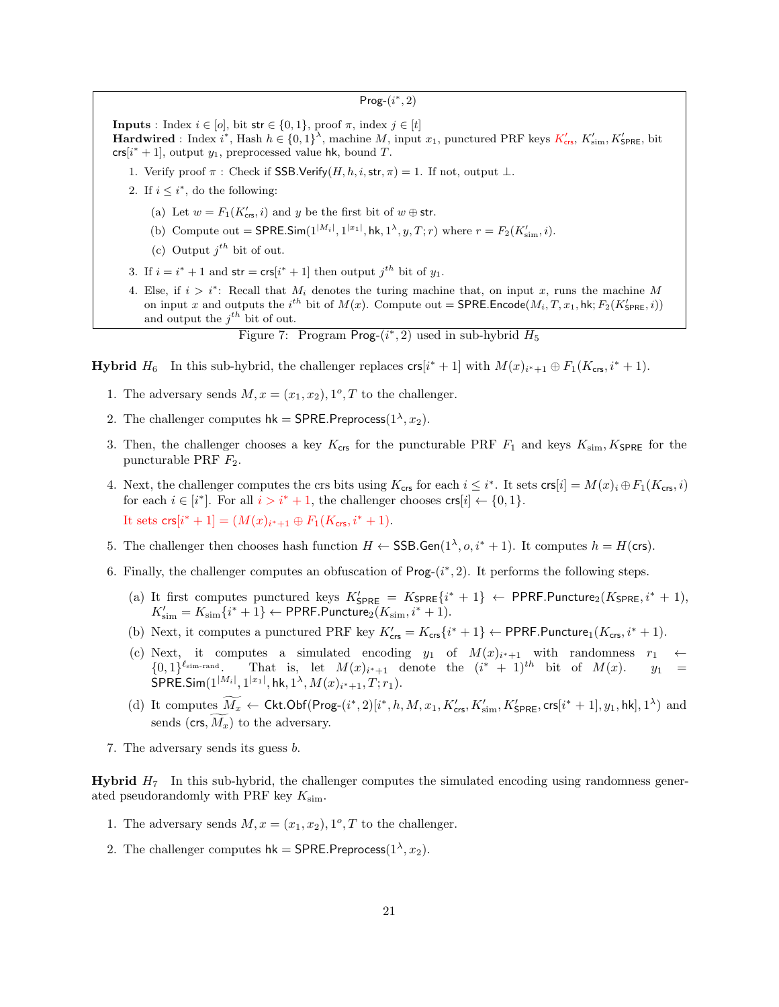$\mathsf{Prog}\text{-}(i^*,2)$ 

<span id="page-20-0"></span>**Inputs** : Index  $i \in [o]$ , bit str  $\in \{0, 1\}$ , proof  $\pi$ , index  $j \in [t]$ **Hardwired**: Index *i*<sup>\*</sup>, Hash  $h \in \{0,1\}^{\lambda}$ , machine *M*, input *x*<sub>1</sub>, punctured PRF keys  $K'_{\text{crs}}$ ,  $K'_{\text{sim}}$ ,  $K'_{\text{SPRE}}$ , bit  $\text{crs}[i^* + 1]$ , output  $y_1$ , preprocessed value hk, bound *T*.

- 1. Verify proof  $\pi$  : Check if SSB.Verify( $H, h, i$ , str,  $\pi$ ) = 1. If not, output  $\bot$ .
- 2. If  $i \leq i^*$ , do the following:
	- (a) Let  $w = F_1(K'_{\text{crs}}, i)$  and *y* be the first bit of  $w \oplus \text{str.}$
	- (b) Compute out = SPRE.Sim( $1^{|M_i|}, 1^{|x_1|},$  hk,  $1^{\lambda}, y, T; r$ ) where  $r = F_2(K'_{\text{sim}}, i)$ .
	- (c) Output  $j^{th}$  bit of out.
- 3. If  $i = i^* + 1$  and  $str = \text{crs}[i^* + 1]$  then output  $j^{th}$  bit of  $y_1$ .
- 4. Else, if *i > i<sup>∗</sup>* : Recall that *M<sup>i</sup>* denotes the turing machine that, on input *x*, runs the machine *M* on input *x* and outputs the  $i^{th}$  bit of  $M(x)$ . Compute out = SPRE. Encode $(M_i, T, x_1, \text{hk}; F_2(K'_{\text{SPRE}}, i))$ and output the  $j^{th}$  bit of out.

Figure 7: Program Prog- $(i^*, 2)$  used in sub-hybrid  $H_5$ 

**Hybrid**  $H_6$  In this sub-hybrid, the challenger replaces  $\text{crs}[i^*+1]$  with  $M(x)_{i^*+1} \oplus F_1(K_{\text{crs}}, i^*+1)$ .

- 1. The adversary sends  $M, x = (x_1, x_2), 1^o, T$  to the challenger.
- 2. The challenger computes  $hk =$  SPRE.Preprocess( $1^{\lambda}, x_2$ ).
- 3. Then, the challenger chooses a key  $K_{\text{crs}}$  for the puncturable PRF  $F_1$  and keys  $K_{\text{sim}}$ ,  $K_{\text{SPRE}}$  for the puncturable PRF *F*2.
- 4. Next, the challenger computes the crs bits using  $K_{\text{crs}}$  for each  $i \leq i^*$ . It sets  $\text{crs}[i] = M(x)_{i} \oplus F_1(K_{\text{crs}}, i)$ for each  $i \in [i^*]$ . For all  $i > i^* + 1$ , the challenger chooses  $\text{crs}[i] \leftarrow \{0, 1\}$ . It sets  $\text{crs}[i^* + 1] = (M(x)_{i^*+1} \oplus F_1(K_{\text{crs}}, i^* + 1)).$
- 5. The challenger then chooses hash function  $H \leftarrow$  SSB.Gen( $1^{\lambda}, o, i^* + 1$ ). It computes  $h = H(\text{crs})$ .
- 6. Finally, the challenger computes an obfuscation of  $\text{Prog-}(i^*, 2)$ . It performs the following steps.
	- (a) It first computes punctured keys  $K'_{\text{SPRE}} = K_{\text{SPRE}}\{i^* + 1\} \leftarrow \text{PPRF.Puncture}_2(K_{\text{SPRE}}, i^* + 1),$  $K'_{\text{sim}} = K_{\text{sim}}\{i^* + 1\} \leftarrow \text{PPRF.Puncture}_2(K_{\text{sim}}, i^* + 1).$
	- (b) Next, it computes a punctured PRF key  $K'_{\text{crs}} = K_{\text{crs}}\{i^* + 1\} \leftarrow \text{PPRF.Puncture}_1(K_{\text{crs}}, i^* + 1).$
	- (c) Next, it computes a simulated encoding  $y_1$  of  $M(x)_{i^*+1}$  with randomness  $r_1 \leftarrow$  ${0,1}^{\ell_{\text{sim-random}}}.$  $\ell_{\text{sim-random}}$ . That is, let  $M(x)_{i^*+1}$  denote the  $(i^* + 1)^{th}$  bit of  $M(x)$ .  $y_1 =$  $SPRE.Sim(1^{|M_i|}, 1^{|x_1|}, hk, 1^{\lambda}, M(x)_{i^*+1}, T; r_1).$ (c) Next, it computes a simulated encoding  $y_1$  of  $M(x)_{i^*+1}$  with randomness  $r_1 \leftarrow \{0,1\}^{\ell_{\text{sim-random}}}.$  That is, let  $M(x)_{i^*+1}$  denote the  $(i^* + 1)^{th}$  bit of  $M(x)$ .  $y_1$  = SPRE.Sim(1<sup>|M<sub>i</sub>|,1|x<sub>1</sub>|,hk, 1<sup>\x</sup>, M(x)</sup> {0, 1}<sup>*t*<sub>sim-rand</sup>. That is, let<br>SPRE.Sim(1<sup>|M<sub>i</sub>|, 1<sup>|x<sub>1</sub>|</sup>, hk, 1<sup>\2</sup>, *M*(*a*<br>It computes  $\widetilde{M}_x \leftarrow$  Ckt.Obf(Pro<br>sends (crs,  $\widetilde{M}_x$ ) to the adversary.</sup></sub></sup>
	-
- 7. The adversary sends its guess *b*.

**Hybrid**  $H_7$  In this sub-hybrid, the challenger computes the simulated encoding using randomness generated pseudorandomly with PRF key *K*sim.

- 1. The adversary sends  $M, x = (x_1, x_2), 1^o, T$  to the challenger.
- 2. The challenger computes  $hk =$  **SPRE**.Preprocess( $1^{\lambda}, x_2$ ).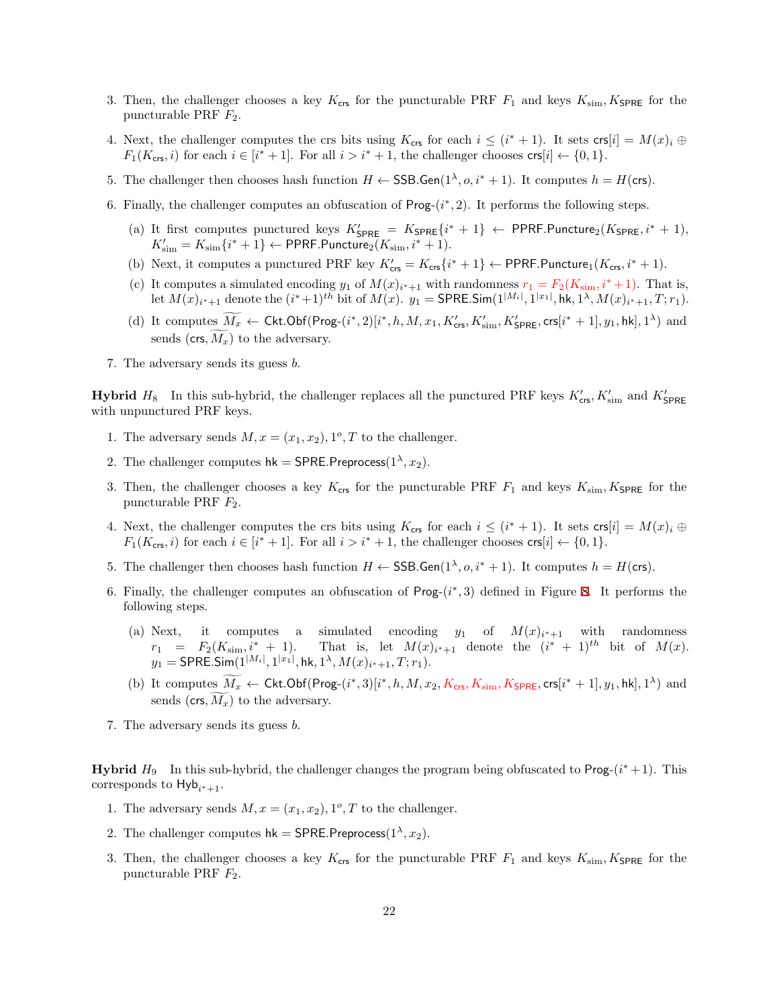- 3. Then, the challenger chooses a key  $K_{\text{crs}}$  for the puncturable PRF  $F_1$  and keys  $K_{\text{sim}}$ ,  $K_{\text{SPRE}}$  for the puncturable PRF *F*2.
- 4. Next, the challenger computes the crs bits using  $K_{\text{crs}}$  for each  $i \leq (i^* + 1)$ . It sets  $\text{crs}[i] = M(x)_i \oplus$  $F_1(K_{\text{crs}}, i)$  for each  $i \in [i^* + 1]$ . For all  $i > i^* + 1$ , the challenger chooses  $\text{crs}[i] \leftarrow \{0, 1\}$ .
- 5. The challenger then chooses hash function  $H \leftarrow$  SSB.Gen( $1^{\lambda}, o, i^* + 1$ ). It computes  $h = H(\text{crs})$ .
- 6. Finally, the challenger computes an obfuscation of  $\text{Prog-}(i^*, 2)$ . It performs the following steps.
	- (a) It first computes punctured keys  $K'_{\text{SPRE}} = K_{\text{SPRE}}\{i^* + 1\} \leftarrow \text{PPRF.Puncture}_2(K_{\text{SPRE}}, i^* + 1),$  $K'_{\text{sim}} = K_{\text{sim}}\{i^* + 1\} \leftarrow \text{PPRF.Puncture}_2(K_{\text{sim}}, i^* + 1).$
	- (b) Next, it computes a punctured PRF key  $K'_{\text{crs}} = K_{\text{crs}}\{i^* + 1\} \leftarrow \text{PPRF.Puncture}_1(K_{\text{crs}}, i^* + 1).$
	- (c) It computes a simulated encoding  $y_1$  of  $M(x)_{i^*+1}$  with randomness  $r_1 = F_2(K_{\text{sim}}, i^* + 1)$ . That is, let  $M(x)_{i^*+1}$  denote the  $(i^*+1)^{th}$  bit of  $M(x)$ .  $y_1 = \textsf{SPRE}.\textsf{Sim}(1^{|M_i|}, 1^{|x_1|}, \textsf{hk}, 1^\lambda, M(x)_{i^*+1}, T; r_1)$ . (b) Next, it computes a punctured PRF<br>
	(c) It computes a simulated encoding  $y_1$ <br>
	let  $M(x)_{i^*+1}$  denote the  $(i^*+1)^{th}$  bit<br>
	(d) It computes  $\widetilde{M}_x \leftarrow \text{Ckt.Obf}(\text{Prog-}(i))$
	- $f^*$ , 2)[ $i^*$ ,  $h$ ,  $M$ ,  $x_1$ ,  $K'_{\text{crs}}$ ,  $K'_{\text{sim}}$ ,  $K'_{\text{SPRE}}$ ,  $\text{crs}[i^* + 1]$ ,  $y_1$ ,  $\text{hk}$ ],  $1^{\lambda}$ ) and It computes a simulated encoding<br>let  $M(x)_{i^*+1}$  denote the  $(i^*+1)^{th}$ <br>It computes  $\widetilde{M}_x \leftarrow \text{Ckt.Obf}(\text{Pro}$ <br>sends  $(\text{crs}, \widetilde{M}_x)$  to the adversary.
- 7. The adversary sends its guess *b*.

**Hybrid**  $H_8$  In this sub-hybrid, the challenger replaces all the punctured PRF keys  $K'_{\text{crs}}$ ,  $K'_{\text{sim}}$  and  $K'_{\text{SPRE}}$ with unpunctured PRF keys.

- 1. The adversary sends  $M, x = (x_1, x_2), 1^o, T$  to the challenger.
- 2. The challenger computes  $hk =$  SPRE.Preprocess( $1^{\lambda}, x_2$ ).
- 3. Then, the challenger chooses a key  $K_{\text{crs}}$  for the puncturable PRF  $F_1$  and keys  $K_{\text{sim}}$ ,  $K_{\text{SPRE}}$  for the puncturable PRF *F*2.
- 4. Next, the challenger computes the crs bits using  $K_{\text{crs}}$  for each  $i \leq (i^* + 1)$ . It sets  $\text{crs}[i] = M(x)_i \oplus$  $F_1(K_{\text{crs}}, i)$  for each  $i \in [i^* + 1]$ . For all  $i > i^* + 1$ , the challenger chooses  $\text{crs}[i] \leftarrow \{0, 1\}$ .
- 5. The challenger then chooses hash function  $H \leftarrow$  SSB.Gen( $1^{\lambda}, o, i^* + 1$ ). It computes  $h = H(\text{crs})$ .
- 6. Finally, the challenger computes an obfuscation of  $\text{Prog-}(i^*,3)$  defined in Figure [8](#page-22-0). It performs the following steps.
	- (a) Next, it computes a simulated encoding  $y_1$  of  $M(x)_{i^*+1}$  with randomness  $r_1 = F_2(K_{\text{sim}}, i^* + 1)$ . That is, let  $M(x)_i$ *∗*+1 denote the  $(i^* + 1)$ <sup>th</sup> bit of *M*(*x*).  $y_1 = \mathsf{SPRE}.\mathsf{Sim}(1^{|M_i|},1^{|x_1|},\mathsf{hk},1^\lambda,M(x)_{i^*+1},T;r_1).$ (a) Next, it computes a simula<br>  $r_1 = F_2(K_{\text{sim}}, i^* + 1)$ . That<br>  $y_1 = \text{SPRE.Sim}(1^{|M_i|}, 1^{|x_1|}, \text{hk}, 1^{\lambda}, M)$ <br>
	(b) It computes  $\widetilde{M}_x \leftarrow \text{Ckt.Obf}(\text{Prog}_i)$  $r_1 = F_2(K_{\text{sim}}, i^* + 1)$ . The apple  $y_1 = \text{SPRE}.\text{Sim}(1^{|M_i|}, 1^{|x_1|}, \text{hk}, 1^{\lambda})$ <br>It computes  $\widetilde{M_x} \leftarrow \text{Ckt}.\text{Obf}(\text{Pro})$ <br>sends  $(\text{crs}, \widetilde{M_x})$  to the adversary.
	- $(x^*, 3)[i^*, h, M, x_2, K_{\text{crs}}, K_{\text{sim}}, K_{\text{SPRE}}, \text{crs}[i^* + 1], y_1, \text{hk}], 1^{\lambda})$  and
- 7. The adversary sends its guess *b*.

**Hybrid**  $H_9$  In this sub-hybrid, the challenger changes the program being obfuscated to Prog- $(i^* + 1)$ . This corresponds to Hyb*<sup>i</sup> <sup>∗</sup>*+1.

- 1. The adversary sends  $M, x = (x_1, x_2), 1^o, T$  to the challenger.
- 2. The challenger computes  $hk =$  **SPRE**.Preprocess( $1^{\lambda}, x_2$ ).
- 3. Then, the challenger chooses a key  $K_{\text{crs}}$  for the puncturable PRF  $F_1$  and keys  $K_{\text{sim}}$ ,  $K_{\text{SPRE}}$  for the puncturable PRF *F*2.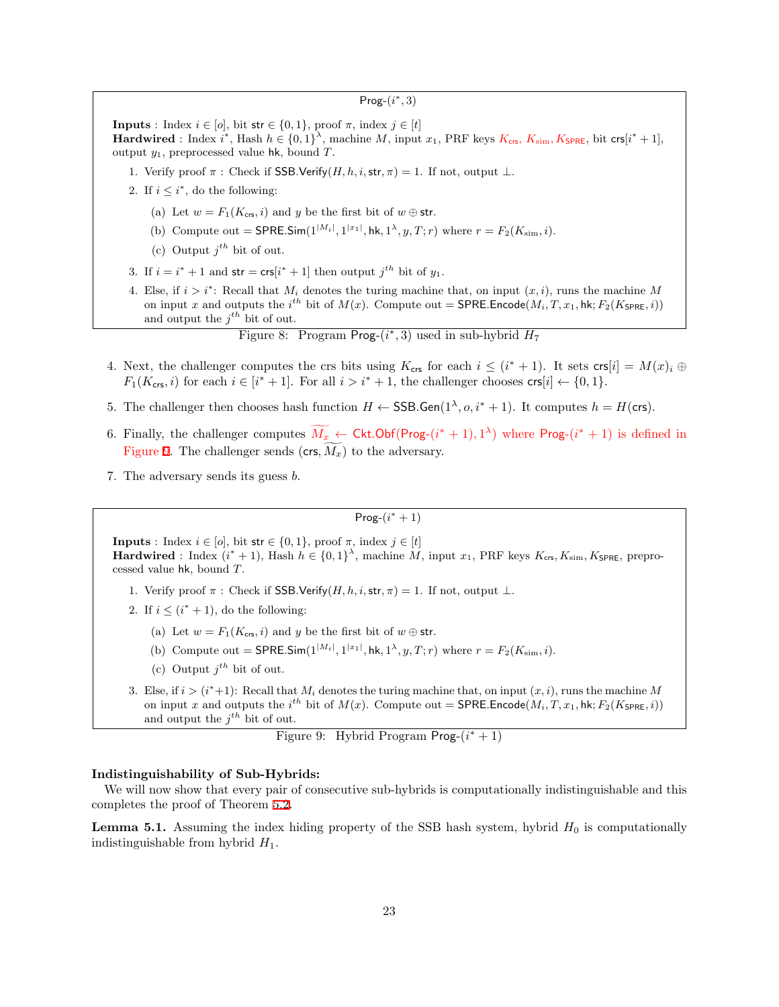$\mathsf{Prog}\text{-}(i^*,3)$ 

<span id="page-22-0"></span>**Inputs** : Index  $i \in [o]$ , bit str  $\in \{0, 1\}$ , proof  $\pi$ , index  $j \in [t]$ **Hardwired** : Index *i*<sup>\*</sup>, Hash  $h \in \{0,1\}^{\lambda}$ , machine *M*, input  $x_1$ , PRF keys  $K_{\text{crs}}$ ,  $K_{\text{sim}}$ ,  $K_{\text{SPRE}}$ , bit crs $[i^* + 1]$ , output *y*1, preprocessed value hk, bound *T*.

- 1. Verify proof  $\pi$  : Check if SSB.Verify(*H*, *h*, *i*, str,  $\pi$ ) = 1. If not, output  $\bot$ .
- 2. If  $i \leq i^*$ , do the following:
	- (a) Let  $w = F_1(K_{\text{crs}}, i)$  and  $y$  be the first bit of  $w \oplus \text{str.}$
	- (b) Compute out = SPRE.Sim( $1^{|M_i|}, 1^{|x_1|},$  hk,  $1^{\lambda}, y, T; r$ ) where  $r = F_2(K_{\text{sim}}, i)$ .
	- (c) Output  $j^{th}$  bit of out.
- 3. If  $i = i^* + 1$  and  $str = \text{crs}[i^* + 1]$  then output  $j^{th}$  bit of  $y_1$ .
- 4. Else, if  $i > i^*$ : Recall that  $M_i$  denotes the turing machine that, on input  $(x, i)$ , runs the machine M on input *x* and outputs the  $i^{th}$  bit of  $M(x)$ . Compute out = SPRE. Encode $(M_i, T, x_1, \text{hk}; F_2(K_{\text{SPRE}}, i))$ and output the  $j^{th}$  bit of out.

Figure 8: Program Prog- $(i^*, 3)$  used in sub-hybrid  $H_7$ 

- 4. Next, the challenger computes the crs bits using  $K_{\text{crs}}$  for each  $i \leq (i^* + 1)$ . It sets  $\text{crs}[i] = M(x)_i \oplus$  $F_1(K_{\text{crs}}, i)$  for each  $i \in [i^* + 1]$ . For all  $i > i^* + 1$ , the challenger chooses  $\text{crs}[i] \leftarrow \{0, 1\}$ . 6. Finally, the challenger computes  $\widetilde{M}_x \leftarrow \text{Ckt.Obf}(\text{Prog}_-(i^*+1), 1^{\lambda})$  where  $\text{Prog}_-(i^*+1)$  is defined in<br>6. Finally, the challenger computes  $\widetilde{M}_x \leftarrow \text{Ckt.Obf}(\text{Prog}_-(i^*+1), 1^{\lambda})$  where  $\text{Prog}_-(i^*+1)$  is defined
- 5. The challenger then chooses hash function  $H \leftarrow$  SSB.Gen( $1^{\lambda}, o, i^* + 1$ ). It computes  $h = H(\text{crs})$ .
- The challenger then chooses hash function  $H \leftarrow$  SSB.Gen(<br>Finally, the challenger computes  $\widetilde{M}_x \leftarrow$  Ckt.Obf(Prog-( $i^*$ <br>Figure [9](#page-22-1). The challenger sends (crs,  $\widetilde{M}_x$ ) to the adversary.
- <span id="page-22-1"></span>7. The adversary sends its guess *b*.

#### $Prog-(i^* + 1)$

**Inputs** : Index  $i \in [o]$ , bit str  $\in \{0, 1\}$ , proof  $\pi$ , index  $j \in [t]$ **Hardwired**: Index  $(i^* + 1)$ , Hash  $h \in \{0, 1\}^{\lambda}$ , machine *M*, input  $x_1$ , PRF keys  $K_{\text{crs}}, K_{\text{sim}}, K_{\text{SPRE}},$  preprocessed value hk, bound *T*.

- 1. Verify proof *π* : Check if SSB*.*Verify(*H, h, i,*str*, π*) = 1. If not, output *⊥*.
- 2. If  $i \leq (i^* + 1)$ , do the following:
	- (a) Let  $w = F_1(K_{\text{crs}}, i)$  and *y* be the first bit of  $w \oplus \text{str.}$
	- (b) Compute out = SPRE.Sim( $1^{|M_i|}, 1^{|x_1|},$  hk,  $1^{\lambda}, y, T; r$ ) where  $r = F_2(K_{\text{sim}}, i)$ .
	- (c) Output  $j^{th}$  bit of out.
- 3. Else, if  $i > (i^*+1)$ : Recall that  $M_i$  denotes the turing machine that, on input  $(x, i)$ , runs the machine  $M$ on input *x* and outputs the  $i^{th}$  bit of  $M(x)$ . Compute out = SPRE. Encode $(M_i, T, x_1, \text{hk}; F_2(K_{\text{SPRE}}, i))$ and output the  $j^{th}$  bit of out.

Figure 9: Hybrid Program Prog-(*i <sup>∗</sup>* + 1)

#### **Indistinguishability of Sub-Hybrids:**

We will now show that every pair of consecutive sub-hybrids is computationally indistinguishable and this completes the proof of Theorem [5.2](#page-16-1).

**Lemma 5.1.** Assuming the index hiding property of the SSB hash system, hybrid  $H_0$  is computationally indistinguishable from hybrid *H*1.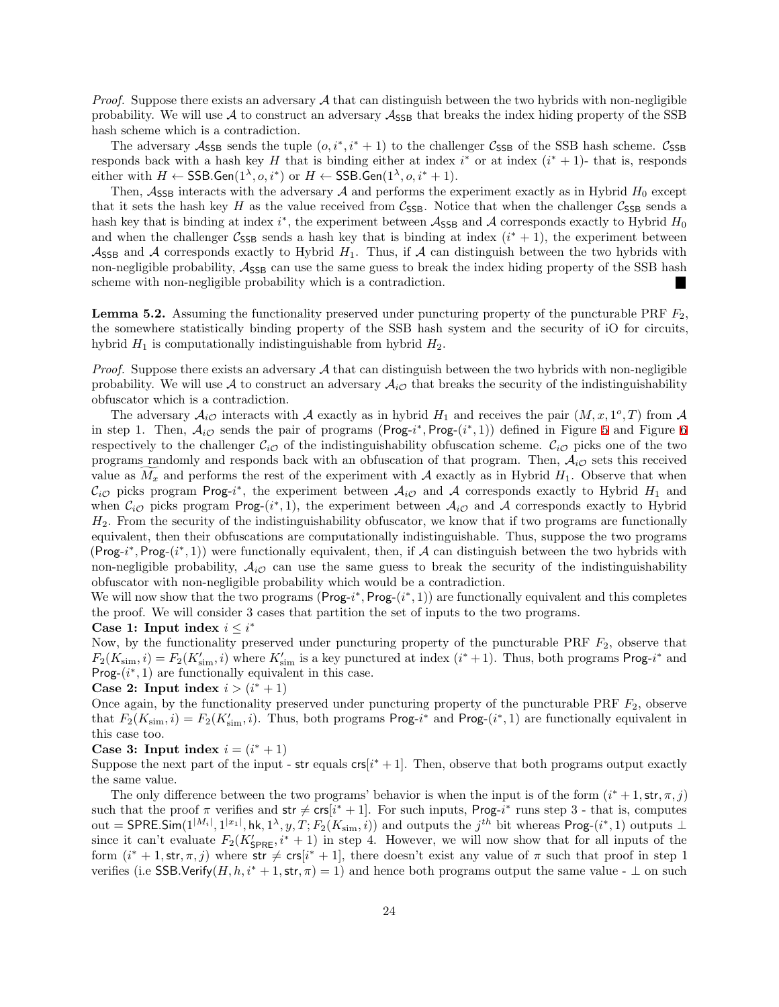*Proof.* Suppose there exists an adversary *A* that can distinguish between the two hybrids with non-negligible probability. We will use  $\mathcal A$  to construct an adversary  $\mathcal A_{\sf SSB}$  that breaks the index hiding property of the SSB hash scheme which is a contradiction.

The adversary  $A_{\text{SSB}}$  sends the tuple  $(o, i^*, i^* + 1)$  to the challenger  $C_{\text{SSB}}$  of the SSB hash scheme.  $C_{\text{SSB}}$ responds back with a hash key *H* that is binding either at index  $i^*$  or at index  $(i^* + 1)$ - that is, responds either with  $H \leftarrow$  SSB.Gen( $1^{\lambda}, o, i^*$ ) or  $H \leftarrow$  SSB.Gen( $1^{\lambda}, o, i^* + 1$ ).

Then,  $A_{\text{SSB}}$  interacts with the adversary *A* and performs the experiment exactly as in Hybrid  $H_0$  except that it sets the hash key *H* as the value received from  $C_{\text{SSB}}$ . Notice that when the challenger  $C_{\text{SSB}}$  sends a hash key that is binding at index  $i^*$ , the experiment between  $A_{\text{SSB}}$  and  $A$  corresponds exactly to Hybrid  $H_0$ and when the challenger  $C_{\text{SSB}}$  sends a hash key that is binding at index  $(i^* + 1)$ , the experiment between  $A_{\text{SSB}}$  and *A* corresponds exactly to Hybrid *H*<sub>1</sub>. Thus, if *A* can distinguish between the two hybrids with non-negligible probability,  $A_{\text{SSB}}$  can use the same guess to break the index hiding property of the SSB hash scheme with non-negligible probability which is a contradiction.

<span id="page-23-0"></span>**Lemma 5.2.** Assuming the functionality preserved under puncturing property of the puncturable PRF *F*2, the somewhere statistically binding property of the SSB hash system and the security of iO for circuits, hybrid  $H_1$  is computationally indistinguishable from hybrid  $H_2$ .

*Proof.* Suppose there exists an adversary  $A$  that can distinguish between the two hybrids with non-negligible probability. We will use A to construct an adversary  $A_{i\mathcal{O}}$  that breaks the security of the indistinguishability obfuscator which is a contradiction.

The adversary  $A_i \circ \text{interacts with } A$  exactly as in hybrid  $H_1$  and receives the pair  $(M, x, 1^o, T)$  from  $A$ in step 1. Then,  $A_i\phi$  sends the pair of programs (Prog-*i*<sup>\*</sup>, Prog- $(i^*, 1)$ ) defined in Figure [5](#page-16-0) and Figure [6](#page-18-0) respectively to the challenger  $C_i\textcircled{o}$  of the indistinguishability obfuscation scheme.  $C_i\textcircled{o}$  picks one of the two programs randomly and responds back with an obfuscation of that program. Then,  $A_i\mathcal{O}$  sets this received The adversary  $A_i\mathcal{O}$  interacts with *A* exactly as in hybrid  $H_1$  and receives the pair  $(M, x, 1^o, T)$  from *A* in step 1. Then,  $A_i\mathcal{O}$  sends the pair of programs (Prog- $i^*$ , Prog- $(i^*, 1)$ ) defined in Figure 5 an  $\mathcal{C}_{i\mathcal{O}}$  picks program Prog-*i*<sup>\*</sup>, the experiment between  $\mathcal{A}_{i\mathcal{O}}$  and  $\mathcal{A}$  corresponds exactly to Hybrid  $H_1$  and when  $\mathcal{C}_{i\mathcal{O}}$  picks program Prog- $(i^*, 1)$ , the experiment between  $\mathcal{A}_{i\mathcal{O}}$  and  $\mathcal{A}$  corresponds exactly to Hybrid *H*2. From the security of the indistinguishability obfuscator, we know that if two programs are functionally equivalent, then their obfuscations are computationally indistinguishable. Thus, suppose the two programs  $(Prog-i^*, Prog-(i^*,1))$  were functionally equivalent, then, if *A* can distinguish between the two hybrids with non-negligible probability,  $A_i \circ \mathcal{O}$  can use the same guess to break the security of the indistinguishability obfuscator with non-negligible probability which would be a contradiction.

We will now show that the two programs  $(\text{Prog-}i^*, \text{Prog-}(i^*, 1))$  are functionally equivalent and this completes the proof. We will consider 3 cases that partition the set of inputs to the two programs.

#### Case 1: Input index  $i \leq i^*$

Now, by the functionality preserved under puncturing property of the puncturable PRF *F*2, observe that  $F_2(K_{\text{sim}}, i) = F_2(K'_{\text{sim}}, i)$  where  $K'_{\text{sim}}$  is a key punctured at index  $(i^* + 1)$ . Thus, both programs Prog- $i^*$  and Prog- $(i^*, 1)$  are functionally equivalent in this case.

#### **Case 2:** Input index  $i > (i^* + 1)$

Once again, by the functionality preserved under puncturing property of the puncturable PRF *F*2, observe that  $F_2(K_{\text{sim}}, i) = F_2(K'_{\text{sim}}, i)$ . Thus, both programs  $\text{Prog-}i^*$  and  $\text{Prog-}(i^*, 1)$  are functionally equivalent in this case too.

#### **Case 3: Input index**  $i = (i^* + 1)$

Suppose the next part of the input - str equals  $\text{crs}[i^*+1]$ . Then, observe that both programs output exactly the same value.

The only difference between the two programs' behavior is when the input is of the form  $(i^* + 1, str, \pi, j)$ such that the proof  $\pi$  verifies and str  $\neq$  crs[ $i^* + 1$ ]. For such inputs, Prog- $i^*$  runs step 3 - that is, computes out = SPRE.Sim(1<sup>|M<sub>i</sub>|,1|x<sub>1</sub>|,hk,1<sup> $\lambda$ </sup>,y,T; $F_2(K_{\text{sim}}, i)$ ) and outputs the  $j^{th}$  bit whereas Prog-(i<sup>\*</sup>,1) outputs  $\bot$ </sup> since it can't evaluate  $F_2(K'_{\text{SPRE}}, i^* + 1)$  in step 4. However, we will now show that for all inputs of the form  $(i^* + 1, str, \pi, j)$  where  $str \neq crs[i^* + 1]$ , there doesn't exist any value of  $\pi$  such that proof in step 1 verifies (i.e SSB.Verify $(H, h, i^* + 1, str, \pi) = 1$ ) and hence both programs output the same value -  $\perp$  on such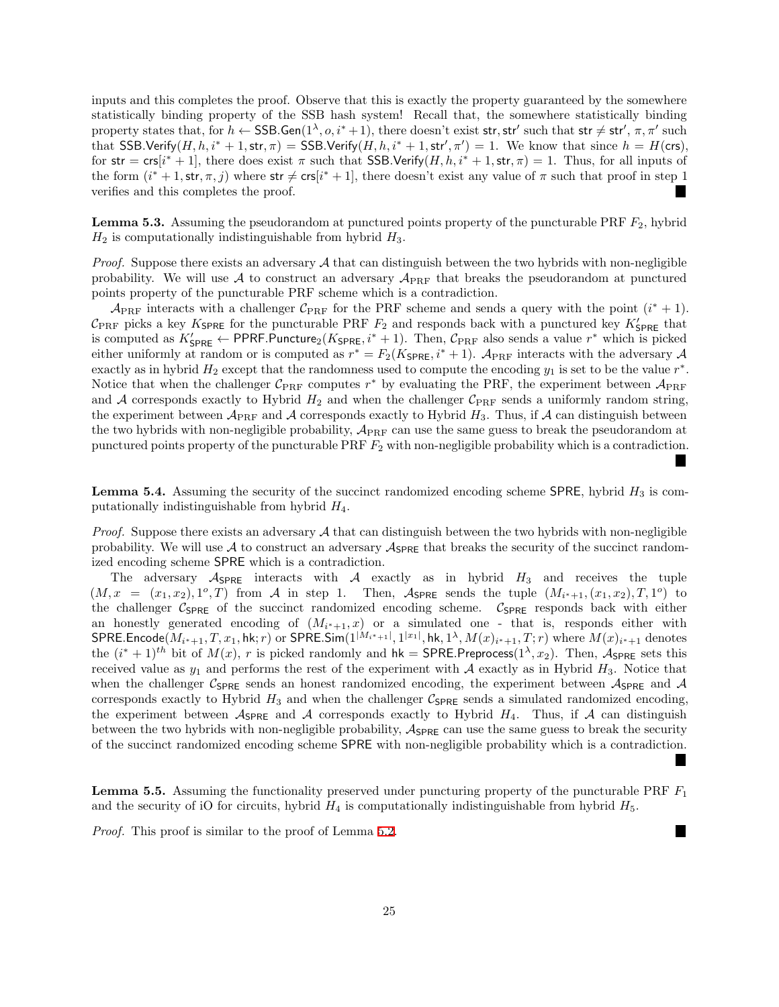inputs and this completes the proof. Observe that this is exactly the property guaranteed by the somewhere statistically binding property of the SSB hash system! Recall that, the somewhere statistically binding property states that, for  $h \leftarrow \textsf{SSB.Gen}(1^\lambda, o, i^*+1)$ , there doesn't exist str, str' such that str  $\neq$  str',  $\pi, \pi'$  such that SSB.Verify $(H, h, i^* + 1, str, \pi) =$  SSB.Verify $(H, h, i^* + 1, str', \pi') = 1$ . We know that since  $h = H(\text{crs})$ , for  $str = crs[i^* + 1]$ , there does exist  $\pi$  such that SSB.Verify $(H, h, i^* + 1, str, \pi) = 1$ . Thus, for all inputs of the form  $(i^* + 1, str, \pi, j)$  where  $str \neq crs[i^* + 1]$ , there doesn't exist any value of  $\pi$  such that proof in step 1 verifies and this completes the proof.

<span id="page-24-0"></span>**Lemma 5.3.** Assuming the pseudorandom at punctured points property of the puncturable PRF *F*2, hybrid  $H_2$  is computationally indistinguishable from hybrid  $H_3$ .

*Proof.* Suppose there exists an adversary *A* that can distinguish between the two hybrids with non-negligible probability. We will use  $\mathcal A$  to construct an adversary  $\mathcal A_{\rm PRF}$  that breaks the pseudorandom at punctured points property of the puncturable PRF scheme which is a contradiction.

 $\mathcal{A}_{\text{PRF}}$  interacts with a challenger  $\mathcal{C}_{\text{PRF}}$  for the PRF scheme and sends a query with the point  $(i^* + 1)$ .  $C_{\text{PRF}}$  picks a key  $K_{\text{SPRE}}$  for the puncturable PRF  $F_2$  and responds back with a punctured key  $K'_{\text{SPRE}}$  that is computed as  $K'_{\text{SPRE}} \leftarrow \text{PPRF.Puncture}_2(K_{\text{SPRE}}, i^* + 1)$ . Then,  $\mathcal{C}_{\text{PRF}}$  also sends a value  $r^*$  which is picked either uniformly at random or is computed as  $r^* = F_2(K_{\text{SPRE}}, i^* + 1)$ .  $\mathcal{A}_{\text{PRF}}$  interacts with the adversary  $\mathcal{A}$ exactly as in hybrid  $H_2$  except that the randomness used to compute the encoding  $y_1$  is set to be the value  $r^*$ . Notice that when the challenger  $C_{\text{PRF}}$  computes  $r^*$  by evaluating the PRF, the experiment between  $A_{\text{PRF}}$ and  $A$  corresponds exactly to Hybrid  $H_2$  and when the challenger  $C_{\text{PRF}}$  sends a uniformly random string, the experiment between  $A_{\text{PRE}}$  and *A* corresponds exactly to Hybrid  $H_3$ . Thus, if *A* can distinguish between the two hybrids with non-negligible probability,  $A_{\text{PRF}}$  can use the same guess to break the pseudorandom at punctured points property of the puncturable PRF *F*<sup>2</sup> with non-negligible probability which is a contradiction.

**Lemma 5.4.** Assuming the security of the succinct randomized encoding scheme SPRE, hybrid *H*<sup>3</sup> is computationally indistinguishable from hybrid *H*4.

I.

 $\blacksquare$ 

*Proof.* Suppose there exists an adversary *A* that can distinguish between the two hybrids with non-negligible probability. We will use A to construct an adversary  $A_{\text{SPRE}}$  that breaks the security of the succinct randomized encoding scheme SPRE which is a contradiction.

The adversary  $A_{\text{SPRE}}$  interacts with *A* exactly as in hybrid  $H_3$  and receives the tuple  $(M, x = (x_1, x_2), 1^o, T)$  from *A* in step 1. Then,  $A_{\text{SPRE}}$  sends the tuple  $(M_{i^*+1}, (x_1, x_2), T, 1^o)$  to the challenger  $C_{\text{SPRE}}$  of the succinct randomized encoding scheme.  $C_{\text{SPRE}}$  responds back with either an honestly generated encoding of  $(M_{i^*+1}, x)$  or a simulated one - that is, responds either with  $\mathsf{SPRE}.\mathsf{Encode}(M_{i^*+1},T,x_1,\mathsf{hk};r)$  or  $\mathsf{SPRE}.\mathsf{Sim}(1^{|M_{i^*+1}|},1^{|x_1|},\mathsf{hk},1^\lambda,M(x)_{i^*+1},T;r)$  where  $M(x)_{i^*+1}$  denotes the  $(i^* + 1)$ <sup>th</sup> bit of  $M(x)$ , r is picked randomly and  $hk =$  SPRE. Preprocess( $1^\lambda, x_2$ ). Then,  $\mathcal{A}_{\text{SPRE}}$  sets this received value as  $y_1$  and performs the rest of the experiment with A exactly as in Hybrid  $H_3$ . Notice that when the challenger  $C_{\text{SPRE}}$  sends an honest randomized encoding, the experiment between  $A_{\text{SPRE}}$  and  $A$ corresponds exactly to Hybrid  $H_3$  and when the challenger  $C_{\text{SPRE}}$  sends a simulated randomized encoding, the experiment between  $A_{\text{SPRE}}$  and *A* corresponds exactly to Hybrid  $H_4$ . Thus, if *A* can distinguish between the two hybrids with non-negligible probability,  $A_{\text{SPRE}}$  can use the same guess to break the security of the succinct randomized encoding scheme SPRE with non-negligible probability which is a contradiction.

**Lemma 5.5.** Assuming the functionality preserved under puncturing property of the puncturable PRF *F*<sup>1</sup> and the security of iO for circuits, hybrid  $H_4$  is computationally indistinguishable from hybrid  $H_5$ .

*Proof.* This proof is similar to the proof of Lemma [5.2.](#page-23-0)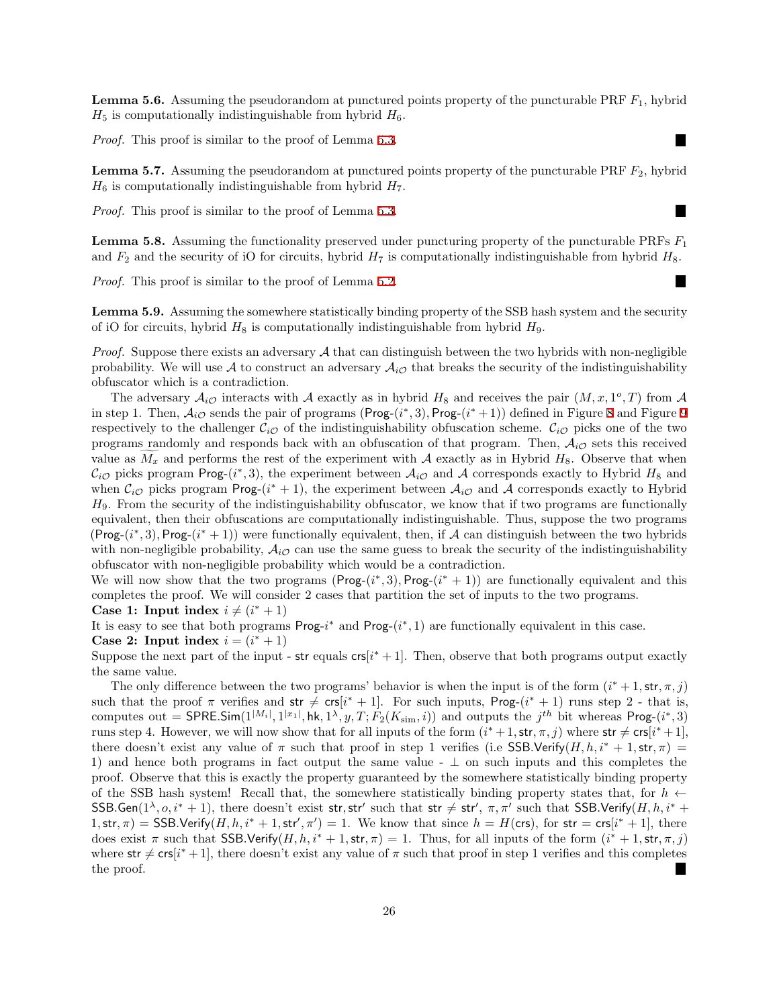**Lemma 5.6.** Assuming the pseudorandom at punctured points property of the puncturable PRF *F*1, hybrid  $H_5$  is computationally indistinguishable from hybrid  $H_6$ .

*Proof.* This proof is similar to the proof of Lemma [5.3.](#page-24-0)

**Lemma 5.7.** Assuming the pseudorandom at punctured points property of the puncturable PRF *F*2, hybrid  $H_6$  is computationally indistinguishable from hybrid  $H_7$ .

П

*Proof.* This proof is similar to the proof of Lemma [5.3.](#page-24-0)

**Lemma 5.8.** Assuming the functionality preserved under puncturing property of the puncturable PRFs *F*<sup>1</sup> and  $F_2$  and the security of iO for circuits, hybrid  $H_7$  is computationally indistinguishable from hybrid  $H_8$ .

*Proof.* This proof is similar to the proof of Lemma [5.2.](#page-23-0)

**Lemma 5.9.** Assuming the somewhere statistically binding property of the SSB hash system and the security of iO for circuits, hybrid  $H_8$  is computationally indistinguishable from hybrid  $H_9$ .

*Proof.* Suppose there exists an adversary A that can distinguish between the two hybrids with non-negligible probability. We will use A to construct an adversary  $A_i\phi$  that breaks the security of the indistinguishability obfuscator which is a contradiction.

The adversary  $A_i\phi$  interacts with A exactly as in hybrid  $H_8$  and receives the pair  $(M, x, 1^o, T)$  from A in step 1. Then,  $A_{i\mathcal{O}}$  sends the pair of programs (Prog- $(i^*, 3)$ , Prog- $(i^* + 1)$ ) defined in Figure [8](#page-22-0) and Figure [9](#page-22-1) respectively to the challenger  $C_i\textcircled{o}$  of the indistinguishability obfuscation scheme.  $C_i\textcircled{o}$  picks one of the two programs randomly and responds back with an obfuscation of that program. Then,  $A_{i\mathcal{O}}$  sets this received The adversary  $A_i\phi$  interacts with *A* exactly as in hybrid  $H_8$  and receives the pair  $(M, x, 1^o, T)$  from *A* in step 1. Then,  $A_i\phi$  sends the pair of programs (Prog- $(i^*, 3)$ , Prog- $(i^* + 1)$ ) defined in Figure 8 and Fi  $\mathcal{C}_{i\mathcal{O}}$  picks program Prog- $(i^*, 3)$ , the experiment between  $\mathcal{A}_{i\mathcal{O}}$  and  $\mathcal{A}$  corresponds exactly to Hybrid  $H_8$  and when  $\mathcal{C}_{i\mathcal{O}}$  picks program Prog- $(i^* + 1)$ , the experiment between  $\mathcal{A}_{i\mathcal{O}}$  and  $\mathcal{A}$  corresponds exactly to Hybrid *H*9. From the security of the indistinguishability obfuscator, we know that if two programs are functionally equivalent, then their obfuscations are computationally indistinguishable. Thus, suppose the two programs  $(Prog-(i^*,3), Prog-(i^*+1))$  were functionally equivalent, then, if *A* can distinguish between the two hybrids with non-negligible probability,  $A_i\phi$  can use the same guess to break the security of the indistinguishability obfuscator with non-negligible probability which would be a contradiction.

We will now show that the two programs (Prog- $(i^*, 3)$ , Prog- $(i^* + 1)$ ) are functionally equivalent and this completes the proof. We will consider 2 cases that partition the set of inputs to the two programs. **Case 1:** Input index  $i \neq (i^* + 1)$ 

It is easy to see that both programs  $\textsf{Prog-}i^*$  and  $\textsf{Prog-}i^*$ , 1) are functionally equivalent in this case.

**Case 2:** Input index  $i = (i^* + 1)$ 

Suppose the next part of the input - str equals  $\text{crs}[i^*+1]$ . Then, observe that both programs output exactly the same value.

The only difference between the two programs' behavior is when the input is of the form  $(i^* + 1, str, \pi, j)$ such that the proof  $\pi$  verifies and str  $\neq$  crs[ $i^* + 1$ ]. For such inputs, Prog- $(i^* + 1)$  runs step 2 - that is, computes out = SPRE.Sim( $1^{|M_i|}$ ,  $1^{|x_1|}$ , hk,  $1^{\lambda}$ ,  $y$ ,  $T$ ;  $F_2(K_{\text{sim}}, i)$ ) and outputs the  $j^{th}$  bit whereas Prog- $(i^*, 3)$ runs step 4. However, we will now show that for all inputs of the form  $(i^*+1, str, \pi, j)$  where  $str \neq crs[i^*+1]$ , there doesn't exist any value of  $\pi$  such that proof in step 1 verifies (i.e SSB.Verify(*H, h, i*<sup>\*</sup> + 1, str,  $\pi$ ) = 1) and hence both programs in fact output the same value - *⊥* on such inputs and this completes the proof. Observe that this is exactly the property guaranteed by the somewhere statistically binding property of the SSB hash system! Recall that, the somewhere statistically binding property states that, for *h ←* SSB*.Gen*( $1^{\lambda}, o, i^* + 1$ ), there doesn't exist str, str' such that str  $\neq$  str',  $\pi, \pi'$  such that SSB*.Verify*(*H, h, i*<sup>\*</sup> + 1, str,  $\pi$ ) = SSB. Verify $(H, h, i^* + 1, str', \pi') = 1$ . We know that since  $h = H(crs)$ , for str = crs[ $i^* + 1$ ], there does exist  $\pi$  such that SSB*.Verify*(*H, h, i*<sup>\*</sup> + 1, str,  $\pi$ ) = 1. Thus, for all inputs of the form (*i*<sup>\*</sup> + 1, str,  $\pi$ , *j*) where  $str \neq crs[i^* + 1]$ , there doesn't exist any value of  $\pi$  such that proof in step 1 verifies and this completes the proof. M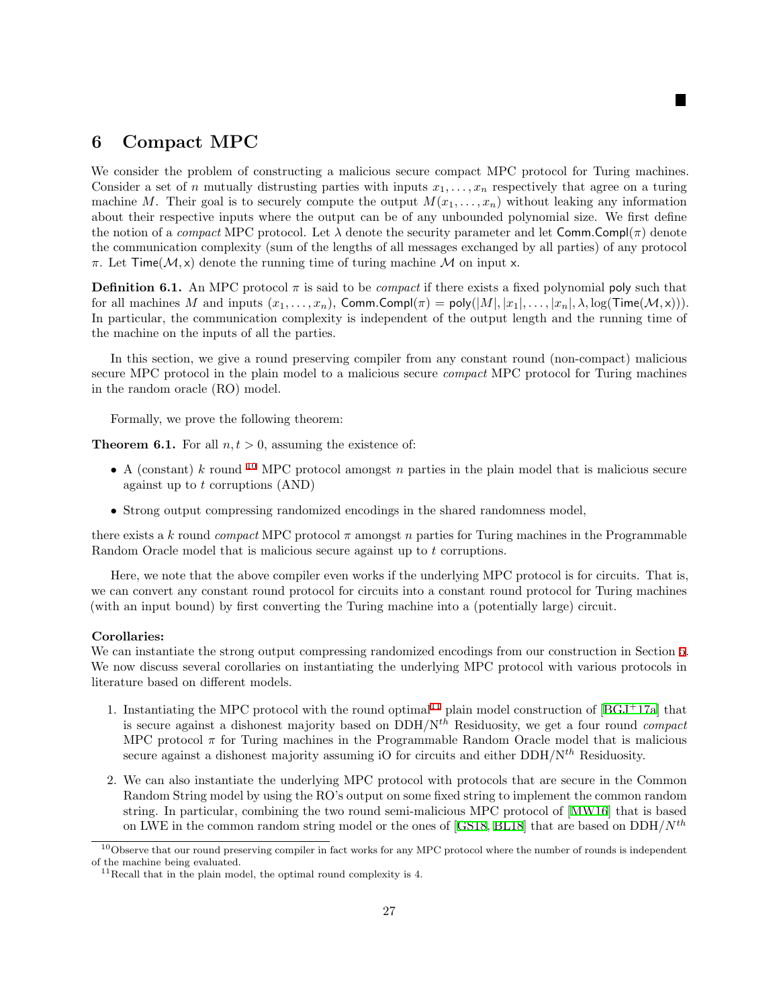## <span id="page-26-0"></span>**6 Compact MPC**

We consider the problem of constructing a malicious secure compact MPC protocol for Turing machines. Consider a set of *n* mutually distrusting parties with inputs  $x_1, \ldots, x_n$  respectively that agree on a turing machine *M*. Their goal is to securely compute the output  $M(x_1, \ldots, x_n)$  without leaking any information about their respective inputs where the output can be of any unbounded polynomial size. We first define the notion of a *compact* MPC protocol. Let  $\lambda$  denote the security parameter and let Comm.Compl( $\pi$ ) denote the communication complexity (sum of the lengths of all messages exchanged by all parties) of any protocol *π*. Let Time(*M,* x) denote the running time of turing machine *M* on input x.

**Definition 6.1.** An MPC protocol  $\pi$  is said to be *compact* if there exists a fixed polynomial poly such that for all machines M and inputs  $(x_1, \ldots, x_n)$ , Comm.Compl $(\pi)$  = poly $(|M|, |x_1|, \ldots, |x_n|, \lambda, \log(\text{Time}(\mathcal{M}, \mathsf{x})))$ In particular, the communication complexity is independent of the output length and the running time of the machine on the inputs of all the parties.

In this section, we give a round preserving compiler from any constant round (non-compact) malicious secure MPC protocol in the plain model to a malicious secure *compact* MPC protocol for Turing machines in the random oracle (RO) model.

Formally, we prove the following theorem:

**Theorem 6.1.** For all  $n, t > 0$ , assuming the existence of:

- *•* A (constant) *k* round [10](#page-26-1) MPC protocol amongst *n* parties in the plain model that is malicious secure against up to *t* corruptions (AND)
- *•* Strong output compressing randomized encodings in the shared randomness model,

there exists a *k* round *compact* MPC protocol *π* amongst *n* parties for Turing machines in the Programmable Random Oracle model that is malicious secure against up to *t* corruptions.

Here, we note that the above compiler even works if the underlying MPC protocol is for circuits. That is, we can convert any constant round protocol for circuits into a constant round protocol for Turing machines (with an input bound) by first converting the Turing machine into a (potentially large) circuit.

#### **Corollaries:**

We can instantiate the strong output compressing randomized encodings from our construction in Section [5](#page-12-0). We now discuss several corollaries on instantiating the underlying MPC protocol with various protocols in literature based on different models.

- 1. Instantiating the MPC protocol with the round optimal<sup>[11](#page-26-2)</sup> plain model construction of  $[BGJ^+17a]$  $[BGJ^+17a]$  $[BGJ^+17a]$  that is secure against a dishonest majority based on DDH/N*th* Residuosity, we get a four round *compact* MPC protocol *π* for Turing machines in the Programmable Random Oracle model that is malicious secure against a dishonest majority assuming iO for circuits and either DDH/N*th* Residuosity.
- 2. We can also instantiate the underlying MPC protocol with protocols that are secure in the Common Random String model by using the RO's output on some fixed string to implement the common random string. In particular, combining the two round semi-malicious MPC protocol of [[MW16](#page-45-3)] that is based on LWE in the common random string model or the ones of [\[GS18,](#page-43-5) [BL18\]](#page-42-8) that are based on DDH/*Nth*

<span id="page-26-1"></span> $10$ Observe that our round preserving compiler in fact works for any MPC protocol where the number of rounds is independent of the machine being evaluated.

<span id="page-26-2"></span> $11$ Recall that in the plain model, the optimal round complexity is 4.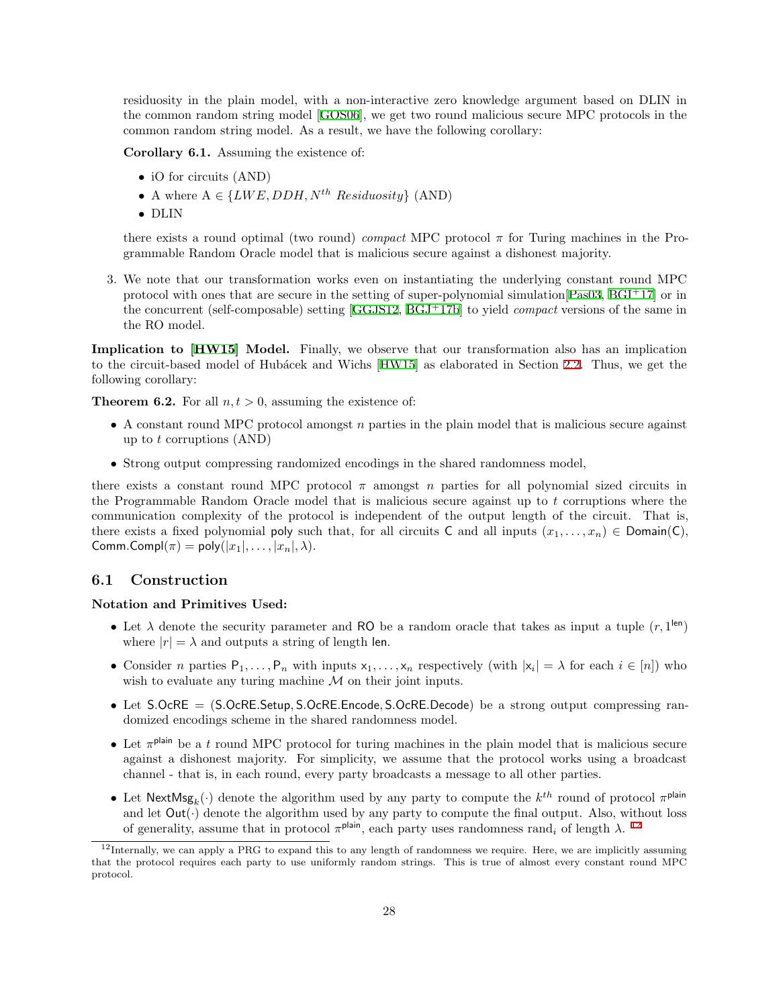residuosity in the plain model, with a non-interactive zero knowledge argument based on DLIN in the common random string model [[GOS06\]](#page-43-7), we get two round malicious secure MPC protocols in the common random string model. As a result, we have the following corollary:

**Corollary 6.1.** Assuming the existence of:

- iO for circuits (AND)
- A where  $A \in \{LWE, DDH, N^{th}$  *Residuosity*} (AND)
- *•* DLIN

there exists a round optimal (two round) *compact* MPC protocol *π* for Turing machines in the Programmable Random Oracle model that is malicious secure against a dishonest majority.

3. We note that our transformation works even on instantiating the underlying constant round MPC protocol with ones that are secure in the setting of super-polynomial simulation[[Pas03,](#page-45-6) [BGI](#page-42-11)<sup>+</sup>17] or in the concurrent (self-composable) setting [[GGJS12](#page-43-10), [BGJ](#page-42-12)<sup>+</sup>17b] to yield *compact* versions of the same in the RO model.

**Implication to [[HW15\]](#page-44-0) Model.** Finally, we observe that our transformation also has an implication to the circuit-based model of Hubácek and Wichs [[HW15](#page-44-0)] as elaborated in Section [2.2](#page-7-0). Thus, we get the following corollary:

<span id="page-27-2"></span>**Theorem 6.2.** For all  $n, t > 0$ , assuming the existence of:

- *•* A constant round MPC protocol amongst *n* parties in the plain model that is malicious secure against up to *t* corruptions (AND)
- Strong output compressing randomized encodings in the shared randomness model,

there exists a constant round MPC protocol *π* amongst *n* parties for all polynomial sized circuits in the Programmable Random Oracle model that is malicious secure against up to *t* corruptions where the communication complexity of the protocol is independent of the output length of the circuit. That is, there exists a fixed polynomial poly such that, for all circuits C and all inputs  $(x_1, \ldots, x_n) \in \text{Domain}(\mathbb{C}),$  $\text{Comm}.\text{Comp}(\pi) = \text{poly}(|x_1|, \ldots, |x_n|, \lambda).$ 

#### <span id="page-27-0"></span>**6.1 Construction**

#### **Notation and Primitives Used:**

- Let  $\lambda$  denote the security parameter and RO be a random oracle that takes as input a tuple  $(r, 1^{\text{len}})$ where  $|r| = \lambda$  and outputs a string of length len.
- Consider *n* parties  $P_1, \ldots, P_n$  with inputs  $x_1, \ldots, x_n$  respectively (with  $|x_i| = \lambda$  for each  $i \in [n]$ ) who wish to evaluate any turing machine *M* on their joint inputs.
- *•* Let S*.*OcRE = (S*.*OcRE*.*Setup*,* S*.*OcRE*.*Encode*,* S*.*OcRE*.*Decode) be a strong output compressing randomized encodings scheme in the shared randomness model.
- *•* Let *π* plain be a *t* round MPC protocol for turing machines in the plain model that is malicious secure against a dishonest majority. For simplicity, we assume that the protocol works using a broadcast channel - that is, in each round, every party broadcasts a message to all other parties.
- Let  ${\sf NextMsg}_k(\cdot)$  denote the algorithm used by any party to compute the  $k^{th}$  round of protocol  $\pi^{\text{plain}}$ and let  $Out(\cdot)$  denote the algorithm used by any party to compute the final output. Also, without loss of generality, assume that in protocol  $\pi^{\text{plain}}$ , each party uses randomness rand<sub>i</sub> of length  $\lambda$ . <sup>[12](#page-27-1)</sup>

<span id="page-27-1"></span> $12$ Internally, we can apply a PRG to expand this to any length of randomness we require. Here, we are implicitly assuming that the protocol requires each party to use uniformly random strings. This is true of almost every constant round MPC protocol.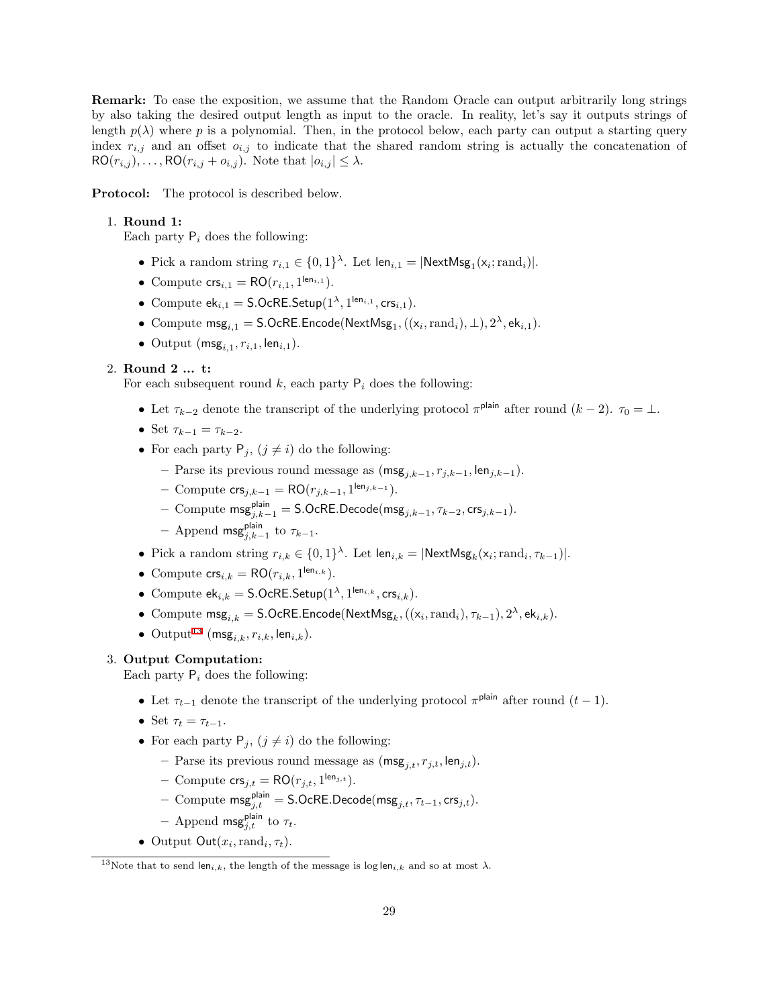**Remark:** To ease the exposition, we assume that the Random Oracle can output arbitrarily long strings by also taking the desired output length as input to the oracle. In reality, let's say it outputs strings of length  $p(\lambda)$  where p is a polynomial. Then, in the protocol below, each party can output a starting query index  $r_{i,j}$  and an offset  $o_{i,j}$  to indicate that the shared random string is actually the concatenation of  $RO(r_{i,j}), \ldots, RO(r_{i,j} + o_{i,j})$ . Note that  $|o_{i,j}| \leq \lambda$ .

**Protocol:** The protocol is described below.

1. **Round 1:**

Each party  $P_i$  does the following:

- Pick a random string  $r_{i,1} \in \{0,1\}^{\lambda}$ . Let  $\text{len}_{i,1} = |\text{NextMsg}_1(\mathsf{x}_i; \text{rand}_i)|$ .
- Compute  $\text{crs}_{i,1} = \text{RO}(r_{i,1}, 1^{\text{len}_{i,1}}).$
- Compute  $ek_{i,1} = S.OcRE.Setup(1^{\lambda}, 1<sup>len_{i,1}</sup>, crs_{i,1}).$
- Compute  $\mathsf{msg}_{i,1} = \mathsf{S}.\mathsf{OcRE}.\mathsf{Encode}(\mathsf{NextMsg}_1, ((\mathsf{x}_i, \mathsf{rand}_i), \bot), 2^\lambda, \mathsf{ek}_{i,1}).$
- Output  $(\text{msg}_{i,1}, r_{i,1}, \text{len}_{i,1}).$

#### 2. **Round 2 ... t:**

For each subsequent round  $k$ , each party  $P_i$  does the following:

- Let  $\tau_{k-2}$  denote the transcript of the underlying protocol  $\pi^{\text{plain}}$  after round  $(k-2)$ .  $\tau_0 = \bot$ .
- Set  $\tau_{k-1} = \tau_{k-2}$ .
- For each party  $P_j$ ,  $(j \neq i)$  do the following:
	- **–** Parse its previous round message as (msg*j,k−*<sup>1</sup> *, rj,k−*<sup>1</sup>*,* len*j,k−*<sup>1</sup>).
	- **–** Compute crs*j,k−*<sup>1</sup> = RO(*rj,k−*<sup>1</sup>*,* 1 len*j,k−*<sup>1</sup> ).
	- **–** Compute msg plain *j,k−*<sup>1</sup> = S*.*OcRE*.*Decode(msg*j,k−*<sup>1</sup> *, τ<sup>k</sup>−*<sup>2</sup>*,* crs*j,k−*<sup>1</sup>).
	- **–** Append msg plain *j,k−*1 to *τ<sup>k</sup>−*<sup>1</sup>.
- *•* Pick a random string  $r_{i,k} \in \{0,1\}^{\lambda}$ . Let len<sub>*i*,*k*</sub> =  $|\textsf{NextMsg}_k(x_i; \text{rand}_i, \tau_{k-1})|$ .
- Compute  $\text{crs}_{i,k} = \text{RO}(r_{i,k}, 1^{\text{len}_{i,k}}).$
- Compute  $ek_{i,k} = S.OcRE.Setup(1^{\lambda}, 1^{len_{i,k}}, crs_{i,k}).$
- *•* Compute  $\textsf{msg}_{i,k} = \textsf{S.OcRE}$ *.*Encode( $\textsf{NextMsg}_k$ ,  $((\mathsf{x}_i, \text{rand}_i), \tau_{k-1}), 2^\lambda, \text{ek}_{i,k})$ *.*
- Output<sup>[13](#page-28-0)</sup> (msg<sub>*i,k*</sub>,  $r_{i,k}$ , len<sub>*i,k*</sub>).

#### 3. **Output Computation:**

Each party  $P_i$  does the following:

- Let  $\tau_{t-1}$  denote the transcript of the underlying protocol  $\pi^{\text{plain}}$  after round  $(t-1)$ .
- Set  $\tau_t = \tau_{t-1}$ .
- For each party  $P_j$ ,  $(j \neq i)$  do the following:
	- $-$  Parse its previous round message as  $(msg_{i,t}, r_{j,t}, len_{j,t})$ .
	- $-$  Compute  $\text{crs}_{j,t} = \text{RO}(r_{j,t}, 1^{\text{len}_{j,t}}).$
	- $-$  Compute  $\textsf{msg}_{j,t}^{\textsf{plain}} = S\textsf{.OcRE}.\textsf{Decode}(\textsf{msg}_{j,t}, \tau_{t-1}, \textsf{crs}_{j,t}).$
	- $-$  Append msg<sup>plain</sup> to  $\tau_t$ .
- Output  $Out(x_i, \text{rand}_i, \tau_t)$ .

<span id="page-28-0"></span><sup>&</sup>lt;sup>13</sup>Note that to send len<sub>*i,k*</sub>, the length of the message is log len<sub>*i,k*</sub> and so at most  $\lambda$ .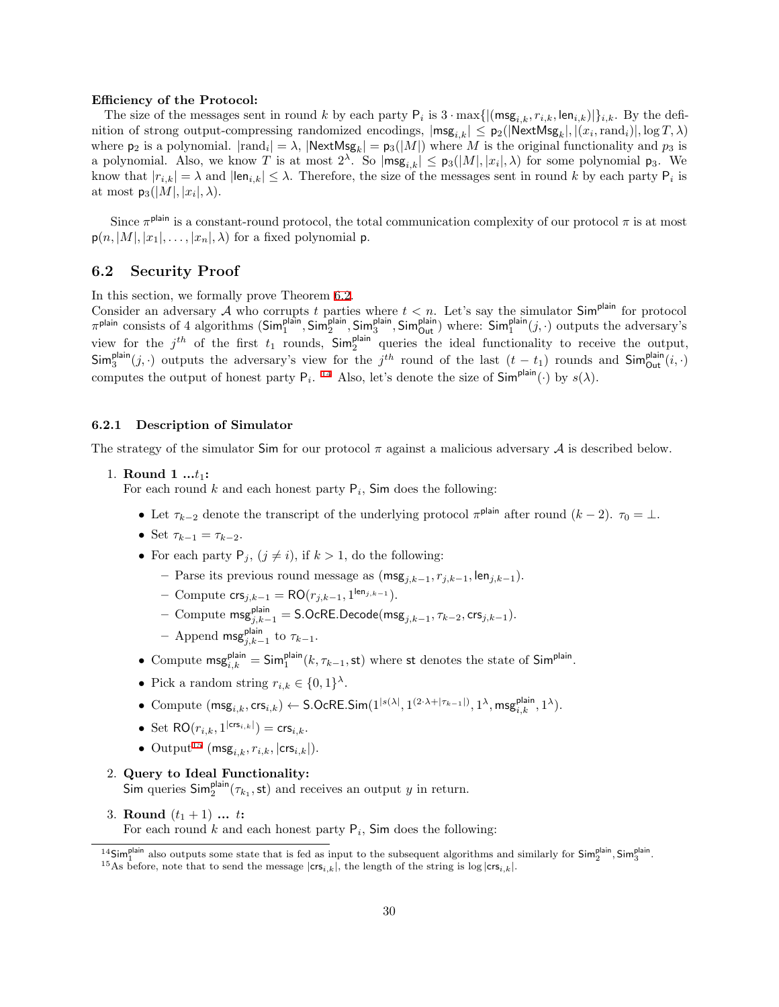#### **Efficiency of the Protocol:**

The size of the messages sent in round *k* by each party  $P_i$  is  $3 \cdot \max\{ |(\mathsf{msg}_{i,k}, r_{i,k}, \mathsf{len}_{i,k})| \}_{i,k}$ . By the defi- $\min$  of strong output-compressing randomized encodings,  $|\mathsf{msg}_{i,k}|\leq \mathsf{p}_2(|\mathsf{NextMsg}_k|,|(x_i,\text{rand}_i)|,\log T,\lambda)$ where  $p_2$  is a polynomial.  $|\text{rand}_i| = \lambda$ ,  $|\text{NextMsg}_k| = p_3(|M|)$  where M is the original functionality and  $p_3$  is a polynomial. Also, we know *T* is at most  $2^{\lambda}$ . So  $|\text{msg}_{i,k}| \leq p_3(|M|, |x_i|, \lambda)$  for some polynomial  $p_3$ . We know that  $|r_{i,k}| = \lambda$  and  $|\text{len}_{i,k}| \leq \lambda$ . Therefore, the size of the messages sent in round *k* by each party  $P_i$  is at most  $p_3(|M|, |x_i|, \lambda)$ .

Since  $\pi^{\text{plain}}$  is a constant-round protocol, the total communication complexity of our protocol  $\pi$  is at most  $p(n, |M|, |x_1|, \ldots, |x_n|, \lambda)$  for a fixed polynomial p.

#### <span id="page-29-0"></span>**6.2 Security Proof**

In this section, we formally prove Theorem [6.2.](#page-27-2)

Consider an adversary  $A$  who corrupts  $t$  parties where  $t < n$ . Let's say the simulator Sim<sup>plain</sup> for protocol  $\pi^{\text{plain}}$  consists of 4 algorithms  $(\text{Sim}_1^{\text{plain}}, \text{Sim}_2^{\text{plain}}, \text{Sim}_{\text{Out}}^{\text{plain}})$  where:  $\text{Sim}_1^{\text{plain}}(j, \cdot)$  outputs the adversary's view for the  $j^{th}$  of the first  $t_1$  rounds,  $\text{Sim}_2^{\text{plain}}$  queries the ideal functionality to receive the output,  $\text{Sim}_{3}^{\text{plain}}(j, \cdot)$  outputs the adversary's view for the *j*<sup>th</sup> round of the last  $(t - t_1)$  rounds and  $\text{Sim}_{\text{Out}}^{\text{plain}}(i, \cdot)$ computes the output of honest party  $P_i$ . <sup>[14](#page-29-1)</sup> Also, let's denote the size of  $Sim^{plain}(\cdot)$  by  $s(\lambda)$ .

#### **6.2.1 Description of Simulator**

The strategy of the simulator Sim for our protocol *π* against a malicious adversary *A* is described below.

1. **Round 1** ...t<sub>1</sub>:

For each round *k* and each honest party P*<sup>i</sup>* , Sim does the following:

- Let  $\tau_{k-2}$  denote the transcript of the underlying protocol  $\pi^{\text{plain}}$  after round  $(k-2)$ .  $\tau_0 = \bot$ .
- Set  $\tau_{k-1} = \tau_{k-2}$ .
- For each party  $P_j$ ,  $(j \neq i)$ , if  $k > 1$ , do the following:
	- **–** Parse its previous round message as (msg*j,k−*<sup>1</sup> *, rj,k−*<sup>1</sup>*,* len*j,k−*<sup>1</sup>).
	- **–** Compute crs*j,k−*<sup>1</sup> = RO(*rj,k−*<sup>1</sup>*,* 1 len*j,k−*<sup>1</sup> ).
	- **–** Compute msg plain *j,k−*<sup>1</sup> = S*.*OcRE*.*Decode(msg*j,k−*<sup>1</sup> *, τ<sup>k</sup>−*<sup>2</sup>*,* crs*j,k−*<sup>1</sup>).
	- **–** Append msg plain *j,k−*1 to *τ<sup>k</sup>−*<sup>1</sup>.
- *•* Compute  $\text{msg}_{i,k}^{\text{plain}} = \text{Sim}_1^{\text{plain}}(k, \tau_{k-1}, \text{st})$  where st denotes the state of Sim<sup>plain</sup>.
- Pick a random string  $r_{i,k} \in \{0,1\}^{\lambda}$ .
- Compute  $(\mathsf{msg}_{i,k},\mathsf{crs}_{i,k}) \leftarrow \mathsf{S}.\mathsf{OcRE}.\mathsf{Sim}(1^{|s(\lambda)|},1^{(2\cdot\lambda+|\tau_{k-1}|)},1^\lambda,\mathsf{msg}_{i,k}^{\mathsf{plain}},1^\lambda).$
- Set  $RO(r_{i,k}, 1^{\lvert \text{crs}_{i,k} \rvert}) = \text{crs}_{i,k}$ .
- Output<sup>[15](#page-29-2)</sup> (msg<sub>*i,k*</sub></sub>,  $r_{i,k}$ ,  $|crs_{i,k}|$ ).
- 2. **Query to Ideal Functionality:** Sim queries  $\textsf{Sim}_2^{\textsf{plain}}(\tau_{k_1}, \textsf{st})$  and receives an output *y* in return.
- 3. **Round**  $(t_1 + 1)$  **...** *t*:

For each round *k* and each honest party P*<sup>i</sup>* , Sim does the following:

<span id="page-29-1"></span><sup>&</sup>lt;sup>14</sup>Sim<sup>plain</sup> also outputs some state that is fed as input to the subsequent algorithms and similarly for  $\text{Sim}_2^{\text{plain}}$ ,  $\text{Sim}_3^{\text{plain}}$ .

<span id="page-29-2"></span><sup>&</sup>lt;sup>15</sup>As before, note that to send the message  $|{\sf crs}_{i,k}|$ , the length of the string is log  $|{\sf crs}_{i,k}|$ .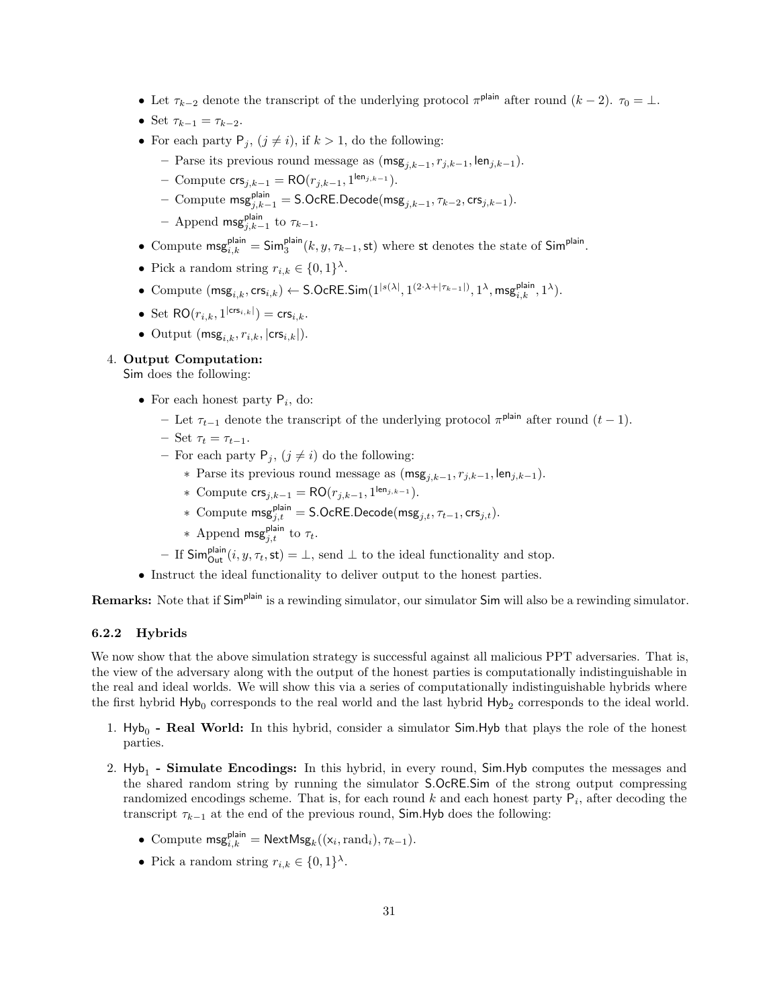- Let  $\tau_{k-2}$  denote the transcript of the underlying protocol  $\pi^{\text{plain}}$  after round  $(k-2)$ .  $\tau_0 = \bot$ .
- Set  $τ_{k-1} = τ_{k-2}$ .
- For each party  $P_i$ ,  $(j \neq i)$ , if  $k > 1$ , do the following:
	- **–** Parse its previous round message as (msg*j,k−*<sup>1</sup> *, rj,k−*<sup>1</sup>*,* len*j,k−*<sup>1</sup>).
	- **–** Compute crs*j,k−*<sup>1</sup> = RO(*rj,k−*<sup>1</sup>*,* 1 len*j,k−*<sup>1</sup> ).
	- **–** Compute msg plain *j,k−*<sup>1</sup> = S*.*OcRE*.*Decode(msg*j,k−*<sup>1</sup> *, τ<sup>k</sup>−*<sup>2</sup>*,* crs*j,k−*<sup>1</sup>).
	- **–** Append msg plain *j,k−*1 to *τ<sup>k</sup>−*<sup>1</sup>.
- Compute  $\mathsf{msg}_{i,k}^{\mathsf{plain}} = \mathsf{Sim}_{3}^{\mathsf{plain}}(k, y, \tau_{k-1}, \mathsf{st})$  where st denotes the state of  $\mathsf{Sim}^{\mathsf{plain}}$ .
- Pick a random string  $r_{i,k} \in \{0,1\}^{\lambda}$ .
- Compute  $(\mathsf{msg}_{i,k},\mathsf{crs}_{i,k}) \leftarrow \mathsf{S}.\mathsf{OcRE}.\mathsf{Sim}(1^{|s(\lambda)|},1^{(2\cdot\lambda+|\tau_{k-1}|)},1^\lambda,\mathsf{msg}_{i,k}^{\mathsf{plain}},1^\lambda).$
- Set  $RO(r_{i,k}, 1^{\lvert \text{crs}_{i,k} \rvert}) = \text{crs}_{i,k}$ .
- Output  $(msg_{i,k}, r_{i,k}, |crs_{i,k}|).$

#### 4. **Output Computation:**

Sim does the following:

- *•* For each honest party P*<sup>i</sup>* , do:
	- $-$  Let  $τ_{t-1}$  denote the transcript of the underlying protocol  $π^{plain}$  after round  $(t-1)$ .
	- $-$  Set  $\tau_t = \tau_{t-1}$ .
	- For each party  $P_i$ ,  $(j \neq i)$  do the following:
		- *∗* Parse its previous round message as (msg*j,k−*<sup>1</sup> *, rj,k−*<sup>1</sup>*,* len*j,k−*<sup>1</sup>).
		- *∗* Compute crs*j,k−*<sup>1</sup> = RO(*rj,k−*<sup>1</sup>*,* 1 len*j,k−*<sup>1</sup> ).
		- *∗* Compute  $\textsf{msg}^{\textsf{plain}}_{j,t} = \textsf{S}.\textsf{OcRE}.\textsf{Decode}(\textsf{msg}_{j,t}, \tau_{t-1}, \textsf{crs}_{j,t}).$
		- *\** Append msg<sup>plain</sup> to  $\tau_t$ .
	- $-$  If Sim<sup>plain</sup>(*i, y, τt,* st) = ⊥*,* send ⊥ to the ideal functionality and stop.
- *•* Instruct the ideal functionality to deliver output to the honest parties.

**Remarks:** Note that if  $\text{Sim}^{\text{plain}}$  is a rewinding simulator, our simulator Sim will also be a rewinding simulator.

#### **6.2.2 Hybrids**

We now show that the above simulation strategy is successful against all malicious PPT adversaries. That is, the view of the adversary along with the output of the honest parties is computationally indistinguishable in the real and ideal worlds. We will show this via a series of computationally indistinguishable hybrids where the first hybrid  $Hyb_0$  corresponds to the real world and the last hybrid  $Hyb_2$  corresponds to the ideal world.

- 1. Hyb<sub>0</sub> Real World: In this hybrid, consider a simulator Sim.Hyb that plays the role of the honest parties.
- 2. Hyb<sub>1</sub> Simulate Encodings: In this hybrid, in every round, Sim.Hyb computes the messages and the shared random string by running the simulator S*.*OcRE*.*Sim of the strong output compressing randomized encodings scheme. That is, for each round *k* and each honest party P*<sup>i</sup>* , after decoding the transcript  $\tau_{k-1}$  at the end of the previous round, Sim.Hyb does the following:
	- *•* Compute  $\mathsf{msg}_i^{\mathsf{plain}} = \mathsf{NextMsg}_k((\mathsf{x}_i,\mathsf{rand}_i),\tau_{k-1}).$
	- Pick a random string  $r_{i,k} \in \{0,1\}^{\lambda}$ .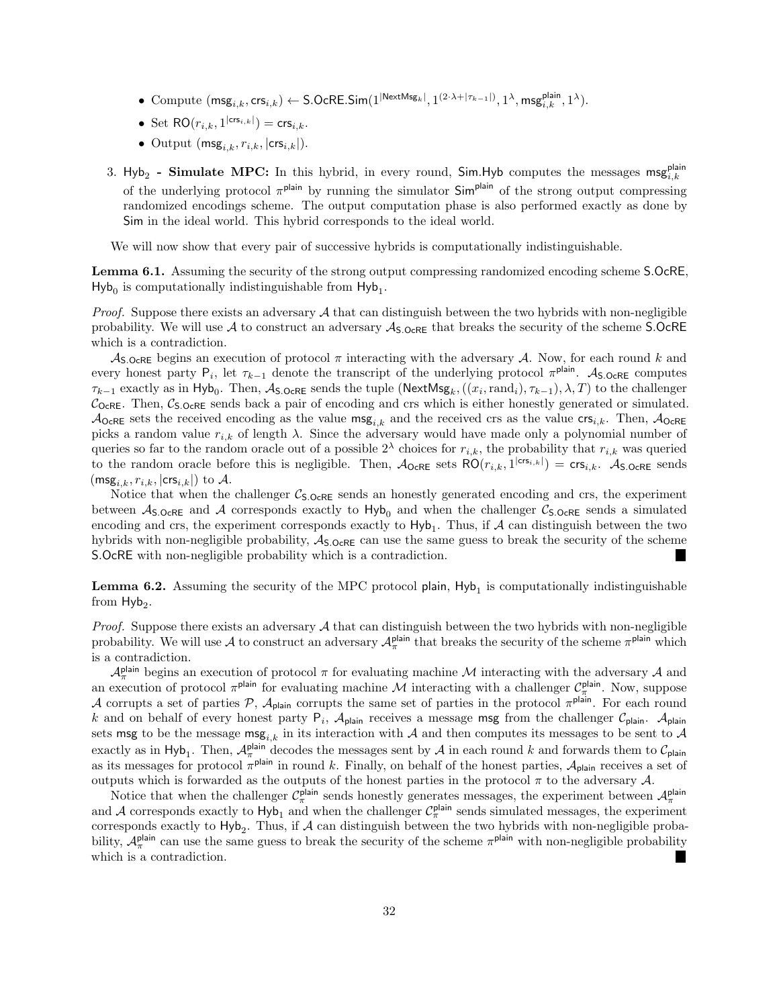- Compute  $(\mathsf{msg}_{i,k},\mathsf{crs}_{i,k}) \leftarrow \mathsf{S}.\mathsf{OcRE}.\mathsf{Sim}(1^{|\mathsf{NextMsg}_k|},1^{(2\cdot\lambda+|\tau_{k-1}|)},1^\lambda,\mathsf{msg}_{i,k}^{\mathsf{plain}},1^\lambda).$
- Set  $\mathsf{RO}(r_{i,k}, 1^{|\mathsf{crs}_{i,k}|}) = \mathsf{crs}_{i,k}.$
- Output  $(msg_{i,k}, r_{i,k}, |crs_{i,k}|).$
- 3. Hyb<sub>2</sub> Simulate MPC: In this hybrid, in every round, Sim.Hyb computes the messages msg<sup>plain</sup> of the underlying protocol π<sup>plain</sup> by running the simulator  $Sim<sup>plain</sup>$  of the strong output compressing randomized encodings scheme. The output computation phase is also performed exactly as done by Sim in the ideal world. This hybrid corresponds to the ideal world.

We will now show that every pair of successive hybrids is computationally indistinguishable.

**Lemma 6.1.** Assuming the security of the strong output compressing randomized encoding scheme S*.*OcRE,  $Hyb<sub>0</sub>$  is computationally indistinguishable from  $Hyb<sub>1</sub>$ .

*Proof.* Suppose there exists an adversary *A* that can distinguish between the two hybrids with non-negligible probability. We will use  $A$  to construct an adversary  $A_{S,OcRE}$  that breaks the security of the scheme S.OcRE which is a contradiction.

 $A_{S, OcRE}$  begins an execution of protocol  $\pi$  interacting with the adversary *A*. Now, for each round *k* and every honest party  $P_i$ , let  $\tau_{k-1}$  denote the transcript of the underlying protocol  $\pi^{\text{plain}}$ .  $A_{S, OcRE}$  computes  $\tau_{k-1}$  exactly as in Hyb<sub>0</sub>. Then,  $\mathcal{A}_{\mathsf{S}.\mathsf{OcRE}}$  sends the tuple  $(\mathsf{NextMsg}_k, ((x_i, \text{rand}_i), \tau_{k-1}), \lambda, T)$  to the challenger  $C_{OcRE}$ . Then,  $C_{S, OcRE}$  sends back a pair of encoding and crs which is either honestly generated or simulated.  $A_{OcRE}$  sets the received encoding as the value  $msg_{i,k}$  and the received crs as the value crs<sub>i,k</sub>. Then,  $A_{OcRE}$ picks a random value  $r_{i,k}$  of length  $\lambda$ . Since the adversary would have made only a polynomial number of queries so far to the random oracle out of a possible  $2^{\lambda}$  choices for  $r_{i,k}$ , the probability that  $r_{i,k}$  was queried to the random oracle before this is negligible. Then,  $A_{OcRE}$  sets  $RO(r_{i,k}, 1^{|\text{crs}_{i,k}|}) = \text{crs}_{i,k}$ .  $A_{S.OcRE}$  sends  $(\text{msg}_{i,k}, r_{i,k}, |\text{crs}_{i,k}|)$  to A.

Notice that when the challenger  $C_{S, OcRE}$  sends an honestly generated encoding and crs, the experiment between  $A_{S,OcRE}$  and  $A$  corresponds exactly to Hyb<sub>0</sub> and when the challenger  $C_{S,OcRE}$  sends a simulated encoding and crs, the experiment corresponds exactly to  $Hyb_1$ . Thus, if  $A$  can distinguish between the two hybrids with non-negligible probability,  $A_{S, OcRE}$  can use the same guess to break the security of the scheme S*.*OcRE with non-negligible probability which is a contradiction.

**Lemma 6.2.** Assuming the security of the MPC protocol plain,  $Hyb_1$  is computationally indistinguishable from  $Hyb<sub>2</sub>$ .

*Proof.* Suppose there exists an adversary *A* that can distinguish between the two hybrids with non-negligible probability. We will use A to construct an adversary  $\mathcal{A}_{\pi}^{\text{plain}}$  that breaks the security of the scheme  $\pi^{\text{plain}}$  which is a contradiction.

 $\mathcal{A}_{\pi}^{\text{plain}}$  begins an execution of protocol  $\pi$  for evaluating machine *M* interacting with the adversary *A* and an execution of protocol  $\pi^{\text{plain}}$  for evaluating machine *M* interacting with a challenger  $C_{\pi}^{\text{plain}}$ . Now, suppose *A* corrupts a set of parties *P*,  $A_{\text{plain}}$  corrupts the same set of parties in the protocol  $\pi^{\text{plain}}$ . For each round k and on behalf of every honest party  $P_i$ ,  $A_{\text{plain}}$  receives a message msg from the challenger  $C_{\text{plain}}$ .  $A_{\text{plain}}$ sets msg to be the message msg<sub>i,k</sub> in its interaction with  $A$  and then computes its messages to be sent to  $A$ exactly as in Hyb<sub>1</sub>. Then,  $\mathcal{A}_{\pi}^{\text{plain}}$  decodes the messages sent by  $\mathcal{A}$  in each round  $k$  and forwards them to  $\mathcal{C}_{\text{plain}}$ as its messages for protocol  $\pi$ <sup>plain</sup> in round *k*. Finally, on behalf of the honest parties,  $A_{\text{plain}}$  receives a set of outputs which is forwarded as the outputs of the honest parties in the protocol  $\pi$  to the adversary  $\mathcal{A}$ .

Notice that when the challenger  $C_{\pi}^{\text{plain}}$  sends honestly generates messages, the experiment between  $\mathcal{A}_{\pi}^{\text{plain}}$ and *A* corresponds exactly to  $Hy_{1}$  and when the challenger  $C_{\pi}^{\text{plain}}$  sends simulated messages, the experiment corresponds exactly to  $Hyb_2$ . Thus, if *A* can distinguish between the two hybrids with non-negligible probability,  $A_{\pi}^{\text{plain}}$  can use the same guess to break the security of the scheme  $\pi^{\text{plain}}$  with non-negligible probability which is a contradiction. L.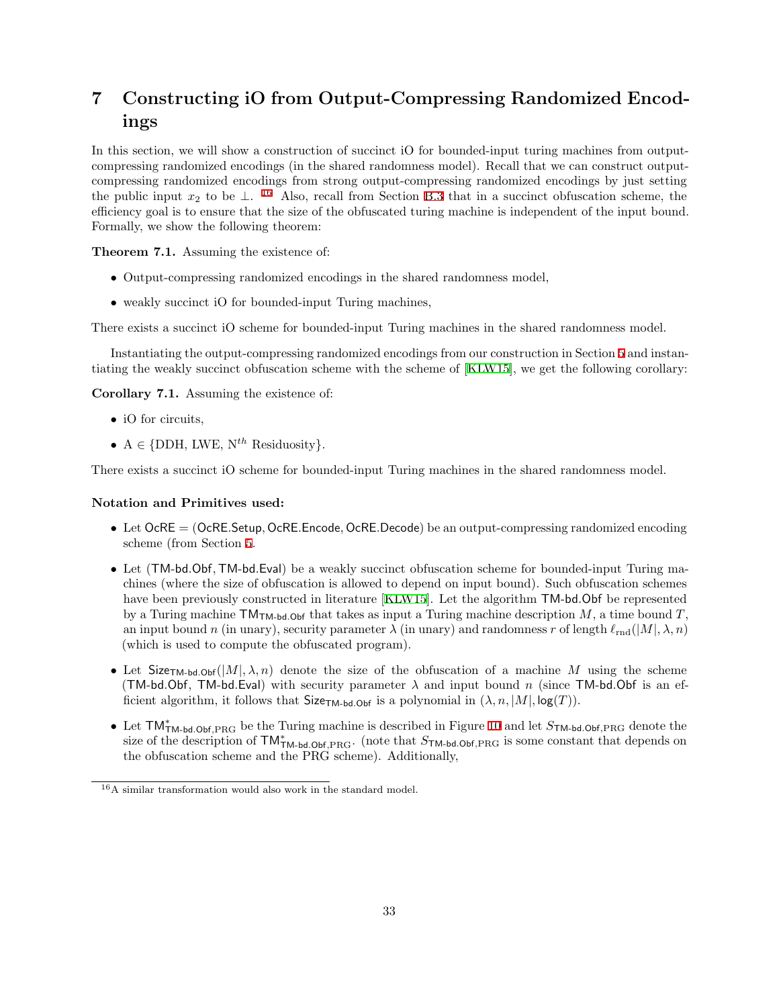# <span id="page-32-0"></span>**7 Constructing iO from Output-Compressing Randomized Encodings**

In this section, we will show a construction of succinct iO for bounded-input turing machines from outputcompressing randomized encodings (in the shared randomness model). Recall that we can construct outputcompressing randomized encodings from strong output-compressing randomized encodings by just setting the public input *x*<sup>2</sup> to be *⊥*. [16](#page-32-1) Also, recall from Section [B.3](#page-48-0) that in a succinct obfuscation scheme, the efficiency goal is to ensure that the size of the obfuscated turing machine is independent of the input bound. Formally, we show the following theorem:

**Theorem 7.1.** Assuming the existence of:

- Output-compressing randomized encodings in the shared randomness model,
- weakly succinct iO for bounded-input Turing machines,

There exists a succinct iO scheme for bounded-input Turing machines in the shared randomness model.

Instantiating the output-compressing randomized encodings from our construction in Section [5](#page-12-0) and instantiating the weakly succinct obfuscation scheme with the scheme of [[KLW15\]](#page-44-3), we get the following corollary:

**Corollary 7.1.** Assuming the existence of:

- iO for circuits,
- *•* A *∈ {*DDH, LWE, N*th* Residuosity*}*.

There exists a succinct iO scheme for bounded-input Turing machines in the shared randomness model.

#### **Notation and Primitives used:**

- *•* Let OcRE = (OcRE*.*Setup*,* OcRE*.*Encode*,* OcRE*.*Decode) be an output-compressing randomized encoding scheme (from Section [5](#page-12-0).
- *•* Let (TM-bd*.*Obf*,*TM-bd*.*Eval) be a weakly succinct obfuscation scheme for bounded-input Turing machines (where the size of obfuscation is allowed to depend on input bound). Such obfuscation schemes have been previously constructed in literature [\[KLW15](#page-44-3)]. Let the algorithm TM-bd*.*Obf be represented by a Turing machine  $TM_{TM-bd,Obf}$  that takes as input a Turing machine description *M*, a time bound *T*, an input bound *n* (in unary), security parameter  $\lambda$  (in unary) and randomness *r* of length  $\ell_{\text{rnd}}(|M|, \lambda, n)$ (which is used to compute the obfuscated program).
- Let Size<sub>TM-bd</sub>.obf( $|M|$ ,  $\lambda$ , *n*) denote the size of the obfuscation of a machine *M* using the scheme (TM-bd*.*Obf*,* TM-bd*.*Eval) with security parameter *λ* and input bound *n* (since TM-bd*.*Obf is an efficient algorithm, it follows that  $Size_{TM-bd,Obf}$  is a polynomial in  $(\lambda, n, |M|, \log(T))$ .
- *•* Let TM*<sup>∗</sup>* TM-bd*.*Obf*,*PRG be the Turing machine is described in Figure [10](#page-33-1) and let *S*TM-bd*.*Obf*,*PRG denote the size of the description of  $TM^*_{TM-bd,Obf,PRG}$ . (note that *S*<sub>TM-bd</sub>.o<sub>bf,PRG</sub> is some constant that depends on the obfuscation scheme and the PRG scheme). Additionally,

<span id="page-32-1"></span><sup>16</sup>A similar transformation would also work in the standard model.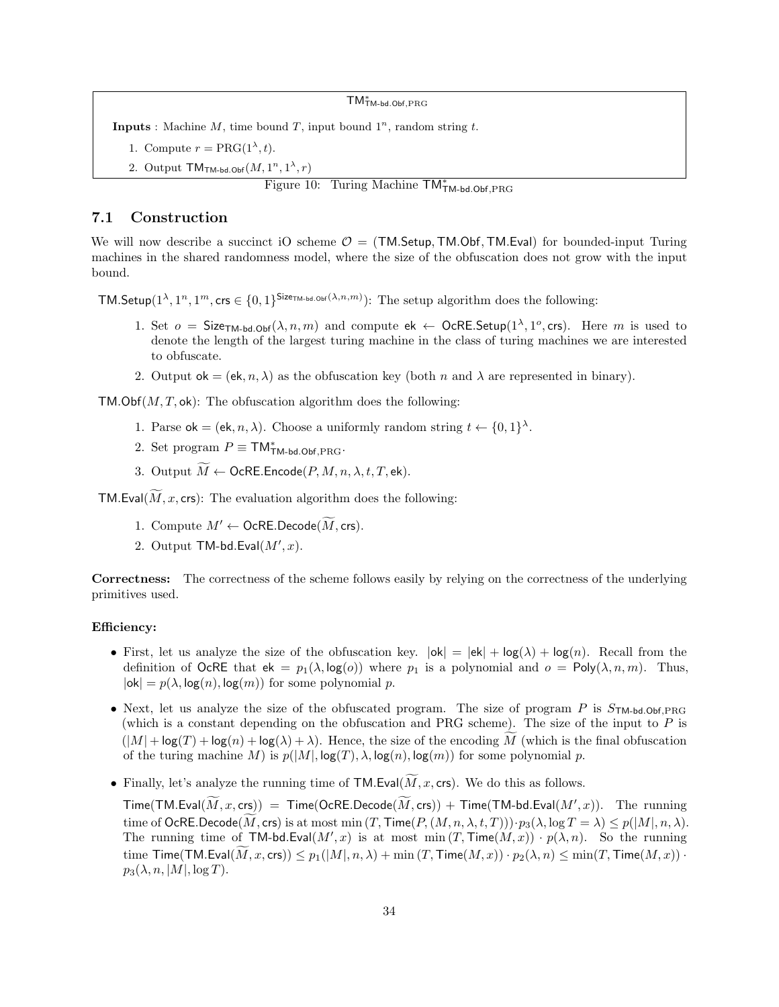TM*<sup>∗</sup>* TM-bd*.*Obf*,*PRG

<span id="page-33-1"></span>**Inputs** : Machine  $M$ , time bound  $T$ , input bound  $1^n$ , random string  $t$ .

- 1. Compute  $r = \text{PRG}(1^{\lambda}, t)$ .
- 2. Output  $TM_{TM-bd,Obf}(M, 1^n, 1^{\lambda}, r)$

Figure 10: Turing Machine TM*<sup>∗</sup>* TM-bd*.*Obf*,*PRG

#### <span id="page-33-0"></span>**7.1 Construction**

We will now describe a succinct iO scheme  $\mathcal{O} = (TM.Setup, TM.Obf, TM.Eval)$  for bounded-input Turing machines in the shared randomness model, where the size of the obfuscation does not grow with the input bound.

 $TM.Setup(1^{\lambda}, 1^n, 1^m, \text{crs} \in \{0, 1\}^{\text{Size}_{TM-bd.Obf}(\lambda, n, m)})$ : The setup algorithm does the following:

- 1. Set  $o =$  Size<sub>TM-bd</sub>.o<sub>bf</sub>( $\lambda$ , n, m) and compute ek  $\leftarrow$  OcRE.Setup( $1^{\lambda}$ , 1<sup>o</sup>, crs). Here m is used to denote the length of the largest turing machine in the class of turing machines we are interested to obfuscate.
- 2. Output  $ok = (ek, n, \lambda)$  as the obfuscation key (both *n* and  $\lambda$  are represented in binary).

TM*.*Obf(*M, T,* ok): The obfuscation algorithm does the following:

- 1. Parse  $ok = (ek, n, \lambda)$ . Choose a uniformly random string  $t \leftarrow \{0, 1\}^{\lambda}$ .
- 2. Set program  $P \equiv \textsf{TM}_{\textsf{TM-bd.Obf,PRG}}^*$ .
- 3. Output  $\widetilde{M} \leftarrow \text{OcRE}$ . Encode(*P, M, n,*  $\lambda$ *, t, T, ek)*.

**TM.**Eval( $\widetilde{M}$ , x, crs): The evaluation algorithm does the following: 3. Output  $\widetilde{M} \leftarrow \text{OcRE.Encode}(P, M, n, \lambda, t, T, \text{ek}).$ <br>al $(\widetilde{M}, x, \text{crs})$ : The evaluation algorithm does the form of the section of the section of the section of the section of the section of the section of the section of the

- 
- 2. Output TM-bd*.*Eval(*M′ , x*).

**Correctness:** The correctness of the scheme follows easily by relying on the correctness of the underlying primitives used.

#### **Efficiency:**

- First, let us analyze the size of the obfuscation key.  $|\mathsf{ok}| = |\mathsf{ek}| + \mathsf{log}(\lambda) + \mathsf{log}(n)$ . Recall from the definition of OcRE that  $ek = p_1(\lambda, \log(o))$  where  $p_1$  is a polynomial and  $o = \text{Poly}(\lambda, n, m)$ . Thus,  $|ok| = p(\lambda, \log(n), \log(m))$  for some polynomial *p*.
- *•* Next, let us analyze the size of the obfuscated program. The size of program *P* is *S*TM-bd*.*Obf*,*PRG (which is a constant depending on the obfuscation and PRG scheme). The size of the input to *P* is  $|\mathbf{ok}| = p(\lambda, \log(n), \log(m))$  for some polynomial *p*.<br>Next, let us analyze the size of the obfuscated program. The size of program *P* is  $S_{\text{TM-bd.Obf,PRG}}$ <br>(which is a constant depending on the obfuscation and PRG scheme). The s of the turing machine *M*) is  $p(|M|, \log(T), \lambda, \log(n), \log(m))$  for some polynomial *p*. (which is a constant depending on the obfuscation and PRG scheme). The size of  $(|M| + \log(T) + \log(n) + \log(\lambda) + \lambda)$ . Hence, the size of the encoding  $\widetilde{M}$  (which is the of the turing machine  $M$ ) is  $p(|M|, \log(T), \lambda, \log(n), \log(m))$  for so of the turing machine *M*) is  $p(|M|, \log(T), \lambda, \log(n), \log(m))$  for some polynomial for the turing machine *M*) is  $p(|M|, \log(T), \lambda, \log(n), \log(m))$  for some polynomial finally, let's analyze the running time of **TM.**Eval( $\widetilde{M}, x$ , crs). We
- 

*, x*)). The running Finally, let's analyze the running time of  $TM.Eval(\widetilde{M}, x, \text{crs})$ . We do this as follows.<br>  $Time(TM.Eval(\widetilde{M}, x, \text{crs})) = Time(OcRE\_Decode(\widetilde{M}, \text{crs})) + Time(TM-bd.Eval(M', x))$ . The running<br>
time of  $OcRE\_Decode(\widetilde{M}, \text{crs})$  is at most min  $(T, Time(P, (M, n, \lambda, t, T))) \cdot$ The running time of TM-bd.Eval( $M'$ , x) is at most min  $(T, \text{Time}(M, x)) \cdot p(\lambda, n)$ . So the running Time(TM.Eval( $\widetilde{M}$ , x, crs)) = Time(OcRE.Decode( $\widetilde{M}$ , crs)) + Time(TM-bd.Eval( $M'$ , x)). The running<br>time of OcRE.Decode( $\widetilde{M}$ , crs) is at most min (*T*, Time( $P$ ,  $(M, n, \lambda, t, T)$ ))  $\cdot p_3(\lambda, \log T = \lambda) \leq p(|M|, n, \lambda$  $p_3(\lambda, n, |M|, \log T)$ .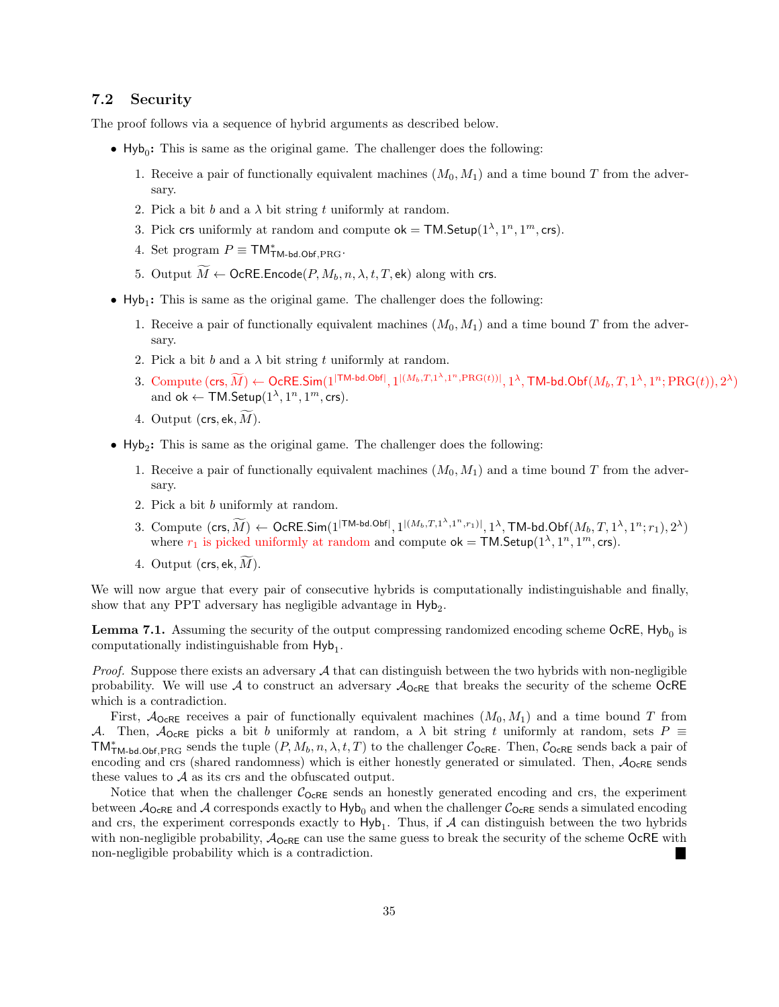#### <span id="page-34-0"></span>**7.2 Security**

The proof follows via a sequence of hybrid arguments as described below.

- $\bullet$  Hyb<sub>0</sub>: This is same as the original game. The challenger does the following:
	- 1. Receive a pair of functionally equivalent machines  $(M_0, M_1)$  and a time bound *T* from the adversary.
	- 2. Pick a bit  $b$  and a  $\lambda$  bit string  $t$  uniformly at random.
	- 3. Pick crs uniformly at random and compute  $ok = TM.Setup(1^{\lambda}, 1^n, 1^m, \text{crs}).$
	- 4. Set program  $P \equiv \textsf{TM}_{\textsf{TM-bd.Obf,PRG}}^*$ .
	- 5. Output  $\widetilde{M} \leftarrow$  OcRE.Encode( $P, M_b, n, \lambda, t, T$ , ek) along with crs.
- $\bullet$  Hyb<sub>1</sub>: This is same as the original game. The challenger does the following:
	- 1. Receive a pair of functionally equivalent machines  $(M_0, M_1)$  and a time bound T from the adversary. 1. Receive a pair of functionally equivalent machines  $(M_0, M_1)$  and a time bound  $T$  from the adversary.<br>2. Pick a bit  $b$  and a  $\lambda$  bit string  $t$  uniformly at random.<br>3. Compute  $(\text{crs}, \widetilde{M}) \leftarrow \text{OcRE.Sim}(1^{|\text{TM-bd.Obf}|},$
	- 2. Pick a bit *b* and a *λ* bit string *t* uniformly at random.
	- and  $ok \leftarrow TM.Setup(1^{\lambda}, 1^n, 1^m, \text{crs}).$ 2. Pick a bit b and a  $\lambda$ <br>3. Compute (crs,  $\widetilde{M}$ )  $\leftarrow$ <br>and ok  $\leftarrow$  TM.Setup<br>4. Output (crs, ek,  $\widetilde{M}$ ).
	-
- $Hyb<sub>2</sub>$ : This is same as the original game. The challenger does the following:
	- 1. Receive a pair of functionally equivalent machines  $(M_0, M_1)$  and a time bound *T* from the adversary. 1. Receive a pair of functionally equivalent machines  $(M_0, M_1)$  and a time bound T from the adver-<br>sary.<br>2. Pick a bit b uniformly at random.<br>3. Compute  $(\text{crs}, \widetilde{M}) \leftarrow \text{OcRE.Sim}(1^{|\text{TM-bd.Obf}|}, 1^{|(M_b, T, 1^{\lambda}, 1^n, r_1)|}, 1^$
	- 2. Pick a bit *b* uniformly at random.
	- where  $r_1$  is picked uniformly at random and compute  $ok = TM.Setup(1^{\lambda}, 1^n, 1^m, \text{crs}).$ 2. Pick a bit *b* uniform<br>3. Compute (crs,  $\widetilde{M}$ )  $\leftarrow$ <br>where  $r_1$  is picked u<br>4. Output (crs, ek,  $\widetilde{M}$ ).
	-

We will now argue that every pair of consecutive hybrids is computationally indistinguishable and finally, show that any PPT adversary has negligible advantage in  $\mathsf{Hyb}_2$ .

**Lemma 7.1.** Assuming the security of the output compressing randomized encoding scheme  $OcRE$ ,  $Hyb_0$  is computationally indistinguishable from  $\mathsf{Hyb}_1$ .

*Proof.* Suppose there exists an adversary *A* that can distinguish between the two hybrids with non-negligible probability. We will use  $A$  to construct an adversary  $A_{OcRE}$  that breaks the security of the scheme OcRE which is a contradiction.

First,  $A_{OcRE}$  receives a pair of functionally equivalent machines  $(M_0, M_1)$  and a time bound *T* from *A*. Then,  $A_{\text{OcRE}}$  picks a bit *b* uniformly at random, a  $\lambda$  bit string *t* uniformly at random, sets  $P \equiv$  $TM^*_{TM-bd,Obf,PRG}$  sends the tuple  $(P, M_b, n, \lambda, t, T)$  to the challenger  $C_{OcRE}$ . Then,  $C_{OcRE}$  sends back a pair of encoding and crs (shared randomness) which is either honestly generated or simulated. Then,  $A_{OcRE}$  sends these values to *A* as its crs and the obfuscated output.

Notice that when the challenger  $C_{OcRE}$  sends an honestly generated encoding and crs, the experiment between  $A_{OcRE}$  and A corresponds exactly to  $Hy_{0}$  and when the challenger  $C_{OcRE}$  sends a simulated encoding and crs, the experiment corresponds exactly to  $Hyb_1$ . Thus, if  $A$  can distinguish between the two hybrids with non-negligible probability,  $A_{OcRE}$  can use the same guess to break the security of the scheme OcRE with non-negligible probability which is a contradiction.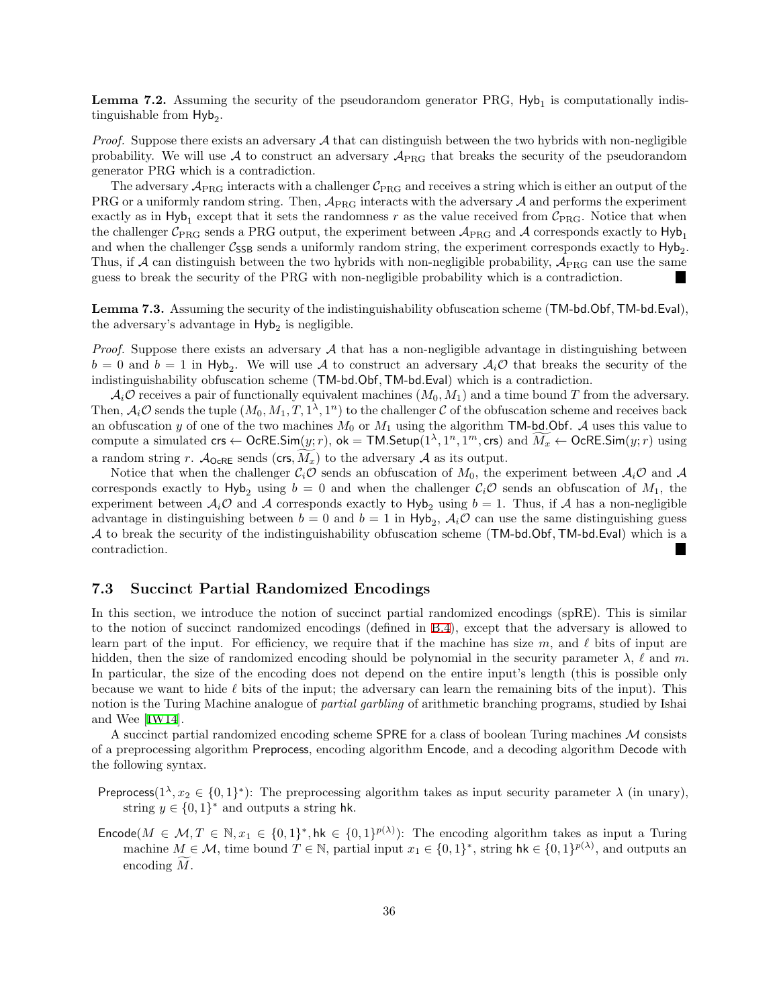**Lemma 7.2.** Assuming the security of the pseudorandom generator  $PRG$ ,  $Hyb_1$  is computationally indistinguishable from  $Hyb<sub>2</sub>$ .

*Proof.* Suppose there exists an adversary *A* that can distinguish between the two hybrids with non-negligible probability. We will use  $A$  to construct an adversary  $A_{PRG}$  that breaks the security of the pseudorandom generator PRG which is a contradiction.

The adversary  $A_{PRG}$  interacts with a challenger  $C_{PRG}$  and receives a string which is either an output of the PRG or a uniformly random string. Then,  $A_{PRG}$  interacts with the adversary  $A$  and performs the experiment exactly as in  $Hyb_1$  except that it sets the randomness  $r$  as the value received from  $C_{PRG}$ . Notice that when the challenger  $C_{\text{PRG}}$  sends a PRG output, the experiment between  $A_{\text{PRG}}$  and A corresponds exactly to Hyb<sub>1</sub> and when the challenger  $C_{\text{SSB}}$  sends a uniformly random string, the experiment corresponds exactly to  $\text{Hyb}_2$ . Thus, if  $\mathcal A$  can distinguish between the two hybrids with non-negligible probability,  $\mathcal A_{\rm PRG}$  can use the same guess to break the security of the PRG with non-negligible probability which is a contradiction. **Contract** 

**Lemma 7.3.** Assuming the security of the indistinguishability obfuscation scheme (TM-bd*.*Obf*,*TM-bd*.*Eval), the adversary's advantage in  $Hyb_2$  is negligible.

*Proof.* Suppose there exists an adversary A that has a non-negligible advantage in distinguishing between  $b = 0$  and  $b = 1$  in Hyb<sub>2</sub>. We will use *A* to construct an adversary  $A_i \mathcal{O}$  that breaks the security of the indistinguishability obfuscation scheme (TM-bd*.*Obf*,*TM-bd*.*Eval) which is a contradiction.

 $A_i \mathcal{O}$  receives a pair of functionally equivalent machines  $(M_0, M_1)$  and a time bound *T* from the adversary. Then,  $A_i \mathcal{O}$  sends the tuple  $(M_0, M_1, T, 1^{\lambda}, 1^n)$  to the challenger  $\mathcal C$  of the obfuscation scheme and receives back an obfuscation *y* of one of the two machines *M*<sup>0</sup> or *M*<sup>1</sup> using the algorithm TM-bd*.*Obf. *A* uses this value to compute a simulated  $\mathsf{crs} \leftarrow \mathsf{OcRE}.\mathsf{Sim}(y;r)$ ,  $\mathsf{ok} = \mathsf{TM}.\mathsf{Setup}(1^\lambda,1^n,1^n)$ finition.<br>
and a time bound *T* from the adversary<br>
the obfuscation scheme and receives back<br>
prithm **TM**-bd.Obf. *A* uses this value to<br>  $^{m}$ , crs) and  $\widetilde{M_x} \leftarrow \text{OcRE.Sim}(y; r)$  using  $A_i$ *C* receives a pair of functionally equivalent machines  $(M_0, M_1)$  and a f<br>Then,  $A_i$ *C* sends the tuple  $(M_0, M_1, T, 1^{\lambda}, 1^n)$  to the challenger *C* of the obfu<br>an obfuscation *y* of one of the two machines  $M_0$  or

Notice that when the challenger  $C_i \mathcal{O}$  sends an obfuscation of  $M_0$ , the experiment between  $\mathcal{A}_i \mathcal{O}$  and  $\mathcal{A}$ corresponds exactly to Hyb<sub>2</sub> using  $b = 0$  and when the challenger  $C_i \mathcal{O}$  sends an obfuscation of  $M_1$ , the experiment between  $A_i \mathcal{O}$  and  $A$  corresponds exactly to Hyb<sub>2</sub> using  $b = 1$ . Thus, if  $A$  has a non-negligible advantage in distinguishing between  $b = 0$  and  $b = 1$  in  $Hy_{b_2}$ ,  $A_i \mathcal{O}$  can use the same distinguishing guess *A* to break the security of the indistinguishability obfuscation scheme (TM-bd*.*Obf*,*TM-bd*.*Eval) which is a contradiction. L.

#### <span id="page-35-0"></span>**7.3 Succinct Partial Randomized Encodings**

In this section, we introduce the notion of succinct partial randomized encodings (spRE). This is similar to the notion of succinct randomized encodings (defined in [B.4](#page-48-1)), except that the adversary is allowed to learn part of the input. For efficiency, we require that if the machine has size *m*, and *ℓ* bits of input are hidden, then the size of randomized encoding should be polynomial in the security parameter  $\lambda$ ,  $\ell$  and  $m$ . In particular, the size of the encoding does not depend on the entire input's length (this is possible only because we want to hide *ℓ* bits of the input; the adversary can learn the remaining bits of the input). This notion is the Turing Machine analogue of *partial garbling* of arithmetic branching programs, studied by Ishai and Wee [[IW14\]](#page-44-4).

A succinct partial randomized encoding scheme SPRE for a class of boolean Turing machines *M* consists of a preprocessing algorithm Preprocess, encoding algorithm Encode, and a decoding algorithm Decode with the following syntax.

- Preprocess( $1^{\lambda}, x_2 \in \{0, 1\}^*$ ): The preprocessing algorithm takes as input security parameter  $\lambda$  (in unary), string  $y \in \{0, 1\}^*$  and outputs a string hk.
- Encode( $M \in \mathcal{M}, T \in \mathbb{N}, x_1 \in \{0,1\}^*,$  hk  $\in \{0,1\}^{p(\lambda)}$ ): The encoding algorithm takes as input a Turing machine *M* ∈ *M*, time bound *T* ∈ N, partial input  $x_1 \in \{0,1\}^*$ , string hk ∈  $\{0,1\}^{p(\lambda)}$ , and outputs an string  $y \in \{0$ <br>de( $M \in \mathcal{M}$ ,<br>machine  $M \in \text{encoding } \widetilde{M}$ .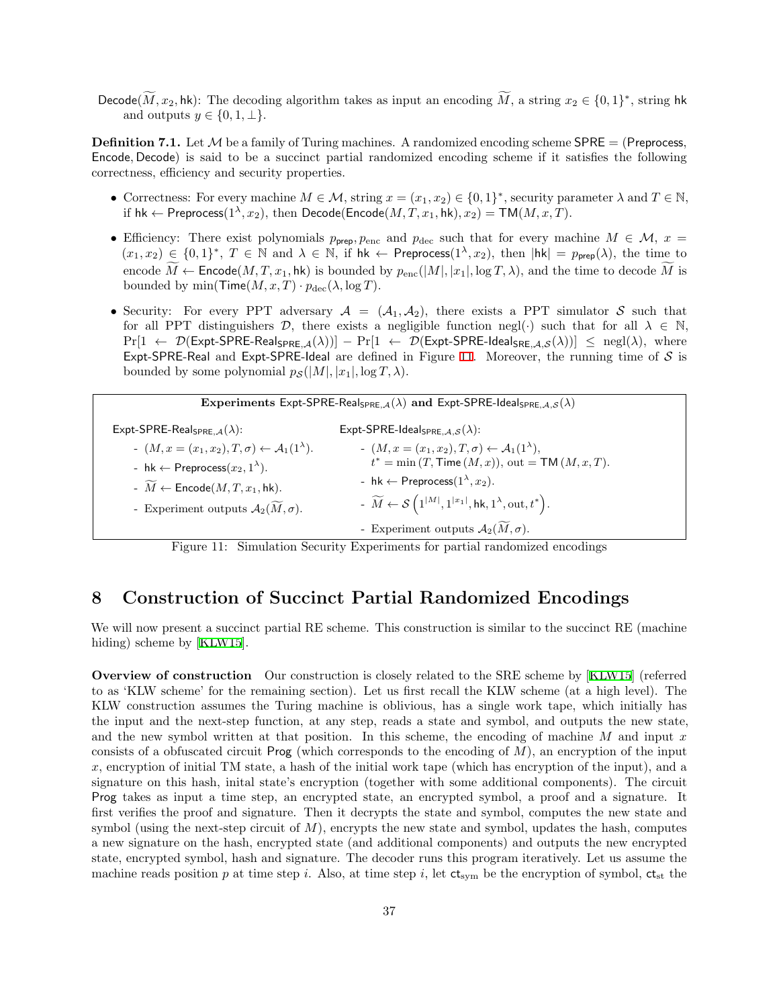$\textsf{Decode}(\widetilde{M},x_2,\textsf{hk})$ : The decoding algorithm takes as input an encoding  $\widetilde{M}$ , a string  $x_2 \in \{0,1\}^*$ , string hk and outputs  $y \in \{0, 1, \perp\}.$ 

**Definition 7.1.** Let  $M$  be a family of Turing machines. A randomized encoding scheme SPRE  $=$  (Preprocess, Encode*,* Decode) is said to be a succinct partial randomized encoding scheme if it satisfies the following correctness, efficiency and security properties.

- *•* Correctness: For every machine *M ∈ M*, string *x* = (*x*1*, x*2) *∈ {*0*,* 1*} ∗* , security parameter *λ* and *T ∈* N, if  $hk \leftarrow$  Preprocess $(1^{\lambda}, x_2)$ , then Decode(Encode( $M, T, x_1, hk$ ),  $x_2$ ) = TM( $M, x, T$ ).
- Efficiency: There exist polynomials  $p_{\text{prep}}, p_{\text{enc}}$  and  $p_{\text{dec}}$  such that for every machine  $M \in \mathcal{M}$ ,  $x =$  $(x_1, x_2) \in \{0, 1\}^*, T \in \mathbb{N}$  and  $\lambda \in \mathbb{N}$ , if hk  $\leftarrow$  Preprocess $(1^{\lambda}, x_2)$ , then  $|hk| = p_{\text{prep}}(\lambda)$ , the time to if hk ← Preprocess(1<sup> $λ$ </sup>,  $x_2$ ), then Decode(Encode( $M, T, x_1$ , hk),  $x_2$ ) = TM( $M, x, T$ ).<br>Efficiency: There exist polynomials  $p_{\text{prep}}, p_{\text{enc}}$  and  $p_{\text{dec}}$  such that for every machine  $M \in \mathcal{M}, x =$ <br> $(x_1, x_2) \in \{0, 1\}$ bounded by  $\min(\textsf{Time}(M, x, T) \cdot p_{\text{dec}}(\lambda, \log T)).$
- Security: For every PPT adversary  $A = (A_1, A_2)$ , there exists a PPT simulator *S* such that for all PPT distinguishers  $D$ , there exists a negligible function negl( $\cdot$ ) such that for all  $\lambda \in \mathbb{N}$ ,  $Pr[1 \leftarrow \mathcal{D}(Expt\text{-}SPRE\text{-}Real_{SPRE},\mathcal{A}(\lambda))] - Pr[1 \leftarrow \mathcal{D}(Expt\text{-}SPRE\text{-}Ideal_{SRE},\mathcal{A},\mathcal{S}(\lambda))] \leq negl(\lambda),$  where Expt-SPRE-Real and Expt-SPRE-Ideal are defined in Figure [11.](#page-36-0) Moreover, the running time of *S* is bounded by some polynomial  $p_S(|M|, |x_1|, \log T, \lambda)$ .

<span id="page-36-0"></span>

| <b>Experiments Expt-SPRE-Real</b> spre, $\mathcal{A}(\lambda)$ and Expt-SPRE-Ideal spre, $\mathcal{A}(\lambda)$                                                                                                                |                                                                                                                                                                                                                                                                                                                  |  |
|--------------------------------------------------------------------------------------------------------------------------------------------------------------------------------------------------------------------------------|------------------------------------------------------------------------------------------------------------------------------------------------------------------------------------------------------------------------------------------------------------------------------------------------------------------|--|
| Expt-SPRE-Real $_{\text{SPRE, A}}(\lambda)$ :                                                                                                                                                                                  | Expt-SPRE-Ideal <sub>SPRE, <math>A.S(\lambda)</math>:</sub>                                                                                                                                                                                                                                                      |  |
| $(M, x = (x_1, x_2), T, \sigma) \leftarrow A_1(1^{\lambda}).$<br>- hk $\leftarrow$ Preprocess $(x_2, 1^{\lambda})$ .<br>$\widetilde{M} \leftarrow$ Encode $(M, T, x_1, \text{hk})$ .<br>- Experiment outputs $A_2(M,\sigma)$ . | $(X, x = (x_1, x_2), T, \sigma) \leftarrow A_1(1^{\lambda}),$<br>$t^* = \min(T, \text{Time}(M, x)), \text{ out} = \text{TM}(M, x, T).$<br>- hk $\leftarrow$ Preprocess $(1^{\lambda}, x_2)$ .<br>$\widetilde{M} \leftarrow \mathcal{S}\left(1^{ M }, 1^{ x_1 }, \text{hk}, 1^{\lambda}, \text{out}, t^*\right).$ |  |
|                                                                                                                                                                                                                                | - Experiment outputs $A_2(M,\sigma)$ .                                                                                                                                                                                                                                                                           |  |

Figure 11: Simulation Security Experiments for partial randomized encodings

# **8 Construction of Succinct Partial Randomized Encodings**

We will now present a succinct partial RE scheme. This construction is similar to the succinct RE (machine hiding) scheme by [[KLW15](#page-44-0)].

**Overview of construction** Our construction is closely related to the SRE scheme by [\[KLW15](#page-44-0)] (referred to as 'KLW scheme' for the remaining section). Let us first recall the KLW scheme (at a high level). The KLW construction assumes the Turing machine is oblivious, has a single work tape, which initially has the input and the next-step function, at any step, reads a state and symbol, and outputs the new state, and the new symbol written at that position. In this scheme, the encoding of machine *M* and input *x* consists of a obfuscated circuit Prog (which corresponds to the encoding of *M*), an encryption of the input *x*, encryption of initial TM state, a hash of the initial work tape (which has encryption of the input), and a signature on this hash, inital state's encryption (together with some additional components). The circuit Prog takes as input a time step, an encrypted state, an encrypted symbol, a proof and a signature. It first verifies the proof and signature. Then it decrypts the state and symbol, computes the new state and symbol (using the next-step circuit of *M*), encrypts the new state and symbol, updates the hash, computes a new signature on the hash, encrypted state (and additional components) and outputs the new encrypted state, encrypted symbol, hash and signature. The decoder runs this program iteratively. Let us assume the machine reads position  $p$  at time step  $i$ . Also, at time step  $i$ , let  $ct_{sym}$  be the encryption of symbol,  $ct_{st}$  the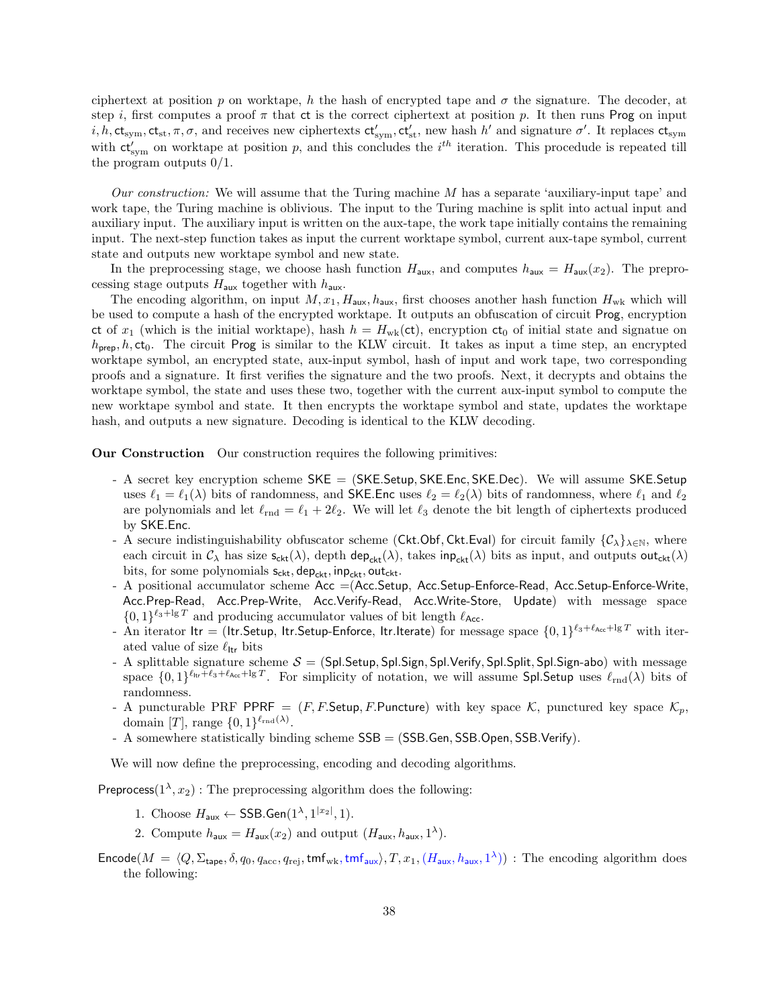ciphertext at position *p* on worktape, *h* the hash of encrypted tape and  $\sigma$  the signature. The decoder, at step *i*, first computes a proof  $\pi$  that ct is the correct ciphertext at position *p*. It then runs Prog on input  $i, h, \text{ct}_{sym}, \text{ct}_{st}, \pi, \sigma$ , and receives new ciphertexts  $\text{ct}'_{sym}, \text{ct}'_{st}$ , new hash *h'* and signature  $\sigma'$ . It replaces  $\text{ct}_{sym}$ with  $ct'_{sym}$  on worktape at position *p*, and this concludes the  $i<sup>th</sup>$  iteration. This procedude is repeated till the program outputs 0*/*1.

*Our construction:* We will assume that the Turing machine *M* has a separate 'auxiliary-input tape' and work tape, the Turing machine is oblivious. The input to the Turing machine is split into actual input and auxiliary input. The auxiliary input is written on the aux-tape, the work tape initially contains the remaining input. The next-step function takes as input the current worktape symbol, current aux-tape symbol, current state and outputs new worktape symbol and new state.

In the preprocessing stage, we choose hash function  $H_{\text{aux}}$ , and computes  $h_{\text{aux}} = H_{\text{aux}}(x_2)$ . The preprocessing stage outputs  $H_{\text{aux}}$  together with  $h_{\text{aux}}$ .

The encoding algorithm, on input  $M, x_1, H_{\text{aux}}, h_{\text{aux}}$ , first chooses another hash function  $H_{\text{wk}}$  which will be used to compute a hash of the encrypted worktape. It outputs an obfuscation of circuit Prog, encryption ct of  $x_1$  (which is the initial worktape), hash  $h = H_{wk}(ct)$ , encryption  $ct_0$  of initial state and signatue on  $h_{\text{prep}}$ , h, ct<sub>0</sub>. The circuit Prog is similar to the KLW circuit. It takes as input a time step, an encrypted worktape symbol, an encrypted state, aux-input symbol, hash of input and work tape, two corresponding proofs and a signature. It first verifies the signature and the two proofs. Next, it decrypts and obtains the worktape symbol, the state and uses these two, together with the current aux-input symbol to compute the new worktape symbol and state. It then encrypts the worktape symbol and state, updates the worktape hash, and outputs a new signature. Decoding is identical to the KLW decoding.

**Our Construction** Our construction requires the following primitives:

- A secret key encryption scheme SKE = (SKE*.*Setup*,* SKE*.*Enc*,* SKE*.*Dec). We will assume SKE*.*Setup uses  $\ell_1 = \ell_1(\lambda)$  bits of randomness, and SKE. Enc uses  $\ell_2 = \ell_2(\lambda)$  bits of randomness, where  $\ell_1$  and  $\ell_2$ are polynomials and let  $\ell_{\rm rnd} = \ell_1 + 2\ell_2$ . We will let  $\ell_3$  denote the bit length of ciphertexts produced by SKE*.*Enc.
- A secure indistinguishability obfuscator scheme (Ckt*.*Obf*,* Ckt*.*Eval) for circuit family *{Cλ}<sup>λ</sup>∈*N, where each circuit in  $C_{\lambda}$  has size  $s_{\text{ckt}}(\lambda)$ , depth  $\text{dep}_{\text{ckt}}(\lambda)$ , takes  $\text{inp}_{\text{ckt}}(\lambda)$  bits as input, and outputs  $\text{out}_{\text{ckt}}(\lambda)$ bits, for some polynomials  $\mathsf{s}_\mathsf{ckt}, \mathsf{dep}_\mathsf{ckt}, \mathsf{inp}_\mathsf{ckt}, \mathsf{out}_\mathsf{ckt}.$
- A positional accumulator scheme Acc =(Acc*.*Setup, Acc*.*Setup-Enforce-Read, Acc*.*Setup-Enforce-Write, Acc*.*Prep-Read, Acc*.*Prep-Write, Acc*.*Verify-Read, Acc*.*Write-Store, Update) with message space  $\{0,1\}^{\ell_3+\lg T}$  and producing accumulator values of bit length  $\ell_{\text{Acc}}$ .
- An iterator Itr = (Itr*.*Setup, Itr*.*Setup-Enforce, Itr*.*Iterate) for message space *{*0*,* 1*} <sup>ℓ</sup>*3+*ℓ*Acc+lg *<sup>T</sup>* with iterated value of size *ℓ*Itr bits
- A splittable signature scheme *S* = (Spl*.*Setup*,* Spl*.*Sign*,* Spl*.*Verify*,* Spl*.*Split*,* Spl*.*Sign-abo) with message space  $\{0,1\}^{\ell_{\text{Itr}}+\ell_3+\ell_{\text{Acc}}+\lg T}$ . For simplicity of notation, we will assume Spl. Setup uses  $\ell_{\text{rnd}}(\lambda)$  bits of randomness.
- A puncturable PRF PPRF =  $(F, F.$  Setup, F. Puncture) with key space  $K$ , punctured key space  $K_p$ , domain [*T*], range  $\{0, 1\}^{\ell_{\text{rnd}}(\lambda)}$ .
- A somewhere statistically binding scheme SSB = (SSB*.*Gen*,* SSB*.*Open*,* SSB*.*Verify).

We will now define the preprocessing, encoding and decoding algorithms.

Preprocess( $1^{\lambda}, x_2$ ) : The preprocessing algorithm does the following:

- 1. Choose  $H_{\text{aux}} \leftarrow \text{SSB.Gen}(1^{\lambda}, 1^{|x_2|}, 1)$ .
- 2. Compute  $h_{\text{aux}} = H_{\text{aux}}(x_2)$  and output  $(H_{\text{aux}}, h_{\text{aux}}, 1^{\lambda}).$
- $\mathsf{Encode}(M = \langle Q, \Sigma_{\mathsf{tape}}, \delta, q_0, q_{\mathrm{acc}}, q_{\mathrm{rej}}, \mathsf{tmf}_{\mathrm{wk}}, \mathsf{tmf}_{\mathrm{aux}} \rangle, T, x_1, (H_{\mathsf{aux}}, h_{\mathsf{aux}}, 1^\lambda))$ : The encoding algorithm does the following: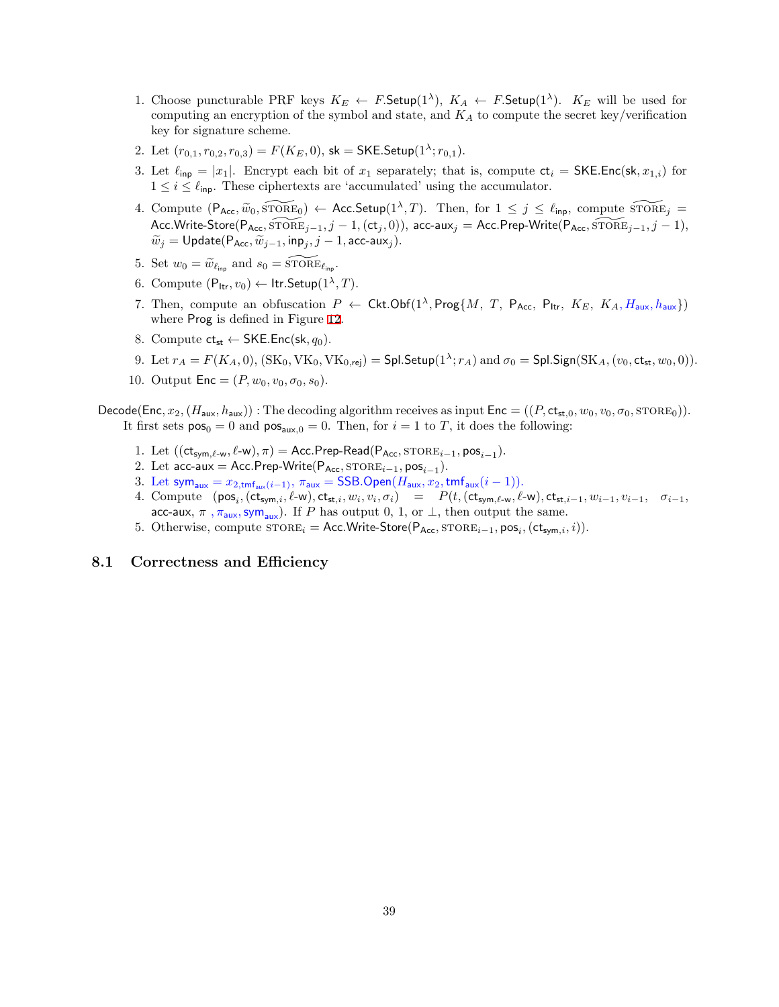- 1. Choose puncturable PRF keys  $K_E \leftarrow F$ . Setup(1<sup> $\lambda$ </sup>),  $K_A \leftarrow F$ . Setup(1<sup> $\lambda$ </sup>).  $K_E$  will be used for computing an encryption of the symbol and state, and *K<sup>A</sup>* to compute the secret key/verification key for signature scheme.
- 2. Let  $(r_{0,1}, r_{0,2}, r_{0,3}) = F(K_E, 0)$ , sk = SKE.Setup( $1^{\lambda}; r_{0,1}$ ).
- 3. Let  $\ell_{\text{inp}} = |x_1|$ . Encrypt each bit of  $x_1$  separately; that is, compute  $ct_i = \text{SKE}$ *Enc(sk, x*<sub>1*,i*</sub>) for  $1 \leq i \leq \ell_{\text{inp}}$ . These ciphertexts are 'accumulated' using the accumulator. 4. Let  $(r_{0,1}, r_{0,2}, r_{0,3}) = F(K_E, 0)$ , sk = SKE.Setu<br>
3. Let  $\ell_{\text{inp}} = |x_1|$ . Encrypt each bit of  $x_1$  sepan<br>  $1 \le i \le \ell_{\text{inp}}$ . These ciphertexts are 'accumulat<br>
4. Compute  $(P_{\text{Acc}}, \widetilde{w}_0, \widetilde{\text{STORE}}_0) \leftarrow \text{Acc}.\text{Setup}(1^{\lambda})$
- *, T*). Then, for  $1 \leq j \leq \ell_{\text{inp}}$ , compute  $\widetilde{\text{STORE}}_j$  =  $Acc.Write-Store(P<sub>Acc</sub>, STORE<sub>i</sub> -1, j - 1, (ct<sub>i</sub>, 0)),$  acc-aux<sub>*j*</sub> = Acc.Prep-Write(P<sub>Acc</sub>, STORE<sub>*j*</sub>-1, j − 1), *W*ere  $i \leq \ell_{\mathsf{inp}}$ . These ciphertex<br>
Compute (P<sub>Acc</sub>,  $\widetilde{w}_0$ , STORE<sub>0</sub>)<br>
Acc.Write-Store(P<sub>Acc</sub>, STORE<sub>*j</sub>*<br>  $\widetilde{w}_j = \mathsf{Update}(P_{\mathsf{Acc}}, \widetilde{w}_{j-1}, \mathsf{inp}_j)$ </sub>  $\widetilde{w}_j = \mathsf{Update}(\mathsf{P}_{\mathsf{Acc}}, \widetilde{w}_{j-1}, \mathsf{inp}_j, j-1, \mathsf{acc}\text{-}\mathsf{aux}_j).$ 4. Compute  $(P_{Acc}, \widetilde{w}_0, \widetilde{space}_0) \leftarrow A$ <br>
Acc.Write-Store $(P_{Acc}, \widetilde{space}_{j-1}, j$ <br>  $\widetilde{w}_j = \text{Update}(P_{Acc}, \widetilde{w}_{j-1}, \text{inp}_j, j - 1)$ <br>
5. Set  $w_0 = \widetilde{w}_{\ell_{\text{inp}}}$  and  $s_0 = \widetilde{space}_{\ell_{\text{inp}}}$ .
- 
- 6. Compute  $(P_{\text{Itr}}, v_0) \leftarrow \text{Itr}.\text{Setup}(1^{\lambda}, T)$ .
- 7. Then, compute an obfuscation  $P \leftarrow \text{Ckt.Dbf}(1^{\lambda}, \text{Prog}\{M, T, P_{\text{Acc}}, P_{\text{Itr}}, K_E, K_A, H_{\text{aux}}, h_{\text{aux}}\})$ where Prog is defined in Figure [12.](#page-39-0)
- 8. Compute  $ct_{st} \leftarrow$  SKE.Enc(sk,  $q_0$ ).
- 9. Let  $r_A = F(K_A, 0)$ ,  $(SK_0, VK_0, VK_{0,\text{rej}}) = \text{Spl}$ . Setup $(1^{\lambda}; r_A)$  and  $\sigma_0 = \text{Spl}$ . Sign $(SK_A, (v_0, ct_{st}, w_0, 0))$ .
- 10. Output  $\text{Enc} = (P, w_0, v_0, \sigma_0, s_0)$ .

 $\text{Decode}(\text{Enc}, x_2, (H_{\text{aux}}, h_{\text{aux}}))$ : The decoding algorithm receives as input  $\text{Enc} = ((P, \text{ct}_{\text{st},0}, w_0, v_0, \sigma_0, \text{score}_0))$ . It first sets  $pos_0 = 0$  and  $pos_{aux,0} = 0$ . Then, for  $i = 1$  to *T*, it does the following:

- 1. Let  $((ct_{sym,\ell-w}, \ell-w), \pi) = Acc.Prep-Read(P_{Acc}, \text{STORE}_{i-1}, pos_{i-1}).$
- 2. Let  $acc$ -aux = Acc.Prep-Write( $P_{Acc}$ ,  $score_{i-1}$ ,  $pos_{i-1}$ ).
- 3. Let  $\mathsf{sym}_{\mathsf{aux}} = x_{2,\mathsf{tmf}_{\mathsf{aux}}(i-1)}, \pi_{\mathsf{aux}} = \mathsf{SSB}.\mathsf{Open}(H_{\mathsf{aux}}, x_2, \mathsf{tmf}_{\mathsf{aux}}(i-1)).$
- 4. Compute  $(\text{pos}_{i}, (\text{ct}_{\text{sym},i}, \ell-w), \text{ct}_{\text{st},i}, w_{i}, v_{i}, \sigma_{i}) = P(t, (\text{ct}_{\text{sym}, \ell-w}, \ell-w), \text{ct}_{\text{st},i-1}, w_{i-1}, v_{i-1}, \sigma_{i-1}, \sigma_{i-1}, \sigma_{i-1}, \sigma_{i-1}, \sigma_{i-1}, \sigma_{i-1}, \sigma_{i-1}, \sigma_{i-1}, \sigma_{i-1}, \sigma_{i-1}, \sigma_{i-1}, \sigma_{i-1}, \sigma_{i-1}, \sigma_{i-1}, \sigma_{i-1}, \sigma_{i-1}, \$ acc-aux,  $\pi$ ,  $\pi_{\text{aux}}$ , sym<sub>aux</sub>). If *P* has output 0, 1, or  $\perp$ , then output the same.
- 5. Otherwise, compute  $\text{STORE}_i = \text{Acc}.\text{Write-Store}(P_{\text{Acc}}, \text{STORE}_{i-1}, \text{pos}_i, (\text{ct}_{\text{sym},i}, i)).$

### **8.1 Correctness and Efficiency**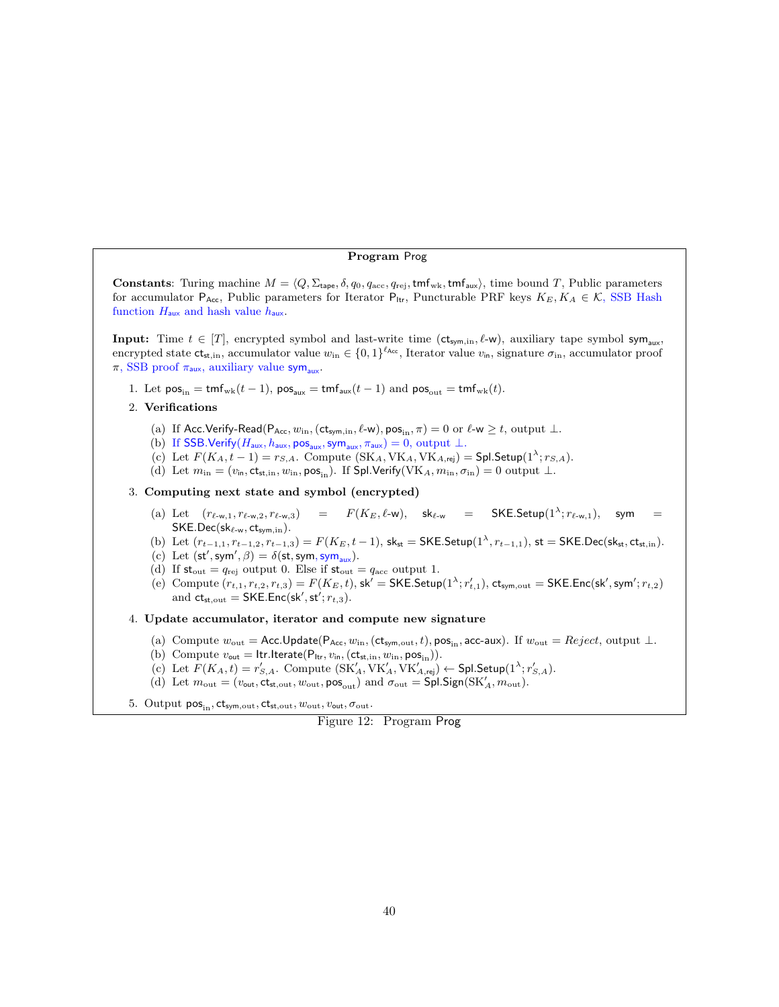### **Program** Prog

<span id="page-39-0"></span>**Constants**: Turing machine  $M = \langle Q, \Sigma_{\text{tape}}, \delta, q_0, q_{\text{acc}}, q_{\text{rej}}, \text{tmf}_{\text{wk}}, \text{tmf}_{\text{aux}} \rangle$ , time bound *T*, Public parameters for accumulator  $P_{Acc}$ , Public parameters for Iterator  $P_{itr}$ , Puncturable PRF keys  $K_E, K_A \in \mathcal{K}$ , SSB Hash function  $H_{\text{aux}}$  and hash value  $h_{\text{aux}}$ .

**Input:** Time  $t \in [T]$ , encrypted symbol and last-write time ( $ct_{sym,in}, \ell-w$ ), auxiliary tape symbol sym<sub>aux</sub>, encrypted state  $ct_{st,in}$ , accumulator value  $w_{in} \in \{0,1\}^{\ell_{Acc}}$ , Iterator value  $v_{in}$ , signature  $\sigma_{in}$ , accumulator proof  $\pi$ , SSB proof  $\pi_{\text{aux}}$ , auxiliary value sym<sub>aux</sub>.

- 1. Let  $pos_{\text{in}} = \text{tmf}_{\text{wk}}(t-1)$ ,  $pos_{\text{aux}} = \text{tmf}_{\text{aux}}(t-1)$  and  $pos_{\text{out}} = \text{tmf}_{\text{wk}}(t)$ .
- 2. **Verifications**
	- (a) If Acc.Verify-Read( $P_{Acc}, w_{in}$ , ( $ct_{sym,in}, \ell-w$ ),  $pos_{in}, \pi$ ) = 0 or  $\ell-w \geq t$ , output  $\bot$ .
	- (b) If SSB.Verify( $H_{\text{aux}}, h_{\text{aux}},$  pos<sub>aux</sub>, sym<sub>aux</sub>,  $\pi_{\text{aux}}) = 0$ , output  $\perp$ .
	- (c) Let  $F(K_A, t-1) = r_{S,A}$ . Compute  $(SK_A, VK_A, VK_{A, \text{rej}}) = \text{Spl}.\text{Setup}(1^{\lambda}; r_{S,A}).$
	- (d) Let  $m_{\text{in}} = (v_{\text{in}}, \text{ct}_{\text{st},\text{in}}, w_{\text{in}}, \text{pos}_{\text{in}})$ . If Spl.Verify(VK<sub>A</sub>,  $m_{\text{in}}, \sigma_{\text{in}}) = 0$  output  $\perp$ .

#### 3. **Computing next state and symbol (encrypted)**

- (a) Let  $(r_{\ell-w,1}, r_{\ell-w,2}, r_{\ell-w,3})$  =  $F(K_E, \ell-w),$  sk<sub> $\ell-w$ </sub> =  $SKE.$ Setup $(1^{\lambda}; r_{\ell-w,1}),$  sym = SKE*.*Dec(sk*<sup>ℓ</sup>*-w*,* ctsym*,*in).
- $\text{(b) Let $(r_{t-1,1},r_{t-1,2},r_{t-1,3})$} = F(K_E,t-1)\text{, } \mathsf{sk}_\mathsf{st} = \mathsf{SKE}.\mathsf{Setup}(1^\lambda,r_{t-1,1})\text{, } \mathsf{st} = \mathsf{SKE}.\mathsf{Dec}(\mathsf{sk}_\mathsf{st},\mathsf{ct}_\mathsf{st,in}).$
- $(c)$  Let  $(st', sym', \beta) = \delta(st, sym, sym_{aux}).$
- (d) If  $st_{\text{out}} = q_{\text{rej}}$  output 0. Else if  $st_{\text{out}} = q_{\text{acc}}$  output 1.
- (e) Compute  $(r_{t,1},r_{t,2},r_{t,3})=F(K_E,t)$ , sk' = SKE.Setup $(1^{\lambda};r'_{t,1})$ , ct<sub>sym,out</sub> = SKE.Enc(sk', sym';  $r_{t,2})$ and  $ct_{st,out} = SKE.Enc(sk', st'; r_{t,3}).$

## 4. **Update accumulator, iterator and compute new signature**

- (a) Compute  $w_{\text{out}} = \text{Acc}.\text{Update}(P_{\text{Acc}}, w_{\text{in}},(\text{ct}_{\text{sym,out}}, t), \text{pos}_{\text{in}}, \text{acc-aux}).$  If  $w_{\text{out}} = Reject$ , output  $\bot$ .
- (b) Compute  $v_{\text{out}} = \text{ltr}.\text{Iterate}(P_{\text{ltr}}, v_{\text{in}},(ct_{\text{st,in}},w_{\text{in}}, \text{pos}_{\text{in}})).$
- (c) Let  $F(K_A, t) = r'_{S, A}$ . Compute  $(SK'_A, VK'_A, VK'_{A, rej}) \leftarrow$  Spl. Setup $(1^{\lambda}; r'_{S, A})$ .
- (d) Let  $m_{\text{out}} = (v_{\text{out}}, \text{ct}_{\text{st},\text{out}}, w_{\text{out}}, \text{pos}_{\text{out}})$  and  $\sigma_{\text{out}} = \text{Spl}.\text{Sign}(\text{SK}'_A, m_{\text{out}})$ .

# Figure 12: Program Prog

<sup>5.</sup> Output  $pos_{in}$ ,  $ct_{sym,out}$ ,  $ct_{st,out}$ ,  $w_{out}$ ,  $v_{out}$ ,  $\sigma_{out}$ .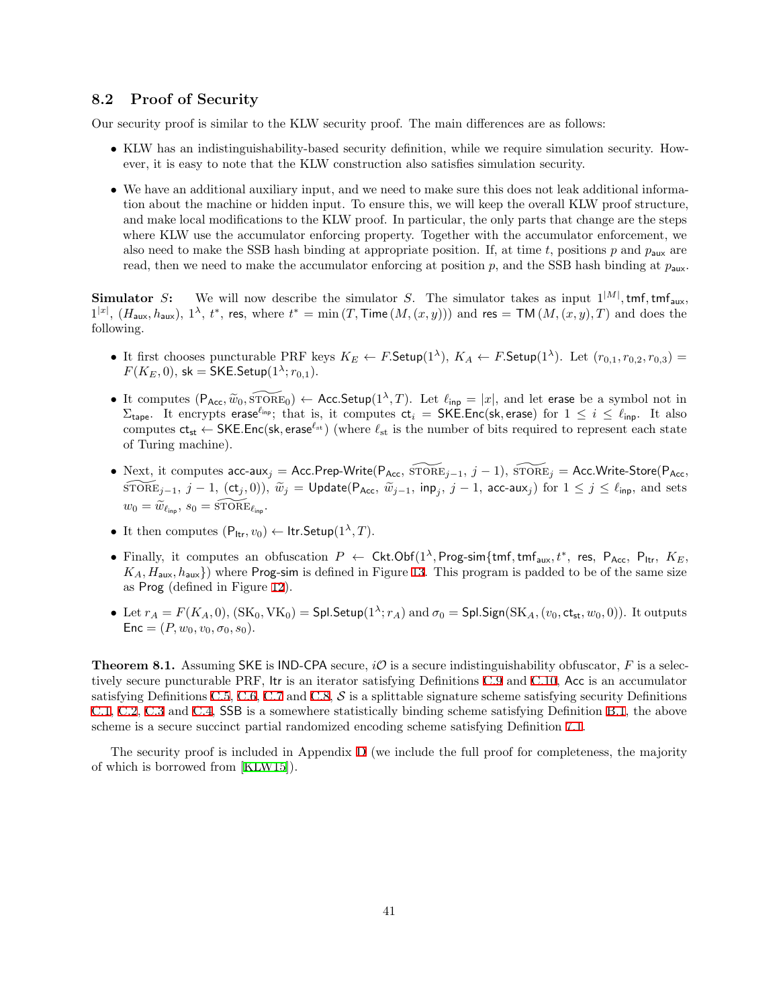# **8.2 Proof of Security**

Our security proof is similar to the KLW security proof. The main differences are as follows:

- KLW has an indistinguishability-based security definition, while we require simulation security. However, it is easy to note that the KLW construction also satisfies simulation security.
- We have an additional auxiliary input, and we need to make sure this does not leak additional information about the machine or hidden input. To ensure this, we will keep the overall KLW proof structure, and make local modifications to the KLW proof. In particular, the only parts that change are the steps where KLW use the accumulator enforcing property. Together with the accumulator enforcement, we also need to make the SSB hash binding at appropriate position. If, at time *t*, positions *p* and *p*aux are read, then we need to make the accumulator enforcing at position *p*, and the SSB hash binding at *p*aux.

**Simulator** *S*: We will now describe the simulator *S*. The simulator takes as input  $1^{|M|}$ , tmf, tmf<sub>aux</sub>,  $1^{|x|}$ ,  $(H_{\mathsf{aux}}, h_{\mathsf{aux}}), 1^\lambda, t^*$ , res, where  $t^* = \min(T, \mathsf{Time}\,(M,(x,y)))$  and res =  $\mathsf{TM}\,(M,(x,y),T)$  and does the following.

- It first chooses puncturable PRF keys  $K_E \leftarrow F$ . Setup(1<sup> $\lambda$ </sup>),  $K_A \leftarrow F$ . Setup(1<sup> $\lambda$ </sup>). Let  $(r_{0,1}, r_{0,2}, r_{0,3})$  =  $F(K_E, 0)$ , sk = SKE.Setup $(1^{\lambda}; r_{0,1})$ . • It first chooses puncturable PRF keys  $K_E \leftarrow F$ <br>  $F(K_E, 0)$ , sk = SKE.Setup(1<sup>λ</sup>;  $r_{0,1}$ ).<br>
● It computes (P<sub>Acc</sub>,  $\widetilde{w}_0$ ,  $\widetilde{\text{STORE}}_0$ ) ← Acc.Setup(1<sup>λ</sup>
- *, T*). Let  $\ell_{\mathsf{inp}} = |x|$ , and let erase be a symbol not in  $\Sigma_{\text{tape}}$ . It encrypts erase<sup> $\ell_{\text{inp}}$ </sup>; that is, it computes  $\mathsf{ct}_i = \mathsf{SKE}.\mathsf{Enc}(\mathsf{sk},\mathsf{erase})$  for  $1 \leq i \leq \ell_{\text{inp}}$ . It also computes  $ct_{st}$  ← SKE.Enc(sk, erase<sup> $\ell_{st}$ </sup>) (where  $\ell_{st}$  is the number of bits required to represent each state of Turing machine).
- Next, it computes acc-aux<sub>*j*</sub> = Acc.Prep-Write(P<sub>Acc</sub>,  $\widetilde{\text{STORE}}_{j-1}, j-1$ ),  $\widetilde{\text{STORE}}_j$  = Acc.Write-Store(P<sub>Acc</sub>, computes  $ct_{st} \leftarrow$  SKE.Enc(sk, erase<sup>c<sub>st</sub>)</sup> (where  $\ell_{st}$  is the number of bits required to represent each state<br>of Turing machine).<br>Next, it computes acc-aux<sub>j</sub> = Acc.Prep-Write(P<sub>Acc</sub>,  $\widehat{STORE}_{j-1}$ ,  $j-1$ ),  $\widehat{STORE}_{j$ *Wext*, it computes acc-aux<br>  $\widetilde{\text{STORE}}_{j-1}, j-1, (\text{ct}_j, 0)$ .<br>  $w_0 = \widetilde{w}_{\ell_{\text{inp}}}, s_0 = \widetilde{\text{STORE}}_{\ell_{\text{inp}}}.$
- It then computes  $(P_{\text{Itr}}, v_0) \leftarrow \text{Itr}.\text{Setup}(1^{\lambda}, T)$ .
- *•* Finally, it computes an obfuscation  $P$  ← Ckt.Obf(1<sup> $λ$ </sup>, Prog-sim{tmf, tmf<sub>aux</sub>,  $t^*$ , res, P<sub>Acc</sub>, P<sub>Itr</sub>,  $K_E$ ,  $K_A$ ,  $H_{\text{aux}}$ ,  $h_{\text{aux}}$ }) where Prog-sim is defined in Figure [13.](#page-41-0) This program is padded to be of the same size as Prog (defined in Figure [12\)](#page-39-0).
- Let  $r_A = F(K_A, 0)$ ,  $(SK_0, VK_0) =$  Spl.Setup $(1^{\lambda}; r_A)$  and  $\sigma_0 =$  Spl.Sign $(SK_A, (v_0, ct_{st}, w_0, 0))$ . It outputs  $Enc = (P, w_0, v_0, \sigma_0, s_0).$

<span id="page-40-0"></span>**Theorem 8.1.** Assuming SKE is IND-CPA secure,  $i\mathcal{O}$  is a secure indistinguishability obfuscator,  $F$  is a selectively secure puncturable PRF, Itr is an iterator satisfying Definitions [C.9](#page-55-0) and [C.10,](#page-55-1) Acc is an accumulator satisfying Definitions [C.5,](#page-53-0) [C.6,](#page-53-1) [C.7](#page-54-0) and [C.8](#page-54-1),  $\mathcal S$  is a splittable signature scheme satisfying security Definitions [C.1,](#page-51-0) [C.2,](#page-51-1) [C.3](#page-51-2) and [C.4,](#page-52-0) SSB is a somewhere statistically binding scheme satisfying Definition [B.1,](#page-48-0) the above scheme is a secure succinct partial randomized encoding scheme satisfying Definition [7.1.](#page-36-0)

The security proof is included in Appendix [D](#page-55-2) (we include the full proof for completeness, the majority of which is borrowed from [[KLW15\]](#page-44-0)).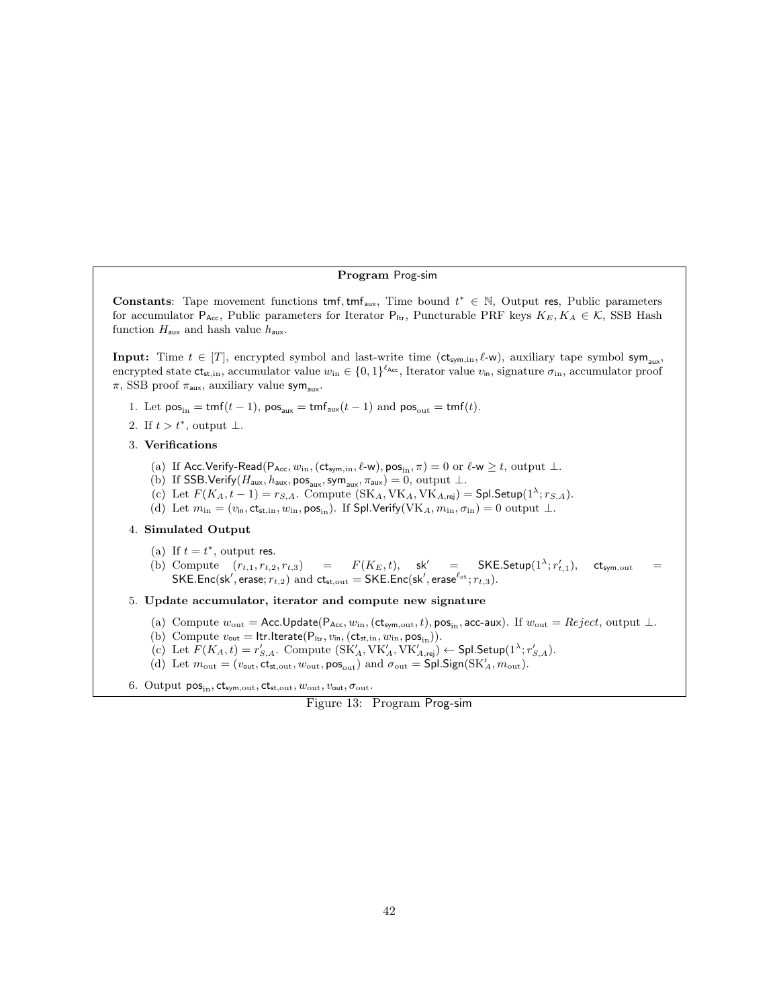#### **Program** Prog-sim

<span id="page-41-0"></span>**Constants**: Tape movement functions  $tmf, tmf_{aux}$ , Time bound  $t^* \in \mathbb{N}$ , Output res, Public parameters for accumulator  $P_{Acc}$ , Public parameters for Iterator  $P_{itr}$ , Puncturable PRF keys  $K_E, K_A \in \mathcal{K}$ , SSB Hash function  $H_{\text{aux}}$  and hash value  $h_{\text{aux}}$ .

**Input:** Time  $t \in [T]$ , encrypted symbol and last-write time ( $ct_{sym,in}, \ell-w$ ), auxiliary tape symbol sym<sub>aux</sub>, encrypted state  $ct_{st,in}$ , accumulator value  $w_{in} \in \{0,1\}^{\ell_{Acc}}$ , Iterator value  $v_{in}$ , signature  $\sigma_{in}$ , accumulator proof  $\pi$ , SSB proof  $\pi_{\text{aux}}$ , auxiliary value sym<sub>aux</sub>.

- 1. Let  $pos_{\text{in}} = \text{tmf}(t-1)$ ,  $pos_{\text{aux}} = \text{tmf}_{\text{aux}}(t-1)$  and  $pos_{\text{out}} = \text{tmf}(t)$ .
- 2. If *t > t<sup>∗</sup>* , output *⊥*.

### 3. **Verifications**

- (a) If Acc.Verify-Read( $P_{Acc}, w_{in}$ , ( $ct_{sym,in}, \ell-w$ ),  $pos_{in}, \pi) = 0$  or  $\ell-w \geq t$ , output  $\bot$ .
- (b) If SSB.Verify $(H_{\text{aux}}, h_{\text{aux}}, \text{pos}_{\text{aux}}, \text{sym}_{\text{aux}}, \pi_{\text{aux}}) = 0$ , output ⊥.
- (c) Let  $F(K_A, t-1) = r_{S,A}$ . Compute  $(SK_A, VK_A, VK_{A, \text{rej}}) = \text{Spl}.\text{Setup}(1^{\lambda}; r_{S,A}).$
- (d) Let  $m_{\text{in}} = (v_{\text{in}}, \text{ct}_{\text{st},\text{in}}, w_{\text{in}}, \text{pos}_{\text{in}})$ . If Spl.Verify(VK<sub>A</sub>,  $m_{\text{in}}, \sigma_{\text{in}}) = 0$  output  $\perp$ .

#### 4. **Simulated Output**

- (a) If  $t = t^*$ , output res.
- (b) Compute  $(r_{t,1}, r_{t,2}, r_{t,3})$  =  $F(K_E, t)$ , sk<sup>'</sup>  $\langle r'_{t,1} \rangle, \quad \mathsf{ct}_{\mathsf{sym,out}} \quad =$  $SKE.Enc(sk', erase; r_{t,2})$  and  $ct_{st,out} = SKE.Enc(sk', erase<sup>l<sub>st</sub></sup>; r_{t,3})$ .

#### 5. **Update accumulator, iterator and compute new signature**

- (a) Compute  $w_{\text{out}} = \text{Acc}.\text{Update}(P_{\text{Acc}}, w_{\text{in}}, (\text{ct}_{\text{sym},\text{out}}, t), \text{pos}_{\text{in}}, \text{acc-aux})$ . If  $w_{\text{out}} = Reject$ , output  $\perp$ .
- (b) Compute  $v_{\text{out}} = \text{Itr}.\text{Iterate}(P_{\text{ltr}}, v_{\text{in}}, (\text{ct}_{\text{st},\text{in}}, w_{\text{in}}, \text{pos}_{\text{in}})).$
- (c) Let  $F(K_A, t) = r'_{S, A}$ . Compute  $(SK'_A, VK'_A, VK'_{A, rej}) \leftarrow$  Spl. Setup $(1^{\lambda}; r'_{S, A})$ .
- (d) Let  $m_{\text{out}} = (v_{\text{out}}, \text{ct}_{\text{st},\text{out}}, w_{\text{out}}, \text{pos}_{\text{out}})$  and  $\sigma_{\text{out}} = \text{Spl}.\text{Sign}(\text{SK}'_A, m_{\text{out}})$ .
- 6. Output  $pos_{in}, ct_{sym,out}, ct_{st,out}, w_{out}, v_{out}, \sigma_{out}.$

## Figure 13: Program Prog-sim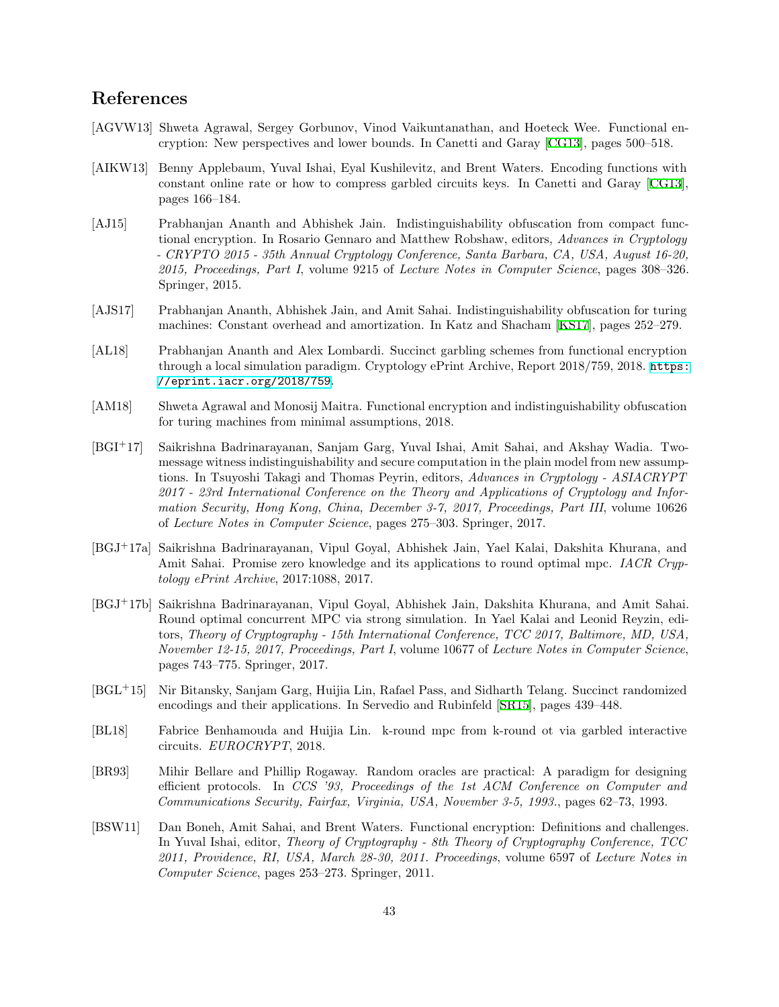# **References**

- [AGVW13] Shweta Agrawal, Sergey Gorbunov, Vinod Vaikuntanathan, and Hoeteck Wee. Functional encryption: New perspectives and lower bounds. In Canetti and Garay [[CG13](#page-43-0)], pages 500–518.
- [AIKW13] Benny Applebaum, Yuval Ishai, Eyal Kushilevitz, and Brent Waters. Encoding functions with constant online rate or how to compress garbled circuits keys. In Canetti and Garay [[CG13\]](#page-43-0), pages 166–184.
- [AJ15] Prabhanjan Ananth and Abhishek Jain. Indistinguishability obfuscation from compact functional encryption. In Rosario Gennaro and Matthew Robshaw, editors, *Advances in Cryptology - CRYPTO 2015 - 35th Annual Cryptology Conference, Santa Barbara, CA, USA, August 16-20, 2015, Proceedings, Part I*, volume 9215 of *Lecture Notes in Computer Science*, pages 308–326. Springer, 2015.
- [AJS17] Prabhanjan Ananth, Abhishek Jain, and Amit Sahai. Indistinguishability obfuscation for turing machines: Constant overhead and amortization. In Katz and Shacham [\[KS17\]](#page-44-1), pages 252–279.
- [AL18] Prabhanjan Ananth and Alex Lombardi. Succinct garbling schemes from functional encryption through a local simulation paradigm. Cryptology ePrint Archive, Report 2018/759, 2018. [https:](https://eprint.iacr.org/2018/759) [//eprint.iacr.org/2018/759](https://eprint.iacr.org/2018/759).
- [AM18] Shweta Agrawal and Monosij Maitra. Functional encryption and indistinguishability obfuscation for turing machines from minimal assumptions, 2018.
- [BGI<sup>+</sup>17] Saikrishna Badrinarayanan, Sanjam Garg, Yuval Ishai, Amit Sahai, and Akshay Wadia. Twomessage witness indistinguishability and secure computation in the plain model from new assumptions. In Tsuyoshi Takagi and Thomas Peyrin, editors, *Advances in Cryptology - ASIACRYPT 2017 - 23rd International Conference on the Theory and Applications of Cryptology and Information Security, Hong Kong, China, December 3-7, 2017, Proceedings, Part III*, volume 10626 of *Lecture Notes in Computer Science*, pages 275–303. Springer, 2017.
- [BGJ<sup>+</sup>17a] Saikrishna Badrinarayanan, Vipul Goyal, Abhishek Jain, Yael Kalai, Dakshita Khurana, and Amit Sahai. Promise zero knowledge and its applications to round optimal mpc. *IACR Cryptology ePrint Archive*, 2017:1088, 2017.
- [BGJ<sup>+</sup>17b] Saikrishna Badrinarayanan, Vipul Goyal, Abhishek Jain, Dakshita Khurana, and Amit Sahai. Round optimal concurrent MPC via strong simulation. In Yael Kalai and Leonid Reyzin, editors, *Theory of Cryptography - 15th International Conference, TCC 2017, Baltimore, MD, USA, November 12-15, 2017, Proceedings, Part I*, volume 10677 of *Lecture Notes in Computer Science*, pages 743–775. Springer, 2017.
- <span id="page-42-0"></span>[BGL<sup>+</sup>15] Nir Bitansky, Sanjam Garg, Huijia Lin, Rafael Pass, and Sidharth Telang. Succinct randomized encodings and their applications. In Servedio and Rubinfeld [[SR15\]](#page-45-0), pages 439–448.
- [BL18] Fabrice Benhamouda and Huijia Lin. k-round mpc from k-round ot via garbled interactive circuits. *EUROCRYPT*, 2018.
- [BR93] Mihir Bellare and Phillip Rogaway. Random oracles are practical: A paradigm for designing efficient protocols. In *CCS '93, Proceedings of the 1st ACM Conference on Computer and Communications Security, Fairfax, Virginia, USA, November 3-5, 1993.*, pages 62–73, 1993.
- [BSW11] Dan Boneh, Amit Sahai, and Brent Waters. Functional encryption: Definitions and challenges. In Yuval Ishai, editor, *Theory of Cryptography - 8th Theory of Cryptography Conference, TCC 2011, Providence, RI, USA, March 28-30, 2011. Proceedings*, volume 6597 of *Lecture Notes in Computer Science*, pages 253–273. Springer, 2011.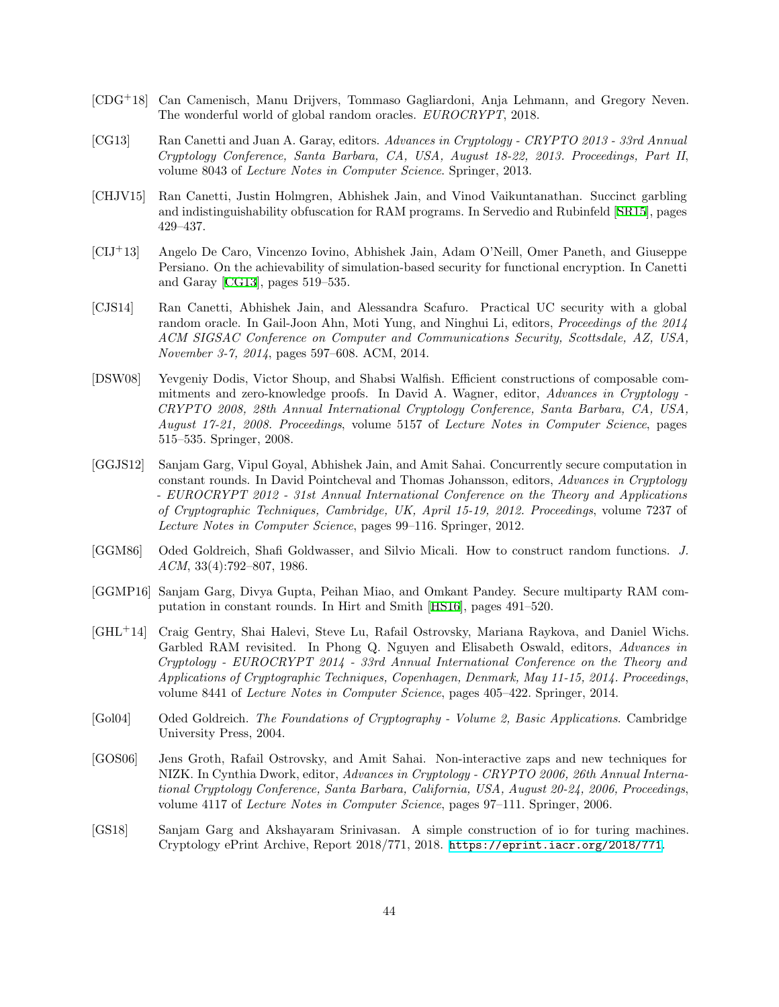- [CDG<sup>+</sup>18] Can Camenisch, Manu Drijvers, Tommaso Gagliardoni, Anja Lehmann, and Gregory Neven. The wonderful world of global random oracles. *EUROCRYPT*, 2018.
- <span id="page-43-0"></span>[CG13] Ran Canetti and Juan A. Garay, editors. *Advances in Cryptology - CRYPTO 2013 - 33rd Annual Cryptology Conference, Santa Barbara, CA, USA, August 18-22, 2013. Proceedings, Part II*, volume 8043 of *Lecture Notes in Computer Science*. Springer, 2013.
- <span id="page-43-2"></span>[CHJV15] Ran Canetti, Justin Holmgren, Abhishek Jain, and Vinod Vaikuntanathan. Succinct garbling and indistinguishability obfuscation for RAM programs. In Servedio and Rubinfeld [[SR15\]](#page-45-0), pages 429–437.
- [CIJ<sup>+</sup>13] Angelo De Caro, Vincenzo Iovino, Abhishek Jain, Adam O'Neill, Omer Paneth, and Giuseppe Persiano. On the achievability of simulation-based security for functional encryption. In Canetti and Garay [[CG13\]](#page-43-0), pages 519–535.
- [CJS14] Ran Canetti, Abhishek Jain, and Alessandra Scafuro. Practical UC security with a global random oracle. In Gail-Joon Ahn, Moti Yung, and Ninghui Li, editors, *Proceedings of the 2014 ACM SIGSAC Conference on Computer and Communications Security, Scottsdale, AZ, USA, November 3-7, 2014*, pages 597–608. ACM, 2014.
- [DSW08] Yevgeniy Dodis, Victor Shoup, and Shabsi Walfish. Efficient constructions of composable commitments and zero-knowledge proofs. In David A. Wagner, editor, *Advances in Cryptology - CRYPTO 2008, 28th Annual International Cryptology Conference, Santa Barbara, CA, USA, August 17-21, 2008. Proceedings*, volume 5157 of *Lecture Notes in Computer Science*, pages 515–535. Springer, 2008.
- [GGJS12] Sanjam Garg, Vipul Goyal, Abhishek Jain, and Amit Sahai. Concurrently secure computation in constant rounds. In David Pointcheval and Thomas Johansson, editors, *Advances in Cryptology - EUROCRYPT 2012 - 31st Annual International Conference on the Theory and Applications of Cryptographic Techniques, Cambridge, UK, April 15-19, 2012. Proceedings*, volume 7237 of *Lecture Notes in Computer Science*, pages 99–116. Springer, 2012.
- [GGM86] Oded Goldreich, Shafi Goldwasser, and Silvio Micali. How to construct random functions. *J. ACM*, 33(4):792–807, 1986.
- [GGMP16] Sanjam Garg, Divya Gupta, Peihan Miao, and Omkant Pandey. Secure multiparty RAM computation in constant rounds. In Hirt and Smith [[HS16\]](#page-44-2), pages 491–520.
- [GHL<sup>+</sup>14] Craig Gentry, Shai Halevi, Steve Lu, Rafail Ostrovsky, Mariana Raykova, and Daniel Wichs. Garbled RAM revisited. In Phong Q. Nguyen and Elisabeth Oswald, editors, *Advances in Cryptology - EUROCRYPT 2014 - 33rd Annual International Conference on the Theory and Applications of Cryptographic Techniques, Copenhagen, Denmark, May 11-15, 2014. Proceedings*, volume 8441 of *Lecture Notes in Computer Science*, pages 405–422. Springer, 2014.
- <span id="page-43-1"></span>[Gol04] Oded Goldreich. *The Foundations of Cryptography - Volume 2, Basic Applications*. Cambridge University Press, 2004.
- [GOS06] Jens Groth, Rafail Ostrovsky, and Amit Sahai. Non-interactive zaps and new techniques for NIZK. In Cynthia Dwork, editor, *Advances in Cryptology - CRYPTO 2006, 26th Annual International Cryptology Conference, Santa Barbara, California, USA, August 20-24, 2006, Proceedings*, volume 4117 of *Lecture Notes in Computer Science*, pages 97–111. Springer, 2006.
- [GS18] Sanjam Garg and Akshayaram Srinivasan. A simple construction of io for turing machines. Cryptology ePrint Archive, Report 2018/771, 2018. <https://eprint.iacr.org/2018/771>.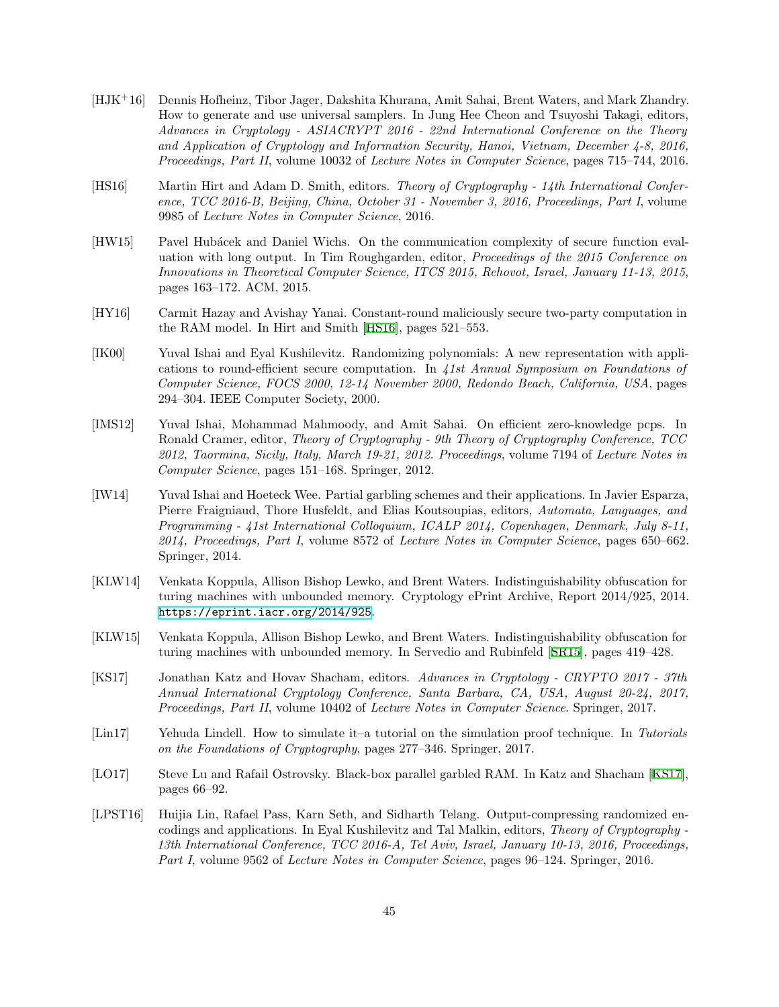- [HJK<sup>+</sup>16] Dennis Hofheinz, Tibor Jager, Dakshita Khurana, Amit Sahai, Brent Waters, and Mark Zhandry. How to generate and use universal samplers. In Jung Hee Cheon and Tsuyoshi Takagi, editors, *Advances in Cryptology - ASIACRYPT 2016 - 22nd International Conference on the Theory and Application of Cryptology and Information Security, Hanoi, Vietnam, December 4-8, 2016, Proceedings, Part II*, volume 10032 of *Lecture Notes in Computer Science*, pages 715–744, 2016.
- <span id="page-44-2"></span>[HS16] Martin Hirt and Adam D. Smith, editors. *Theory of Cryptography - 14th International Conference, TCC 2016-B, Beijing, China, October 31 - November 3, 2016, Proceedings, Part I*, volume 9985 of *Lecture Notes in Computer Science*, 2016.
- <span id="page-44-4"></span>[HW15] Pavel Hubácek and Daniel Wichs. On the communication complexity of secure function evaluation with long output. In Tim Roughgarden, editor, *Proceedings of the 2015 Conference on Innovations in Theoretical Computer Science, ITCS 2015, Rehovot, Israel, January 11-13, 2015*, pages 163–172. ACM, 2015.
- [HY16] Carmit Hazay and Avishay Yanai. Constant-round maliciously secure two-party computation in the RAM model. In Hirt and Smith [[HS16\]](#page-44-2), pages 521–553.
- [IK00] Yuval Ishai and Eyal Kushilevitz. Randomizing polynomials: A new representation with applications to round-efficient secure computation. In *41st Annual Symposium on Foundations of Computer Science, FOCS 2000, 12-14 November 2000, Redondo Beach, California, USA*, pages 294–304. IEEE Computer Society, 2000.
- [IMS12] Yuval Ishai, Mohammad Mahmoody, and Amit Sahai. On efficient zero-knowledge pcps. In Ronald Cramer, editor, *Theory of Cryptography - 9th Theory of Cryptography Conference, TCC 2012, Taormina, Sicily, Italy, March 19-21, 2012. Proceedings*, volume 7194 of *Lecture Notes in Computer Science*, pages 151–168. Springer, 2012.
- [IW14] Yuval Ishai and Hoeteck Wee. Partial garbling schemes and their applications. In Javier Esparza, Pierre Fraigniaud, Thore Husfeldt, and Elias Koutsoupias, editors, *Automata, Languages, and Programming - 41st International Colloquium, ICALP 2014, Copenhagen, Denmark, July 8-11, 2014, Proceedings, Part I*, volume 8572 of *Lecture Notes in Computer Science*, pages 650–662. Springer, 2014.
- <span id="page-44-5"></span>[KLW14] Venkata Koppula, Allison Bishop Lewko, and Brent Waters. Indistinguishability obfuscation for turing machines with unbounded memory. Cryptology ePrint Archive, Report 2014/925, 2014. <https://eprint.iacr.org/2014/925>.
- <span id="page-44-0"></span>[KLW15] Venkata Koppula, Allison Bishop Lewko, and Brent Waters. Indistinguishability obfuscation for turing machines with unbounded memory. In Servedio and Rubinfeld [\[SR15](#page-45-0)], pages 419–428.
- <span id="page-44-1"></span>[KS17] Jonathan Katz and Hovav Shacham, editors. *Advances in Cryptology - CRYPTO 2017 - 37th Annual International Cryptology Conference, Santa Barbara, CA, USA, August 20-24, 2017, Proceedings, Part II*, volume 10402 of *Lecture Notes in Computer Science*. Springer, 2017.
- <span id="page-44-3"></span>[Lin17] Yehuda Lindell. How to simulate it–a tutorial on the simulation proof technique. In *Tutorials on the Foundations of Cryptography*, pages 277–346. Springer, 2017.
- [LO17] Steve Lu and Rafail Ostrovsky. Black-box parallel garbled RAM. In Katz and Shacham [[KS17\]](#page-44-1), pages 66–92.
- [LPST16] Huijia Lin, Rafael Pass, Karn Seth, and Sidharth Telang. Output-compressing randomized encodings and applications. In Eyal Kushilevitz and Tal Malkin, editors, *Theory of Cryptography - 13th International Conference, TCC 2016-A, Tel Aviv, Israel, January 10-13, 2016, Proceedings, Part I*, volume 9562 of *Lecture Notes in Computer Science*, pages 96–124. Springer, 2016.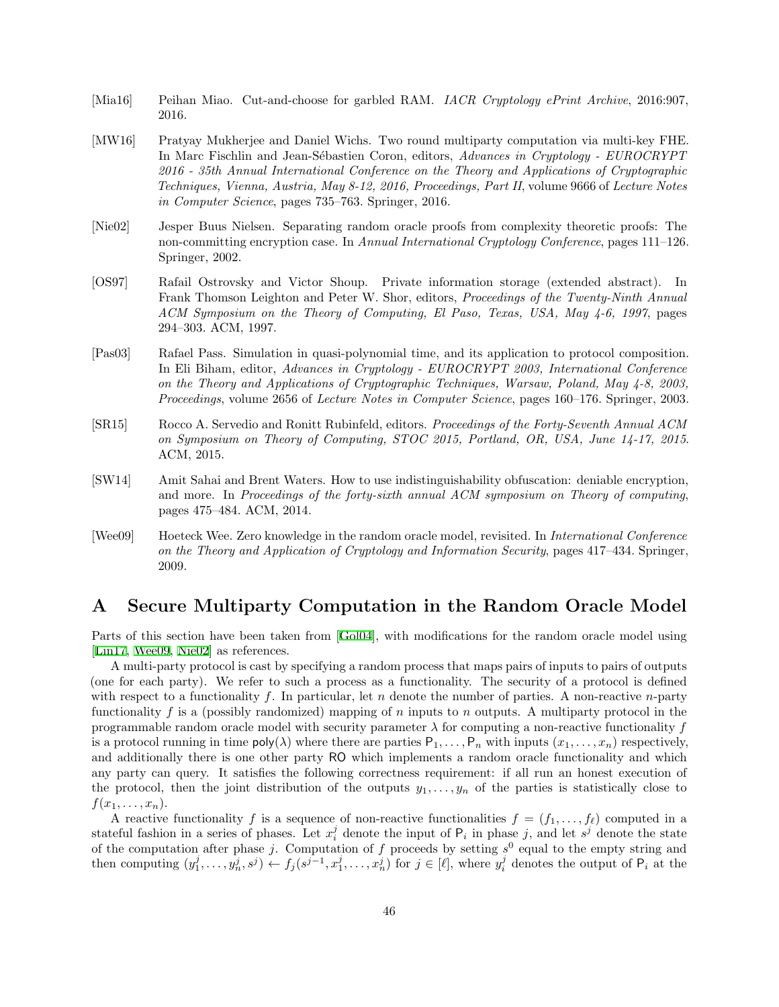- [Mia16] Peihan Miao. Cut-and-choose for garbled RAM. *IACR Cryptology ePrint Archive*, 2016:907, 2016.
- [MW16] Pratyay Mukherjee and Daniel Wichs. Two round multiparty computation via multi-key FHE. In Marc Fischlin and Jean-S´ebastien Coron, editors, *Advances in Cryptology - EUROCRYPT 2016 - 35th Annual International Conference on the Theory and Applications of Cryptographic Techniques, Vienna, Austria, May 8-12, 2016, Proceedings, Part II*, volume 9666 of *Lecture Notes in Computer Science*, pages 735–763. Springer, 2016.
- <span id="page-45-2"></span>[Nie02] Jesper Buus Nielsen. Separating random oracle proofs from complexity theoretic proofs: The non-committing encryption case. In *Annual International Cryptology Conference*, pages 111–126. Springer, 2002.
- [OS97] Rafail Ostrovsky and Victor Shoup. Private information storage (extended abstract). In Frank Thomson Leighton and Peter W. Shor, editors, *Proceedings of the Twenty-Ninth Annual ACM Symposium on the Theory of Computing, El Paso, Texas, USA, May 4-6, 1997*, pages 294–303. ACM, 1997.
- [Pas03] Rafael Pass. Simulation in quasi-polynomial time, and its application to protocol composition. In Eli Biham, editor, *Advances in Cryptology - EUROCRYPT 2003, International Conference on the Theory and Applications of Cryptographic Techniques, Warsaw, Poland, May 4-8, 2003, Proceedings*, volume 2656 of *Lecture Notes in Computer Science*, pages 160–176. Springer, 2003.
- <span id="page-45-0"></span>[SR15] Rocco A. Servedio and Ronitt Rubinfeld, editors. *Proceedings of the Forty-Seventh Annual ACM on Symposium on Theory of Computing, STOC 2015, Portland, OR, USA, June 14-17, 2015*. ACM, 2015.
- <span id="page-45-3"></span>[SW14] Amit Sahai and Brent Waters. How to use indistinguishability obfuscation: deniable encryption, and more. In *Proceedings of the forty-sixth annual ACM symposium on Theory of computing*, pages 475–484. ACM, 2014.
- <span id="page-45-1"></span>[Wee09] Hoeteck Wee. Zero knowledge in the random oracle model, revisited. In *International Conference on the Theory and Application of Cryptology and Information Security*, pages 417–434. Springer, 2009.

# **A Secure Multiparty Computation in the Random Oracle Model**

Parts of this section have been taken from [[Gol04](#page-43-1)], with modifications for the random oracle model using [[Lin17](#page-44-3), [Wee09,](#page-45-1) [Nie02](#page-45-2)] as references.

A multi-party protocol is cast by specifying a random process that maps pairs of inputs to pairs of outputs (one for each party). We refer to such a process as a functionality. The security of a protocol is defined with respect to a functionality *f*. In particular, let *n* denote the number of parties. A non-reactive *n*-party functionality *f* is a (possibly randomized) mapping of *n* inputs to *n* outputs. A multiparty protocol in the programmable random oracle model with security parameter  $\lambda$  for computing a non-reactive functionality  $f$ is a protocol running in time  $poly(\lambda)$  where there are parties  $P_1, \ldots, P_n$  with inputs  $(x_1, \ldots, x_n)$  respectively, and additionally there is one other party RO which implements a random oracle functionality and which any party can query. It satisfies the following correctness requirement: if all run an honest execution of the protocol, then the joint distribution of the outputs  $y_1, \ldots, y_n$  of the parties is statistically close to  $f(x_1,\ldots,x_n)$ .

A reactive functionality *f* is a sequence of non-reactive functionalities  $f = (f_1, \ldots, f_\ell)$  computed in a stateful fashion in a series of phases. Let  $x_i^j$  denote the input of  $P_i$  in phase *j*, and let  $s^j$  denote the state of the computation after phase *j*. Computation of f proceeds by setting  $s^0$  equal to the empty string and then computing  $(y_1^j, \ldots, y_n^j, s^j) \leftarrow f_j(s^{j-1}, x_1^j, \ldots, x_n^j)$  for  $j \in [\ell]$ , where  $y_i^j$  denotes the output of  $P_i$  at the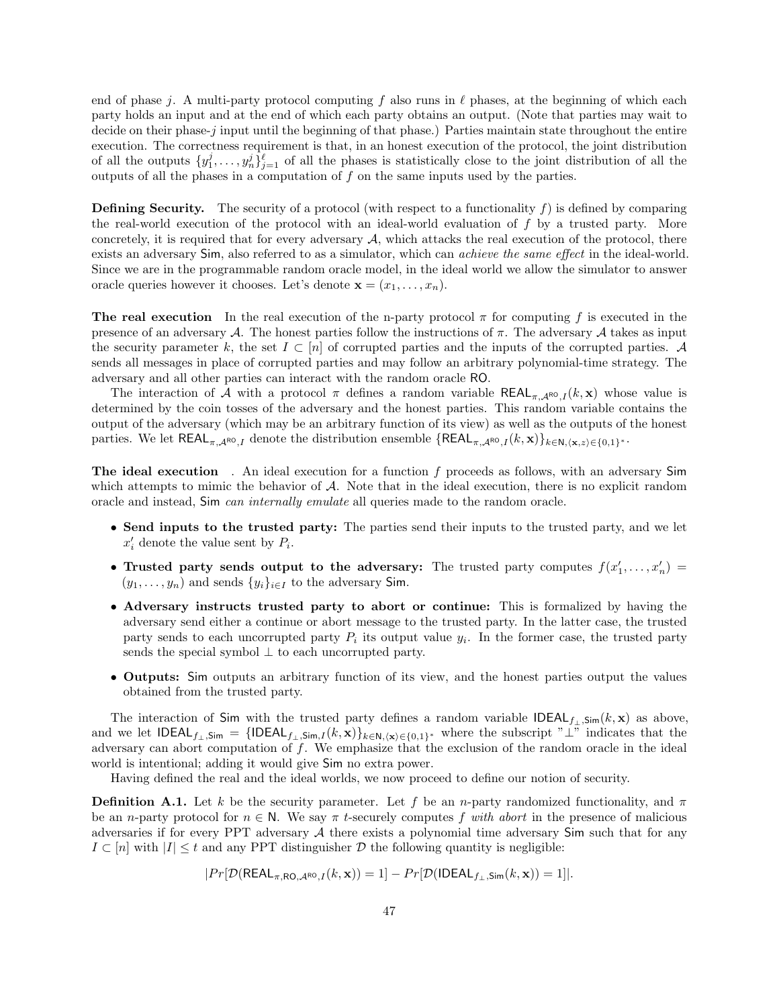end of phase *j*. A multi-party protocol computing *f* also runs in *ℓ* phases, at the beginning of which each party holds an input and at the end of which each party obtains an output. (Note that parties may wait to decide on their phase-*j* input until the beginning of that phase.) Parties maintain state throughout the entire execution. The correctness requirement is that, in an honest execution of the protocol, the joint distribution of all the outputs  $\{y_1^j, \ldots, y_n^j\}_{j=1}^{\ell}$  of all the phases is statistically close to the joint distribution of all the outputs of all the phases in a computation of *f* on the same inputs used by the parties.

**Defining Security.** The security of a protocol (with respect to a functionality  $f$ ) is defined by comparing the real-world execution of the protocol with an ideal-world evaluation of *f* by a trusted party. More concretely, it is required that for every adversary *A*, which attacks the real execution of the protocol, there exists an adversary Sim, also referred to as a simulator, which can *achieve the same effect* in the ideal-world. Since we are in the programmable random oracle model, in the ideal world we allow the simulator to answer oracle queries however it chooses. Let's denote  $\mathbf{x} = (x_1, \ldots, x_n)$ .

**The real execution** In the real execution of the n-party protocol  $\pi$  for computing f is executed in the presence of an adversary *A*. The honest parties follow the instructions of *π*. The adversary *A* takes as input the security parameter k, the set  $I \subset [n]$  of corrupted parties and the inputs of the corrupted parties. A sends all messages in place of corrupted parties and may follow an arbitrary polynomial-time strategy. The adversary and all other parties can interact with the random oracle RO.

The interaction of *A* with a protocol  $\pi$  defines a random variable REAL<sub> $\pi$ </sub><sub>*A*<sup>RO</sup>,*I*</sub>( $k$ , **x**) whose value is determined by the coin tosses of the adversary and the honest parties. This random variable contains the output of the adversary (which may be an arbitrary function of its view) as well as the outputs of the honest parties. We let  $REAL_{\pi,\mathcal{A}^{RO},I}$  denote the distribution ensemble  $\{REAL_{\pi,\mathcal{A}^{RO},I}(k,\mathbf{x})\}_{k\in\mathbb{N},\langle\mathbf{x},z\rangle\in\{0,1\}^*}.$ 

**The ideal execution**. An ideal execution for a function f proceeds as follows, with an adversary Sim which attempts to mimic the behavior of A. Note that in the ideal execution, there is no explicit random oracle and instead, Sim *can internally emulate* all queries made to the random oracle.

- Send inputs to the trusted party: The parties send their inputs to the trusted party, and we let  $x'_{i}$  denote the value sent by  $P_{i}$ .
- **Trusted party sends output to the adversary: The trusted party computes**  $f(x'_1, \ldots, x'_n)$  **=**  $(y_1, \ldots, y_n)$  and sends  $\{y_i\}_{i \in I}$  to the adversary Sim.
- **Adversary instructs trusted party to abort or continue:** This is formalized by having the adversary send either a continue or abort message to the trusted party. In the latter case, the trusted party sends to each uncorrupted party  $P_i$  its output value  $y_i$ . In the former case, the trusted party sends the special symbol *⊥* to each uncorrupted party.
- **Outputs:** Sim outputs an arbitrary function of its view, and the honest parties output the values obtained from the trusted party.

The interaction of Sim with the trusted party defines a random variable  $IDEAL_{f_\perp,Sim}(k, x)$  as above, and we let  $\text{IDEAL}_{f_+,\text{Sim}} = {\text{IDEAL}_{f_+,\text{Sim},I}(k,\mathbf{x})}_{k\in\mathbb{N},\langle\mathbf{x}\rangle\in\{0,1\}^*}$  where the subscript " $\perp$ " indicates that the adversary can abort computation of *f*. We emphasize that the exclusion of the random oracle in the ideal world is intentional; adding it would give Sim no extra power.

Having defined the real and the ideal worlds, we now proceed to define our notion of security.

**Definition A.1.** Let *k* be the security parameter. Let f be an *n*-party randomized functionality, and  $\pi$ be an *n*-party protocol for  $n \in \mathbb{N}$ . We say  $\pi$  *t*-securely computes f *with abort* in the presence of malicious adversaries if for every PPT adversary *A* there exists a polynomial time adversary Sim such that for any *I* ⊂ [*n*] with  $|I|$  ≤ *t* and any PPT distinguisher  $D$  the following quantity is negligible:

$$
|Pr[\mathcal{D}(\mathsf{REAL}_{\pi,\mathsf{RO},\mathcal{A}^{\mathsf{RO}},I}(k,\mathbf{x}))=1]-Pr[\mathcal{D}(\mathsf{IDEAL}_{f_\perp,\mathsf{Sim}}(k,\mathbf{x}))=1]|.
$$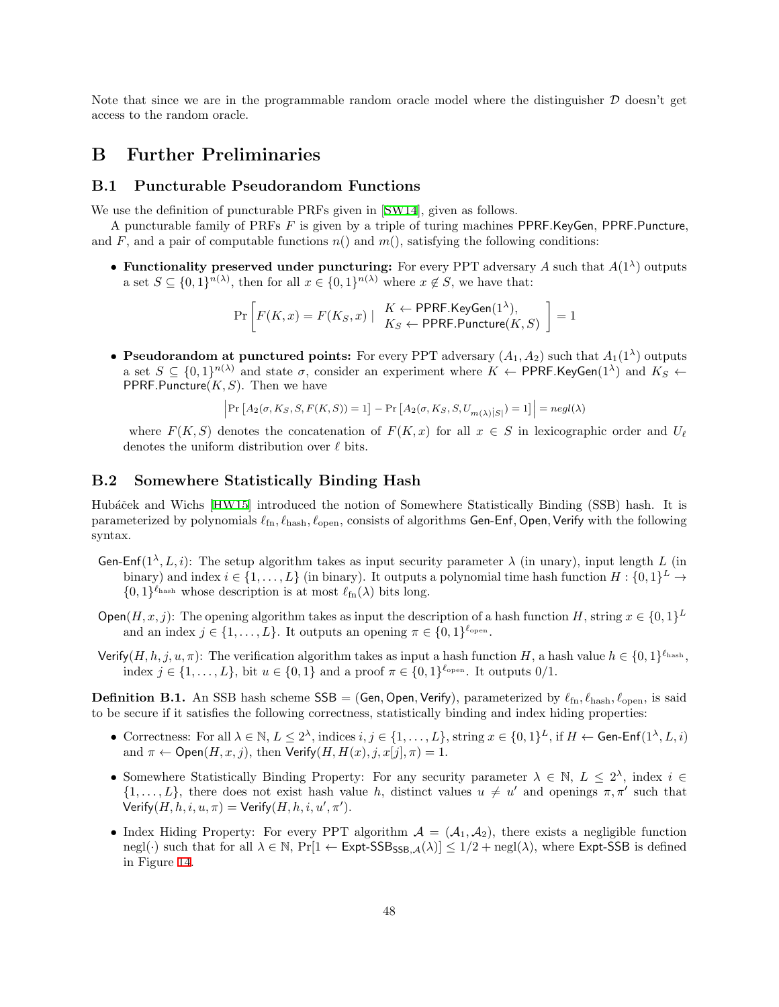Note that since we are in the programmable random oracle model where the distinguisher *D* doesn't get access to the random oracle.

# **B Further Preliminaries**

# **B.1 Puncturable Pseudorandom Functions**

We use the definition of puncturable PRFs given in [\[SW14](#page-45-3)], given as follows.

A puncturable family of PRFs *F* is given by a triple of turing machines PPRF*.*KeyGen, PPRF*.*Puncture, and  $F$ , and a pair of computable functions  $n()$  and  $m()$ , satisfying the following conditions:

• **Functionality preserved under puncturing:** For every PPT adversary *A* such that  $A(1^{\lambda})$  outputs a set  $S \subseteq \{0,1\}^{n(\lambda)}$ , then for all  $x \in \{0,1\}^{n(\lambda)}$  where  $x \notin S$ , we have that: puta $\operatorname*{serv}_{\operatorname*{the}}$ 

$$
\Pr\left[F(K,x) = F(K_S,x) \mid \begin{array}{l} K \leftarrow \text{PPRF.KeyGen}(1^{\lambda}), \\ K_S \leftarrow \text{PPRF.Puncture}(K,S) \end{array}\right] = 1
$$

• **Pseudorandom at punctured points:** For every PPT adversary  $(A_1, A_2)$  such that  $A_1(1^{\lambda})$  outputs a set  $S \subseteq \{0,1\}^{n(\lambda)}$  and state  $\sigma$ , consider an experiment where  $K \leftarrow \text{PPRF.KeyGen}(1^{\lambda})$  and  $K_S \leftarrow$ PPRF.Puncture $(K, S)$ . Then we have

$$
\Big\vert {\rm Pr}\, \big[ A_2(\sigma,K_S,S,F(K,S)) = 1 \big] - {\rm Pr}\, \big[ A_2(\sigma,K_S,S,U_{m(\lambda)[S]}) = 1 \big] \Big\vert = negl(\lambda)
$$

where  $F(K, S)$  denotes the concatenation of  $F(K, x)$  for all  $x \in S$  in lexicographic order and  $U_{\ell}$ denotes the uniform distribution over *ℓ* bits.

# **B.2 Somewhere Statistically Binding Hash**

Hubáček and Wichs [[HW15](#page-44-4)] introduced the notion of Somewhere Statistically Binding (SSB) hash. It is parameterized by polynomials *ℓ*fn*, ℓ*hash*, ℓ*open, consists of algorithms Gen-Enf*,* Open*,* Verify with the following syntax.

- Gen-Enf( $1^{\lambda}, L, i$ ): The setup algorithm takes as input security parameter  $\lambda$  (in unary), input length *L* (in binary) and index  $i \in \{1, ..., L\}$  (in binary). It outputs a polynomial time hash function  $H: \{0, 1\}^L \to$  $\{0,1\}^{\ell_{\text{hash}}}$  whose description is at most  $\ell_{\text{fn}}(\lambda)$  bits long.
- Open $(H, x, j)$ : The opening algorithm takes as input the description of a hash function *H*, string  $x \in \{0, 1\}^L$ and an index  $j \in \{1, \ldots, L\}$ . It outputs an opening  $\pi \in \{0, 1\}^{\ell_{\text{open}}}$ .
- Verify $(H, h, j, u, \pi)$ : The verification algorithm takes as input a hash function *H*, a hash value  $h \in \{0, 1\}^{\ell_{\text{hash}}}$ , index  $j \in \{1, \ldots, L\}$ , bit  $u \in \{0, 1\}$  and a proof  $\pi \in \{0, 1\}^{\ell_{\text{open}}}$ . It outputs  $0/1$ .

**Definition B.1.** An SSB hash scheme  $SSB = (Gen, Open, Verify), parameterized by  $\ell_{fn}, \ell_{hash}, \ell_{open}$ , is said$ to be secure if it satisfies the following correctness, statistically binding and index hiding properties:

- Correctness: For all  $\lambda \in \mathbb{N}$ ,  $L \leq 2^{\lambda}$ , indices  $i, j \in \{1, ..., L\}$ , string  $x \in \{0, 1\}^L$ , if  $H \leftarrow$  Gen-Enf $(1^{\lambda}, L, i)$ and  $\pi \leftarrow \text{Open}(H, x, j)$ , then  $\text{Verify}(H, H(x), j, x[j], \pi) = 1$ .
- Somewhere Statistically Binding Property: For any security parameter  $\lambda \in \mathbb{N}, L \leq 2^{\lambda}$ , index  $i \in$  $\{1, \ldots, L\}$ , there does not exist hash value *h*, distinct values  $u \neq u'$  and openings  $\pi, \pi'$  such that  $Verify(H, h, i, u, \pi) = Verify(H, h, i, u', \pi').$
- Index Hiding Property: For every PPT algorithm  $A = (A_1, A_2)$ , there exists a negligible function negl( $\cdot$ ) such that for all  $\lambda \in \mathbb{N}$ , Pr[1  $\leftarrow$  Expt-SSB<sub>SSB</sub> $\mathcal{A}(\lambda)$ ]  $\leq 1/2 + \text{negl}(\lambda)$ , where Expt-SSB is defined in Figure [14.](#page-48-0)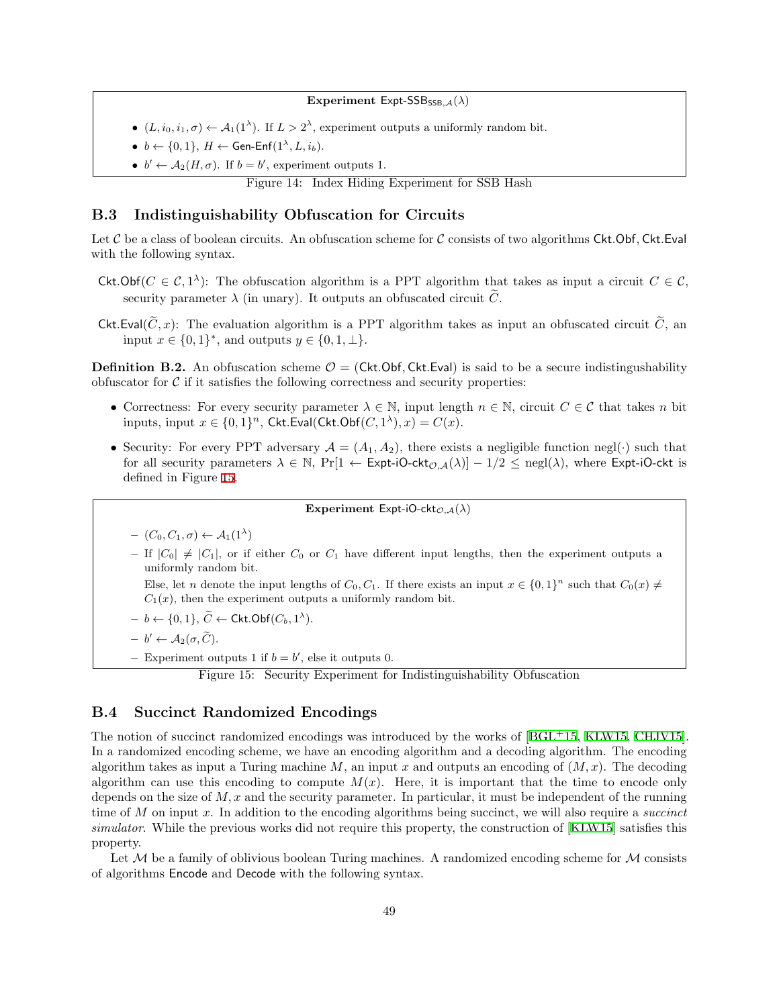# **Experiment** Expt-SSB<sub>SSB,*A*</sub>(*λ*)

- <span id="page-48-0"></span>•  $(L, i_0, i_1, \sigma) \leftarrow A_1(1^{\lambda})$ . If  $L > 2^{\lambda}$ , experiment outputs a uniformly random bit.
- *• b ← {*0*,* 1*}*, *H ←* Gen-Enf(1*<sup>λ</sup> , L, ib*).
- $b' \leftarrow A_2(H, \sigma)$ . If  $b = b'$ , experiment outputs 1.

Figure 14: Index Hiding Experiment for SSB Hash

# **B.3 Indistinguishability Obfuscation for Circuits**

Let *C* be a class of boolean circuits. An obfuscation scheme for *C* consists of two algorithms Ckt*.*Obf*,* Ckt*.*Eval with the following syntax.

- Ckt.Obf $(C \in C, 1^{\lambda})$ : The obfuscation algorithm is a PPT algorithm that takes as input a circuit  $C \in C$ , be a class of boolean circuits. An obfuscation scheme for  $C$  consists of<br>the following syntax.<br> $\text{Obf}(C \in \mathcal{C}, 1^{\lambda})$ : The obfuscation algorithm is a PPT algorithm tha<br>security parameter  $\lambda$  (in unary). It outputs an o security parameter  $\lambda$  (in unary). It outputs an obfuscated circuit  $\tilde{C}$ .<br>Ckt.Eval( $\tilde{C}$ , x): The evaluation algorithm is a PPT algorithm takes as input an obfuscated circuit  $\tilde{C}$ , an
- input  $x \in \{0, 1\}^*$ , and outputs  $y \in \{0, 1, \perp\}$ .

**Definition B.2.** An obfuscation scheme  $\mathcal{O} = (Ckt \cdot Cbt \cdot Ckt \cdot Eval)$  is said to be a secure indistingushability obfuscator for  $\mathcal C$  if it satisfies the following correctness and security properties:

- Correctness: For every security parameter  $\lambda \in \mathbb{N}$ , input length  $n \in \mathbb{N}$ , circuit  $C \in \mathcal{C}$  that takes *n* bit inputs, input  $x \in \{0,1\}^n$ , Ckt.Eval(Ckt.Obf $(C, 1^{\lambda}), x) = C(x)$ .
- Security: For every PPT adversary  $A = (A_1, A_2)$ , there exists a negligible function negl(*·*) such that for all security parameters  $\lambda \in \mathbb{N}$ , Pr[1  $\leftarrow$  Expt-iO-ckt<sub>*O*</sub>, $\mathcal{A}(\lambda)$ ]  $-1/2 \leq$  negl( $\lambda$ ), where Expt-iO-ckt is defined in Figure [15](#page-48-1).

# **Experiment** Expt-iO-ckt<sub>*O*</sub>, $_A(\lambda)$

- <span id="page-48-1"></span> $(C_0, C_1, \sigma) \leftarrow A_1(1^{\lambda})$
- $-$  If  $|C_0| \neq |C_1|$ , or if either  $C_0$  or  $C_1$  have different input lengths, then the experiment outputs a uniformly random bit.
	- Else, let *n* denote the input lengths of  $C_0, C_1$ . If there exists an input  $x \in \{0,1\}^n$  such that  $C_0(x) \neq$  $C_1(x)$ , then the experiment outputs a uniformly random bit.
- $b \leftarrow \{0, 1\}, \ \widetilde{C} \leftarrow \mathsf{Ckt}.\mathsf{Obf}(C_b, 1^{\lambda}).$

$$
- b' \leftarrow \mathcal{A}_2(\sigma, \widetilde{C}).
$$

 $-$  Experiment outputs 1 if  $b = b'$ , else it outputs 0.

Figure 15: Security Experiment for Indistinguishability Obfuscation

# **B.4 Succinct Randomized Encodings**

The notion of succinct randomized encodings was introduced by the works of [[BGL](#page-42-0)+15, [KLW15,](#page-44-0) [CHJV15](#page-43-2)]. In a randomized encoding scheme, we have an encoding algorithm and a decoding algorithm. The encoding algorithm takes as input a Turing machine  $M$ , an input  $x$  and outputs an encoding of  $(M, x)$ . The decoding algorithm can use this encoding to compute  $M(x)$ . Here, it is important that the time to encode only depends on the size of *M, x* and the security parameter. In particular, it must be independent of the running time of *M* on input *x*. In addition to the encoding algorithms being succinct, we will also require a *succinct simulator*. While the previous works did not require this property, the construction of [[KLW15\]](#page-44-0) satisfies this property.

Let *M* be a family of oblivious boolean Turing machines. A randomized encoding scheme for *M* consists of algorithms Encode and Decode with the following syntax.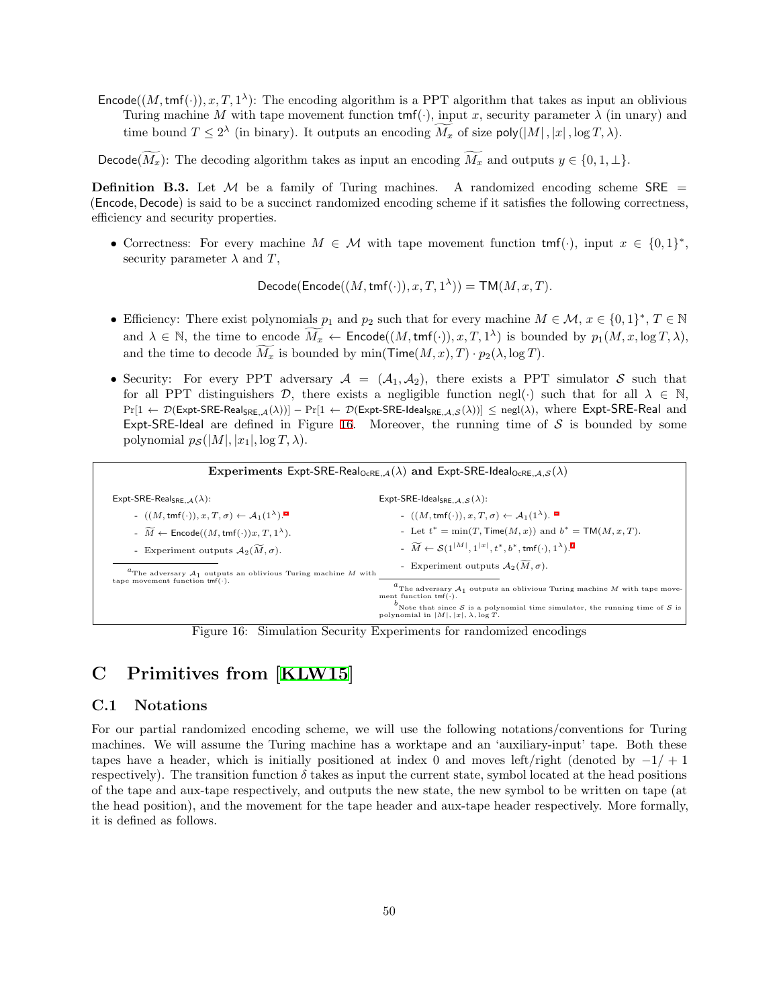$\mathsf{Encode}((M,\mathsf{tmf}(\cdot)), x, T, 1^{\lambda})$ : The encoding algorithm is a PPT algorithm that takes as input an oblivious Turing machine *M* with tape movement function  $\text{tmf}(\cdot)$ , input *x*, security parameter  $\lambda$  (in unary) and  $det((M, tmf(·)), x, T, 1^{\lambda})$ : The encoding algorithm is a PPT algorithm that takes as input at Turing machine *M* with tape movement function  $tmf(·)$ , input *x*, security parameter  $\lambda$  (in time bound  $T \leq 2^{\lambda}$  (in binary). I

Decode( $\widetilde{M_x}$ ): The decoding algorithm takes as input an encoding  $\widetilde{M_x}$  and outputs  $y \in \{0, 1, \perp\}$ .

**Definition B.3.** Let  $M$  be a family of Turing machines. A randomized encoding scheme SRE = (Encode*,* Decode) is said to be a succinct randomized encoding scheme if it satisfies the following correctness, efficiency and security properties.

• Correctness: For every machine  $M \in \mathcal{M}$  with tape movement function  $\text{tmf}(\cdot)$ , input  $x \in \{0,1\}^*$ , security parameter  $\lambda$  and  $T$ ,

$$
\mathsf{Decode}(\mathsf{Encode}((M,\mathsf{tmf}(\cdot)),x,T,1^\lambda))=\mathsf{TM}(M,x,T).
$$

- Efficiency: There exist polynomials  $p_1$  and  $p_2$  such that for every machine  $M \in \mathcal{M}$ ,  $x \in \{0,1\}^*$ ,  $T \in \mathbb{N}$  $\text{Before}(\text{Encode}((M,\text{tmf}(\cdot)),x,T,1^{\lambda})) = \text{TM}(M,x,T).$ <br>
Efficiency: There exist polynomials  $p_1$  and  $p_2$  such that for every machine  $M \in \mathcal{M}, x \in \{0,1\}^*, T \in \mathbb{N}$ <br>
and  $\lambda \in \mathbb{N}$ , the time to encode  $\widetilde{M_x} \leftarrow \text{Encode}((M,\text{tmf}(\cdot$ Efficiency: There exist polynomials  $p_1$  and  $p_2$  such that for every machine *M*<br>and  $\lambda \in \mathbb{N}$ , the time to encode  $\widetilde{M}_x \leftarrow \text{Encode}((M, \text{tmf}(\cdot)), x, T, 1^{\lambda})$  is bounded the time to decode  $\widetilde{M}_x$  is bounded by min(
- Security: For every PPT adversary  $A = (A_1, A_2)$ , there exists a PPT simulator *S* such that for all PPT distinguishers  $D$ , there exists a negligible function negl( $\cdot$ ) such that for all  $\lambda \in \mathbb{N}$ ,  $Pr[1 \leftarrow \mathcal{D}(\mathsf{Expt\text{-}SRE\text{-}Real}_{SRE,A}(\lambda))] - Pr[1 \leftarrow \mathcal{D}(\mathsf{Expt\text{-}SRE\text{-}Ideal}_{SRE,A,S}(\lambda))] \leq neg(\lambda),$  where  $Expt\text{-}SRE\text{-}Real and$ Expt-SRE-Ideal are defined in Figure [16](#page-49-0). Moreover, the running time of *S* is bounded by some polynomial  $p_S(|M|, |x_1|, \log T, \lambda)$ .

<span id="page-49-0"></span>

| <b>Experiments Expt-SRE-Real<sub>OCRE, <math>A(\lambda)</math> and Expt-SRE-Ideal<sub>OCRE</sub></sub></b> , $A, S(\lambda)$       |                                                                                                                                                                                                                                                              |  |
|------------------------------------------------------------------------------------------------------------------------------------|--------------------------------------------------------------------------------------------------------------------------------------------------------------------------------------------------------------------------------------------------------------|--|
| Expt-SRE-Real <sub>SRE</sub> $_A(\lambda)$ :                                                                                       | Expt-SRE-Ideal <sub>SRE</sub> $_A$ $_A$ ( $\lambda$ ):                                                                                                                                                                                                       |  |
| $\cdot$ $((M,\text{tmf}(\cdot)), x, T, \sigma) \leftarrow \mathcal{A}_1(1^{\lambda})$ .                                            | $\cdot$ $((M, \text{tmf}(\cdot)), x, T, \sigma) \leftarrow \mathcal{A}_1(1^{\lambda}).$ <sup>a</sup>                                                                                                                                                         |  |
| $\widetilde{M} \leftarrow$ Encode( $(M, \text{tmf}(\cdot))x, T, 1^{\lambda}$ ).                                                    | - Let $t^* = \min(T, \text{Time}(M, x))$ and $b^* = \text{TM}(M, x, T)$ .                                                                                                                                                                                    |  |
| - Experiment outputs $A_2(\widetilde{M}, \sigma)$ .                                                                                | $\widetilde{M} \leftarrow \mathcal{S}(1^{ M }, 1^{ x }, t^*, b^*, \text{tmf}(\cdot), 1^{\lambda})$ .                                                                                                                                                         |  |
| <sup><i>u</i></sup> The adversary $A_1$ outputs an oblivious Turing machine <i>M</i> with<br>tape movement function $tmf(\cdot)$ . | - Experiment outputs $\mathcal{A}_2(M,\sigma)$ .                                                                                                                                                                                                             |  |
|                                                                                                                                    | ${}^{u}$ The adversary $A_1$ outputs an oblivious Turing machine M with tape move-<br>ment function $tmf(\cdot)$ .<br><sup>0</sup> Note that since S is a polynomial time simulator, the running time of S is<br>polynomial in $ M ,  x , \lambda, \log T$ . |  |

<span id="page-49-3"></span><span id="page-49-2"></span><span id="page-49-1"></span>Figure 16: Simulation Security Experiments for randomized encodings

# **C Primitives from [[KLW15](#page-44-0)]**

# **C.1 Notations**

For our partial randomized encoding scheme, we will use the following notations/conventions for Turing machines. We will assume the Turing machine has a worktape and an 'auxiliary-input' tape. Both these tapes have a header, which is initially positioned at index 0 and moves left/right (denoted by *−*1*/* + 1 respectively). The transition function  $\delta$  takes as input the current state, symbol located at the head positions of the tape and aux-tape respectively, and outputs the new state, the new symbol to be written on tape (at the head position), and the movement for the tape header and aux-tape header respectively. More formally, it is defined as follows.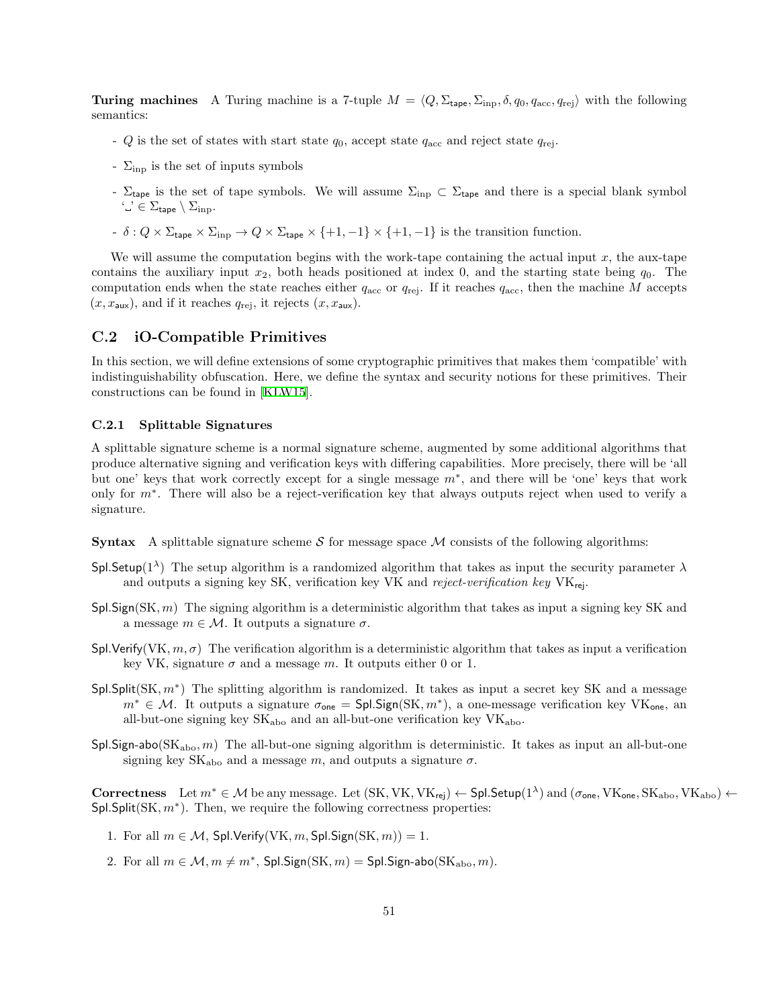**Turing machines** A Turing machine is a 7-tuple  $M = \langle Q, \Sigma_{\text{tape}}, \Sigma_{\text{inp}}, \delta, q_0, q_{\text{acc}}, q_{\text{rej}} \rangle$  with the following semantics:

- *Q* is the set of states with start state *q*0, accept state *q*acc and reject state *q*rej.
- $\mathcal{L}_{\text{inp}}$  is the set of inputs symbols
- $\Sigma_{\text{tape}}$  is the set of tape symbols. We will assume  $\Sigma_{\text{inp}} \subset \Sigma_{\text{tape}}$  and there is a special blank symbol  $' \cup' \in \Sigma_{\text{tape}} \setminus \Sigma_{\text{inp}}.$
- $\delta$  :  $Q \times \Sigma_{\text{tane}} \times \Sigma_{\text{inp}} \rightarrow Q \times \Sigma_{\text{tane}} \times \{+1, -1\} \times \{+1, -1\}$  is the transition function.

We will assume the computation begins with the work-tape containing the actual input *x*, the aux-tape contains the auxiliary input  $x_2$ , both heads positioned at index 0, and the starting state being  $q_0$ . The computation ends when the state reaches either  $q_{\text{acc}}$  or  $q_{\text{rej}}$ . If it reaches  $q_{\text{acc}}$ , then the machine *M* accepts  $(x, x_{\text{aux}})$ , and if it reaches  $q_{\text{rej}}$ , it rejects  $(x, x_{\text{aux}})$ .

# **C.2 iO-Compatible Primitives**

In this section, we will define extensions of some cryptographic primitives that makes them 'compatible' with indistinguishability obfuscation. Here, we define the syntax and security notions for these primitives. Their constructions can be found in [\[KLW15](#page-44-0)].

## **C.2.1 Splittable Signatures**

A splittable signature scheme is a normal signature scheme, augmented by some additional algorithms that produce alternative signing and verification keys with differing capabilities. More precisely, there will be 'all but one' keys that work correctly except for a single message *m<sup>∗</sup>* , and there will be 'one' keys that work only for *m<sup>∗</sup>* . There will also be a reject-verification key that always outputs reject when used to verify a signature.

**Syntax** A splittable signature scheme  $S$  for message space  $M$  consists of the following algorithms:

- Spl.Setup( $1^{\lambda}$ ) The setup algorithm is a randomized algorithm that takes as input the security parameter  $\lambda$ and outputs a signing key SK, verification key VK and *reject-verification key* VKrej.
- Spl*.*Sign(SK*, m*) The signing algorithm is a deterministic algorithm that takes as input a signing key SK and a message  $m \in \mathcal{M}$ . It outputs a signature  $\sigma$ .
- Spl. Verify(VK,  $m, \sigma$ ) The verification algorithm is a deterministic algorithm that takes as input a verification key VK, signature  $\sigma$  and a message  $m$ . It outputs either 0 or 1.
- Spl*.*Split(SK*, m<sup>∗</sup>* ) The splitting algorithm is randomized. It takes as input a secret key SK and a message  $m^* \in \mathcal{M}$ . It outputs a signature  $\sigma_{one} =$  Spl.Sign(SK,  $m^*$ ), a one-message verification key VK<sub>one</sub>, an all-but-one signing key  $SK_{\text{abo}}$  and an all-but-one verification key  $VK_{\text{abo}}$ .
- Spl.Sign-abo(SK<sub>abo</sub>, m) The all-but-one signing algorithm is deterministic. It takes as input an all-but-one signing key  $SK_{\text{abo}}$  and a message *m*, and outputs a signature  $\sigma$ .

**Correctness** Let  $m^* \in \mathcal{M}$  be any message. Let  $(SK, VK, VK_{\text{rej}}) \leftarrow Spl\textrm{-}Setup(1^{\lambda})$  and  $(\sigma_{\text{one}}, VK_{\text{one}}, SK_{\text{abo}}, VK_{\text{abo}}) \leftarrow$ Spl*.*Split(SK*, m<sup>∗</sup>* ). Then, we require the following correctness properties:

- 1. For all  $m \in \mathcal{M}$ , Spl.Verify(VK, m, Spl.Sign(SK, m)) = 1.
- 2. For all  $m \in \mathcal{M}, m \neq m^*$ , Spl.Sign(SK,  $m$ ) = Spl.Sign-abo(SK<sub>abo</sub>,  $m$ ).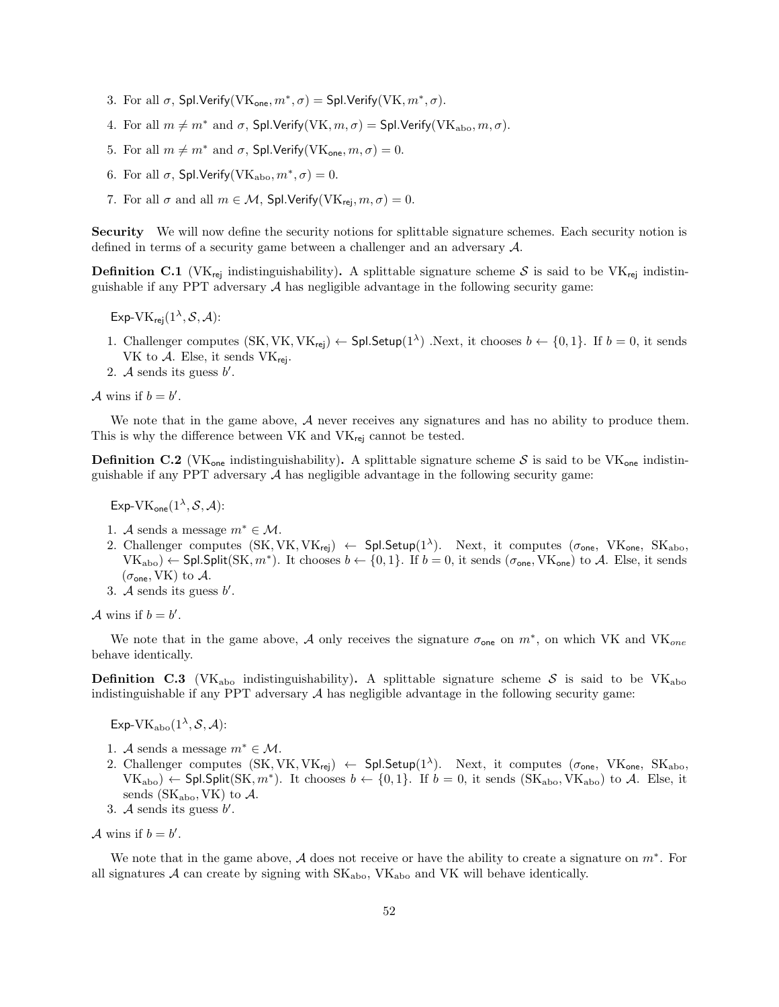- 3. For all  $\sigma$ , Spl.Verify(VK<sub>one</sub>,  $m^*$ ,  $\sigma$ ) = Spl.Verify(VK,  $m^*$ ,  $\sigma$ ).
- 4. For all  $m \neq m^*$  and  $\sigma$ , Spl.Verify(VK,  $m, \sigma$ ) = Spl.Verify(VK<sub>abo</sub>,  $m, \sigma$ ).
- 5. For all  $m \neq m^*$  and  $\sigma$ , Spl.Verify(VK<sub>one</sub>,  $m, \sigma$ ) = 0.
- 6. For all  $\sigma$ , Spl.Verify(VK<sub>abo</sub>,  $m^*$ ,  $\sigma$ ) = 0.
- 7. For all  $\sigma$  and all  $m \in \mathcal{M}$ , Spl.Verify(VK<sub>rei</sub>,  $m, \sigma$ ) = 0.

**Security** We will now define the security notions for splittable signature schemes. Each security notion is defined in terms of a security game between a challenger and an adversary *A*.

<span id="page-51-0"></span>**Definition C.1** (VK<sub>rej</sub> indistinguishability). A splittable signature scheme *S* is said to be VK<sub>rej</sub> indistinguishable if any PPT adversary  $A$  has negligible advantage in the following security game:

- $\mathsf{Exp}\text{-}\mathrm{VK}_{\mathsf{rej}}(1^\lambda,\mathcal{S},\mathcal{A})$ :
- 1. Challenger computes  $(SK, VK, VK_{rej}) \leftarrow Spl.Setup(1^{\lambda})$  .Next, it chooses  $b \leftarrow \{0, 1\}$ . If  $b = 0$ , it sends VK to  $A$ . Else, it sends  $VK_{\text{rei}}$ .
- 2. *A* sends its guess *b ′* .

*A* wins if  $b = b'$ .

We note that in the game above, A never receives any signatures and has no ability to produce them. This is why the difference between  $VK$  and  $VK_{\text{rej}}$  cannot be tested.

<span id="page-51-1"></span>**Definition C.2** (VK<sub>one</sub> indistinguishability). A splittable signature scheme *S* is said to be VK<sub>one</sub> indistinguishable if any PPT adversary  $A$  has negligible advantage in the following security game:

 $\text{Exp-VK}_{one}(1^{\lambda}, \mathcal{S}, \mathcal{A})$ :

- 1. *A* sends a message  $m^* \in \mathcal{M}$ .
- 2. Challenger computes  $(SK, VK, VK_{\text{rej}}) \leftarrow \text{Spl}.\text{Setup}(1^{\lambda})$ . Next, it computes  $(\sigma_{\text{one}}, VK_{\text{one}}, SK_{\text{abo}},$  $VK_{\text{abo}}$   $\rangle$   $\leftarrow$  Spl.Split(SK,  $m^*$ ). It chooses  $b \leftarrow \{0, 1\}$ . If  $b = 0$ , it sends ( $\sigma_{\text{one}}$ , VK<sub>one</sub>) to *A*. Else, it sends  $(\sigma_{one}, \text{VK})$  to  $\mathcal{A}$ .
- 3. *A* sends its guess *b ′* .

*A* wins if  $b = b'$ .

We note that in the game above, *A* only receives the signature  $\sigma_{one}$  on  $m^*$ , on which VK and VK<sub>one</sub> behave identically.

<span id="page-51-2"></span>**Definition C.3** (VK<sub>abo</sub> indistinguishability). A splittable signature scheme *S* is said to be VK<sub>abo</sub> indistinguishable if any  $PPT$  adversary  $\mathcal A$  has negligible advantage in the following security game:

 $\textsf{Exp-VK}_{\text{abo}}(1^{\lambda}, \mathcal{S}, \mathcal{A})$ :

- 1. *A* sends a message  $m^* \in \mathcal{M}$ .
- 2. Challenger computes  $(SK, VK, VK_{\text{rej}}) \leftarrow \text{Spl}.\text{Setup}(1^{\lambda})$ . Next, it computes  $(\sigma_{\text{one}}, VK_{\text{one}}, SK_{\text{abo}},$  $VK_{\text{abo}}$   $\rangle$   $\leftarrow$  Spl.Split(SK,  $m^*$ ). It chooses  $b \leftarrow \{0, 1\}$ . If  $b = 0$ , it sends (SK<sub>abo</sub>, VK<sub>abo</sub>) to *A*. Else, it sends (SKabo*,* VK) to *A*.
- 3. *A* sends its guess *b ′* .

*A* wins if  $b = b'$ .

We note that in the game above, *A* does not receive or have the ability to create a signature on *m<sup>∗</sup>* . For all signatures  $A$  can create by signing with  $SK_{\text{abo}}$ ,  $VK_{\text{abo}}$  and  $VK$  will behave identically.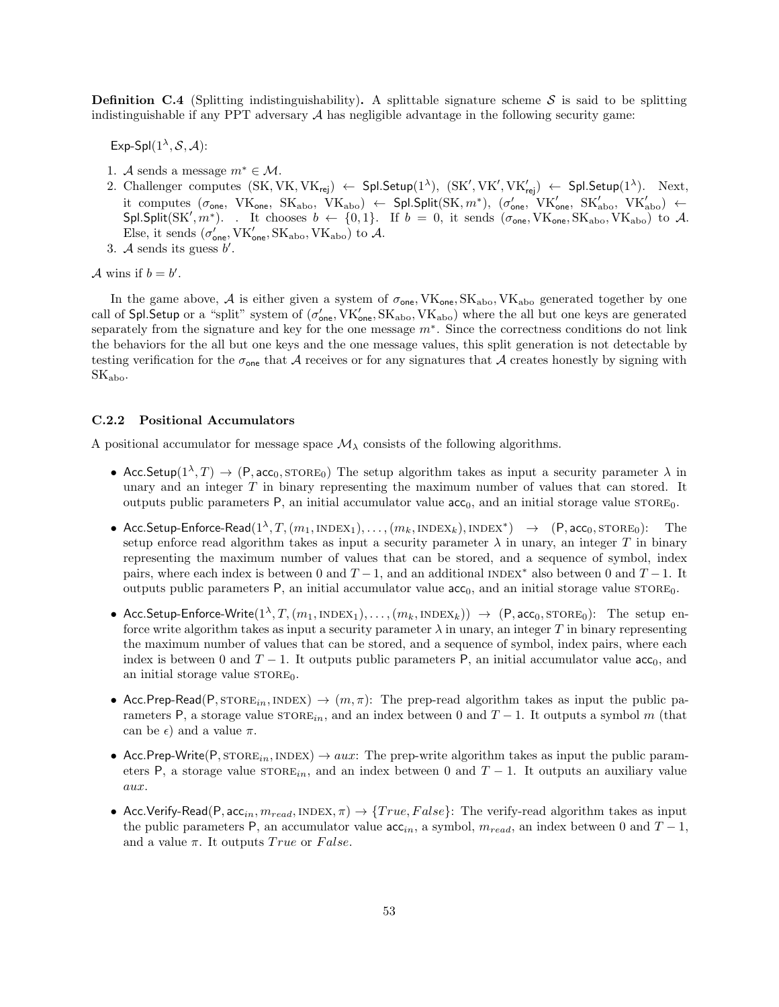<span id="page-52-0"></span>**Definition C.4** (Splitting indistinguishability). A splittable signature scheme  $S$  is said to be splitting indistinguishable if any PPT adversary  $A$  has negligible advantage in the following security game:

 $Exp-Spl(1^{\lambda}, \mathcal{S}, \mathcal{A})$ :

- 1. *A* sends a message  $m^* \in \mathcal{M}$ .
- $2.$  Challenger computes  $(SK, VK, VK_{rej}) \leftarrow Spl{.}Setup(1^{\lambda}), (SK', VK', VK'_{rej}) \leftarrow Spl{.}Setup(1^{\lambda}).$  Next,  $i$ t computes  $(\sigma_{one}, \text{VK}_{one}, \text{ SK}_{\text{abo}}, \text{ VK}_{\text{abo}}) \leftarrow \text{Spl.Split}(\text{SK}, m^*), \ (\sigma'_{one}, \text{VK}'_{one}, \text{ SK}'_{\text{abo}}, \text{ VK}'_{\text{abo}}) \leftarrow \text{L}(\text{CK}, m^*)$  $\mathsf{Split}(\mathsf{SK}', m^*)$ . It chooses  $b \leftarrow \{0, 1\}$ . If  $b = 0$ , it sends  $(\sigma_{\mathsf{one}}^{\bullet}, \mathsf{VK}_{\mathsf{one}}^{\bullet}, \mathsf{SK}_{\mathsf{abo}}^{\bullet}, \mathsf{VK}_{\mathsf{abo}}^{\bullet})$  to *A*. Else, it sends  $(\sigma'_{one}, \text{VK}'_{one}, \text{SK}_{\text{abo}}, \text{VK}_{\text{abo}})$  to *A*.
- 3. *A* sends its guess *b ′* .

*A* wins if  $b = b'$ .

In the game above,  $A$  is either given a system of  $\sigma_{one}$ ,  $VK_{one}$ ,  $SK_{abo}$ ,  $VK_{abo}$  generated together by one call of Spl.Setup or a "split" system of  $(\sigma'_{one}, VK'_{one}, SK_{\text{abo}}, VK_{\text{abo}})$  where the all but one keys are generated separately from the signature and key for the one message *m<sup>∗</sup>* . Since the correctness conditions do not link the behaviors for the all but one keys and the one message values, this split generation is not detectable by testing verification for the  $\sigma_{one}$  that *A* receives or for any signatures that *A* creates honestly by signing with  $SK_{\text{abo}}$ .

## **C.2.2 Positional Accumulators**

A positional accumulator for message space  $\mathcal{M}_{\lambda}$  consists of the following algorithms.

- Acc.Setup( $1^{\lambda}, T$ )  $\rightarrow$  (P, acc<sub>0</sub>, store<sub>0</sub>) The setup algorithm takes as input a security parameter  $\lambda$  in unary and an integer *T* in binary representing the maximum number of values that can stored. It outputs public parameters  $P$ , an initial accumulator value  $acc_0$ , and an initial storage value  $score_0$ .
- Acc.Setup-Enforce-Read $(1^{\lambda}, T, (m_1, \text{INDEX}_1), \ldots, (m_k, \text{INDEX}_k), \text{INDEX}^*) \rightarrow (P, \text{acc}_0, \text{STOP}_0):$  The setup enforce read algorithm takes as input a security parameter  $\lambda$  in unary, an integer *T* in binary representing the maximum number of values that can be stored, and a sequence of symbol, index pairs, where each index is between 0 and *T −*1, and an additional index*<sup>∗</sup>* also between 0 and *T −*1. It outputs public parameters  $P$ , an initial accumulator value  $acc_0$ , and an initial storage value  $score_0$ .
- Acc.Setup-Enforce-Write $(1^{\lambda}, T, (m_1, \text{INDEX}_1), \ldots, (m_k, \text{INDEX}_k)) \rightarrow (P, \text{acc}_0, \text{STOP}_0)$ : The setup enforce write algorithm takes as input a security parameter  $\lambda$  in unary, an integer  $T$  in binary representing the maximum number of values that can be stored, and a sequence of symbol, index pairs, where each index is between 0 and  $T-1$ . It outputs public parameters P, an initial accumulator value  $\text{acc}_0$ , and an initial storage value  $STOP_{0}.$
- Acc*.Prep-Read(P,*  $STORE_{in}$ *, INDEX)*  $\rightarrow$  $(m, \pi)$ *: The prep-read algorithm takes as input the public pa*rameters P, a storage value  $\text{STORE}_{in}$ , and an index between 0 and  $T-1$ . It outputs a symbol *m* (that can be  $\epsilon$ ) and a value  $\pi$ .
- Acc.Prep-Write( $P$ ,  $\text{STORE}_{in}$ ,  $\text{INDEX}$ )  $\rightarrow aux$ : The prep-write algorithm takes as input the public parameters P, a storage value  $\text{STORE}_{in}$ , and an index between 0 and  $T-1$ . It outputs an auxiliary value *aux*.
- Acc.Verify-Read(P, acc<sub>in</sub>,  $m_{read}$ , INDEX,  $\pi$ )  $\rightarrow$  {*True, False*}: The verify-read algorithm takes as input the public parameters P, an accumulator value  $acc<sub>in</sub>$ , a symbol,  $m<sub>read</sub>$ , an index between 0 and  $T-1$ , and a value  $\pi$ . It outputs *True* or *False*.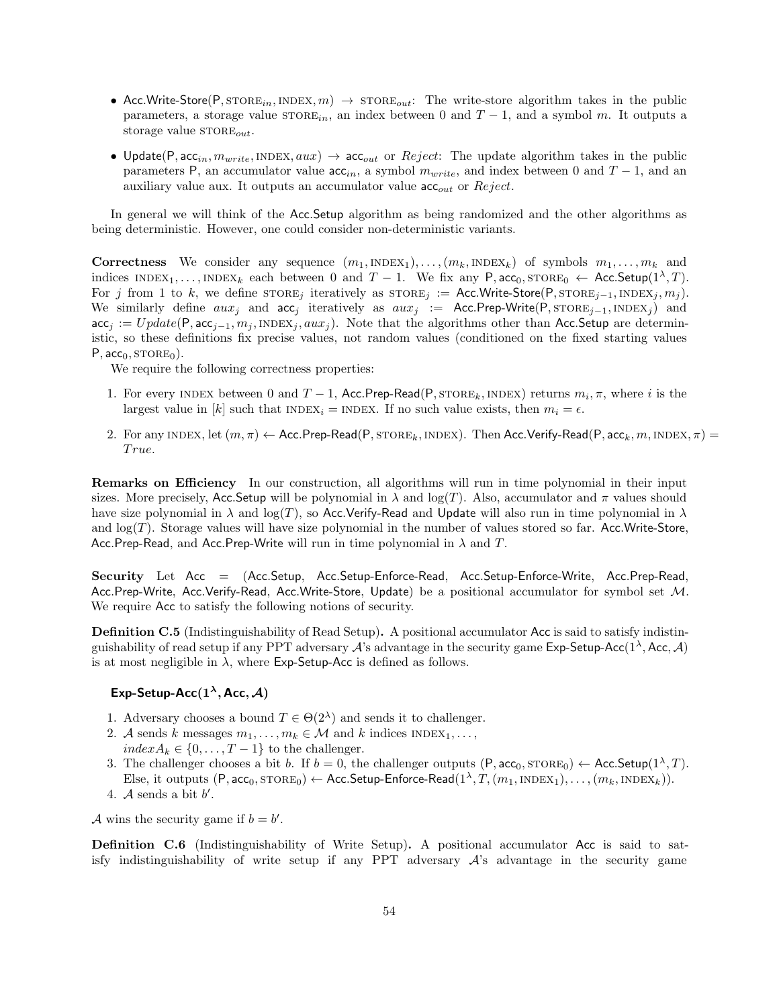- Acc.Write-Store $(P, \text{STORE}_{in}, \text{INDEX}, m) \rightarrow \text{STORE}_{out}$ : The write-store algorithm takes in the public parameters, a storage value store<sub>in</sub>, an index between 0 and  $T-1$ , and a symbol m. It outputs a storage value  $\text{STORE}_{out}$ .
- Update(P,  $acc_{in}$ ,  $m_{write}$ ,  $N$ DEX,  $aux$ )  $\rightarrow$  acc<sub>out</sub> or *Reject*: The update algorithm takes in the public parameters P, an accumulator value  $acc_{in}$ , a symbol  $m_{write}$ , and index between 0 and  $T-1$ , and an auxiliary value aux. It outputs an accumulator value acc*out* or *Reject*.

In general we will think of the Acc*.*Setup algorithm as being randomized and the other algorithms as being deterministic. However, one could consider non-deterministic variants.

**Correctness** We consider any sequence  $(m_1, \text{INDEX}_1), \ldots, (m_k, \text{INDEX}_k)$  of symbols  $m_1, \ldots, m_k$  and indices  $\text{INDEX}_1, \ldots, \text{INDEX}_k$  each between 0 and  $T - 1$ . We fix any  $P, \text{acc}_0, \text{score}_0 \leftarrow \text{Acc}.\text{Setup}(1^{\lambda}, T)$ . For *j* from 1 to *k*, we define  $\text{STORE}_j$  iteratively as  $\text{STORE}_j := \text{Acc.Write-Store}(P, \text{STORE}_{j-1}, \text{INDEX}_j, m_j)$ . We similarly define  $aux_j$  and  $acc_j$  iteratively as  $aux_j := Acc.Prep-Write(P,space_{j-1},INDEX_j)$  and  $acc_j := Update(P, acc_{j-1}, m_j, INDEX_j, aux_j)$ . Note that the algorithms other than Acc. Setup are deterministic, so these definitions fix precise values, not random values (conditioned on the fixed starting values  $P$ ,  $acc_0$ ,  $space_0$ ).

We require the following correctness properties:

- 1. For every INDEX between 0 and  $T 1$ , Acc.Prep-Read(P,  $\text{STORE}_k$ , INDEX) returns  $m_i$ ,  $\pi$ , where *i* is the largest value in [*k*] such that  $\text{INDEX}_i = \text{INDEX}$ . If no such value exists, then  $m_i = \epsilon$ .
- 2. For any INDEX, let  $(m, \pi) \leftarrow$  Acc.Prep-Read(P,  $\text{score}_k$ , INDEX). Then Acc.Verify-Read(P,  $\text{acc}_k$ ,  $m$ , INDEX,  $\pi$ ) = *T rue*.

**Remarks on Efficiency** In our construction, all algorithms will run in time polynomial in their input sizes. More precisely, Acc.Setup will be polynomial in  $\lambda$  and  $log(T)$ . Also, accumulator and  $\pi$  values should have size polynomial in *λ* and log(*T*), so Acc*.*Verify-Read and Update will also run in time polynomial in *λ* and  $log(T)$ . Storage values will have size polynomial in the number of values stored so far. Acc. Write-Store, Acc*.*Prep-Read, and Acc*.*Prep-Write will run in time polynomial in *λ* and *T*.

**Security** Let Acc = (Acc*.*Setup, Acc*.*Setup-Enforce-Read, Acc*.*Setup-Enforce-Write, Acc*.*Prep-Read, Acc*.*Prep-Write, Acc*.*Verify-Read, Acc*.*Write-Store, Update) be a positional accumulator for symbol set *M*. We require Acc to satisfy the following notions of security.

<span id="page-53-0"></span>**Definition C.5** (Indistinguishability of Read Setup)**.** A positional accumulator Acc is said to satisfy indistinguishability of read setup if any PPT adversary  $\mathcal{A}$ 's advantage in the security game  $\mathsf{Exp}\text{-}\mathsf{Setup}\text{-}\mathsf{Acc}(1^\lambda,\mathsf{Acc},\mathcal{A})$ is at most negligible in  $\lambda$ , where Exp-Setup-Acc is defined as follows.

# **Exp-Setup-Acc** $(1^{\lambda},$  **Acc***, A*)

- 1. Adversary chooses a bound  $T \in \Theta(2^{\lambda})$  and sends it to challenger.
- 2. *A* sends *k* messages  $m_1, \ldots, m_k \in \mathcal{M}$  and *k* indices  $INDEX_1, \ldots$ , *indexA<sub>k</sub>*  $\in \{0, \ldots, T-1\}$  to the challenger.
- 3. The challenger chooses a bit *b*. If  $b = 0$ , the challenger outputs  $(P, acc_0, store_0) \leftarrow Acc {}. Setup(1^{\lambda}, T)$ .  $\text{Else, it outputs (P, acc_0, STORE_0) } \leftarrow \text{Acc.Setup-Enforce-Read}(1^{\lambda}, T, (m_1, \text{INDEX}_1), \ldots, (m_k, \text{INDEX}_k)).$
- 4. *A* sends a bit  $b'$ .

*A* wins the security game if  $b = b'$ .

<span id="page-53-1"></span>**Definition C.6** (Indistinguishability of Write Setup)**.** A positional accumulator Acc is said to satisfy indistinguishability of write setup if any  $PPT$  adversary  $A$ 's advantage in the security game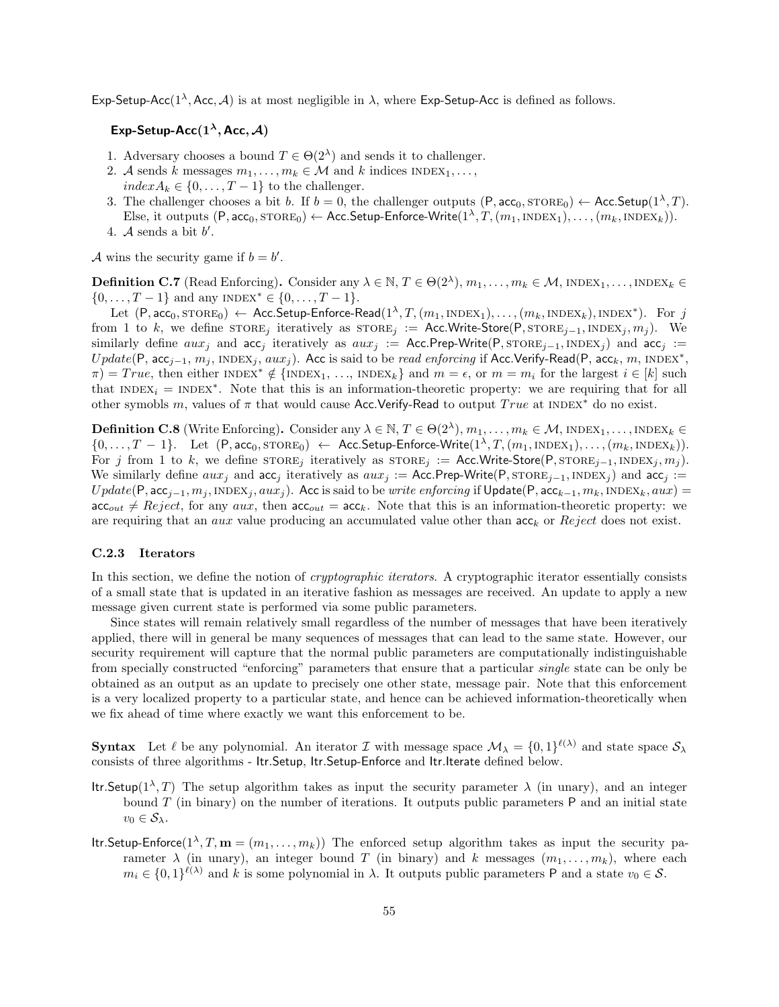Exp-Setup-Acc( $1^{\lambda}$ , Acc, A) is at most negligible in  $\lambda$ , where Exp-Setup-Acc is defined as follows.

**Exp-Setup-Acc** $(1^{\lambda},$ **Acc***, A*)

- 1. Adversary chooses a bound  $T \in \Theta(2^{\lambda})$  and sends it to challenger.
- 2. *A* sends *k* messages  $m_1, \ldots, m_k \in \mathcal{M}$  and *k* indices  $INDEX_1, \ldots$ , *indexA<sub>k</sub>*  $\in \{0, \ldots, T-1\}$  to the challenger.
- 3. The challenger chooses a bit *b*. If  $b = 0$ , the challenger outputs  $(P, acc_0, score_0) \leftarrow Acc {}. Setup(1^{\lambda}, T)$ .  $\text{Else, it outputs (P, acc_0, STORE_0) } \leftarrow \text{Acc.Setup-Enforce-Write}(1^{\lambda}, T, (m_1, \text{INDEX}_1), \ldots, (m_k, \text{INDEX}_k)).$
- 4. *A* sends a bit  $b'$ .

*A* wins the security game if  $b = b'$ .

<span id="page-54-0"></span>**Definition C.7** (Read Enforcing). Consider any  $\lambda \in \mathbb{N}$ ,  $T \in \Theta(2^{\lambda})$ ,  $m_1, \ldots, m_k \in \mathcal{M}$ , INDEX<sub>1</sub>, . . . , INDEX<sub>k</sub>  $\in$ *{*0*, . . . , T* − 1*}* and any INDEX<sup>\*</sup>  $\in$  {0*, . . . , T* − 1*}*.

 $\text{Let } (P, \texttt{acc}_0, \texttt{STOP}_0) \leftarrow \texttt{Acc}.\overline{\texttt{Setup-Entropy}}\text{-}\texttt{Red}(1^\lambda, T, (m_1, \texttt{INDEX}_1), \dots, (m_k, \texttt{INDEX}_k), \texttt{INDEX}^*).$  For *j* from 1 to k, we define  $\text{STORE}_j$  iteratively as  $\text{STORE}_j := \text{Acc}.$  Write-Store(P,  $\text{STORE}_{j-1}, \text{INDEX}_j, m_j$ ). We similarly define  $aux_j$  and  $acc_j$  iteratively as  $aux_j := Acc$ .Prep-Write(P,  $STORE_{j-1}$ ,  $INDEX_j$ ) and  $acc_j :=$ *U pdate*(P, acc*<sup>j</sup>−*<sup>1</sup>, *m<sup>j</sup>* , index*<sup>j</sup>* , *aux<sup>j</sup>* ). Acc is said to be *read enforcing* if Acc*.*Verify-Read(P, acc*k*, *m*, index*<sup>∗</sup>* ,  $\pi$ ) = *True*, then either INDEX<sup>\*</sup>  $\notin$  {INDEX<sub>1</sub>, ..., INDEX<sub>k</sub>} and  $m = \epsilon$ , or  $m = m_i$  for the largest  $i \in [k]$  such that  $INDEX_i = IDEX^*$ . Note that this is an information-theoretic property: we are requiring that for all other symobls *m*, values of *π* that would cause Acc*.*Verify-Read to output *T rue* at index*<sup>∗</sup>* do no exist.

<span id="page-54-1"></span>**Definition C.8** (Write Enforcing). Consider any  $\lambda \in \mathbb{N}$ ,  $T \in \Theta(2^{\lambda})$ ,  $m_1, \ldots, m_k \in \mathcal{M}$ , INDEX<sub>1</sub>, . . . , INDEX<sub>k</sub>  $\in$  $\{0,\ldots,T-1\}$ . Let  $(P,\texttt{acc}_0,\texttt{STOP}) \leftarrow \texttt{Acc}$ . Setup-Enforce-Write $(1^{\lambda},T,(m_1,\texttt{INDEX}_1),\ldots,(m_k,\texttt{INDEX}_k)).$ For *j* from 1 to *k*, we define  $\text{STORE}_j$  iteratively as  $\text{STORE}_j := \text{Acc.Write-Store}(P, \text{STORE}_{j-1}, \text{INDEX}_j, m_j)$ . We similarly define  $aux_j$  and  $acc_j$  iteratively as  $aux_j := Acc$ .Prep-Write(P,  $score_{j-1}$ ,  $INDEX_j$ ) and  $acc_j :=$  $Update(P, acc_{i-1}, m_i, \text{INDEX}_i, aux_i)$ . Acc is said to be *write enforcing* if  $Update(P, acc_{k-1}, m_k, \text{INDEX}_k, aux)$  $\mathsf{acc}_{out} \neq \mathsf{Reject}$ , for any *aux*, then  $\mathsf{acc}_{out} = \mathsf{acc}_k$ . Note that this is an information-theoretic property: we are requiring that an *aux* value producing an accumulated value other than acc*<sup>k</sup>* or *Reject* does not exist.

#### **C.2.3 Iterators**

In this section, we define the notion of *cryptographic iterators*. A cryptographic iterator essentially consists of a small state that is updated in an iterative fashion as messages are received. An update to apply a new message given current state is performed via some public parameters.

Since states will remain relatively small regardless of the number of messages that have been iteratively applied, there will in general be many sequences of messages that can lead to the same state. However, our security requirement will capture that the normal public parameters are computationally indistinguishable from specially constructed "enforcing" parameters that ensure that a particular *single* state can be only be obtained as an output as an update to precisely one other state, message pair. Note that this enforcement is a very localized property to a particular state, and hence can be achieved information-theoretically when we fix ahead of time where exactly we want this enforcement to be.

**Syntax** Let  $\ell$  be any polynomial. An iterator *I* with message space  $\mathcal{M}_{\lambda} = \{0,1\}^{\ell(\lambda)}$  and state space  $\mathcal{S}_{\lambda}$ consists of three algorithms - Itr*.*Setup, Itr*.*Setup-Enforce and Itr*.*Iterate defined below.

- Itr.Setup( $1^{\lambda}, T$ ) The setup algorithm takes as input the security parameter  $\lambda$  (in unary), and an integer bound *T* (in binary) on the number of iterations. It outputs public parameters P and an initial state  $v_0 \in \mathcal{S}_\lambda$ .
- Itr.Setup-Enforce( $1^{\lambda}$ ,  $T$ ,  $m = (m_1, \ldots, m_k)$ ) The enforced setup algorithm takes as input the security parameter  $\lambda$  (in unary), an integer bound *T* (in binary) and *k* messages  $(m_1, \ldots, m_k)$ , where each  $m_i \in \{0,1\}^{\ell(\lambda)}$  and *k* is some polynomial in  $\lambda$ . It outputs public parameters P and a state  $v_0 \in S$ .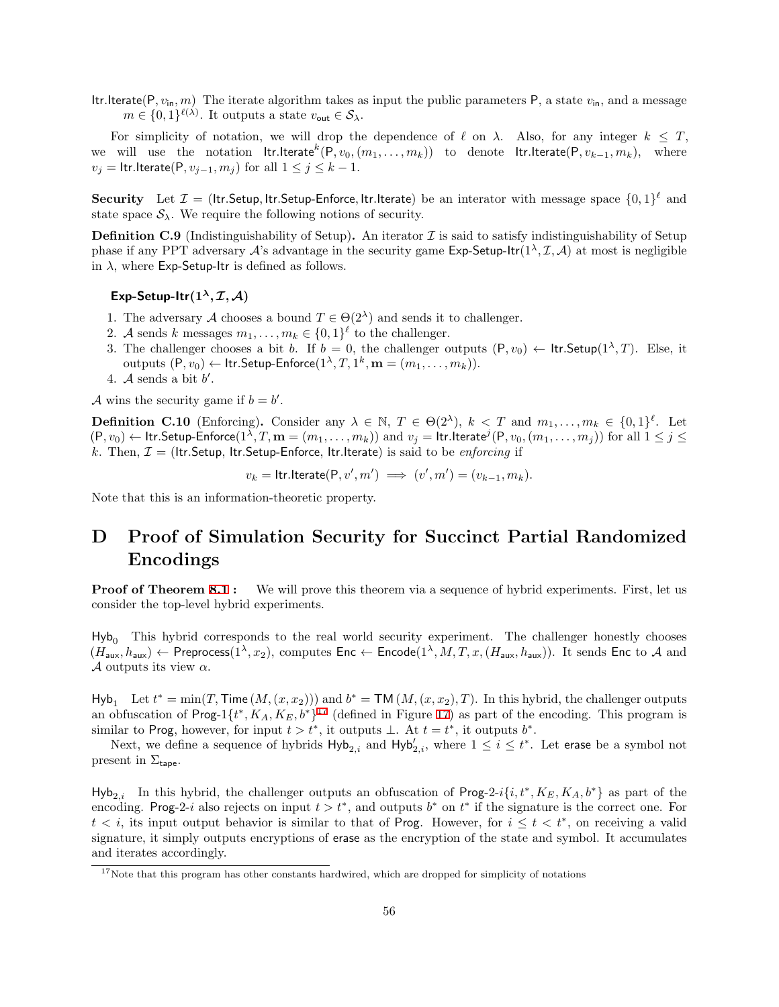Itr.Iterate(P,  $v_{\text{in}}$ , m) The iterate algorithm takes as input the public parameters P, a state  $v_{\text{in}}$ , and a message  $m \in \{0,1\}^{\ell(\lambda)}$ . It outputs a state  $v_{\text{out}} \in \mathcal{S}_{\lambda}$ .

For simplicity of notation, we will drop the dependence of  $\ell$  on  $\lambda$ . Also, for any integer  $k \leq T$ , we will use the notation ltr.lterate  $^k(P,v_0,(m_1,\ldots,m_k))$  to denote ltr.lterate  $(P,v_{k-1},m_k),$  where *v*<sub>*j*</sub> = **ltr.lterate**( $P, v_{j-1}, m_j$ ) for all  $1 ≤ j ≤ k − 1$ .

**Security** Let  $\mathcal{I} = (\textsf{Itr.Setup}, \textsf{Itr.Setup-Enforce}, \textsf{Itr.lterate})$  be an interator with message space  $\{0,1\}^{\ell}$  and state space  $S_\lambda$ . We require the following notions of security.

<span id="page-55-0"></span>**Definition C.9** (Indistinguishability of Setup). An iterator  $\mathcal I$  is said to satisfy indistinguishability of Setup phase if any PPT adversary  $\mathcal{A}$ 's advantage in the security game  $Exp\text{-}Setup\text{-}Itr(1^{\lambda}, \mathcal{I}, \mathcal{A})$  at most is negligible in  $\lambda$ , where Exp-Setup-Itr is defined as follows.

**Exp-Setup-Itr** $(1^{\lambda}, \mathcal{I}, \mathcal{A})$ 

- 1. The adversary *A* chooses a bound  $T \in \Theta(2^{\lambda})$  and sends it to challenger.
- 2. *A* sends *k* messages  $m_1, \ldots, m_k \in \{0, 1\}^{\ell}$  to the challenger.
- 3. The challenger chooses a bit *b*. If  $b = 0$ , the challenger outputs  $(P, v_0) \leftarrow \text{Itr}\text{.Setup}(1^{\lambda}, T)$ . Else, it  $\text{outputs } (P, v_0) \leftarrow \text{Itr}.\text{Setup-Enforce}(1^\lambda, T, 1^k, \mathbf{m} = (m_1, \ldots, m_k)).$
- 4. *A* sends a bit  $b'$ .

*A* wins the security game if  $b = b'$ .

<span id="page-55-1"></span>**Definition C.10** (Enforcing). Consider any  $\lambda \in \mathbb{N}$ ,  $T \in \Theta(2^{\lambda})$ ,  $k < T$  and  $m_1, \ldots, m_k \in \{0, 1\}^{\ell}$ . Let  $(P, v_0) \leftarrow$  Itr.Setup-Enforce $(1^{\lambda}, T, m = (m_1, \ldots, m_k))$  and  $v_j =$  Itr.Iterate<sup>j</sup> $(P, v_0, (m_1, \ldots, m_j))$  for all  $1 \leq j \leq$  $k$ . Then,  $\mathcal{I} =$  (Itr.Setup, Itr.Setup-Enforce, Itr.Iterate) is said to be *enforcing* if

$$
v_k = \text{Itr.} \text{Iterate}(P, v', m') \implies (v', m') = (v_{k-1}, m_k).
$$

Note that this is an information-theoretic property.

# <span id="page-55-2"></span>**D Proof of Simulation Security for Succinct Partial Randomized Encodings**

**Proof of Theorem [8.1](#page-40-0) <b>:** We will prove this theorem via a sequence of hybrid experiments. First, let us consider the top-level hybrid experiments.

 $Hyb_0$  This hybrid corresponds to the real world security experiment. The challenger honestly chooses  $(H_{\text{aux}}, h_{\text{aux}}) \leftarrow$  Preprocess $(1^{\lambda}, x_2)$ , computes Enc  $\leftarrow$  Encode $(1^{\lambda}, M, T, x, (H_{\text{aux}}, h_{\text{aux}}))$ . It sends Enc to *A* and *A* outputs its view *α*.

 $\text{Hyb}_1$  Let  $t^* = \min(T, \text{Time}(M, (x, x_2)))$  and  $b^* = \text{TM}(M, (x, x_2), T)$ . In this hybrid, the challenger outputs an obfuscation of Prog-1 $\{t^*, K_A, K_E, b^*\}^{17}$  $\{t^*, K_A, K_E, b^*\}^{17}$  $\{t^*, K_A, K_E, b^*\}^{17}$  (defined in Figure 17) as part of the encoding. This program is similar to Prog, however, for input  $t > t^*$ , it outputs  $\bot$ . At  $t = t^*$ , it outputs  $b^*$ .

Next, we define a sequence of hybrids  $Hyb_{2,i}$  and  $Hyb'_{2,i}$ , where  $1 \leq i \leq t^*$ . Let erase be a symbol not present in  $\Sigma_{\text{tape}}$ .

 $Hyb_{2,i}$  In this hybrid, the challenger outputs an obfuscation of Prog-2-*i* $\{i, t^*, K_E, K_A, b^*\}$  as part of the encoding. Prog-2-*i* also rejects on input  $t > t^*$ , and outputs  $b^*$  on  $t^*$  if the signature is the correct one. For  $t < i$ , its input output behavior is similar to that of Prog. However, for  $i \leq t < t^*$ , on receiving a valid signature, it simply outputs encryptions of erase as the encryption of the state and symbol. It accumulates and iterates accordingly.

<span id="page-55-3"></span><sup>17</sup>Note that this program has other constants hardwired, which are dropped for simplicity of notations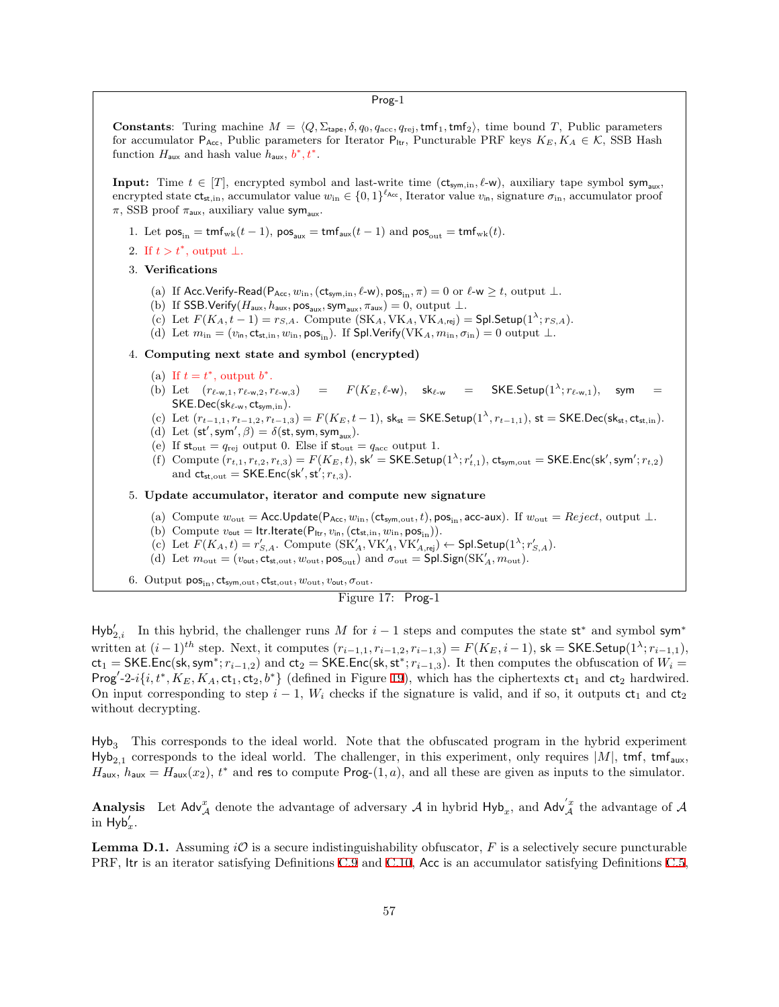#### Prog-1

<span id="page-56-0"></span>**Constants**: Turing machine  $M = \langle Q, \Sigma_{\text{tape}}, \delta, q_0, q_{\text{acc}}, q_{\text{rej}}, \text{tmf}_1, \text{tmf}_2 \rangle$ , time bound *T*, Public parameters for accumulator P<sub>Acc</sub>, Public parameters for Iterator P<sub>Itr</sub>, Puncturable PRF keys  $K_E, K_A \in \mathcal{K}$ , SSB Hash function  $H_{\text{aux}}$  and hash value  $h_{\text{aux}}$ ,  $b^*$ ,  $t^*$ .

**Input:** Time  $t \in [T]$ , encrypted symbol and last-write time ( $ct_{sym,in}, \ell-w$ ), auxiliary tape symbol sym<sub>aux</sub>, encrypted state  $ct_{st,in}$ , accumulator value  $w_{in} \in \{0,1\}^{\ell_{Acc}}$ , Iterator value  $v_{in}$ , signature  $\sigma_{in}$ , accumulator proof  $\pi$ , SSB proof  $\pi_{\text{aux}}$ , auxiliary value sym<sub>aux</sub>.

- 1. Let  $pos_{\text{in}} = \text{tmf}_{\text{wk}}(t-1)$ ,  $pos_{\text{aux}} = \text{tmf}_{\text{aux}}(t-1)$  and  $pos_{\text{out}} = \text{tmf}_{\text{wk}}(t)$ .
- 2. If *t > t<sup>∗</sup>* , output *⊥*.
- 3. **Verifications**
	- (a) If Acc.Verify-Read( $P_{Acc}, w_{in}$ , (ct<sub>sym,in</sub>,  $\ell$ -w),  $pos_{in}, \pi$ ) = 0 or  $\ell$ -w  $\geq t$ , output  $\bot$ .
	- (b) If SSB.Verify( $H_{\text{aux}}, h_{\text{aux}},$  pos<sub>aux</sub>, sym<sub>aux</sub>,  $\pi_{\text{aux}}$ ) = 0, output  $\perp$ .
	- (c) Let  $F(K_A, t-1) = r_{S,A}$ . Compute  $(SK_A, VK_A, VK_{A, \text{rej}}) = \text{Spl}.\text{Setup}(1^{\lambda}; r_{S,A}).$
	- (d) Let  $m_{\text{in}} = (v_{\text{in}}, \text{ct}_{\text{st},\text{in}}, w_{\text{in}}, \text{pos}_{\text{in}})$ . If Spl.Verify(VK<sub>A</sub>,  $m_{\text{in}}, \sigma_{\text{in}}) = 0$  output  $\perp$ .
- 4. **Computing next state and symbol (encrypted)**
	- (a) If  $t = t^*$ , output  $b^*$ .
	- (b) Let  $(r_{\ell-w,1}, r_{\ell-w,2}, r_{\ell-w,3})$  =  $F(K_E, \ell-w)$ , sk $_{\ell-w}$  = SKE.Setup( $1^{\lambda}; r_{\ell-w,1}$ ), sym = SKE*.*Dec(sk*<sup>ℓ</sup>*-w*,* ctsym*,*in).
	- (c) Let  $(r_{t-1,1}, r_{t-1,2}, r_{t-1,3}) = F(K_E, t-1)$ ,  $\mathsf{sk}_{\mathsf{st}} = \mathsf{SKE}.\mathsf{Setup}(1^{\lambda}, r_{t-1,1}), \, \mathsf{st} = \mathsf{SKE}.\mathsf{Dec}(\mathsf{sk}_{\mathsf{st}}, \mathsf{ct}_{\mathsf{st},\text{in}}).$
	- (d) Let  $(\mathsf{st}', \mathsf{sym}', \beta) = \delta(\mathsf{st}, \mathsf{sym}, \mathsf{sym}_{\mathsf{aux}}).$
	- (e) If  $st_{\text{out}} = q_{\text{rej}}$  output 0. Else if  $st_{\text{out}} = q_{\text{acc}}$  output 1.
	- (f) Compute  $(r_{t,1}, r_{t,2}, r_{t,3}) = F(K_E, t)$ , sk' = SKE.Setup $(1^{\lambda}; r'_{t,1})$ , ct<sub>sym, out</sub> = SKE.Enc(sk', sym';  $r_{t,2}$ ) and  $ct_{st,out} = SKE.Enc(sk', st'; r_{t,3}).$
- 5. **Update accumulator, iterator and compute new signature**
	- (a) Compute *w*out = Acc*.*Update(PAcc*, w*in*,*(ctsym*,*out*, t*)*,* posin*,* acc-aux). If *w*out = *Reject*, output *⊥*.
	- (b) Compute  $v_{\text{out}} = \text{Itr.lterate}(P_{\text{Itr}}, v_{\text{in}}, (ct_{\text{st},\text{in}}, w_{\text{in}}, pos_{\text{in}})).$
	- (c) Let  $F(K_A, t) = r'_{S, A}$ . Compute  $(SK'_A, VK'_A, VK'_{A, rej}) \leftarrow$  Spl. Setup $(1^{\lambda}; r'_{S, A})$ .
	- (d) Let  $m_{\text{out}} = (v_{\text{out}}, \text{ct}_{\text{st},\text{out}}, w_{\text{out}}, \text{pos}_{\text{out}})$  and  $\sigma_{\text{out}} = \text{Spl}.\text{Sign}(\text{SK}'_A, m_{\text{out}})$ .
- 6. Output  $\mathsf{pos}_{\mathrm{in}}, \mathsf{ct}_{\mathsf{sym},\mathrm{out}}, \mathsf{ct}_{\mathsf{st},\mathrm{out}}, w_{\mathrm{out}}, v_{\mathrm{out}}, \sigma_{\mathrm{out}}.$

Figure 17: Prog-1

Hyb*′* <sup>2</sup>*,i* In this hybrid, the challenger runs *M* for *i −* 1 steps and computes the state st*<sup>∗</sup>* and symbol sym*<sup>∗</sup>* written at  $(i-1)^{th}$  step. Next, it computes  $(r_{i-1,1}, r_{i-1,2}, r_{i-1,3}) = F(K_E, i-1)$ , sk = SKE.Setup $(1^{\lambda}; r_{i-1,1}),$  $ct_1 = \text{SKE}$ .Enc(sk, sym<sup>\*</sup>;  $r_{i-1,2}$ ) and  $ct_2 = \text{SKE}$ .Enc(sk, st<sup>\*</sup>;  $r_{i-1,3}$ ). It then computes the obfuscation of  $W_i =$ Prog<sup>'</sup>-2-*i*{*i*,  $t^*$ ,  $K_E$ ,  $K_A$ , ct<sub>1</sub>, ct<sub>2</sub>,  $b^*$ } (defined in Figure [19](#page-58-0)), which has the ciphertexts  $ct_1$  and  $ct_2$  hardwired. On input corresponding to step  $i - 1$ ,  $W_i$  checks if the signature is valid, and if so, it outputs  $ct_1$  and  $ct_2$ without decrypting.

 $Hyb<sub>3</sub>$  This corresponds to the ideal world. Note that the obfuscated program in the hybrid experiment  $Hyb_{2,1}$  corresponds to the ideal world. The challenger, in this experiment, only requires  $|M|$ , tmf, tmf<sub>aux</sub>,  $H_{\text{aux}}$ ,  $h_{\text{aux}} = H_{\text{aux}}(x_2)$ ,  $t^*$  and res to compute Prog- $(1, a)$ , and all these are given as inputs to the simulator.

Analysis Let  $Adv_{\mathcal{A}}^x$  denote the advantage of adversary  $\mathcal{A}$  in hybrid  $Hyb_x$ , and  $Adv_{\mathcal{A}}^{'x}$  the advantage of  $\mathcal{A}$ in  $H$ yb $'_{x}$ .

<span id="page-56-1"></span>**Lemma D.1.** Assuming  $i\mathcal{O}$  is a secure indistinguishability obfuscator, F is a selectively secure puncturable PRF, Itr is an iterator satisfying Definitions [C.9](#page-55-0) and [C.10,](#page-55-1) Acc is an accumulator satisfying Definitions [C.5,](#page-53-0)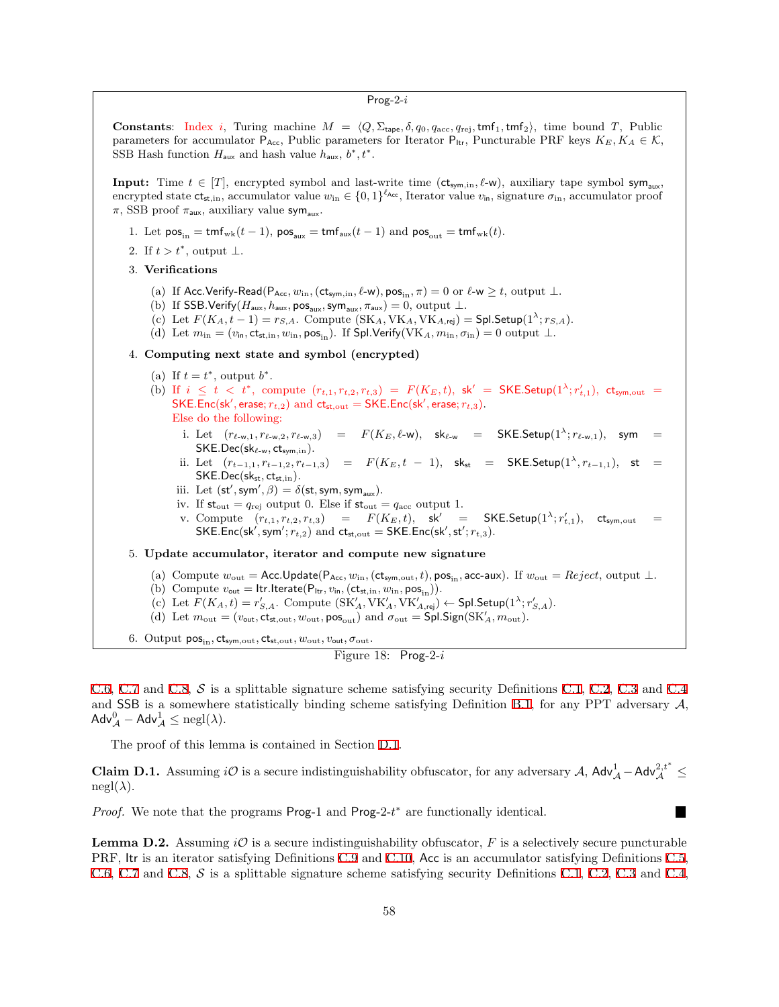#### Prog-2-*i*

**Constants:** Index *i*, Turing machine  $M = \langle Q, \Sigma_{\text{tape}}, \delta, q_0, q_{\text{acc}}, q_{\text{rej}}, \text{tmf}_1, \text{tmf}_2 \rangle$ , time bound *T*, Public parameters for accumulator  $P_{Acc}$ , Public parameters for Iterator  $P_{ltr}$ , Puncturable PRF keys  $K_E, K_A \in \mathcal{K}$ , SSB Hash function  $H_{\text{aux}}$  and hash value  $h_{\text{aux}}$ ,  $b^*$ ,  $t^*$ .

**Input:** Time  $t \in [T]$ , encrypted symbol and last-write time ( $ct_{sym,in}, \ell-w$ ), auxiliary tape symbol sym<sub>aux</sub>, encrypted state  $ct_{st,in}$ , accumulator value  $w_{in} \in \{0,1\}^{\ell_{Acc}}$ , Iterator value  $v_{in}$ , signature  $\sigma_{in}$ , accumulator proof  $\pi$ , SSB proof  $\pi_{\text{aux}}$ , auxiliary value sym<sub>aux</sub>.

- 1. Let  $pos_{\text{in}} = \text{tmf}_{\text{wk}}(t-1)$ ,  $pos_{\text{aux}} = \text{tmf}_{\text{aux}}(t-1)$  and  $pos_{\text{out}} = \text{tmf}_{\text{wk}}(t)$ .
- 2. If *t > t<sup>∗</sup>* , output *⊥*.
- 3. **Verifications**
	- (a) If Acc.Verify-Read( $P_{Acc}, w_{in}$ , (ct<sub>sym,in</sub>,  $\ell$ -w),  $pos_{in}, \pi$ ) = 0 or  $\ell$ -w  $\geq t$ , output  $\bot$ .
	- (b) If SSB.Verify( $H_{\text{aux}}, h_{\text{aux}},$  pos<sub>aux</sub>, sym<sub>aux</sub>,  $\pi_{\text{aux}}$ ) = 0, output  $\perp$ .
	- (c) Let  $F(K_A, t-1) = r_{S,A}$ . Compute  $(SK_A, VK_A, VK_{A, \text{rej}}) = \text{Spl}.\text{Setup}(1^{\lambda}; r_{S,A}).$
	- (d) Let  $m_{\text{in}} = (v_{\text{in}}, \text{ct}_{\text{st},\text{in}}, w_{\text{in}}, \text{pos}_{\text{in}})$ . If Spl.Verify $(\text{VK}_A, m_{\text{in}}, \sigma_{\text{in}}) = 0$  output  $\bot$ .

### 4. **Computing next state and symbol (encrypted)**

- (a) If  $t = t^*$ , output  $b^*$ .
- (b) If  $i \le t \lt t^*$ , compute  $(r_{t,1}, r_{t,2}, r_{t,3}) = F(K_E, t)$ , sk' = SKE.Setup $(1^{\lambda}; r'_{t,1})$ , ct<sub>sym,out</sub> = SKE.Enc(sk', erase;  $r_{t,2}$ ) and  $ct_{st,out}$  = SKE.Enc(sk', erase;  $r_{t,3}$ ). Else do the following:
	- i. Let  $(r_{\ell-w,1}, r_{\ell-w,2}, r_{\ell-w,3}) = F(K_E, \ell-w), \text{ sk}_{\ell-w} = \text{SKE}.\text{Setup}(1^{\lambda}; r_{\ell-w,1}), \text{ sym} =$ SKE*.*Dec(sk*<sup>ℓ</sup>*-w*,* ctsym*,*in).
	- ii. Let  $(r_{t-1,1}, r_{t-1,2}, r_{t-1,3}) = F(K_E, t-1)$ ,  $sk_{st} = SKE. Setup(1^{\lambda}, r_{t-1,1})$ , st =  $SKE.Dec(s_{kst}, ct_{st,in}).$
	- iii. Let  $(\mathsf{st}', \mathsf{sym}', \beta) = \delta(\mathsf{st}, \mathsf{sym}, \mathsf{sym}_{\mathsf{aux}}).$
	- iv. If  $st_{\text{out}} = q_{\text{rej}}$  output 0. Else if  $st_{\text{out}} = q_{\text{acc}}$  output 1.
		- v. Compute  $(r_{t,1}, r_{t,2}, r_{t,3})$  =  $F(K_E, t)$ , sk<sup>'</sup> = SKE.Setup $(1^{\lambda}; r'_{t,1})$ , ct<sub>sym,out</sub> = SKE.Enc(sk', sym';  $r_{t,2}$ ) and  $ct_{st,out}$  = SKE.Enc(sk', st';  $r_{t,3}$ ).

#### 5. **Update accumulator, iterator and compute new signature**

- (a) Compute  $w_{\text{out}} = \text{Acc}.\text{Update}(P_{\text{Acc}}, w_{\text{in}}, (ct_{\text{sym,out}}, t), \text{pos}_{\text{in}}, \text{acc-aux}).$  If  $w_{\text{out}} = Reject$ , output  $\perp$ .
- (b) Compute  $v_{\text{out}} = \text{ltr.lterate}(P_{\text{ltr}}, v_{\text{in}}, (\text{ct}_{\text{st,in}}, w_{\text{in}}, \text{pos}_{\text{in}})).$
- (c) Let  $F(K_A, t) = r'_{S, A}$ . Compute  $(SK'_A, VK'_A, VK'_{A, rej}) \leftarrow$  Spl. Setup $(1^{\lambda}; r'_{S, A})$ .
- (d) Let  $m_{\text{out}} = (v_{\text{out}}, \text{ct}_{\text{st},\text{out}}, w_{\text{out}}, \text{pos}_{\text{out}})$  and  $\sigma_{\text{out}} = \text{Spl}.\text{Sign}(\text{SK}'_A, m_{\text{out}})$ .
- 6. Output posin*,* ctsym*,*out*,* ctst*,*out*, w*out*, v*out*, σ*out.

Figure 18: 
$$
Prog-2-i
$$

[C.6,](#page-53-1) [C.7](#page-54-0) and [C.8,](#page-54-1) *S* is a splittable signature scheme satisfying security Definitions [C.1](#page-51-0), [C.2](#page-51-1), [C.3](#page-51-2) and [C.4](#page-52-0) and SSB is a somewhere statistically binding scheme satisfying Definition [B.1](#page-48-0), for any PPT adversary *A*,  $\mathsf{Adv}_{\mathcal{A}}^0 - \mathsf{Adv}_{\mathcal{A}}^1 \le \mathrm{negl}(\lambda).$ 

The proof of this lemma is contained in Section [D.1](#page-59-0).

**Claim D.1.** Assuming *iO* is a secure indistinguishability obfuscator, for any adversary *A*,  $Adv_{\mathcal{A}}^{1}$  −  $Adv_{\mathcal{A}}^{2,t^*}$  ≤  $\operatorname{negl}(\lambda)$ .

*Proof.* We note that the programs Prog-1 and Prog-2- $t^*$  are functionally identical.

<span id="page-57-0"></span>**Lemma D.2.** Assuming  $i\mathcal{O}$  is a secure indistinguishability obfuscator, F is a selectively secure puncturable PRF, Itr is an iterator satisfying Definitions [C.9](#page-55-0) and [C.10,](#page-55-1) Acc is an accumulator satisfying Definitions [C.5,](#page-53-0) [C.6,](#page-53-1) [C.7](#page-54-0) and [C.8,](#page-54-1) *S* is a splittable signature scheme satisfying security Definitions [C.1](#page-51-0), [C.2,](#page-51-1) [C.3](#page-51-2) and [C.4,](#page-52-0)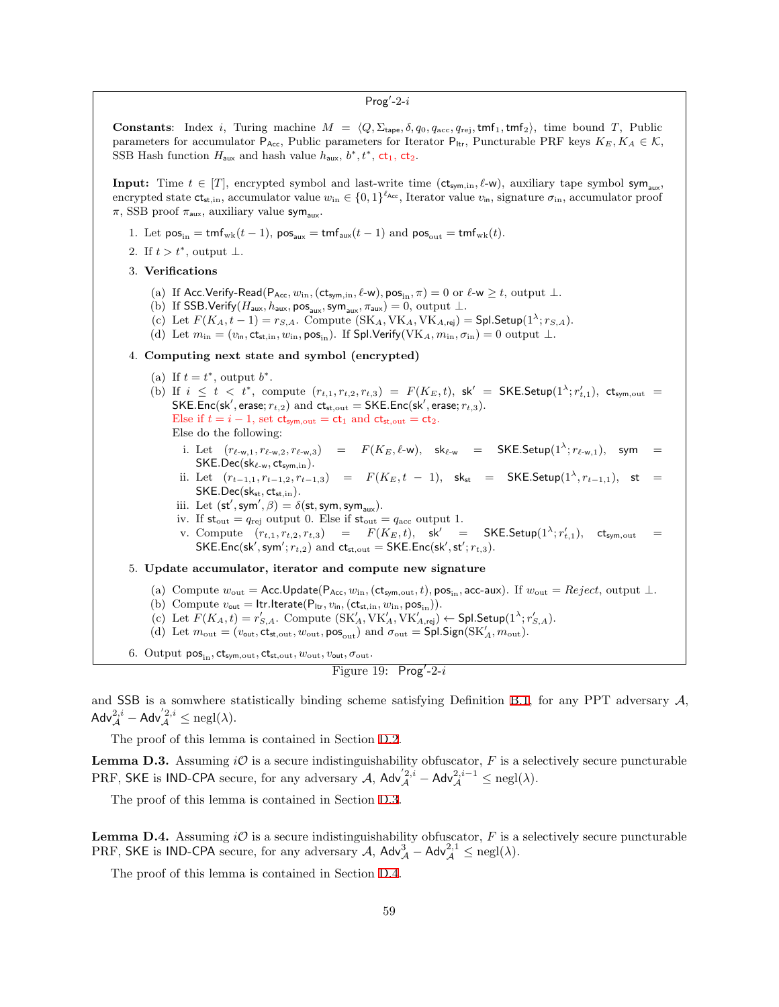Prog*′* -2-*i*

<span id="page-58-0"></span>**Constants**: Index *i*, Turing machine  $M = \langle Q, \Sigma_{\text{tape}}, \delta, q_0, q_{\text{acc}}, q_{\text{rej}}, \text{tmf}_1, \text{tmf}_2 \rangle$ , time bound *T*, Public parameters for accumulator  $P_{Acc}$ , Public parameters for Iterator  $P_{ltr}$ , Puncturable PRF keys  $K_E, K_A \in \mathcal{K}$ , SSB Hash function  $H_{\text{aux}}$  and hash value  $h_{\text{aux}}$ ,  $b^*$ ,  $t^*$ ,  $ct_1$ ,  $ct_2$ .

**Input:** Time  $t \in [T]$ , encrypted symbol and last-write time ( $ct_{sym,in}, \ell-w$ ), auxiliary tape symbol  $sym_{aux}$ , encrypted state  $ct_{st,in}$ , accumulator value  $w_{in} \in \{0,1\}^{\ell_{Acc}}$ , Iterator value  $v_{in}$ , signature  $\sigma_{in}$ , accumulator proof  $\pi$ , SSB proof  $\pi_{\text{aux}}$ , auxiliary value sym<sub>aux</sub>.

- 1. Let  $pos_{\text{in}} = \text{tmf}_{\text{wk}}(t-1)$ ,  $pos_{\text{aux}} = \text{tmf}_{\text{aux}}(t-1)$  and  $pos_{\text{out}} = \text{tmf}_{\text{wk}}(t)$ .
- 2. If *t > t<sup>∗</sup>* , output *⊥*.
- 3. **Verifications**
	- (a) If Acc.Verify-Read( $P_{Acc}, w_{in}$ , ( $ct_{sym,in}, \ell-w$ ),  $pos_{in}, \pi) = 0$  or  $\ell-w \geq t$ , output  $\bot$ .
	- (b) If SSB.Verify $(H_{\text{aux}}, h_{\text{aux}}, \text{pos}_{\text{aux}}, \text{sym}_{\text{aux}}, \pi_{\text{aux}}) = 0$ , output ⊥.
	- (c) Let  $F(K_A, t-1) = r_{S,A}$ . Compute  $(SK_A, VK_A, VK_{A, \text{rej}}) = \text{Spl}.\text{Setup}(1^{\lambda}; r_{S,A}).$
	- (d) Let  $m_{\text{in}} = (v_{\text{in}}, \text{ct}_{\text{st},\text{in}}, w_{\text{in}}, \text{pos}_{\text{in}})$ . If Spl.Verify(VK<sub>A</sub>,  $m_{\text{in}}, \sigma_{\text{in}}) = 0$  output  $\perp$ .

## 4. **Computing next state and symbol (encrypted)**

- (a) If  $t = t^*$ , output  $b^*$ .
- (b) If  $i \le t \lt t^*$ , compute  $(r_{t,1}, r_{t,2}, r_{t,3}) = F(K_E, t)$ , sk' = SKE.Setup $(1^{\lambda}; r'_{t,1})$ , ct<sub>sym,out</sub> = SKE.Enc(sk', erase;  $r_{t,2}$ ) and  $ct_{st,out}$  = SKE.Enc(sk', erase;  $r_{t,3}$ ). Else if  $t = i - 1$ , set  $ct_{sym,out} = ct_1$  and  $ct_{st,out} = ct_2$ . Else do the following:
	- i. Let  $(r_{\ell-w,1}, r_{\ell-w,2}, r_{\ell-w,3}) = F(K_E, \ell-w), \text{ sk}_{\ell-w} = \text{SKE}.\text{Setup}(1^{\lambda}; r_{\ell-w,1}), \text{ sym} =$ SKE*.*Dec(sk*<sup>ℓ</sup>*-w*,* ctsym*,*in).
	- ii. Let  $(r_{t-1,1}, r_{t-1,2}, r_{t-1,3}) = F(K_E, t-1)$ ,  $\mathsf{sk}_{\mathsf{st}} = \mathsf{SKE}.\mathsf{Setup}(1^\lambda, r_{t-1,1}), \mathsf{st} =$ SKE.Dec(sk<sub>st</sub>, ct<sub>st,in</sub>).
	- iii. Let  $(\mathsf{st}', \mathsf{sym}', \beta) = \delta(\mathsf{st}, \mathsf{sym}, \mathsf{sym}_{\mathsf{aux}}).$
	- iv. If  $st_{out} = q_{rej}$  output 0. Else if  $st_{out} = q_{acc}$  output 1.
	- v. Compute  $(r_{t,1}, r_{t,2}, r_{t,3})$  =  $F(K_E, t)$ , sk<sup>'</sup> = SKE.Setup $(1^{\lambda}; r'_{t,1})$ , ct<sub>sym,out</sub> = SKE.Enc(sk', sym';  $r_{t,2}$ ) and  $ct_{st,out}$  = SKE.Enc(sk', st';  $r_{t,3}$ ).

5. **Update accumulator, iterator and compute new signature**

- (a) Compute  $w_{\text{out}} = \text{Acc}.\text{Update}(P_{\text{Acc}}, w_{\text{in}}, (\text{ct}_{\text{sym},\text{out}}, t), \text{pos}_{\text{in}}, \text{acc-aux}).$  If  $w_{\text{out}} = Reject$ , output  $\perp$ .
- (b) Compute  $v_{\text{out}} = \text{ltr}.\text{lterate}(P_{\text{ltr}}, v_{\text{in}},(ct_{\text{st},\text{in}},w_{\text{in}}, \text{pos}_{\text{in}})).$

(c) Let  $F(K_A, t) = r'_{S, A}$ . Compute  $(SK'_A, VK'_A, VK'_{A, rej}) \leftarrow$  Spl. Setup $(1^{\lambda}; r'_{S, A})$ .

- (d) Let  $m_{\text{out}} = (v_{\text{out}}, \text{ct}_{\text{st},\text{out}}, w_{\text{out}}, \text{pos}_{\text{out}})$  and  $\sigma_{\text{out}} = \text{Spl}.\text{Sign}(\text{SK}'_A, m_{\text{out}})$ .
- 6. Output  $pos_{\text{in}}$ ,  $ct_{\text{sym,out}}$ ,  $ct_{\text{st,out}}$ ,  $w_{\text{out}}$ ,  $v_{\text{out}}$ ,  $\sigma_{\text{out}}$ .

Figure 19: Prog*′* -2-*i*

and SSB is a somwhere statistically binding scheme satisfying Definition [B.1,](#page-48-0) for any PPT adversary *A*,  $\mathsf{Adv}_{\mathcal{A}}^{2,i} - \mathsf{Adv}_{\mathcal{A}}^{'2,i} \le \mathrm{negl}(\lambda).$ 

The proof of this lemma is contained in Section [D.2](#page-70-0).

**Lemma D.3.** Assuming  $i\mathcal{O}$  is a secure indistinguishability obfuscator, F is a selectively secure puncturable PRF, SKE is IND-CPA secure, for any adversary  $A$ ,  $Adv_{\mathcal{A}}^{2,i} - Adv_{\mathcal{A}}^{2,i-1} \leq negl(\lambda)$ *.* 

The proof of this lemma is contained in Section [D.3](#page-79-0).

**Lemma D.4.** Assuming  $i\mathcal{O}$  is a secure indistinguishability obfuscator, F is a selectively secure puncturable PRF, SKE is IND-CPA secure, for any adversary  $A$ ,  $\mathsf{Adv}_{\mathcal{A}}^{3} - \mathsf{Adv}_{\mathcal{A}}^{2,1} \leq \text{negl}(\lambda)$ .

The proof of this lemma is contained in Section [D.4](#page-81-0).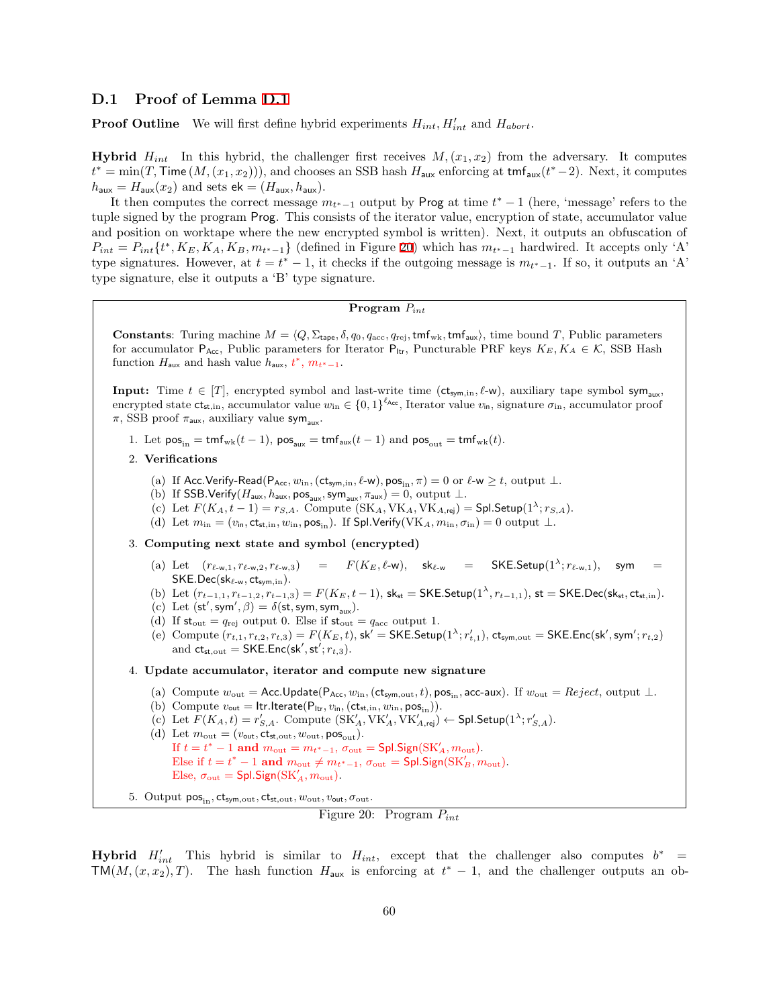# <span id="page-59-0"></span>**D.1 Proof of Lemma [D.1](#page-56-1)**

**Proof Outline** We will first define hybrid experiments  $H_{int}$ ,  $H'_{int}$  and  $H_{abort}$ .

**Hybrid**  $H_{int}$  In this hybrid, the challenger first receives  $M$ ,  $(x_1, x_2)$  from the adversary. It computes  $t^* = \min(T, \text{Time}(M, (x_1, x_2)))$ , and chooses an SSB hash  $H_{\text{aux}}$  enforcing at  $\text{tmf}_{\text{aux}}(t^* - 2)$ . Next, it computes  $h_{\text{aux}} = H_{\text{aux}}(x_2)$  and sets  $ek = (H_{\text{aux}}, h_{\text{aux}})$ .

It then computes the correct message  $m_{t^*-1}$  output by Prog at time  $t^* - 1$  (here, 'message' refers to the tuple signed by the program Prog. This consists of the iterator value, encryption of state, accumulator value and position on worktape where the new encrypted symbol is written). Next, it outputs an obfuscation of  $P_{int} = P_{int} \{t^*, K_E, K_A, K_B, m_{t^*-1}\}\$  (defined in Figure [20\)](#page-59-1) which has  $m_{t^*-1}$  hardwired. It accepts only 'A' type signatures. However, at  $t = t^* - 1$ , it checks if the outgoing message is  $m_{t^* - 1}$ . If so, it outputs an 'A' type signature, else it outputs a 'B' type signature.

#### **Program** *Pint*

<span id="page-59-1"></span>**Constants**: Turing machine  $M = \langle Q, \Sigma_{\text{tape}}, \delta, q_0, q_{\text{acc}}, q_{\text{rej}}, \text{tmf}_{\text{wk}}, \text{tmf}_{\text{aux}} \rangle$ , time bound *T*, Public parameters for accumulator  $P_{Acc}$ , Public parameters for Iterator  $P_{itr}$ , Puncturable PRF keys  $K_E, K_A \in \mathcal{K}$ , SSB Hash function  $H_{\text{aux}}$  and hash value  $h_{\text{aux}}$ ,  $t^*$ ,  $m_{t^*-1}$ .

**Input:** Time  $t \in [T]$ , encrypted symbol and last-write time ( $ct_{sym,in}, \ell-w$ ), auxiliary tape symbol sym<sub>aux</sub>, encrypted state  $ct_{st,in}$ , accumulator value  $w_{in} \in \{0,1\}^{\ell_{Acc}}$ , Iterator value  $v_{in}$ , signature  $\sigma_{in}$ , accumulator proof  $\pi$ , SSB proof  $\pi_{\text{aux}}$ , auxiliary value sym<sub>aux</sub>.

1. Let  $pos_{\text{in}} = \text{tmf}_{\text{wk}}(t-1)$ ,  $pos_{\text{aux}} = \text{tmf}_{\text{aux}}(t-1)$  and  $pos_{\text{out}} = \text{tmf}_{\text{wk}}(t)$ .

- 2. **Verifications**
	- (a) If Acc.Verify-Read( $P_{Acc}, w_{in}$ , ( $ct_{sym,in}, \ell-w$ ),  $pos_{in}, \pi) = 0$  or  $\ell-w \geq t$ , output  $\bot$ .
	- (b) If SSB.Verify $(H_{\text{aux}}, h_{\text{aux}}, \text{pos}_{\text{aux}}, \text{sym}_{\text{aux}}, \pi_{\text{aux}}) = 0$ , output ⊥.
	- (c) Let  $F(K_A, t-1) = r_{S,A}$ . Compute  $(SK_A, VK_A, VK_{A, \text{rej}}) = \text{Spl}.\text{Setup}(1^{\lambda}; r_{S,A}).$
	- (d) Let  $m_{\text{in}} = (v_{\text{in}}, \text{ct}_{\text{st},\text{in}}, w_{\text{in}}, \text{pos}_{\text{in}})$ . If Spl.Verify(VK<sub>A</sub>,  $m_{\text{in}}, \sigma_{\text{in}}) = 0$  output  $\perp$ .
- 3. **Computing next state and symbol (encrypted)**
	- (a) Let  $(r_{\ell-w,1}, r_{\ell-w,2}, r_{\ell-w,3})$  =  $F(K_E, \ell-w),$  sk<sub> $\ell-w$ </sub> =  $SKE.$ Setup( $1^{\lambda}$ ;  $r_{\ell-w,1}$ ), sym SKE*.*Dec(sk*<sup>ℓ</sup>*-w*,* ctsym*,*in).
	- $\text{(b) Let $(r_{t-1,1},r_{t-1,2},r_{t-1,3})$} = F(K_E,t-1)\text{, } \mathsf{sk}_\mathsf{st} = \mathsf{SKE}.\mathsf{Setup}(1^\lambda,r_{t-1,1})\text{, } \mathsf{st} = \mathsf{SKE}.\mathsf{Dec}(\mathsf{sk}_\mathsf{st},\mathsf{ct}_\mathsf{st,in}).$
	- $(c)$  Let  $(st', sym', \beta) = \delta(st, sym, sym_{aux}).$
	- (d) If  $st_{\text{out}} = q_{\text{rej}}$  output 0. Else if  $st_{\text{out}} = q_{\text{acc}}$  output 1.
	- (e) Compute  $(r_{t,1},r_{t,2},r_{t,3})=F(K_E,t)$ , sk' = SKE.Setup $(1^{\lambda};r'_{t,1})$ , ct<sub>sym,out</sub> = SKE.Enc(sk', sym';  $r_{t,2})$ and  $ct_{st,out} = SKE.Enc(sk', st'; r_{t,3}).$
- 4. **Update accumulator, iterator and compute new signature**
	- (a) Compute *w*out = Acc*.*Update(PAcc*, w*in*,*(ctsym*,*out*, t*)*,* posin*,* acc-aux). If *w*out = *Reject*, output *⊥*.
	- (b) Compute  $v_{\text{out}} = \text{Itr}.\text{Iterate}(P_{\text{ltr}}, v_{\text{in}}, (\text{ct}_{\text{st},\text{in}}, w_{\text{in}}, \text{pos}_{\text{in}})).$
	- (c) Let  $F(K_A, t) = r'_{S, A}$ . Compute  $(SK'_A, VK'_A, VK'_{A, rej}) \leftarrow$  Spl. Setup $(1^{\lambda}; r'_{S, A})$ .
	- (d) Let  $m_{\text{out}} = (v_{\text{out}}, ct_{\text{st,out}}, w_{\text{out}}, \text{pos}_{\text{out}}).$ If  $t = t^* - 1$  and  $m_{\text{out}} = m_{t^* - 1}$ ,  $\sigma_{\text{out}} = \text{Spl.Sign}(\text{SK}'_A, m_{\text{out}})$ . Else if  $t = t^* - 1$  and  $m_{\text{out}} \neq m_{t^*-1}$ ,  $\sigma_{\text{out}} = \textsf{Spl}.\textsf{Sign}(\textsf{SK}'_B, m_{\text{out}})$ . Else,  $\sigma_{\text{out}} = \text{Spl.Sign}(\text{SK}'_A, m_{\text{out}})$ .

5. Output posin*,* ctsym*,*out*,* ctst*,*out*, w*out*, v*out*, σ*out.

Figure 20: Program *Pint*

**Hybrid**  $H'_{int}$  This hybrid is similar to  $H_{int}$ , except that the challenger also computes  $b^*$  =  $TM(M,(x,x_2),T)$ . The hash function  $H_{\text{aux}}$  is enforcing at  $t^* - 1$ , and the challenger outputs an ob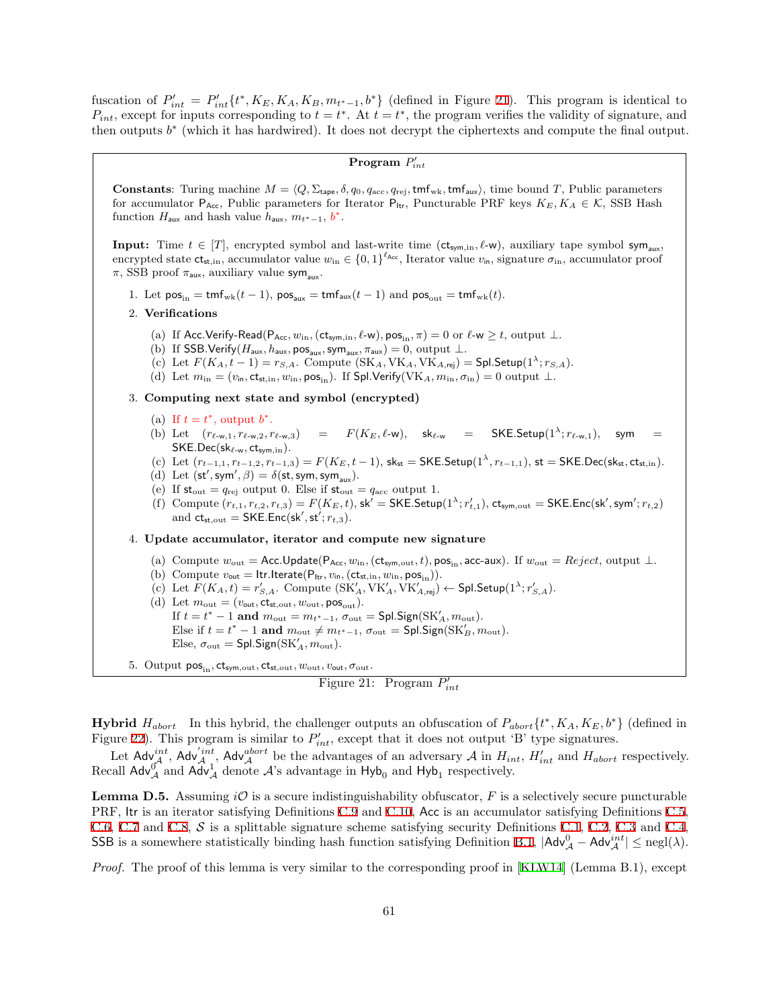fuscation of  $P'_{int} = P'_{int} \{t^*, K_E, K_A, K_B, m_{t^*-1}, b^*\}\$  (defined in Figure [21\)](#page-60-0). This program is identical to  $P_{int}$ , except for inputs corresponding to  $t = t^*$ . At  $t = t^*$ , the program verifies the validity of signature, and then outputs *b ∗* (which it has hardwired). It does not decrypt the ciphertexts and compute the final output.

#### $\mathbf{Program}\ \mathit{P}'_{int}$

<span id="page-60-0"></span>**Constants**: Turing machine  $M = \langle Q, \Sigma_{\text{tape}}, \delta, q_0, q_{\text{acc}}, q_{\text{rej}}, \text{tmf}_{\text{wk}}, \text{tmf}_{\text{aux}} \rangle$ , time bound *T*, Public parameters for accumulator  $P_{Acc}$ , Public parameters for Iterator  $P_{ltr}$ , Puncturable PRF keys  $K_E, K_A \in \mathcal{K}$ , SSB Hash function  $H_{\text{aux}}$  and hash value  $h_{\text{aux}}$ ,  $m_{t^*-1}$ ,  $b^*$ .

**Input:** Time  $t \in [T]$ , encrypted symbol and last-write time ( $ct_{sym,in}, \ell-w$ ), auxiliary tape symbol sym<sub>aux</sub>, encrypted state  $ct_{st,in}$ , accumulator value  $w_{in} \in \{0,1\}^{\ell_{Acc}}$ , Iterator value  $v_{in}$ , signature  $\sigma_{in}$ , accumulator proof  $\pi$ , SSB proof  $\pi_{\text{aux}}$ , auxiliary value sym<sub>aux</sub>.

- 1. Let  $pos_{\text{in}} = \text{tmf}_{\text{wk}}(t-1)$ ,  $pos_{\text{aux}} = \text{tmf}_{\text{aux}}(t-1)$  and  $pos_{\text{out}} = \text{tmf}_{\text{wk}}(t)$ .
- 2. **Verifications**
	- (a) If Acc.Verify-Read( $P_{Acc}, w_{in}$ , ( $ct_{sym,in}$ ,  $\ell$ -w),  $pos_{in}$ ,  $\pi$ ) = 0 or  $\ell$ -w  $\geq t$ , output  $\bot$ .
	- $\mathcal{L}(\mathbf{b})$  If SSB.Verify $(H_{\mathsf{aux}}, h_{\mathsf{aux}}, \mathsf{pos}_{\mathsf{aux}}, \mathsf{sym}_{\mathsf{aux}}, \pi_{\mathsf{aux}}) = 0$ , output  $\bot$ .
	- (c) Let  $F(K_A, t-1) = r_{S,A}$ . Compute  $(SK_A, VK_A, VK_{A, \text{rej}}) = \text{Spl}.\text{Setup}(1^{\lambda}; r_{S,A}).$
	- (d) Let  $m_{\text{in}} = (v_{\text{in}}, ct_{\text{st},\text{in}}, w_{\text{in}}, \text{pos}_{\text{in}})$ . If Spl.Verify(VK<sub>A</sub>*, m*<sub>in</sub>*,*  $\sigma_{\text{in}}$ *)* = 0 output  $\perp$ .

### 3. **Computing next state and symbol (encrypted)**

- (a) If  $t = t^*$ , output  $b^*$ .
- (b) Let  $(r_{\ell-w,1}, r_{\ell-w,2}, r_{\ell-w,3})$  =  $F(K_E, \ell-w),$  sk<sub> $\ell-w$ </sub> =  $SKE.$ Setup( $1^{\lambda}; r_{\ell-w,1}$ ), sym SKE*.*Dec(sk*<sup>ℓ</sup>*-w*,* ctsym*,*in).
- (c) Let  $(r_{t-1,1}, r_{t-1,2}, r_{t-1,3}) = F(K_E, t-1)$ ,  $\mathsf{sk}_\mathsf{st} = \mathsf{SKE}.\mathsf{Setup}(1^\lambda, r_{t-1,1}), \, \mathsf{st} = \mathsf{SKE}.\mathsf{Dec}(\mathsf{sk}_\mathsf{st}, \mathsf{ct}_\mathsf{st,in}).$
- (d) Let  $(\mathsf{st}', \mathsf{sym}', \beta) = \delta(\mathsf{st}, \mathsf{sym}, \mathsf{sym}_{\mathsf{aux}}).$
- (e) If  $st_{\text{out}} = q_{\text{rej}}$  output 0. Else if  $st_{\text{out}} = q_{\text{acc}}$  output 1.
- (f) Compute  $(r_{t,1}, r_{t,2}, r_{t,3}) = F(K_E, t)$ , sk' = SKE.Setup $(1^{\lambda}; r'_{t,1})$ , ct<sub>sym,out</sub> = SKE.Enc(sk', sym';  $r_{t,2}$ ) and  $ct_{st,out} = SKE.Enc(sk', st'; r_{t,3}).$

#### 4. **Update accumulator, iterator and compute new signature**

- (a) Compute  $w_{\text{out}} = \text{Acc}.\text{Update}(P_{\text{Acc}}, w_{\text{in}}, (\text{ct}_{\text{sym},\text{out}}, t), \text{pos}_{\text{in}}, \text{acc-aux})$ . If  $w_{\text{out}} = Reject$ , output  $\perp$ .
- (b) Compute  $v_{\text{out}} = \text{ltr.lterate}(P_{\text{ltr}}, v_{\text{in}}, (\text{ct}_{\text{st,in}}, w_{\text{in}}, \text{pos}_{\text{in}})).$
- (c) Let  $F(K_A, t) = r'_{S, A}$ . Compute  $(SK'_A, VK'_A, VK'_{A, rej}) \leftarrow$  Spl. Setup $(1^{\lambda}; r'_{S, A})$ .
- (d) Let  $m_{\text{out}} = (v_{\text{out}}, ct_{\text{st,out}}, w_{\text{out}}, \text{pos}_{\text{out}}).$
- If  $t = t^* 1$  and  $m_{\text{out}} = m_{t^*-1}$ ,  $\sigma_{\text{out}} = \textsf{Spl}.\textsf{Sign}(\textsf{SK}'_A, m_{\text{out}})$ .
	- Else if  $t = t^* 1$  and  $m_{\text{out}} \neq m_{t^*-1}$ ,  $\sigma_{\text{out}} = \textsf{Spl}.\textsf{Sign}(\textsf{SK}'_B, m_{\text{out}})$ .  $\text{Else, } \sigma_{\text{out}} = \text{Spl.Sign}(\text{SK}'_A, m_{\text{out}}).$
- 5. Output posin*,* ctsym*,*out*,* ctst*,*out*, w*out*, v*out*, σ*out.

Figure 21: Program *P ′ int*

**Hybrid**  $H_{abort}$  In this hybrid, the challenger outputs an obfuscation of  $P_{abort}\lbrace t^*, K_A, K_E, b^* \rbrace$  (defined in Figure [22](#page-61-0)). This program is similar to  $P'_{int}$ , except that it does not output 'B' type signatures.

Let  $\text{Adv}_{\mathcal{A}}^{int}$ ,  $\text{Adv}_{\mathcal{A}}^{int}$ ,  $\text{Adv}_{\mathcal{A}}^{abort}$  be the advantages of an adversary  $\mathcal{A}$  in  $H_{int}$ ,  $H'_{int}$  and  $H_{abort}$  respectively. Recall  $\text{Adv}_{\mathcal{A}}^0$  and  $\text{Adv}_{\mathcal{A}}^1$  denote  $\mathcal{A}$ 's advantage in  $\text{Hyb}_0$  and  $\text{Hyb}_1$  respectively.

<span id="page-60-1"></span>**Lemma D.5.** Assuming  $i\mathcal{O}$  is a secure indistinguishability obfuscator, F is a selectively secure puncturable PRF, Itr is an iterator satisfying Definitions [C.9](#page-55-0) and [C.10,](#page-55-1) Acc is an accumulator satisfying Definitions [C.5,](#page-53-0) [C.6,](#page-53-1) [C.7](#page-54-0) and [C.8,](#page-54-1) *S* is a splittable signature scheme satisfying security Definitions [C.1](#page-51-0), [C.2,](#page-51-1) [C.3](#page-51-2) and [C.4,](#page-52-0) SSB is a somewhere statistically binding hash function satisfying Definition [B.1](#page-48-0),  $|Adv^0_A - Adv^{int}_A| \leq negl(\lambda)$ .

*Proof.* The proof of this lemma is very similar to the corresponding proof in [\[KLW14](#page-44-5)] (Lemma B.1), except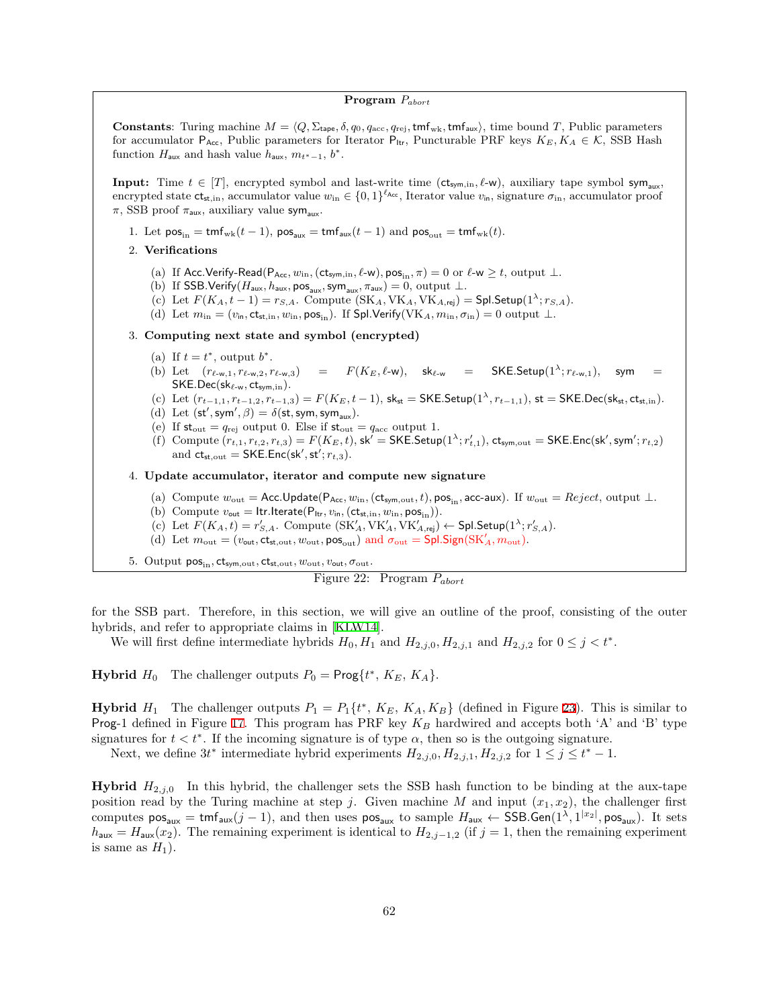#### **Program** *Pabort*

<span id="page-61-0"></span>**Constants**: Turing machine  $M = \langle Q, \Sigma_{\text{tape}}, \delta, q_0, q_{\text{acc}}, q_{\text{rej}}, \text{tmf}_{\text{wk}}, \text{tmf}_{\text{aux}} \rangle$ , time bound *T*, Public parameters for accumulator  $P_{Acc}$ , Public parameters for Iterator  $P_{itr}$ , Puncturable PRF keys  $K_E, K_A \in \mathcal{K}$ , SSB Hash function  $H_{\text{aux}}$  and hash value  $h_{\text{aux}}$ ,  $m_{t^*-1}$ ,  $b^*$ .

**Input:** Time  $t \in [T]$ , encrypted symbol and last-write time ( $ct_{sym,in}, \ell-w$ ), auxiliary tape symbol sym<sub>aux</sub>, encrypted state  $ct_{st,in}$ , accumulator value  $w_{in} \in \{0,1\}^{\ell_{Acc}}$ , Iterator value  $v_{in}$ , signature  $\sigma_{in}$ , accumulator proof  $\pi$ , SSB proof  $\pi_{\text{aux}}$ , auxiliary value sym<sub>aux</sub>.

- 1. Let  $pos_{\text{in}} = \text{tmf}_{\text{wk}}(t-1)$ ,  $pos_{\text{aux}} = \text{tmf}_{\text{aux}}(t-1)$  and  $pos_{\text{out}} = \text{tmf}_{\text{wk}}(t)$ .
- 2. **Verifications**
	- (a) If Acc.Verify-Read( $P_{Acc}, w_{in}$ , (ct<sub>sym,in</sub>,  $\ell$ -w),  $pos_{in}, \pi) = 0$  or  $\ell$ -w  $\geq t$ , output  $\bot$ .
	- (b) If SSB.Verify( $H_{\text{aux}}, h_{\text{aux}}, \text{pos}_{\text{aux}}, \text{sym}_{\text{aux}}, \pi_{\text{aux}}) = 0$ , output ⊥.
	- (c) Let  $F(K_A, t-1) = r_{S,A}$ . Compute  $(SK_A, VK_A, VK_{A, \text{rej}}) = \text{Spl}.\text{Setup}(1^{\lambda}; r_{S,A}).$
	- (d) Let  $m_{\text{in}} = (v_{\text{in}}, \text{ct}_{\text{st},\text{in}}, w_{\text{in}}, \text{pos}_{\text{in}})$ . If Spl.Verify(VK<sub>A</sub>,  $m_{\text{in}}, \sigma_{\text{in}}) = 0$  output  $\perp$ .

#### 3. **Computing next state and symbol (encrypted)**

- (a) If  $t = t^*$ , output  $b^*$ .
- (b) Let  $(r_{\ell-w,1}, r_{\ell-w,2}, r_{\ell-w,3})$  =  $F(K_E, \ell-w)$ , sk $_{\ell-w}$  = SKE.Setup( $1^{\lambda}; r_{\ell-w,1}$ ), sym = SKE*.*Dec(sk*<sup>ℓ</sup>*-w*,* ctsym*,*in).
- (c) Let  $(r_{t-1,1}, r_{t-1,2}, r_{t-1,3}) = F(K_E, t-1)$ ,  $\mathsf{sk}_{\mathsf{st}} = \mathsf{SKE}.\mathsf{Setup}(1^\lambda, r_{t-1,1}), \, \mathsf{st} = \mathsf{SKE}.\mathsf{Dec}(\mathsf{sk}_{\mathsf{st}}, \mathsf{ct}_{\mathsf{st},\text{in}}).$
- (d) Let  $(st', sym', \beta) = \delta(st, sym, sym_{aux}).$
- (e) If  $st_{\text{out}} = q_{\text{rej}}$  output 0. Else if  $st_{\text{out}} = q_{\text{acc}}$  output 1.
- (f) Compute  $(r_{t,1}, r_{t,2}, r_{t,3}) = F(K_E, t)$ , sk' = SKE.Setup $(1^{\lambda}; r'_{t,1})$ , ct<sub>sym, out</sub> = SKE.Enc(sk', sym';  $r_{t,2}$ ) and  $ct_{st,out} = SKE.Enc(sk', st'; r_{t,3}).$
- 4. **Update accumulator, iterator and compute new signature**
	- (a) Compute  $w_{\text{out}} = \text{Acc}.\text{Update}(P_{\text{Acc}}, w_{\text{in}}, (ct_{\text{sym,out}}, t), \text{pos}_{\text{in}}, \text{acc-aux}).$  If  $w_{\text{out}} = Reject$ , output  $\perp$ .
	- (b) Compute  $v_{\text{out}} = \text{Itr}.\text{Iterate}(P_{\text{Itr}}, v_{\text{in}}, (\text{ct}_{\text{st},\text{in}}, w_{\text{in}}, \text{pos}_{\text{in}})).$
	- (c) Let  $F(K_A, t) = r'_{S, A}$ . Compute  $(SK'_A, VK'_A, VK'_{A, rej}) \leftarrow$  Spl. Setup $(1^{\lambda}; r'_{S, A})$ .
	- (d) Let  $m_{\text{out}} = (v_{\text{out}}, \text{ct}_{\text{st},\text{out}}, w_{\text{out}}, \text{pos}_{\text{out}})$  and  $\sigma_{\text{out}} = \text{Spl}.\text{Sign}(\text{SK}'_A, m_{\text{out}})$ .
- 5. Output  $pos_{in}$ ,  $ct_{sym,out}$ ,  $ct_{st,out}$ ,  $w_{out}$ ,  $v_{out}$ ,  $\sigma_{out}$ .

Figure 22: Program *Pabort*

for the SSB part. Therefore, in this section, we will give an outline of the proof, consisting of the outer hybrids, and refer to appropriate claims in [\[KLW14\]](#page-44-5).

We will first define intermediate hybrids  $H_0, H_1$  and  $H_{2,j,0}, H_{2,j,1}$  and  $H_{2,j,2}$  for  $0 \leq j < t^*$ .

**Hybrid**  $H_0$  The challenger outputs  $P_0 = \text{Prog}\{t^*, K_E, K_A\}.$ 

**Hybrid**  $H_1$  The challenger outputs  $P_1 = P_1\{t^*, K_E, K_A, K_B\}$  (defined in Figure [23\)](#page-62-0). This is similar to Prog-1 defined in Figure [17.](#page-56-0) This program has PRF key *K<sup>B</sup>* hardwired and accepts both 'A' and 'B' type signatures for  $t < t^*$ . If the incoming signature is of type  $\alpha$ , then so is the outgoing signature.

Next, we define  $3t^*$  intermediate hybrid experiments  $H_{2,j,0}, H_{2,j,1}, H_{2,j,2}$  for  $1 \leq j \leq t^* - 1$ .

**Hybrid**  $H_{2,j,0}$  In this hybrid, the challenger sets the SSB hash function to be binding at the aux-tape position read by the Turing machine at step *j*. Given machine *M* and input  $(x_1, x_2)$ , the challenger first computes  $pos_{aux} = tmf_{aux}(j-1)$ , and then uses  $pos_{aux}$  to sample  $H_{aux} \leftarrow SSB.Gen(1^{\lambda}, 1^{|x_2|}, pos_{aux})$ . It sets  $h_{\text{aux}} = H_{\text{aux}}(x_2)$ . The remaining experiment is identical to  $H_{2,j-1,2}$  (if  $j = 1$ , then the remaining experiment is same as  $H_1$ ).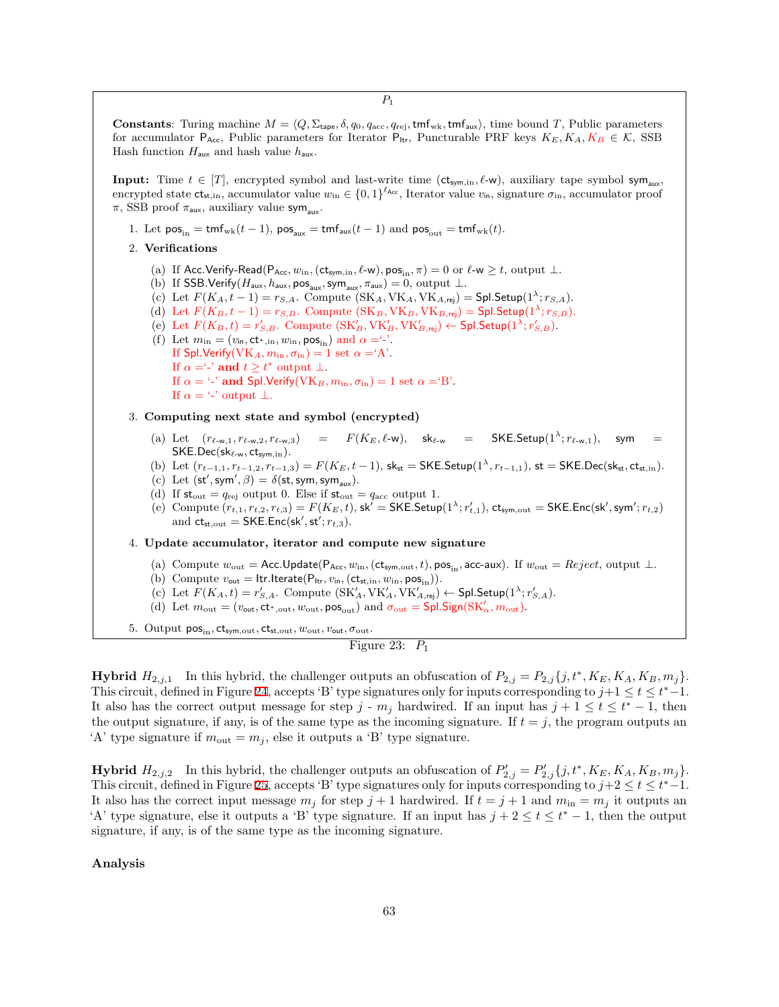*P*<sup>1</sup>

<span id="page-62-0"></span>**Constants**: Turing machine  $M = \langle Q, \Sigma_{\text{tape}}, \delta, q_0, q_{\text{acc}}, q_{\text{rej}}, \text{tmf}_{\text{wk}}, \text{tmf}_{\text{aux}} \rangle$ , time bound *T*, Public parameters for accumulator  $P_{Acc}$ , Public parameters for Iterator  $P_{itr}$ , Puncturable PRF keys  $K_E, K_A, K_B \in \mathcal{K}$ , SSB Hash function  $H_{\text{aux}}$  and hash value  $h_{\text{aux}}$ .

**Input:** Time  $t \in [T]$ , encrypted symbol and last-write time ( $ct_{sym,in}, \ell-w$ ), auxiliary tape symbol sym<sub>aux</sub>, encrypted state  $ct_{st,in}$ , accumulator value  $w_{in} \in \{0,1\}^{\ell_{Acc}}$ , Iterator value  $v_{in}$ , signature  $\sigma_{in}$ , accumulator proof  $\pi$ , SSB proof  $\pi_{\text{aux}}$ , auxiliary value sym<sub>aux</sub>.

- 1. Let  $pos_{\text{in}} = \text{tmf}_{\text{wk}}(t-1)$ ,  $pos_{\text{aux}} = \text{tmf}_{\text{aux}}(t-1)$  and  $pos_{\text{out}} = \text{tmf}_{\text{wk}}(t)$ .
- 2. **Verifications**
	- (a) If Acc.Verify-Read( $P_{Acc}, w_{in}$ , ( $ct_{sym,in}, \ell-w$ ),  $pos_{in}, \pi) = 0$  or  $\ell-w \geq t$ , output  $\bot$ .
	- (b) If SSB.Verify( $H_{\text{aux}}, h_{\text{aux}},$  pos<sub>aux</sub>, sym<sub>aux</sub>,  $\pi_{\text{aux}}$ ) = 0, output  $\perp$ .
	- (c) Let  $F(K_A, t-1) = r_{S,A}$ . Compute  $(SK_A, VK_A, VK_{A,rei}) = \text{Spl.Setup}(1^{\lambda}; r_{S,A})$ .
	- (d) Let  $F(K_B, t-1) = r_{S,B}$ . Compute  $(SK_B, VK_B, VK_{B, rej}) = \text{Spl.Setup}(1^{\lambda}; r_{S,B})$ .
	- (e) Let  $F(K_B, t) = r'_{S,B}$ . Compute  $(SK'_B, VK'_B, VK'_{B, \text{rej}}) \leftarrow \text{Spl}.\text{Setup}(1^{\lambda}; r'_{S,B})$ .
	- (f) Let  $m_{\text{in}} = (v_{\text{in}}, ct_{\text{*,in}}, w_{\text{in}}, \text{pos}_{\text{in}})$  and  $\alpha = \frac{C}{n}$ . If Spl.Verify( $VK_A$ *, m*<sub>in</sub>*,*  $\sigma$ <sub>in</sub> $) = 1$  set  $\alpha = A$ <sup>'</sup>. If  $\alpha = \infty$  and  $t \geq t^*$  output  $\perp$ . If  $\alpha = \frac{1}{2}$  **and Spl.Verify**(VK<sub>B</sub>*, m*<sub>in</sub>*, o*<sub>in</sub>) = 1 set  $\alpha = B'$ . If  $\alpha = \frac{1}{2}$  output  $\perp$ .

#### 3. **Computing next state and symbol (encrypted)**

- (a) Let  $(r_{\ell-w,1}, r_{\ell-w,2}, r_{\ell-w,3})$  =  $F(K_E, \ell-w)$ , sk $_{\ell-w}$  = SKE.Setup( $1^{\lambda}; r_{\ell-w,1}$ ), sym = SKE*.*Dec(sk*<sup>ℓ</sup>*-w*,* ctsym*,*in).
- $\text{(b) Let $(r_{t-1,1},r_{t-1,2},r_{t-1,3})$} = F(K_E,t-1)\text{, } \mathsf{sk}_\mathsf{st} = \mathsf{SKE}.\mathsf{Setup}(1^\lambda,r_{t-1,1})\text{, } \mathsf{st} = \mathsf{SKE}.\mathsf{Dec}(\mathsf{sk}_\mathsf{st},\mathsf{ct}_\mathsf{st,in}).$
- $(c)$  Let  $(st', sym', \beta) = \delta(st, sym, sym_{aux}).$
- (d) If  $st_{\text{out}} = q_{\text{rej}}$  output 0. Else if  $st_{\text{out}} = q_{\text{acc}}$  output 1.
- (e) Compute  $(r_{t,1}, r_{t,2}, r_{t,3}) = F(K_E, t)$ , sk' = SKE.Setup $(1^{\lambda}; r'_{t,1})$ , ct<sub>sym, out</sub> = SKE.Enc(sk', sym';  $r_{t,2}$ ) and  $ct_{st,out} = SKE.Enc(sk', st'; r_{t,3}).$

4. **Update accumulator, iterator and compute new signature**

- $\label{eq:1}$  (a) Compute  $w_{\text{out}} = \text{Acc}.\text{Update}(\mathsf{P}_{\text{Acc}},w_{\text{in}},(\text{ct}_{\text{sym,out}},t),\text{pos}_{\text{in}},\text{acc-aux}).$  If  $w_{\text{out}} = Reject,$  output  $\bot.$
- (b) Compute  $v_{\text{out}} = \text{ltr.lterate}(P_{\text{ltr}}, v_{\text{in}}, (\text{ct}_{\text{st,in}}, w_{\text{in}}, \text{pos}_{\text{in}})).$
- (c) Let  $F(K_A, t) = r'_{S, A}$ . Compute  $(SK'_A, VK'_A, VK'_{A, rej}) \leftarrow$  Spl. Setup $(1^{\lambda}; r'_{S, A})$ .
- (d) Let  $m_{\text{out}} = (v_{\text{out}}, ct_{*,\text{out}}, w_{\text{out}}, \text{pos}_{\text{out}})$  and  $\sigma_{\text{out}} = \text{Spl.Sign}(\text{SK}'_{\alpha}, m_{\text{out}})$ .

5. Output  $pos_{in}, ct_{sym,out}, ct_{st,out}, w_{out}, v_{out}, \sigma_{out}.$ 

Figure 23: *P*<sup>1</sup>

**Hybrid**  $H_{2,j,1}$  In this hybrid, the challenger outputs an obfuscation of  $P_{2,j} = P_{2,j} \{j, t^*, K_E, K_A, K_B, m_j\}.$ This circuit, defined in Figure [24](#page-63-0), accepts 'B' type signatures only for inputs corresponding to  $j+1 \le t \le t^*-1$ . It also has the correct output message for step *j* -  $m_j$  hardwired. If an input has  $j + 1 \le t \le t^* - 1$ , then the output signature, if any, is of the same type as the incoming signature. If  $t = j$ , the program outputs an 'A' type signature if  $m_{\text{out}} = m_j$ , else it outputs a 'B' type signature.

**Hybrid**  $H_{2,j,2}$  In this hybrid, the challenger outputs an obfuscation of  $P'_{2,j} = P'_{2,j} \{j, t^*, K_E, K_A, K_B, m_j\}.$ This circuit, defined in Figure [25](#page-64-0), accepts 'B' type signatures only for inputs corresponding to  $j+2 \le t \le t^*-1$ . It also has the correct input message  $m_j$  for step  $j + 1$  hardwired. If  $t = j + 1$  and  $m_{in} = m_j$  it outputs an 'A' type signature, else it outputs a 'B' type signature. If an input has  $j + 2 \le t \le t^* - 1$ , then the output signature, if any, is of the same type as the incoming signature.

**Analysis**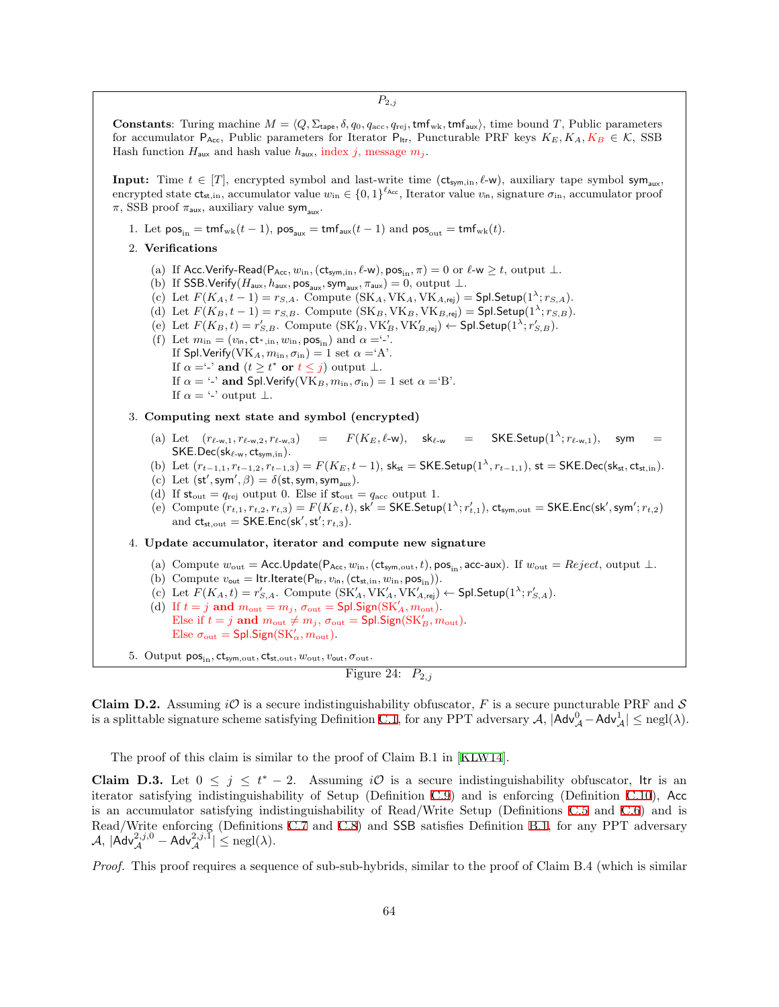$P_{2,i}$ 

<span id="page-63-0"></span>**Constants**: Turing machine  $M = \langle Q, \Sigma_{\text{tape}}, \delta, q_0, q_{\text{acc}}, q_{\text{rej}}, \text{tmf}_{\text{wk}}, \text{tmf}_{\text{aux}} \rangle$ , time bound *T*, Public parameters for accumulator  $P_{Acc}$ , Public parameters for Iterator  $P_{\text{Itr}}$ , Puncturable PRF keys  $K_E, K_A, K_B \in \mathcal{K}$ , SSB Hash function  $H_{\text{aux}}$  and hash value  $h_{\text{aux}}$ , index *j*, message  $m_j$ .

**Input:** Time  $t \in [T]$ , encrypted symbol and last-write time ( $ct_{sym,in}, \ell-w$ ), auxiliary tape symbol sym<sub>aux</sub>, encrypted state  $ct_{st,in}$ , accumulator value  $w_{in} \in \{0,1\}^{\ell_{Acc}}$ , Iterator value  $v_{in}$ , signature  $\sigma_{in}$ , accumulator proof  $\pi$ , SSB proof  $\pi_{\text{aux}}$ , auxiliary value sym<sub>aux</sub>.

- 1. Let  $pos_{\text{in}} = \text{tmf}_{\text{wk}}(t-1)$ ,  $pos_{\text{aux}} = \text{tmf}_{\text{aux}}(t-1)$  and  $pos_{\text{out}} = \text{tmf}_{\text{wk}}(t)$ .
- 2. **Verifications**
	- (a) If Acc.Verify-Read( $P_{Acc}, w_{in}$ , ( $ct_{sym,in}, \ell-w$ ),  $pos_{in}, \pi) = 0$  or  $\ell-w \geq t$ , output  $\bot$ .
	- (b) If SSB.Verify( $H_{\text{aux}}, h_{\text{aux}},$  pos<sub>aux</sub>, sym<sub>aux</sub>,  $\pi_{\text{aux}}$ ) = 0, output  $\perp$ .
	- (c) Let  $F(K_A, t-1) = r_{S,A}$ . Compute  $(SK_A, VK_A, VK_{A,rei}) = \text{Spl.Setup}(1^{\lambda}; r_{S,A})$ .
	- (d) Let  $F(K_B, t-1) = r_{S,B}$ . Compute  $(SK_B, VK_B, VK_{B,reg}) = \text{Spl.Setup}(1^{\lambda}; r_{S,B})$ .
	- (e) Let  $F(K_B, t) = r'_{S,B}$ . Compute  $(SK'_B, VK'_B, VK'_{B, rej}) \leftarrow$  Spl. Setup $(1^{\lambda}; r'_{S,B})$ .
	- (f) Let  $m_{\text{in}} = (v_{\text{in}}, ct_{\text{*,in}}, w_{\text{in}}, \text{pos}_{\text{in}})$  and  $\alpha = \dot{\cdot}$ . If Spl.Verify( $VK_A, m_{in}, \sigma_{in}$ ) = 1 set  $\alpha = A'$ . If  $\alpha = \infty$  **and**  $(t \geq t^*$  **or**  $t \leq j)$  output  $\perp$ . If  $\alpha = \mathcal{F}$  and Spl.Verify(VK<sub>B</sub>,  $m_{\text{in}}$ ,  $\sigma_{\text{in}}$ ) = 1 set  $\alpha = \mathcal{B}'$ . If  $\alpha = \langle \cdot \rangle$  output  $\perp$ .

#### 3. **Computing next state and symbol (encrypted)**

- (a) Let  $(r_{\ell-w,1}, r_{\ell-w,2}, r_{\ell-w,3})$  =  $F(K_E, \ell-w)$ , sk $_{\ell-w}$  = SKE.Setup( $1^{\lambda}; r_{\ell-w,1}$ ), sym = SKE*.*Dec(sk*<sup>ℓ</sup>*-w*,* ctsym*,*in).
- $\text{(b) Let $(r_{t-1,1},r_{t-1,2},r_{t-1,3})$} = F(K_E,t-1)\text{, } \mathsf{sk}_\mathsf{st} = \mathsf{SKE}.\mathsf{Setup}(1^\lambda,r_{t-1,1})\text{, } \mathsf{st} = \mathsf{SKE}.\mathsf{Dec}(\mathsf{sk}_\mathsf{st},\mathsf{ct}_\mathsf{st,in}).$
- $(c)$  Let  $(st', sym', \beta) = \delta(st, sym, sym_{aux}).$
- (d) If  $st_{\text{out}} = q_{\text{rej}}$  output 0. Else if  $st_{\text{out}} = q_{\text{acc}}$  output 1.
- (e) Compute  $(r_{t,1}, r_{t,2}, r_{t,3}) = F(K_E, t)$ , sk' = SKE.Setup $(1^{\lambda}; r'_{t,1})$ , ct<sub>sym, out</sub> = SKE.Enc(sk', sym';  $r_{t,2}$ ) and  $ct_{st,out} = SKE.Enc(sk', st'; r_{t,3}).$

4. **Update accumulator, iterator and compute new signature**

- $\label{eq:1}$  (a) Compute  $w_{\text{out}} = \text{Acc}.\text{Update}(\mathsf{P}_{\text{Acc}},w_{\text{in}},(\text{ct}_{\text{sym,out}},t),\text{pos}_{\text{in}},\text{acc-aux}).$  If  $w_{\text{out}} = Reject,$  output  $\bot.$
- (b) Compute  $v_{\text{out}} = \text{ltr.lterate}(P_{\text{ltr}}, v_{\text{in}}, (\text{ct}_{\text{st,in}}, w_{\text{in}}, \text{pos}_{\text{in}})).$
- (c) Let  $F(K_A, t) = r'_{S, A}$ . Compute  $(SK'_A, VK'_A, VK'_{A, rej}) \leftarrow$  Spl. Setup $(1^{\lambda}; r'_{S, A})$ .
- (d) If  $t = j$  and  $m_{\text{out}} = m_j$ ,  $\sigma_{\text{out}} = \text{Spl.Sign}(\text{SK}'_A, m_{\text{out}})$ . Else if  $t = j$  and  $m_{\text{out}} \neq m_j$ ,  $\sigma_{\text{out}} = \textsf{Spl}.\textsf{Sign}(\textsf{SK}'_B, m_{\text{out}})$ .
	- Else  $\sigma_{\text{out}} = \text{Spl}.\text{Sign}(\text{SK}'_{\alpha}, m_{\text{out}}).$

5. Output posin*,* ctsym*,*out*,* ctst*,*out*, w*out*, v*out*, σ*out.

Figure 24:  $P_{2i}$ 

**Claim D.2.** Assuming  $i\mathcal{O}$  is a secure indistinguishability obfuscator, *F* is a secure puncturable PRF and *S*  $\inf_{\mathcal{A}}$  is a splittable signature scheme satisfying Definition [C.1,](#page-51-0) for any PPT adversary  $\mathcal{A}$ ,  $|\mathsf{Adv}_{\mathcal{A}}^0 - \mathsf{Adv}_{\mathcal{A}}^1| \leq \text{negl}(\lambda)$ .

The proof of this claim is similar to the proof of Claim B.1 in [[KLW14](#page-44-5)].

**Claim D.3.** Let  $0 \leq j \leq t^* - 2$ . Assuming *iO* is a secure indistinguishability obfuscator, Itr is an iterator satisfying indistinguishability of Setup (Definition [C.9](#page-55-0)) and is enforcing (Definition [C.10](#page-55-1)), Acc is an accumulator satisfying indistinguishability of Read/Write Setup (Definitions [C.5](#page-53-0) and [C.6](#page-53-1)) and is Read/Write enforcing (Definitions [C.7](#page-54-0) and [C.8\)](#page-54-1) and SSB satisfies Definition [B.1,](#page-48-0) for any PPT adversary  $\mathcal{A}, |\mathsf{Adv}_{\mathcal{A}}^{2,j,0} - \mathsf{Adv}_{\mathcal{A}}^{2,j,\bar{1}}| \le \mathrm{negl}(\lambda).$ 

*Proof.* This proof requires a sequence of sub-sub-hybrids, similar to the proof of Claim B.4 (which is similar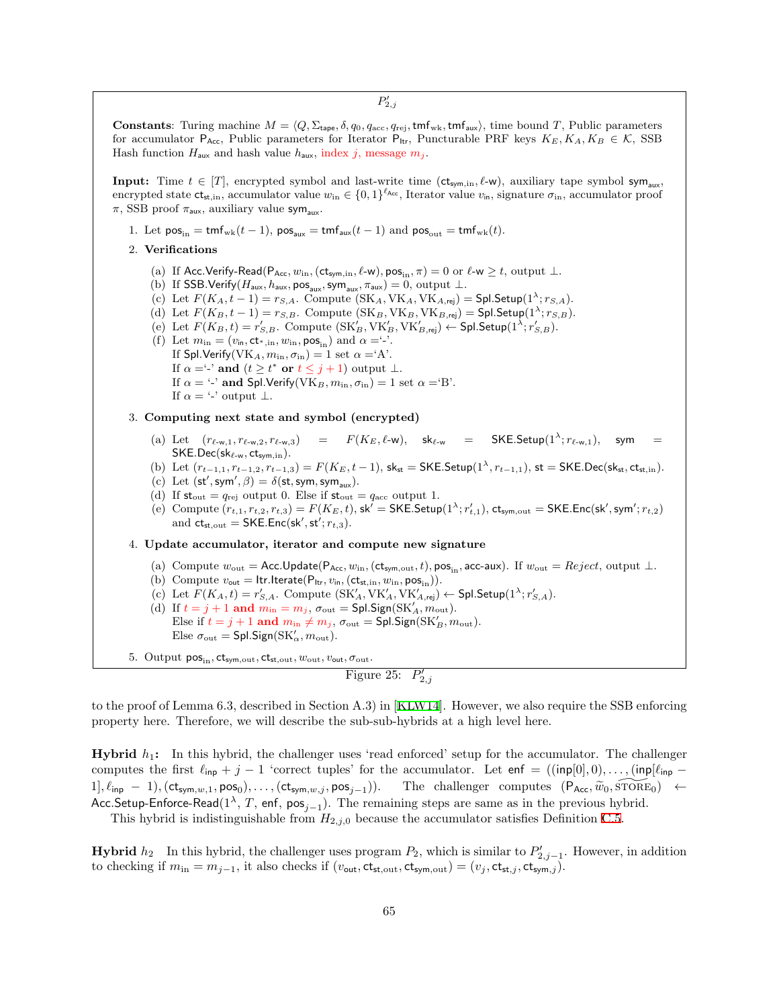$P_{2,j}^{\prime}$ 

<span id="page-64-0"></span>**Constants**: Turing machine  $M = \langle Q, \Sigma_{\text{tape}}, \delta, q_0, q_{\text{acc}}, q_{\text{rej}}, \text{tmf}_{\text{wk}}, \text{tmf}_{\text{aux}} \rangle$ , time bound *T*, Public parameters for accumulator  $P_{Acc}$ , Public parameters for Iterator  $P_{\text{Itr}}$ , Puncturable PRF keys  $K_E, K_A, K_B \in \mathcal{K}$ , SSB Hash function  $H_{\text{aux}}$  and hash value  $h_{\text{aux}}$ , index *j*, message  $m_j$ .

**Input:** Time  $t \in [T]$ , encrypted symbol and last-write time ( $ct_{sym,in}, \ell-w$ ), auxiliary tape symbol sym<sub>aux</sub>, encrypted state  $ct_{st,in}$ , accumulator value  $w_{in} \in \{0,1\}^{\ell_{Acc}}$ , Iterator value  $v_{in}$ , signature  $\sigma_{in}$ , accumulator proof  $\pi$ , SSB proof  $\pi_{\text{aux}}$ , auxiliary value sym<sub>aux</sub>.

- 1. Let  $pos_{\text{in}} = \text{tmf}_{\text{wk}}(t-1)$ ,  $pos_{\text{aux}} = \text{tmf}_{\text{aux}}(t-1)$  and  $pos_{\text{out}} = \text{tmf}_{\text{wk}}(t)$ .
- 2. **Verifications**
	- (a) If Acc.Verify-Read( $P_{Acc}, w_{in}$ , ( $ct_{sym,in}$ ,  $\ell$ -w),  $pos_{in}$ ,  $\pi$ ) = 0 or  $\ell$ -w  $\geq t$ , output  $\bot$ .
	- (b) If SSB.Verify( $H_{\text{aux}}, h_{\text{aux}},$  pos<sub>aux</sub>, sym<sub>aux</sub>,  $\pi_{\text{aux}}$ ) = 0, output  $\perp$ .
	- (c) Let  $F(K_A, t-1) = r_{S,A}$ . Compute  $(SK_A, VK_A, VK_{A, \text{rej}}) = \text{Spl}.\text{Setup}(1^{\lambda}; r_{S,A}).$
	- (d) Let  $F(K_B, t-1) = r_{S,B}$ . Compute  $(SK_B, VK_B, VK_{B,req}) = \mathsf{Spl}.\mathsf{Setup}(1^{\lambda}; r_{S,B})$ .
	- (e) Let  $F(K_B, t) = r'_{S,B}$ . Compute  $(SK'_B, VK'_B, VK'_{B, rej}) \leftarrow$  Spl. Setup $(1^{\lambda}; r'_{S,B})$ .
	- (f) Let  $m_{\text{in}} = (v_{\text{in}}, \text{ct}_{*,\text{in}}, w_{\text{in}}, \text{pos}_{\text{in}})$  and  $\alpha = \dot{\cdot}$ . If Spl.Verify( $VK_A, m_{in}, \sigma_{in}$ ) = 1 set  $\alpha = A'$ . If  $\alpha = \infty$  **and**  $(t \geq t^*$  **or**  $t \leq j+1)$  output  $\perp$ . If  $\alpha = \mathcal{L}$  and Spl.Verify(VK<sub>B</sub>,  $m_{\text{in}}$ ,  $\sigma_{\text{in}}$ ) = 1 set  $\alpha = \mathcal{L}$ . If  $\alpha = \text{`-'}$  output  $\perp$ .
- 3. **Computing next state and symbol (encrypted)**
	- $\label{eq:2.1} \mbox{(a)} \ \mbox{Let} \quad \bigl( r_{\ell\text{-w},1}, r_{\ell\text{-w},2}, r_{\ell\text{-w},3} \bigr) \quad = \quad F(K_E, \ell\text{-w}), \quad \mathsf{sk}_{\ell\text{-w}} \quad =$  $SKE.$ Setup $(1^{\lambda}; r_{\ell-w,1}),$  sym = SKE*.*Dec(sk*<sup>ℓ</sup>*-w*,* ctsym*,*in).
	- (b) Let  $(r_{t-1,1}, r_{t-1,2}, r_{t-1,3}) = F(K_E, t-1)$ ,  $\mathsf{sk}_\mathsf{st} = \mathsf{SKE}.\mathsf{Setup}(1^\lambda, r_{t-1,1}), \, \mathsf{st} = \mathsf{SKE}.\mathsf{Dec}(\mathsf{sk}_\mathsf{st}, \mathsf{cts}, \mathsf{in}).$
	- $(c)$  Let  $(st', sym', \beta) = \delta(st, sym, sym_{aux}).$
	- (d) If  $st_{\text{out}} = q_{\text{rej}}$  output 0. Else if  $st_{\text{out}} = q_{\text{acc}}$  output 1.
	- (e) Compute  $(r_{t,1}, r_{t,2}, r_{t,3}) = F(K_E, t)$ , sk' = SKE.Setup $(1^{\lambda}; r'_{t,1})$ , ct<sub>sym,out</sub> = SKE.Enc(sk', sym';  $r_{t,2}$ ) and  $ct_{st,out} = SKE.Enc(sk', st'; r_{t,3}).$

4. **Update accumulator, iterator and compute new signature**

- (a) Compute  $w_{\text{out}} = \text{Acc}.\text{Update}(P_{\text{Acc}}, w_{\text{in}}, (\text{ct}_{\text{sym},\text{out}}, t), \text{pos}_{\text{in}}, \text{acc-aux})$ . If  $w_{\text{out}} = Reject$ , output  $\perp$ .
- (b) Compute  $v_{\text{out}} = \text{ltr.lterate}(P_{\text{ltr}}, v_{\text{in}}, (\text{ct}_{\text{st,in}}, w_{\text{in}}, \text{pos}_{\text{in}})).$
- (c) Let  $F(K_A, t) = r'_{S, A}$ . Compute  $(SK'_A, VK'_A, VK'_{A, rej}) \leftarrow$  Spl. Setup $(1^{\lambda}; r'_{S, A})$ .
- (d) If  $t = j + 1$  and  $m_{\text{in}} = m_j$ ,  $\sigma_{\text{out}} = \text{Spl.Sign}(\text{SK}'_A, m_{\text{out}})$ . Else if  $t = j + 1$  and  $m_{\text{in}} \neq m_j$ ,  $\sigma_{\text{out}} = \textsf{Spl}.\textsf{Sign}(\textsf{SK}'_B, m_{\text{out}})$ .
	- Else  $\sigma_{\text{out}} = \text{Spl.Sign}(\text{SK}'_{\alpha}, m_{\text{out}}).$
- 5. Output  $pos_{in}, ct_{sym,out}, ct_{st,out}, w_{out}, v_{out}, \sigma_{out}.$ 
	- Figure 25:  $P'_{2,j}$

to the proof of Lemma 6.3, described in Section A.3) in [\[KLW14](#page-44-5)]. However, we also require the SSB enforcing property here. Therefore, we will describe the sub-sub-hybrids at a high level here.

**Hybrid**  $h_1$ : In this hybrid, the challenger uses 'read enforced' setup for the accumulator. The challenger computes the first  $\ell_{\text{inp}} + j - 1$  'correct tuples' for the accumulator. Let enf = ((inp[0], 0),...,(inp[ $\ell_{\text{inp}}$  –  $1], \ell_{\mathsf{inp}} - 1), (\mathsf{ct}_{\mathsf{sym},w,1}, \mathsf{pos}_0), \ldots, (\mathsf{ct}_{\mathsf{sym},w,j}, \mathsf{pos}_{j-1})$  $\mathcal{L}$  read enforced' setup for the accumulator. The challenger<br>  $\mathcal{L}$  read enforced' setup for the accumulator. The challenger<br>  $\mathcal{L}$  ( $\mathcal{L}$ )). The challenger computes  $(P_{\text{Acc}}, \widetilde{w}_0, \widetilde{\text{STORE}_0}) \leftarrow$ Acc*.*Setup-Enforce-Read(1*<sup>λ</sup>* , *T*, enf, pos*<sup>j</sup>−*<sup>1</sup> ). The remaining steps are same as in the previous hybrid.

This hybrid is indistinguishable from  $H_{2,j,0}$  because the accumulator satisfies Definition [C.5](#page-53-0).

**Hybrid**  $h_2$  In this hybrid, the challenger uses program  $P_2$ , which is similar to  $P'_{2,j-1}$ . However, in addition to checking if  $m_{\text{in}} = m_{j-1}$ , it also checks if  $(v_{\text{out}}, ct_{\text{st,out}}, ct_{\text{sym,out}}) = (v_j, ct_{\text{st},j}, ct_{\text{sym},j}).$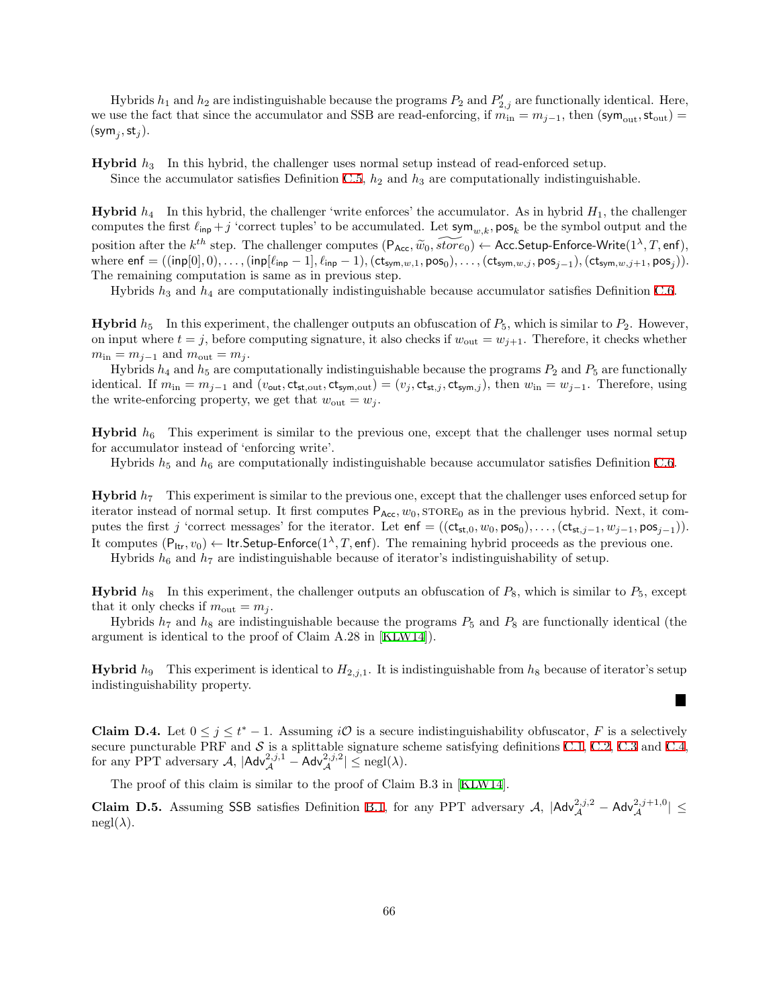Hybrids  $h_1$  and  $h_2$  are indistinguishable because the programs  $P_2$  and  $P'_{2,j}$  are functionally identical. Here, we use the fact that since the accumulator and SSB are read-enforcing, if  $m_{\text{in}} = m_{j-1}$ , then (sym<sub>out</sub>, st<sub>out</sub>) =  $(\mathsf{sym}_j, \mathsf{st}_j).$ 

**Hybrid** *h*<sup>3</sup> In this hybrid, the challenger uses normal setup instead of read-enforced setup. Since the accumulator satisfies Definition [C.5,](#page-53-0)  $h_2$  and  $h_3$  are computationally indistinguishable.

**Hybrid**  $h_4$  In this hybrid, the challenger 'write enforces' the accumulator. As in hybrid  $H_1$ , the challenger computes the first  $\ell_{\text{inp}} + j$  'correct tuples' to be accumulated. Let  $\text{sym}_{w,k}$ *, pos<sub>k</sub>* be the symbol output and the **Hybrid**  $h_4$  In this hybrid, the challenger 'write enforces' the accumulator. As in hybrid  $H_1$ , the challenger computes the first  $\ell_{\text{inp}} + j$  'correct tuples' to be accumulated. Let  $\text{sym}_{w,k}$ ,  $\text{pos}_k$  be the symbol where  $\mathsf{enf} = ((\mathsf{inp}[0], 0), \dots, (\mathsf{inp}[\ell_{\mathsf{inp}}-1], \ell_{\mathsf{inp}}-1), (\mathsf{ct}_{\mathsf{sym},w,1}, \mathsf{pos}_0), \dots, (\mathsf{ct}_{\mathsf{sym},w,j}, \mathsf{pos}_{j-1}), (\mathsf{ct}_{\mathsf{sym},w,j+1}, \mathsf{pos}_j)).$ The remaining computation is same as in previous step.

Hybrids *h*<sup>3</sup> and *h*<sup>4</sup> are computationally indistinguishable because accumulator satisfies Definition [C.6.](#page-53-1)

**Hybrid**  $h_5$  In this experiment, the challenger outputs an obfuscation of  $P_5$ , which is similar to  $P_2$ . However, on input where  $t = j$ , before computing signature, it also checks if  $w_{\text{out}} = w_{j+1}$ . Therefore, it checks whether  $m_{\text{in}} = m_{j-1}$  and  $m_{\text{out}} = m_j$ .

Hybrids  $h_4$  and  $h_5$  are computationally indistinguishable because the programs  $P_2$  and  $P_5$  are functionally identical. If  $m_{\rm in} = m_{j-1}$  and  $(v_{\rm out}, \text{ct}_{\text{st,out}}, \text{ct}_{\text{sym,out}}) = (v_j, \text{ct}_{\text{st},j}, \text{ct}_{\text{sym},j})$ , then  $w_{\rm in} = w_{j-1}$ . Therefore, using the write-enforcing property, we get that  $w_{\text{out}} = w_j$ .

**Hybrid**  $h_6$  This experiment is similar to the previous one, except that the challenger uses normal setup for accumulator instead of 'enforcing write'.

Hybrids  $h_5$  and  $h_6$  are computationally indistinguishable because accumulator satisfies Definition [C.6.](#page-53-1)

**Hybrid**  $h_7$  This experiment is similar to the previous one, except that the challenger uses enforced setup for iterator instead of normal setup. It first computes  $P_{Acc}$ ,  $w_0$ ,  $STORE_0$  as in the previous hybrid. Next, it computes the first *j* 'correct messages' for the iterator. Let  $\mathsf{enf} = ((\mathsf{ct}_{\mathsf{st},0}, w_0, \mathsf{pos}_0), \dots, (\mathsf{ct}_{\mathsf{st},j-1}, w_{j-1}, \mathsf{pos}_{j-1})).$ It computes  $(P_{\text{Itr}}, v_0) \leftarrow \text{Itr}.\text{Setup-Enforce}(1^\lambda, T, \text{enf}).$  The remaining hybrid proceeds as the previous one.

Hybrids  $h_6$  and  $h_7$  are indistinguishable because of iterator's indistinguishability of setup.

**Hybrid**  $h_8$  In this experiment, the challenger outputs an obfuscation of  $P_8$ , which is similar to  $P_5$ , except that it only checks if  $m_{\text{out}} = m_j$ .

Hybrids  $h_7$  and  $h_8$  are indistinguishable because the programs  $P_5$  and  $P_8$  are functionally identical (the argument is identical to the proof of Claim A.28 in [[KLW14\]](#page-44-5)).

**Hybrid**  $h_9$  This experiment is identical to  $H_{2,j,1}$ . It is indistinguishable from  $h_8$  because of iterator's setup indistinguishability property.

П

**Claim D.4.** Let  $0 \leq j \leq t^* - 1$ . Assuming *iO* is a secure indistinguishability obfuscator, *F* is a selectively secure puncturable PRF and *S* is a splittable signature scheme satisfying definitions [C.1,](#page-51-0) [C.2,](#page-51-1) [C.3](#page-51-2) and [C.4,](#page-52-0) for any PPT adversary  $\mathcal{A}$ ,  $|\mathsf{Adv}_{\mathcal{A}}^{2,j,1} - \mathsf{Adv}_{\mathcal{A}}^{2,j,2}| \leq \mathrm{negl}(\lambda)$ .

The proof of this claim is similar to the proof of Claim B.3 in [[KLW14](#page-44-5)].

**Claim D.5.** Assuming SSB satisfies Definition [B.1](#page-48-0), for any PPT adversary *A*,  $|Adv_{\mathcal{A}}^{2,j,2} - Adv_{\mathcal{A}}^{2,j+1,0}|$  ≤  $negl(\lambda)$ .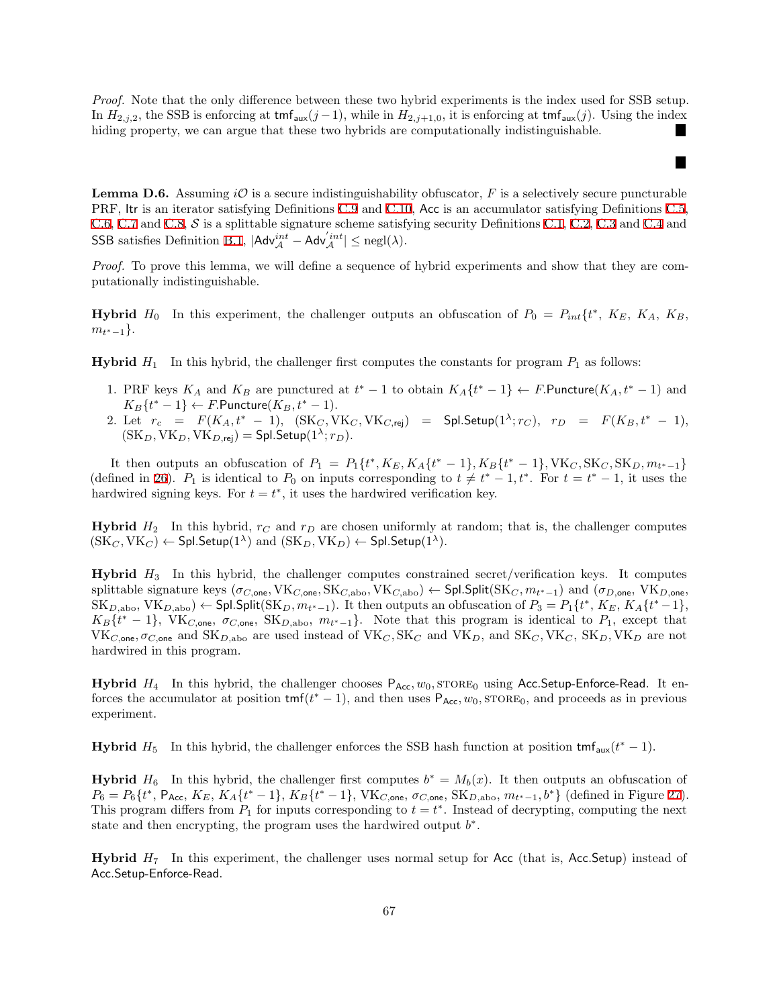*Proof.* Note that the only difference between these two hybrid experiments is the index used for SSB setup. In  $H_{2,j,2}$ , the SSB is enforcing at  $\text{tmf}_{\text{aux}}(j-1)$ , while in  $H_{2,j+1,0}$ , it is enforcing at  $\text{tmf}_{\text{aux}}(j)$ . Using the index hiding property, we can argue that these two hybrids are computationally indistinguishable. M

П

**Lemma D.6.** Assuming  $i\mathcal{O}$  is a secure indistinguishability obfuscator, F is a selectively secure puncturable PRF, Itr is an iterator satisfying Definitions [C.9](#page-55-0) and [C.10,](#page-55-1) Acc is an accumulator satisfying Definitions [C.5,](#page-53-0) [C.6,](#page-53-1) [C.7](#page-54-0) and [C.8](#page-54-1), *S* is a splittable signature scheme satisfying security Definitions [C.1,](#page-51-0) [C.2,](#page-51-1) [C.3](#page-51-2) and [C.4](#page-52-0) and SSB satisfies Definition [B.1,](#page-48-0)  $|Adv_{\mathcal{A}}^{int} - Adv_{\mathcal{A}}^{'int}| \leq negl(\lambda)$ .

*Proof.* To prove this lemma, we will define a sequence of hybrid experiments and show that they are computationally indistinguishable.

**Hybrid**  $H_0$  In this experiment, the challenger outputs an obfuscation of  $P_0 = P_{int}\{t^*, K_E, K_A, K_B,$ *m<sup>t</sup> <sup>∗</sup>−*<sup>1</sup>*}*.

**Hybrid**  $H_1$  In this hybrid, the challenger first computes the constants for program  $P_1$  as follows:

- 1. PRF keys  $K_A$  and  $K_B$  are punctured at  $t^*-1$  to obtain  $K_A\{t^*-1\} \leftarrow F$ . Puncture $(K_A, t^*-1)$  and  $K_B\{t^*-1\} \leftarrow F$ .Puncture( $K_B, t^*-1$ ).
- 2. Let  $r_c = F(K_A, t^* 1)$ ,  $(SK_C, VK_C, VK_{C, rel}) = Spl.Setup(1^{\lambda}; r_C)$ ,  $r_D = F(K_B, t^* 1)$ ,  $(SK_D, VK_D, VK_{D, \text{rej}}) = \textsf{Spl}.\textsf{Setup}(1^{\lambda}; r_D).$

It then outputs an obfuscation of  $P_1 = P_1\{t^*, K_E, K_A\{t^*-1\}, K_B\{t^*-1\}, \text{VK}_C, \text{SK}_C, \text{SK}_D, m_{t^*-1}\}\$ (defined in [26\)](#page-67-0).  $P_1$  is identical to  $P_0$  on inputs corresponding to  $t \neq t^* - 1, t^*$ . For  $t = t^* - 1$ , it uses the hardwired signing keys. For  $t = t^*$ , it uses the hardwired verification key.

**Hybrid**  $H_2$  In this hybrid,  $r_C$  and  $r_D$  are chosen uniformly at random; that is, the challenger computes  $(SK_C, VK_C) \leftarrow$  Spl.Setup(1<sup> $\lambda$ </sup>) and  $(SK_D, VK_D) \leftarrow$  Spl.Setup(1<sup> $\lambda$ </sup>).

**Hybrid** *H*<sup>3</sup> In this hybrid, the challenger computes constrained secret/verification keys. It computes splittable signature keys ( $\sigma_{C, \text{one}}$ , VK<sub>C, one</sub>, SK<sub>C, abo</sub>, VK<sub>C, abo</sub>)  $\leftarrow$  Spl. Split(SK<sub>C</sub>,  $m_{t^*-1}$ ) and ( $\sigma_{D, \text{one}}$ , VK<sub>D, one</sub>,  $SK_{D,abo}, VK_{D,abo}) \leftarrow$  Spl. Split( $SK_D, m_{t^*-1}$ ). It then outputs an obfuscation of  $P_3 = P_1\{t^*, K_E, K_A\{t^*-1\},$  $K_B\{t^*-1\}$ , VK<sub>*C*,one,  $\sigma_{C,one}$ , SK<sub>*D*,abo</sub>,  $m_{t^*-1}\}$ . Note that this program is identical to  $P_1$ , except that</sub>  $VK_{C, \text{one}}$ ,  $\sigma_{C, \text{one}}$  and  $SK_{D, \text{abo}}$  are used instead of  $VK_C$ ,  $SK_C$  and  $VK_D$ , and  $SK_C$ ,  $VK_C$ ,  $SK_D$ ,  $VK_D$  are not hardwired in this program.

**Hybrid**  $H_4$  In this hybrid, the challenger chooses  $P_{Acc}$ ,  $w_0$ ,  $STORE_0$  using Acc.Setup-Enforce-Read. It enforces the accumulator at position  $\text{tmf}(t^* - 1)$ , and then uses  $P_{Acc}, w_0$ ,  $\text{score}_0$ , and proceeds as in previous experiment.

**Hybrid**  $H_5$  In this hybrid, the challenger enforces the SSB hash function at position  $\text{tmf}_{\text{aux}}(t^* - 1)$ .

**Hybrid**  $H_6$  In this hybrid, the challenger first computes  $b^* = M_b(x)$ . It then outputs an obfuscation of  $P_6 = P_6\{t^*, P_{\text{Acc}}, K_E, K_A\{t^*-1\}, K_B\{t^*-1\}, \text{VK}_{C,\text{one}}, \sigma_{C,\text{one}}, \text{SK}_{D,\text{abo}}, m_{t^*-1}, b^*\}$  (defined in Figure [27](#page-68-0)). This program differs from  $P_1$  for inputs corresponding to  $t = t^*$ . Instead of decrypting, computing the next state and then encrypting, the program uses the hardwired output *b ∗* .

**Hybrid**  $H_7$  In this experiment, the challenger uses normal setup for Acc (that is, Acc.Setup) instead of Acc*.*Setup-Enforce-Read.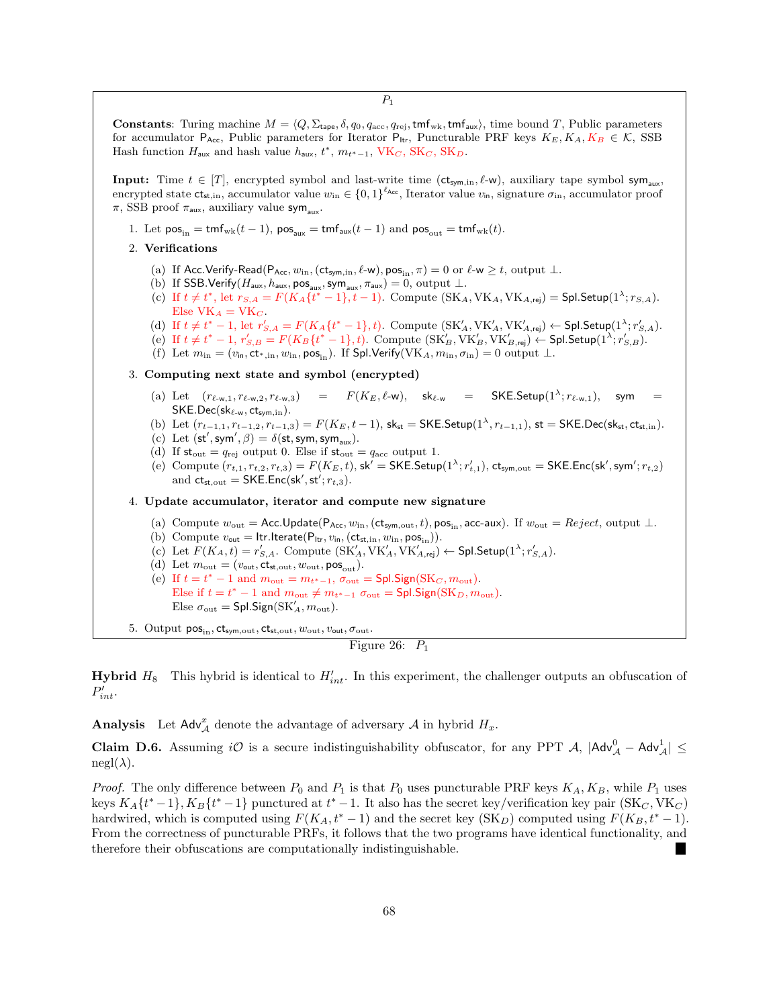<span id="page-67-0"></span>**Constants**: Turing machine  $M = \langle Q, \Sigma_{\text{tape}}, \delta, q_0, q_{\text{acc}}, q_{\text{rej}}, \text{tmf}_{\text{wk}}, \text{tmf}_{\text{aux}} \rangle$ , time bound *T*, Public parameters for accumulator  $P_{Acc}$ , Public parameters for Iterator  $P_{\text{Itr}}$ , Puncturable PRF keys  $K_E, K_A, K_B \in \mathcal{K}$ , SSB Hash function  $H_{\text{aux}}$  and hash value  $h_{\text{aux}}$ ,  $t^*$ ,  $m_{t^*-1}$ ,  $\text{VK}_C$ ,  $\text{SK}_C$ ,  $\text{SK}_D$ .

**Input:** Time  $t \in [T]$ , encrypted symbol and last-write time ( $ct_{sym,in}, \ell-w$ ), auxiliary tape symbol sym<sub>aux</sub>, encrypted state  $ct_{st,in}$ , accumulator value  $w_{in} \in \{0,1\}^{\ell_{Acc}}$ , Iterator value  $v_{in}$ , signature  $\sigma_{in}$ , accumulator proof  $\pi$ , SSB proof  $\pi_{\text{aux}}$ , auxiliary value sym<sub>aux</sub>.

- 1. Let  $pos_{\text{in}} = \text{tmf}_{\text{wk}}(t-1)$ ,  $pos_{\text{aux}} = \text{tmf}_{\text{aux}}(t-1)$  and  $pos_{\text{out}} = \text{tmf}_{\text{wk}}(t)$ .
- 2. **Verifications**
	- (a) If Acc.Verify-Read( $P_{Acc}, w_{in}$ , (ct<sub>sym,in</sub>,  $\ell$ -w),  $pos_{in}, \pi$ ) = 0 or  $\ell$ -w  $\geq t$ , output  $\bot$ .
	- (b) If SSB.Verify( $H_{\text{aux}}, h_{\text{aux}},$  pos<sub>aux</sub>, sym<sub>aux</sub>,  $\pi_{\text{aux}}$ ) = 0, output  $\perp$ .
	- (c) If  $t \neq t^*$ , let  $r_{S,A} = F(K_A\{t^* 1\}, t 1)$ . Compute  $(SK_A, VK_A, VK_{A, rel}) =$  Spl. Setup $(1^{\lambda}; r_{S,A})$ . Else  $VK_A = VK_C$ .
	- (d) If  $t \neq t^* 1$ , let  $r'_{S,A} = F(K_A\{t^* 1\}, t)$ . Compute  $(SK'_A, VK'_A, VK'_{A, rej}) \leftarrow$  Spl. Setup $(1^{\lambda}; r'_{S,A})$ .
	- (e) If  $t \neq t^* 1$ ,  $r'_{S,B} = F(K_B\{t^* 1\}, t)$ . Compute  $(SK'_B, VK'_B, VK'_{B, rej}) \leftarrow$  Spl. Setup $(1^{\lambda}; r'_{S,B})$ .
	- (f) Let  $m_{\text{in}} = (v_{\text{in}}, \text{ct}_\text{*}, v_{\text{in}}, w_{\text{in}}, \text{pos}_\text{in})$ . If Spl.Verify(VK<sub>*A*</sub>,  $m_{\text{in}}$ ,  $\sigma_{\text{in}}$ ) = 0 output  $\perp$ .

#### 3. **Computing next state and symbol (encrypted)**

- (a) Let  $(r_{\ell-w,1}, r_{\ell-w,2}, r_{\ell-w,3})$  =  $F(K_E, \ell-w)$ , sk $_{\ell-w}$  = SKE.Setup( $1^{\lambda}; r_{\ell-w,1}$ ), sym = SKE*.*Dec(sk*<sup>ℓ</sup>*-w*,* ctsym*,*in).
- (b) Let  $(r_{t-1,1}, r_{t-1,2}, r_{t-1,3}) = F(K_E, t-1)$ ,  $\mathsf{sk}_\mathsf{st} = \mathsf{SKE}.\mathsf{Setup}(1^\lambda, r_{t-1,1}), \, \mathsf{st} = \mathsf{SKE}.\mathsf{Dec}(\mathsf{sk}_\mathsf{st}, \mathsf{ct}_\mathsf{st,in}).$
- $(c)$  Let  $(st', sym', \beta) = \delta(st, sym, sym_{aux}).$
- (d) If  $st_{\text{out}} = q_{\text{rei}}$  output 0. Else if  $st_{\text{out}} = q_{\text{acc}}$  output 1.
- (e) Compute  $(r_{t,1}, r_{t,2}, r_{t,3}) = F(K_E, t)$ , sk' = SKE.Setup $(1^{\lambda}; r'_{t,1})$ , ct<sub>sym, out</sub> = SKE.Enc(sk', sym';  $r_{t,2}$ ) and  $ct_{st,out} = SKE.Enc(sk', st'; r_{t,3}).$
- 4. **Update accumulator, iterator and compute new signature**
	- (a) Compute *w*out = Acc*.*Update(PAcc*, w*in*,*(ctsym*,*out*, t*)*,* posin*,* acc-aux). If *w*out = *Reject*, output *⊥*.
	- (b) Compute  $v_{\text{out}} = \text{ltr.lterate}(P_{\text{ltr}}, v_{\text{in}}, (\text{ct}_{\text{st,in}}, w_{\text{in}}, \text{pos}_{\text{in}})).$
	- (c) Let  $F(K_A, t) = r'_{S, A}$ . Compute  $(SK'_A, VK'_A, VK'_{A, rej}) \leftarrow$  Spl. Setup $(1^{\lambda}; r'_{S, A})$ .
	- (d) Let  $m_{\text{out}} = (v_{\text{out}}, \text{ct}_{\text{st,out}}, w_{\text{out}}, \text{pos}_{\text{out}}).$
	- (e) If  $t = t^* 1$  and  $m_{\text{out}} = m_{t^* 1}$ ,  $\sigma_{\text{out}} = \text{Spl.Sign}(\text{SK}_C, m_{\text{out}})$ . Else if  $t = t^* - 1$  and  $m_{\text{out}} \neq m_{t^* - 1}$   $\sigma_{\text{out}} = \text{Spl.Sign}(\text{SK}_D, m_{\text{out}})$ .
		- $\text{Else } \sigma_{\text{out}} = \text{Spl}.\text{Sign}(\text{SK}'_A, m_{\text{out}}).$

5. Output  $pos_{in}, ct_{sym,out}, ct_{st,out}, w_{out}, v_{out}, \sigma_{out}.$ 

Figure 26: *P*<sup>1</sup>

**Hybrid**  $H_8$  This hybrid is identical to  $H'_{int}$ . In this experiment, the challenger outputs an obfuscation of *P ′ int*.

**Analysis** Let  $\mathsf{Adv}_{\mathcal{A}}^x$  denote the advantage of adversary  $\mathcal{A}$  in hybrid  $H_x$ .

**Claim D.6.** Assuming  $i\mathcal{O}$  is a secure indistinguishability obfuscator, for any PPT *A*,  $|Adv^0_A - Adv^1_A| \leq$  $negl(\lambda)$ .

*Proof.* The only difference between  $P_0$  and  $P_1$  is that  $P_0$  uses puncturable PRF keys  $K_A$ ,  $K_B$ , while  $P_1$  uses keys  $K_A\{t^*-1\}$ ,  $K_B\{t^*-1\}$  punctured at  $t^*-1$ . It also has the secret key/verification key pair  $(SK_C, VK_C)$ hardwired, which is computed using  $F(K_A, t^* - 1)$  and the secret key (SK<sub>*D*</sub>) computed using  $F(K_B, t^* - 1)$ . From the correctness of puncturable PRFs, it follows that the two programs have identical functionality, and therefore their obfuscations are computationally indistinguishable.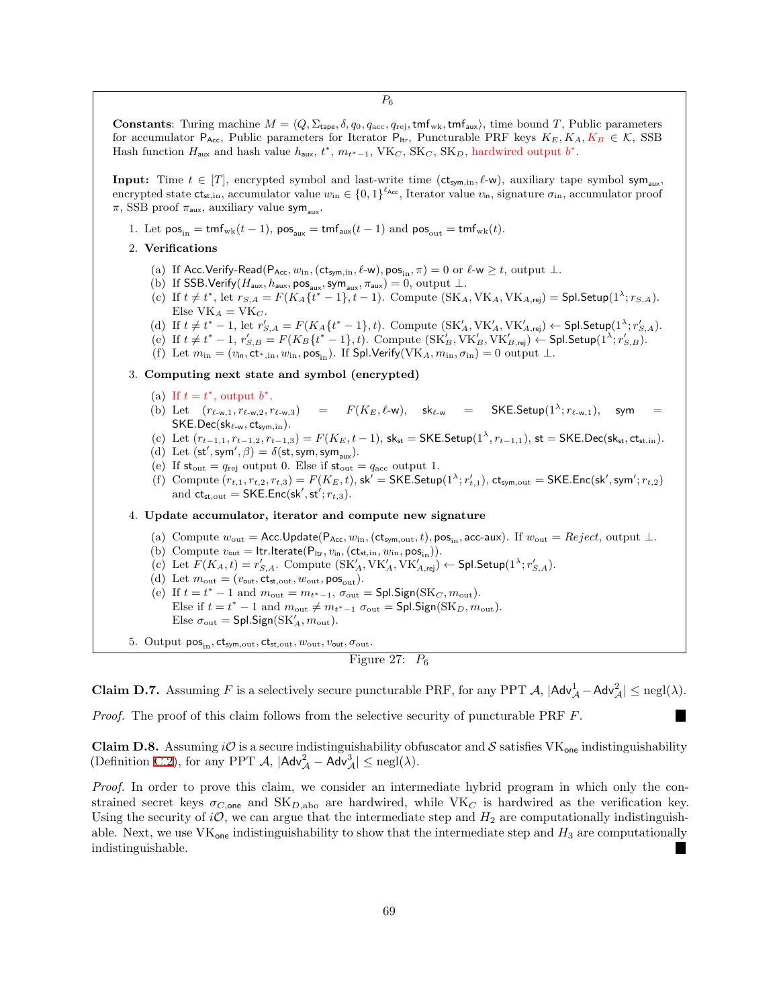<span id="page-68-0"></span>**Constants**: Turing machine  $M = \langle Q, \Sigma_{\text{tape}}, \delta, q_0, q_{\text{acc}}, q_{\text{rej}}, \text{tmf}_{\text{wk}}, \text{tmf}_{\text{aux}} \rangle$ , time bound *T*, Public parameters for accumulator  $P_{Acc}$ , Public parameters for Iterator  $P_{\text{Itr}}$ , Puncturable PRF keys  $K_E, K_A, K_B \in \mathcal{K}$ , SSB Hash function  $H_{\text{aux}}$  and hash value  $h_{\text{aux}}$ ,  $t^*$ ,  $m_{t^*-1}$ ,  $\text{VK}_C$ ,  $\text{SK}_C$ ,  $\text{SK}_D$ , hardwired output  $b^*$ .

**Input:** Time  $t \in [T]$ , encrypted symbol and last-write time ( $ct_{sym,in}, \ell-w$ ), auxiliary tape symbol sym<sub>aux</sub>, encrypted state  $ct_{st,in}$ , accumulator value  $w_{in} \in \{0,1\}^{\ell_{Acc}}$ , Iterator value  $v_{in}$ , signature  $\sigma_{in}$ , accumulator proof  $\pi$ , SSB proof  $\pi_{\text{aux}}$ , auxiliary value sym<sub>aux</sub>.

- 1. Let  $pos_{\text{in}} = \text{tmf}_{\text{wk}}(t-1)$ ,  $pos_{\text{aux}} = \text{tmf}_{\text{aux}}(t-1)$  and  $pos_{\text{out}} = \text{tmf}_{\text{wk}}(t)$ .
- 2. **Verifications**
	- (a) If Acc.Verify-Read( $P_{Acc}, w_{in}$ , (ct<sub>sym,in</sub>,  $\ell$ -w),  $pos_{in}, \pi$ ) = 0 or  $\ell$ -w  $\geq t$ , output  $\bot$ .
	- (b) If SSB.Verify( $H_{\text{aux}}, h_{\text{aux}},$  pos<sub>aux</sub>, sym<sub>aux</sub>,  $\pi_{\text{aux}}$ ) = 0, output  $\perp$ .
	- (c) If  $t \neq t^*$ , let  $r_{S,A} = F(K_A\{t^* 1\}, t 1)$ . Compute  $(SK_A, VK_A, VK_{A, rel}) = \text{Spl}$ . Setup $(1^{\lambda}; r_{S,A})$ . Else  $VK_A = VK_C$ .
	- (d) If  $t \neq t^* 1$ , let  $r'_{S,A} = F(K_A\{t^* 1\}, t)$ . Compute  $(SK'_A, VK'_A, VK'_{A, rej}) \leftarrow$  Spl. Setup $(1^{\lambda}; r'_{S,A})$ .
	- (e) If  $t \neq t^* 1$ ,  $r'_{S,B} = F(K_B\{t^* 1\}, t)$ . Compute  $(SK'_B, VK'_B, VK'_{B, rej}) \leftarrow$  Spl. Setup $(1^{\lambda}; r'_{S,B})$ .
	- (f) Let  $m_{\text{in}} = (v_{\text{in}}, \text{ct}_\text{*}, v_{\text{in}}, w_{\text{in}}, \text{pos}_\text{in})$ . If Spl.Verify(VK<sub>*A*</sub>,  $m_{\text{in}}$ ,  $\sigma_{\text{in}}$ ) = 0 output  $\perp$ .

#### 3. **Computing next state and symbol (encrypted)**

- (a) If  $t = t^*$ , output  $b^*$ .
- (b) Let  $(r_{\ell-w,1}, r_{\ell-w,2}, r_{\ell-w,3})$  =  $F(K_E, \ell-w)$ , sk $_{\ell-w}$  = SKE.Setup( $1^{\lambda}; r_{\ell-w,1}$ ), sym = SKE*.*Dec(sk*<sup>ℓ</sup>*-w*,* ctsym*,*in).
- (c) Let  $(r_{t-1,1}, r_{t-1,2}, r_{t-1,3}) = F(K_E, t-1)$ ,  $\mathsf{sk}_{\mathsf{st}} = \mathsf{SKE}.\mathsf{Setup}(1^\lambda, r_{t-1,1}), \, \mathsf{st} = \mathsf{SKE}.\mathsf{Dec}(\mathsf{sk}_{\mathsf{st}}, \mathsf{cts}, \mathsf{in}).$
- (d) Let  $(\mathsf{st}', \mathsf{sym}', \beta) = \delta(\mathsf{st}, \mathsf{sym}, \mathsf{sym}_{\mathsf{aux}}).$
- (e) If  $st_{\text{out}} = q_{\text{rej}}$  output 0. Else if  $st_{\text{out}} = q_{\text{acc}}$  output 1.
- (f) Compute  $(r_{t,1}, r_{t,2}, r_{t,3}) = F(K_E, t)$ , sk' = SKE.Setup $(1^{\lambda}; r'_{t,1})$ , ct<sub>sym,out</sub> = SKE.Enc(sk', sym';  $r_{t,2}$ ) and  $ct_{st,out} = SKE.Enc(sk', st'; r_{t,3}).$

#### 4. **Update accumulator, iterator and compute new signature**

- (a) Compute  $w_{\text{out}} = \text{Acc}$ .Update( $P_{\text{Acc}}, w_{\text{in}}$ , ( $ct_{\text{sym,out}}$ , *t*), pos<sub>in</sub>, acc-aux). If  $w_{\text{out}} = Reject$ , output  $\perp$ .
- (b) Compute  $v_{\text{out}} = \text{Itr}.\text{Iterate}(P_{\text{Itr}}, v_{\text{in}}, (\text{ct}_{\text{st},\text{in}}, w_{\text{in}}, \text{pos}_{\text{in}})).$
- (c) Let  $F(K_A, t) = r'_{S, A}$ . Compute  $(SK'_A, VK'_A, VK'_{A, rej}) \leftarrow$  Spl. Setup $(1^{\lambda}; r'_{S, A})$ .
- (d) Let  $m_{\text{out}} = (v_{\text{out}}, \text{ct}_{\text{st},\text{out}}, w_{\text{out}}, \text{pos}_{\text{out}}).$
- (e) If  $t = t^* 1$  and  $m_{\text{out}} = m_{t^* 1}$ ,  $\sigma_{\text{out}} = \text{Spl.Sign}(\text{SK}_C, m_{\text{out}})$ .
- Else if  $t = t^* 1$  and  $m_{\text{out}} \neq m_{t^*-1}$   $\sigma_{\text{out}} = \textsf{Spl}.\textsf{Sign}(\textsf{SK}_D, m_{\text{out}})$ .  $\text{Else } \sigma_{\text{out}} = \text{Spl}.\text{Sign}(\text{SK}'_A, m_{\text{out}}).$
- 5. Output  $pos_{in}, ct_{sym,out}, ct_{st,out}, w_{out}, v_{out}, \sigma_{out}.$

Figure 27: 
$$
P_6
$$

**Claim D.7.** Assuming *F* is a selectively secure puncturable PRF, for any PPT *A*,  $|Adv^1_A - Adv^2_A| \leq negl(\lambda)$ *.* 

*Proof.* The proof of this claim follows from the selective security of puncturable PRF *F*.

**Claim D.8.** Assuming *iO* is a secure indistinguishability obfuscator and *S* satisfies VK<sub>one</sub> indistinguishability  $(\text{Definition C.2})$  $(\text{Definition C.2})$  $(\text{Definition C.2})$ , for any PPT *A*,  $|\text{Adv}_{\mathcal{A}}^2 - \text{Adv}_{\mathcal{A}}^3| \leq \text{negl}(\lambda)$ .

*Proof.* In order to prove this claim, we consider an intermediate hybrid program in which only the constrained secret keys  $\sigma_{C,one}$  and  $SK_{D,abc}$  are hardwired, while VK<sub>*C*</sub> is hardwired as the verification key. Using the security of  $i\mathcal{O}$ , we can argue that the intermediate step and  $H_2$  are computationally indistinguishable. Next, we use  $VK_{one}$  indistinguishability to show that the intermediate step and  $H_3$  are computationally indistinguishable.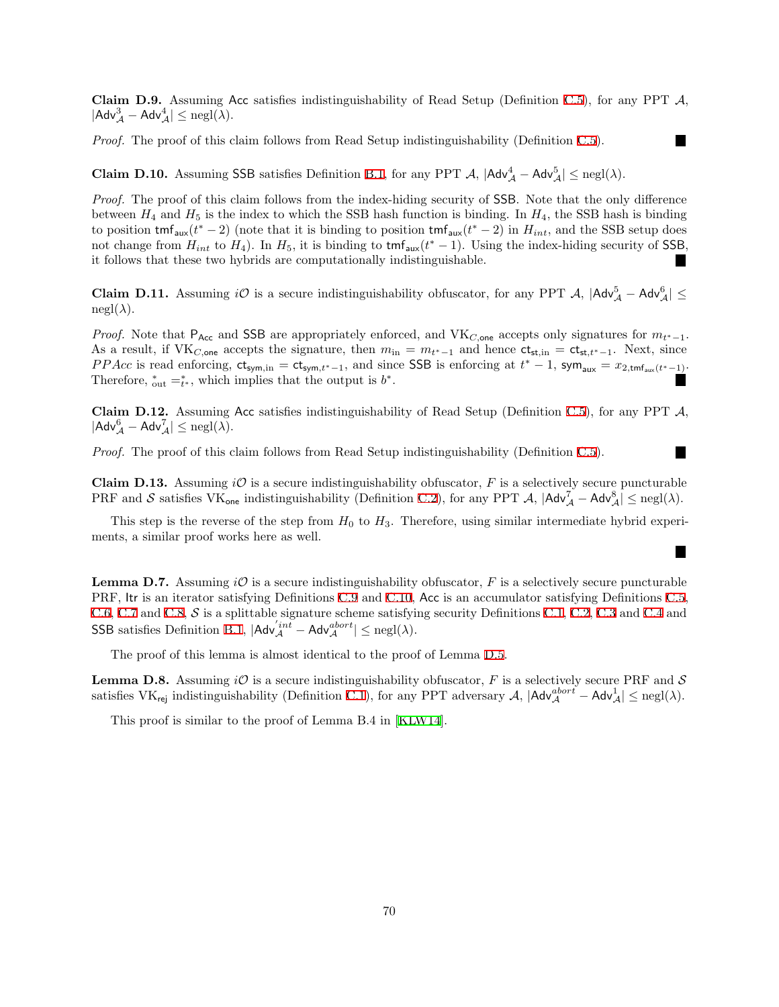**Claim D.9.** Assuming Acc satisfies indistinguishability of Read Setup (Definition [C.5\)](#page-53-0), for any PPT *A*,  $|Adv^3_{\mathcal{A}} - Adv^4_{\mathcal{A}}| \leq \text{negl}(\lambda)$ *.* 

L.

П

I.

*Proof.* The proof of this claim follows from Read Setup indistinguishability (Definition [C.5\)](#page-53-0).

**Claim D.10.** Assuming SSB satisfies Definition [B.1,](#page-48-0) for any PPT  $\mathcal{A}$ ,  $|Adv^4_{\mathcal{A}} - Adv^5_{\mathcal{A}}| \leq$  negl( $\lambda$ ).

*Proof.* The proof of this claim follows from the index-hiding security of SSB. Note that the only difference between  $H_4$  and  $H_5$  is the index to which the SSB hash function is binding. In  $H_4$ , the SSB hash is binding to position  $\text{tmf}_{\text{aux}}(t^*-2)$  (note that it is binding to position  $\text{tmf}_{\text{aux}}(t^*-2)$  in  $H_{int}$ , and the SSB setup does not change from  $H_{int}$  to  $H_4$ ). In  $H_5$ , it is binding to  $\text{tmf}_{\text{aux}}(t^* - 1)$ . Using the index-hiding security of SSB, it follows that these two hybrids are computationally indistinguishable.

**Claim D.11.** Assuming *iO* is a secure indistinguishability obfuscator, for any PPT *A*,  $|Adv^5_A - Adv^6_A| \le$  $negl(\lambda)$ .

*Proof.* Note that P<sub>Acc</sub> and SSB are appropriately enforced, and VK<sub>*C*, one</sub> accepts only signatures for  $m_{t^*-1}$ . As a result, if  $VK_{C,one}$  accepts the signature, then  $m_{in} = m_{t^*-1}$  and hence  $ct_{st,in} = ct_{st,t^*-1}$ . Next, since *PPAcc* is read enforcing,  $ct_{sym,in} = ct_{sym,t^*-1}$ , and since SSB is enforcing at  $t^* - 1$ , sym<sub>aux</sub> =  $x_{2,tmf_{aux}(t^*-1)}$ . Therefore,  $\frac{*}{\omega_{tt}} = \frac{*}{t^*}$ , which implies that the output is  $b^*$ .

**Claim D.12.** Assuming Acc satisfies indistinguishability of Read Setup (Definition [C.5](#page-53-0)), for any PPT *A*,  $|Adv^6_{\mathcal{A}} - Adv^7_{\mathcal{A}}| \leq \text{negl}(\lambda).$ 

*Proof.* The proof of this claim follows from Read Setup indistinguishability (Definition [C.5\)](#page-53-0).

**Claim D.13.** Assuming  $i\mathcal{O}$  is a secure indistinguishability obfuscator,  $F$  is a selectively secure puncturable PRF and *S* satisfies  $VK_{one}$  indistinguishability (Definition [C.2\)](#page-51-1), for any PPT *A*,  $|Adv_{\mathcal{A}}^7 - Adv_{\mathcal{A}}^8| \leq negl(\lambda)$ .

This step is the reverse of the step from *H*<sup>0</sup> to *H*3. Therefore, using similar intermediate hybrid experiments, a similar proof works here as well.

**Lemma D.7.** Assuming  $i\mathcal{O}$  is a secure indistinguishability obfuscator, F is a selectively secure puncturable PRF, Itr is an iterator satisfying Definitions [C.9](#page-55-0) and [C.10,](#page-55-1) Acc is an accumulator satisfying Definitions [C.5,](#page-53-0) [C.6,](#page-53-1) [C.7](#page-54-0) and [C.8](#page-54-1), *S* is a splittable signature scheme satisfying security Definitions [C.1,](#page-51-0) [C.2,](#page-51-1) [C.3](#page-51-2) and [C.4](#page-52-0) and SSB satisfies Definition [B.1,](#page-48-0)  $|\mathsf{Adv}_{\mathcal{A}}^{int} - \mathsf{Adv}_{\mathcal{A}}^{abort}| \le \text{negl}(\lambda)$ .

The proof of this lemma is almost identical to the proof of Lemma [D.5](#page-60-1).

**Lemma D.8.** Assuming  $i\mathcal{O}$  is a secure indistinguishability obfuscator, F is a selectively secure PRF and  $\mathcal{S}$ satisfies  $VK_{\text{rej}}$  indistinguishability (Definition [C.1](#page-51-0)), for any PPT adversary *A*,  $|Adv_{\mathcal{A}}^{abort} - Adv_{\mathcal{A}}^{1}| \leq negl(\lambda)$ .

This proof is similar to the proof of Lemma B.4 in [\[KLW14](#page-44-5)].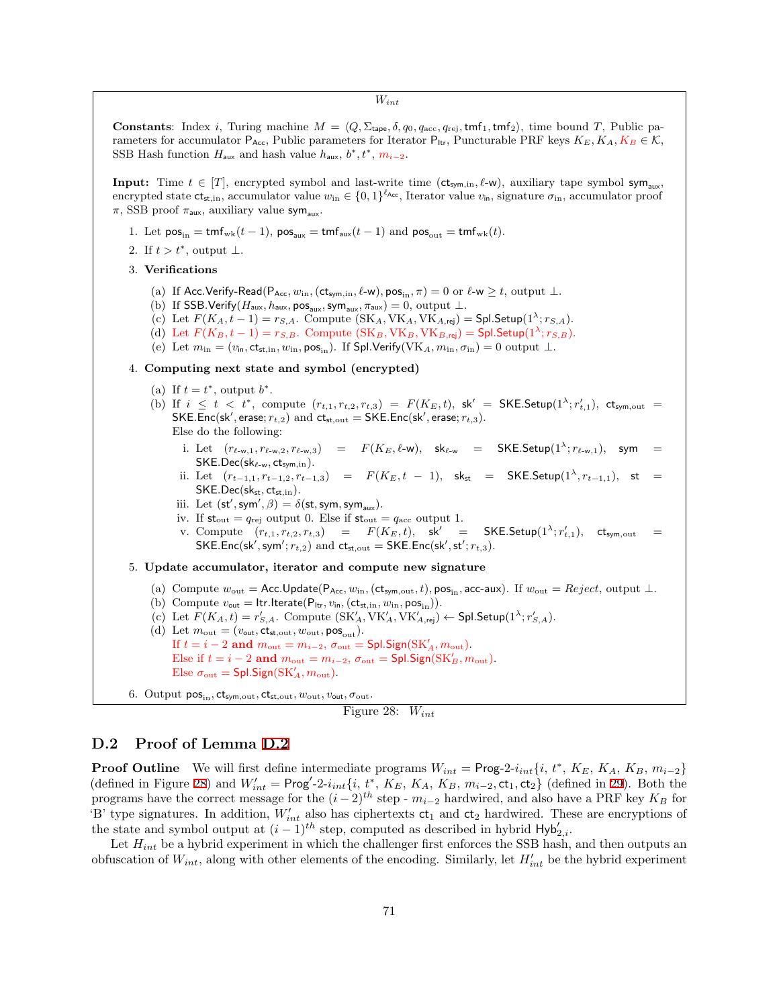*Wint*

<span id="page-70-1"></span>**Constants**: Index *i*, Turing machine  $M = \langle Q, \Sigma_{\text{tape}}, \delta, q_0, q_{\text{acc}}, q_{\text{rej}}, \text{tmf}_1, \text{tmf}_2 \rangle$ , time bound *T*, Public parameters for accumulator  $P_{Acc}$ , Public parameters for Iterator  $P_{ltr}$ , Puncturable PRF keys  $K_E$ ,  $K_A$ ,  $K_B \in \mathcal{K}$ , SSB Hash function  $H_{\text{aux}}$  and hash value  $h_{\text{aux}}$ ,  $b^*$ ,  $t^*$ ,  $m_{i-2}$ .

**Input:** Time  $t \in [T]$ , encrypted symbol and last-write time ( $ct_{sym,in}, \ell-w$ ), auxiliary tape symbol sym<sub>aux</sub>, encrypted state  $ct_{st,in}$ , accumulator value  $w_{in} \in \{0,1\}^{\ell_{Acc}}$ , Iterator value  $v_{in}$ , signature  $\sigma_{in}$ , accumulator proof  $\pi$ , SSB proof  $\pi_{\text{aux}}$ , auxiliary value sym<sub>aux</sub>.

- 1. Let  $pos_{\text{in}} = \text{tmf}_{\text{wk}}(t-1)$ ,  $pos_{\text{aux}} = \text{tmf}_{\text{aux}}(t-1)$  and  $pos_{\text{out}} = \text{tmf}_{\text{wk}}(t)$ .
- 2. If *t > t<sup>∗</sup>* , output *⊥*.
- 3. **Verifications**
	- (a) If Acc.Verify-Read( $P_{Acc}, w_{in}$ , (ct<sub>sym,in</sub>,  $\ell$ -w),  $pos_{in}, \pi$ ) = 0 or  $\ell$ -w  $\geq t$ , output  $\bot$ .
	- (b) If SSB.Verify( $H_{\text{aux}}, h_{\text{aux}},$  pos<sub>aux</sub>, sym<sub>aux</sub>,  $\pi_{\text{aux}}$ ) = 0, output  $\perp$ .
	- (c) Let  $F(K_A, t-1) = r_{S,A}$ . Compute  $(SK_A, VK_A, VK_{A, \text{rej}}) = \text{Spl}.\text{Setup}(1^{\lambda}; r_{S,A}).$
	- (d) Let  $F(K_B, t-1) = r_{S,B}$ . Compute  $(SK_B, VK_B, VK_{B, rej}) = \text{Spl.Setup}(1^{\lambda}; r_{S,B})$ .
	- (e) Let  $m_{\text{in}} = (v_{\text{in}}, \text{ct}_{\text{st},\text{in}}, w_{\text{in}}, \text{pos}_{\text{in}})$ . If Spl.Verify(VK<sub>A</sub>,  $m_{\text{in}}, \sigma_{\text{in}}) = 0$  output  $\perp$ .

### 4. **Computing next state and symbol (encrypted)**

(a) If  $t = t^*$ , output  $b^*$ .

(b) If  $i \le t \lt t^*$ , compute  $(r_{t,1}, r_{t,2}, r_{t,3}) = F(K_E, t)$ , sk' = SKE.Setup $(1^{\lambda}; r'_{t,1})$ , ct<sub>sym,out</sub> = SKE.Enc(sk', erase;  $r_{t,2}$ ) and  $ct_{st,out}$  = SKE.Enc(sk', erase;  $r_{t,3}$ ). Else do the following:

- i. Let  $(r_{\ell-w,1}, r_{\ell-w,2}, r_{\ell-w,3}) = F(K_E, \ell-w), \text{ sk}_{\ell-w} = \text{SKE}.\text{Setup}(1^{\lambda}; r_{\ell-w,1}), \text{ sym} =$ SKE*.*Dec(sk*<sup>ℓ</sup>*-w*,* ctsym*,*in).
- ii. Let  $(r_{t-1,1}, r_{t-1,2}, r_{t-1,3}) = F(K_E, t-1)$ ,  $sk_{st} = SKE. Setup(1^{\lambda}, r_{t-1,1})$ , st = SKE*.*Dec(skst*,* ctst*,*in).
- iii. Let  $(\mathsf{st}', \mathsf{sym}', \beta) = \delta(\mathsf{st}, \mathsf{sym}, \mathsf{sym}_{\mathsf{aux}}).$
- iv. If  $st_{\text{out}} = q_{\text{rej}}$  output 0. Else if  $st_{\text{out}} = q_{\text{acc}}$  output 1.
- v. Compute  $(r_{t,1}, r_{t,2}, r_{t,3})$  =  $F(K_E, t)$ , sk<sup>'</sup> = SKE.Setup $(1^{\lambda}; r'_{t,1})$ , ct<sub>sym,out</sub> = SKE.Enc(sk', sym';  $r_{t,2}$ ) and  $ct_{st,out}$  = SKE.Enc(sk', st';  $r_{t,3}$ ).

#### 5. **Update accumulator, iterator and compute new signature**

- (a) Compute  $w_{\text{out}} = \text{Acc}.\text{Update}(P_{\text{Acc}}, w_{\text{in}}, (\text{ct}_{\text{sym,out}}, t), \text{pos}_{\text{in}}, \text{acc-aux}).$  If  $w_{\text{out}} = Reject$ , output  $\perp$ .
- (b) Compute  $v_{\text{out}} = \text{Itr}$ .Iterate( $P_{\text{Itr}}, v_{\text{in}}, (\text{ct}_{\text{st},\text{in}}, w_{\text{in}}, \text{pos}_{\text{in}})$ ).
- (c) Let  $F(K_A, t) = r'_{S, A}$ . Compute  $(SK'_A, VK'_A, VK'_{A, rej}) \leftarrow$  Spl. Setup $(1^{\lambda}; r'_{S, A})$ .
- (d) Let  $m_{\text{out}} = (v_{\text{out}}, \text{ct}_{\text{st},\text{out}}, w_{\text{out}}, \text{pos}_{\text{out}}).$ If  $t = i - 2$  and  $m_{\text{out}} = m_{i-2}$ ,  $\sigma_{\text{out}} = \text{Spl.Sign}(\text{SK}'_A, m_{\text{out}})$ . Else if  $t = i - 2$  and  $m_{\text{out}} = m_{i-2}$ ,  $\sigma_{\text{out}} = \text{Spl.Sign}(\text{SK}'_B, m_{\text{out}})$ . Else  $\sigma_{\text{out}} = \text{Spl}.\text{Sign}(\text{SK}'_A, m_{\text{out}}).$

6. Output  $pos_{in}$ ,  $ct_{sym,out}$ ,  $ct_{st,out}$ ,  $w_{out}$ ,  $v_{out}$ ,  $\sigma_{out}$ .

```
Figure 28: Wint
```
## <span id="page-70-0"></span>**D.2 Proof of Lemma [D.2](#page-57-0)**

**Proof Outline** We will first define intermediate programs  $W_{int} = \text{Prog-2-}i_{int}\{i, t^*, K_E, K_A, K_B, m_{i-2}\}\$ (defined in Figure [28](#page-70-1)) and  $W'_{int} = Prog' - 2-i_{int} \{i, t^*, K_E, K_A, K_B, m_{i-2}, ct_1, ct_2\}$  (defined in [29\)](#page-71-0). Both the programs have the correct message for the  $(i-2)^{th}$  step -  $m_{i-2}$  hardwired, and also have a PRF key  $K_B$  for 'B' type signatures. In addition,  $W'_{int}$  also has ciphertexts  $ct_1$  and  $ct_2$  hardwired. These are encryptions of the state and symbol output at  $(i-1)^{th}$  step, computed as described in hybrid  $\mathsf{Hyb}'_{2,i}$ .

Let  $H_{int}$  be a hybrid experiment in which the challenger first enforces the SSB hash, and then outputs an obfuscation of  $W_{int}$ , along with other elements of the encoding. Similarly, let  $H'_{int}$  be the hybrid experiment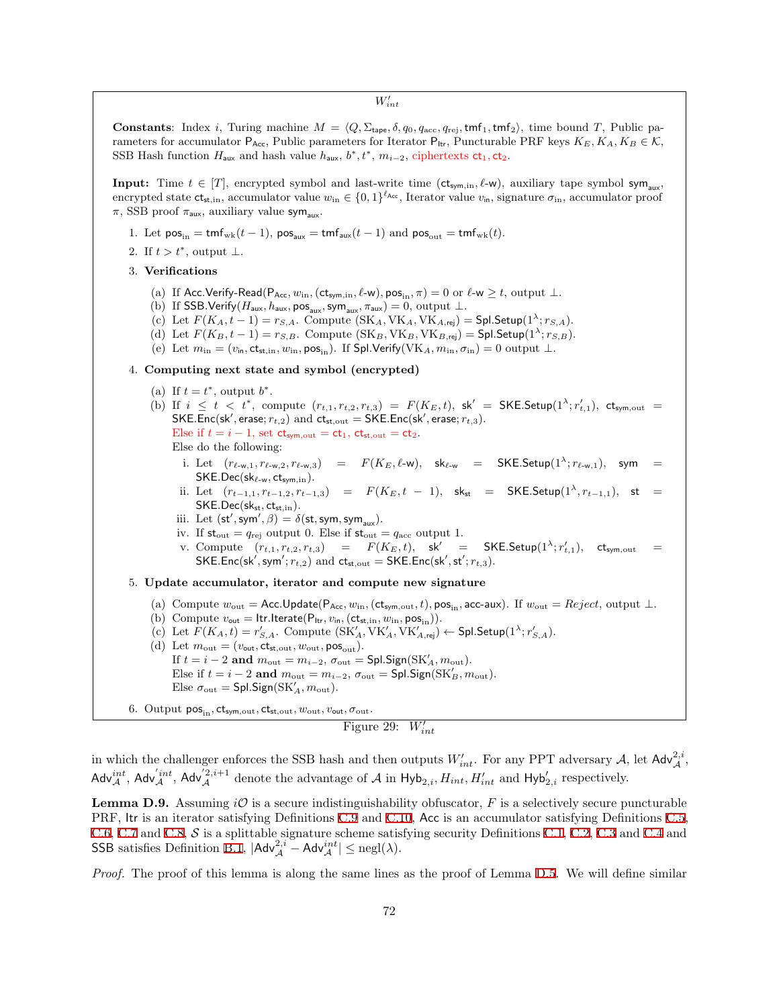$W'_{int}$ 

<span id="page-71-0"></span>**Constants**: Index *i*, Turing machine  $M = \langle Q, \Sigma_{\text{tape}}, \delta, q_0, q_{\text{acc}}, q_{\text{rej}}, \text{tmf}_1, \text{tmf}_2 \rangle$ , time bound *T*, Public parameters for accumulator  $P_{Acc}$ , Public parameters for Iterator  $P_{ltr}$ , Puncturable PRF keys  $K_E$ ,  $K_A$ ,  $K_B \in \mathcal{K}$ , SSB Hash function  $H_{\text{aux}}$  and hash value  $h_{\text{aux}}$ ,  $b^*$ ,  $t^*$ ,  $m_{i-2}$ , ciphertexts  $ct_1$ ,  $ct_2$ .

**Input:** Time  $t \in [T]$ , encrypted symbol and last-write time ( $ct_{sym,in}, \ell-w$ ), auxiliary tape symbol  $sym_{aux}$ , encrypted state  $ct_{st,in}$ , accumulator value  $w_{in} \in \{0,1\}^{\ell_{Acc}}$ , Iterator value  $v_{in}$ , signature  $\sigma_{in}$ , accumulator proof  $\pi$ , SSB proof  $\pi_{\text{aux}}$ , auxiliary value sym<sub>aux</sub>.

- 1. Let  $pos_{\text{in}} = \text{tmf}_{\text{wk}}(t-1)$ ,  $pos_{\text{aux}} = \text{tmf}_{\text{aux}}(t-1)$  and  $pos_{\text{out}} = \text{tmf}_{\text{wk}}(t)$ .
- 2. If *t > t<sup>∗</sup>* , output *⊥*.
- 3. **Verifications**
	- (a) If Acc.Verify-Read( $P_{Acc}, w_{in}$ , ( $ct_{sym,in}, \ell-w$ ),  $pos_{in}, \pi) = 0$  or  $\ell-w \geq t$ , output  $\bot$ .
	- (b) If SSB.Verify $(H_{\text{aux}}, h_{\text{aux}}, \text{pos}_{\text{aux}}, \text{sym}_{\text{aux}}, \pi_{\text{aux}}) = 0$ , output ⊥.
	- (c) Let  $F(K_A, t-1) = r_{S,A}$ . Compute  $(SK_A, VK_A, VK_{A, \text{rej}}) = \text{Spl}.\text{Setup}(1^{\lambda}; r_{S,A}).$
	- (d) Let  $F(K_B, t-1) = r_{S,B}$ . Compute  $(SK_B, VK_B, VK_{B,req}) =$  Spl.Setup(1<sup> $\lambda$ </sup>;  $r_{S,B}$ ).
	- (e) Let  $m_{\text{in}} = (v_{\text{in}}, \text{ct}_{\text{st},\text{in}}, w_{\text{in}}, \text{pos}_{\text{in}})$ . If Spl.Verify(VK<sub>A</sub>,  $m_{\text{in}}, \sigma_{\text{in}}) = 0$  output  $\perp$ .

## 4. **Computing next state and symbol (encrypted)**

(a) If  $t = t^*$ , output  $b^*$ .

(b) If  $i \le t \lt t^*$ , compute  $(r_{t,1}, r_{t,2}, r_{t,3}) = F(K_E, t)$ , sk' = SKE.Setup $(1^{\lambda}; r'_{t,1})$ , ct<sub>sym,out</sub> = SKE.Enc(sk', erase;  $r_{t,2}$ ) and  $ct_{st,out}$  = SKE.Enc(sk', erase;  $r_{t,3}$ ). Else if  $t = i - 1$ , set  $ct_{sym,out} = ct_1$ ,  $ct_{st,out} = ct_2$ . Else do the following:

- i. Let  $(r_{\ell-w,1}, r_{\ell-w,2}, r_{\ell-w,3}) = F(K_E, \ell-w), \text{ sk}_{\ell-w} = \text{SKE}.\text{Setup}(1^{\lambda}; r_{\ell-w,1}), \text{ sym} =$ SKE*.*Dec(sk*<sup>ℓ</sup>*-w*,* ctsym*,*in).
- ii. Let  $(r_{t-1,1}, r_{t-1,2}, r_{t-1,3}) = F(K_E, t-1)$ ,  $\mathsf{sk}_{\mathsf{st}} = \mathsf{SKE}.\mathsf{Setup}(1^\lambda, r_{t-1,1}), \mathsf{st} =$  $SKE.Dec(s k_{st}, ct_{st,in}).$
- iii. Let  $(\mathsf{st}', \mathsf{sym}', \beta) = \delta(\mathsf{st}, \mathsf{sym}, \mathsf{sym}_{\mathsf{aux}}).$
- iv. If  $st_{\text{out}} = q_{\text{rej}}$  output 0. Else if  $st_{\text{out}} = q_{\text{acc}}$  output 1.
- v. Compute  $(r_{t,1}, r_{t,2}, r_{t,3}) = F(K_E, t)$ , sk<sup>'</sup>  $\langle r'_{t,1} \rangle$ ,  $\mathsf{ct}_{\mathsf{sym,out}}$  = SKE.Enc(sk', sym';  $r_{t,2}$ ) and  $ct_{st,out}$  = SKE.Enc(sk', st';  $r_{t,3}$ ).

#### 5. **Update accumulator, iterator and compute new signature**

(a) Compute  $w_{\text{out}} = \text{Acc}.\text{Update}(P_{\text{Acc}}, w_{\text{in}},(\text{ct}_{\text{sym,out}}, t), \text{pos}_{\text{in}}, \text{acc-aux}).$  If  $w_{\text{out}} = Reject$ , output  $\perp$ .

- (b) Compute  $v_{\text{out}} = \text{ltr.lterate}(P_{\text{ltr}}, v_{\text{in}}, (\text{ct}_{\text{st,in}}, w_{\text{in}}, \text{pos}_{\text{in}})).$
- (c) Let  $F(K_A, t) = r'_{S, A}$ . Compute  $(SK'_A, VK'_A, VK'_{A, rej}) \leftarrow$  Spl. Setup $(1^{\lambda}; r'_{S, A})$ .
- (d) Let  $m_{\text{out}} = (v_{\text{out}}, \text{ct}_{\text{st},\text{out}}, w_{\text{out}}, \text{pos}_{\text{out}}).$ If  $t = i - 2$  and  $m_{\text{out}} = m_{i-2}$ ,  $\sigma_{\text{out}} =$  Spl.Sign(SK<sup>'</sup><sub>A</sub>,  $m_{\text{out}}$ ). Else if  $t = i - 2$  and  $m_{\text{out}} = m_{i-2}$ ,  $\sigma_{\text{out}} = \text{Spl.Sign}(\text{SK}'_B, m_{\text{out}})$ .  $\text{Else } \sigma_{\text{out}} = \text{Spl}.\text{Sign}(\text{SK}'_A, m_{\text{out}}).$
- 6. Output  $pos_{in}, ct_{sym,out}, ct_{st,out}, w_{out}, v_{out}, \sigma_{out}.$

Figure 29: 
$$
W'_{int}
$$

in which the challenger enforces the SSB hash and then outputs  $W'_{int}$ . For any PPT adversary *A*, let  $Adv_{\mathcal{A}}^{2,i}$ ,  $\mathsf{Adv}^{int}_{\mathcal{A}}$ ,  $\mathsf{Adv}^{'int}_{\mathcal{A}}$ ,  $\mathsf{Adv}^{'2,i+1}_{\mathcal{A}}$  denote the advantage of  $\mathcal{A}$  in  $\mathsf{Hyb}_{2,i}$ ,  $H_{int}, H'_{int}$  and  $\mathsf{Hyb}'_{2,i}$  respectively.

**Lemma D.9.** Assuming  $i\mathcal{O}$  is a secure indistinguishability obfuscator, F is a selectively secure puncturable PRF, Itr is an iterator satisfying Definitions [C.9](#page-55-0) and [C.10,](#page-55-1) Acc is an accumulator satisfying Definitions [C.5,](#page-53-0) [C.6,](#page-53-1) [C.7](#page-54-0) and [C.8](#page-54-1), *S* is a splittable signature scheme satisfying security Definitions [C.1,](#page-51-0) [C.2,](#page-51-1) [C.3](#page-51-2) and [C.4](#page-52-0) and SSB satisfies Definition [B.1,](#page-48-0)  $|Adv^{2,i}_{\mathcal{A}} - Adv^{int}_{\mathcal{A}}| \leq$  negl( $\lambda$ ).

*Proof.* The proof of this lemma is along the same lines as the proof of Lemma [D.5.](#page-60-1) We will define similar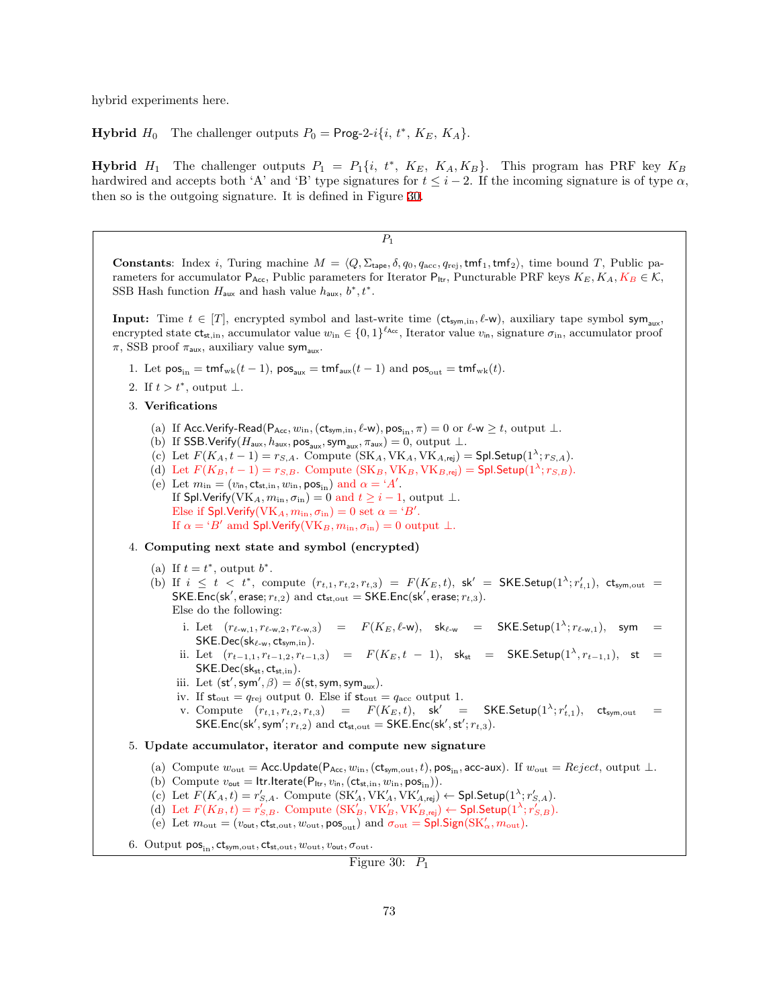hybrid experiments here.

**Hybrid**  $H_0$  The challenger outputs  $P_0 = \text{Prog-2-}i\{i, t^*, K_E, K_A\}.$ 

**Hybrid**  $H_1$  The challenger outputs  $P_1 = P_1\{i, t^*, K_E, K_A, K_B\}$ . This program has PRF key  $K_B$ hardwired and accepts both 'A' and 'B' type signatures for  $t \leq i-2$ . If the incoming signature is of type  $\alpha$ , then so is the outgoing signature. It is defined in Figure [30](#page-72-0).

*P*<sup>1</sup>

<span id="page-72-0"></span>**Constants**: Index *i*, Turing machine  $M = \langle Q, \Sigma_{\text{tape}}, \delta, q_0, q_{\text{acc}}, q_{\text{rej}}, \text{tmf}_1, \text{tmf}_2 \rangle$ , time bound *T*, Public parameters for accumulator  $P_{Acc}$ , Public parameters for Iterator  $P_{ltr}$ , Puncturable PRF keys  $K_E$ ,  $K_A$ ,  $K_B \in \mathcal{K}$ , SSB Hash function  $H_{\text{aux}}$  and hash value  $h_{\text{aux}}$ ,  $b^*$ ,  $t^*$ .

**Input:** Time  $t \in [T]$ , encrypted symbol and last-write time ( $ct_{sym,in}, \ell-w$ ), auxiliary tape symbol sym<sub>aux</sub>, encrypted state  $ct_{st,in}$ , accumulator value  $w_{in} \in \{0,1\}^{\ell_{Acc}}$ , Iterator value  $v_{in}$ , signature  $\sigma_{in}$ , accumulator proof  $\pi$ , SSB proof  $\pi_{\text{aux}}$ , auxiliary value sym<sub>aux</sub>.

- 1. Let  $pos_{in} = tmf_{wk}(t-1)$ ,  $pos_{aux} = tmf_{aux}(t-1)$  and  $pos_{out} = tmf_{wk}(t)$ .
- 2. If *t > t<sup>∗</sup>* , output *⊥*.
- 3. **Verifications**
	- (a) If Acc.Verify-Read( $P_{Acc}$ ,  $w_{in}$ , (ct<sub>sym,in</sub>,  $\ell$ -w),  $pos_{in}$ ,  $\pi$ ) = 0 or  $\ell$ -w  $\geq t$ , output  $\bot$ .
	- (b) If SSB.Verify( $H_{\text{aux}}, h_{\text{aux}},$  pos<sub>aux</sub>, sym<sub>aux</sub>,  $\pi_{\text{aux}}$ ) = 0, output  $\perp$ .
	- (c) Let  $F(K_A, t-1) = r_{S,A}$ . Compute  $(SK_A, VK_A, VK_{A, \text{rej}}) = \text{Spl}.\text{Setup}(1^{\lambda}; r_{S,A}).$
	- (d) Let  $F(K_B, t-1) = r_{S,B}$ . Compute  $(SK_B, VK_B, VK_{B, rej}) = \text{Spl.Setup}(1^{\lambda}; r_{S,B})$ .
	- (e) Let  $m_{\text{in}} = (v_{\text{in}}, \text{ct}_{\text{st},\text{in}}, w_{\text{in}}, \text{pos}_{\text{in}})$  and  $\alpha = 'A'.$ If Spl.Verify(VK<sub>A</sub>*, m*<sub>in</sub>*,*  $\sigma$ <sub>in</sub> $) = 0$  and  $t \geq i - 1$ , output  $\perp$ . Else if  $\mathsf{Spl}.\mathsf{Verify}(\mathsf{VK}_A, m_{\text{in}}, \sigma_{\text{in}}) = 0$  set  $\alpha = 'B'.$ If  $\alpha = {}^t B'$  amd Spl.Verify( $VK_B, m_{in}, \sigma_{in}$ ) = 0 output  $\bot$ .

## 4. **Computing next state and symbol (encrypted)**

- (a) If  $t = t^*$ , output  $b^*$ .
- (b) If  $i \le t \lt t^*$ , compute  $(r_{t,1}, r_{t,2}, r_{t,3}) = F(K_E, t)$ , sk' = SKE.Setup $(1^{\lambda}; r'_{t,1})$ , ct<sub>sym,out</sub> = SKE.Enc(sk', erase;  $r_{t,2}$ ) and  $ct_{st,out}$  = SKE.Enc(sk', erase;  $r_{t,3}$ ). Else do the following:
	- i. Let  $(r_{\ell-w,1}, r_{\ell-w,2}, r_{\ell-w,3}) = F(K_E, \ell-w), \text{ sk}_{\ell-w} = \text{SKE}.\text{Setup}(1^{\lambda}; r_{\ell-w,1}), \text{ sym} =$ SKE*.*Dec(sk*<sup>ℓ</sup>*-w*,* ctsym*,*in).
	- ii. Let  $(r_{t-1,1}, r_{t-1,2}, r_{t-1,3}) = F(K_E, t-1)$ ,  $sk_{st} = SKE.Setup(1^{\lambda}, r_{t-1,1})$ , st =  $SKE.Dec(s k_{st}, ct_{st,in}).$
	- iii. Let  $(\mathsf{st}', \mathsf{sym}', \beta) = \delta(\mathsf{st}, \mathsf{sym}, \mathsf{sym}_{\mathsf{aux}}).$
	- iv. If  $st_{\text{out}} = q_{\text{rej}}$  output 0. Else if  $st_{\text{out}} = q_{\text{acc}}$  output 1.
	- v. Compute  $(r_{t,1}, r_{t,2}, r_{t,3})$  =  $F(K_E, t)$ , sk<sup>'</sup> = SKE.Setup $(1^{\lambda}; r'_{t,1})$ , ct<sub>sym,out</sub> = SKE.Enc(sk', sym';  $r_{t,2}$ ) and  $ct_{st,out}$  = SKE.Enc(sk', st';  $r_{t,3}$ ).

## 5. **Update accumulator, iterator and compute new signature**

- (a) Compute  $w_{\text{out}} = \text{Acc}.\text{Update}(P_{\text{Acc}}, w_{\text{in}}, (ct_{\text{sym,out}}, t), \text{pos}_{\text{in}}, \text{acc-aux}).$  If  $w_{\text{out}} = Reject$ , output  $\perp$ .
- (b) Compute  $v_{\text{out}} = \text{Itr}. \text{Iterate}(P_{\text{Itr}}, v_{\text{in}}, (\text{ct}_{\text{st},\text{in}}, w_{\text{in}}, \text{pos}_{\text{in}})).$
- (c) Let  $F(K_A, t) = r'_{S, A}$ . Compute  $(SK'_A, VK'_A, VK'_{A, rej}) \leftarrow$  Spl. Setup $(1^{\lambda}; r'_{S, A})$ .
- (d) Let  $F(K_B,t) = r'_{S,B}$ . Compute  $(SK'_B, VK'_B, VK'_{B,req}) \leftarrow$  Spl. Setup $(1^{\lambda}; r'_{S,B})$ .
- (e) Let  $m_{\text{out}} = (v_{\text{out}}, \text{ct}_{\text{st,out}}, w_{\text{out}}, \text{pos}_{\text{out}})$  and  $\sigma_{\text{out}} = \text{Spl.Sign}(\text{SK}'_{\alpha}, m_{\text{out}})$ .
- 6. Output  $pos_{in}, ct_{sym,out}, ct_{st,out}, w_{out}, v_{out}, \sigma_{out}.$

Figure 30: *P*<sup>1</sup>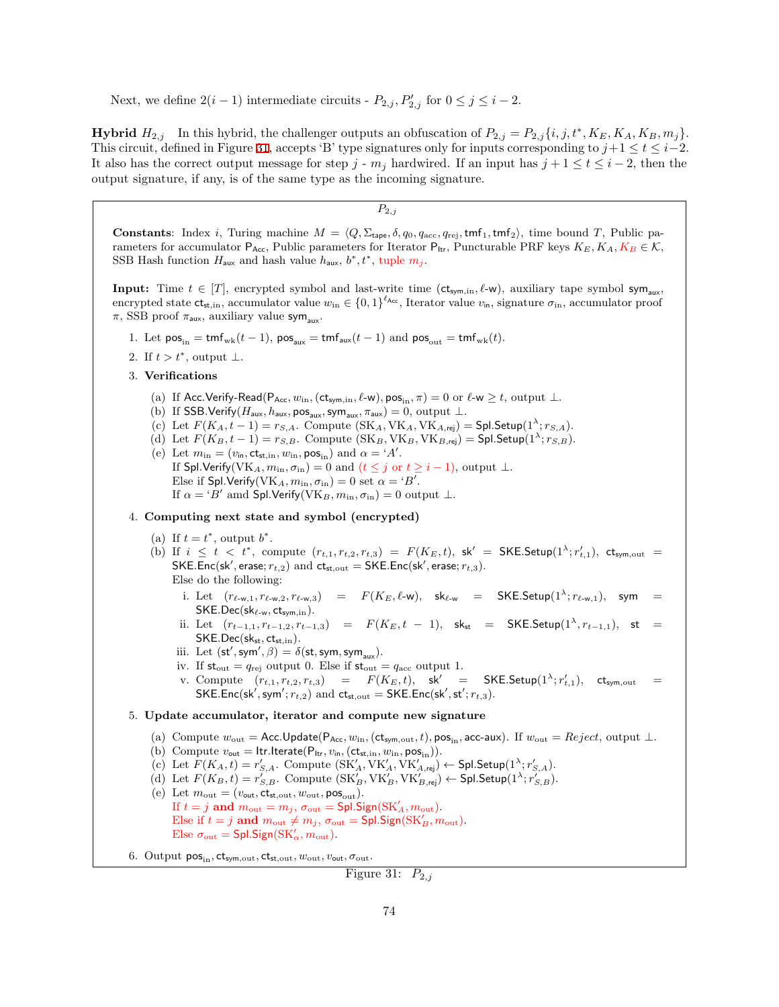Next, we define  $2(i-1)$  intermediate circuits -  $P_{2,j}, P'_{2,j}$  for  $0 \leq j \leq i-2$ .

**Hybrid**  $H_{2,j}$  In this hybrid, the challenger outputs an obfuscation of  $P_{2,j} = P_{2,j} \{i, j, t^*, K_E, K_A, K_B, m_j\}.$ This circuit, defined in Figure [31](#page-73-0), accepts 'B' type signatures only for inputs corresponding to  $j+1 \leq t \leq i-2$ . It also has the correct output message for step *j* -  $m_j$  hardwired. If an input has  $j + 1 \le t \le i - 2$ , then the output signature, if any, is of the same type as the incoming signature.

<span id="page-73-0"></span>*P*2*,j* **Constants**: Index *i*, Turing machine  $M = \langle Q, \Sigma_{\text{tape}}, \delta, q_0, q_{\text{acc}}, q_{\text{rej}}, \text{tmf}_1, \text{tmf}_2 \rangle$ , time bound *T*, Public parameters for accumulator  $P_{Acc}$ , Public parameters for Iterator  $P_{ltr}$ , Puncturable PRF keys  $K_E$ ,  $K_A$ ,  $K_B \in \mathcal{K}$ , SSB Hash function  $H_{\text{aux}}$  and hash value  $h_{\text{aux}}$ ,  $b^*$ ,  $t^*$ , tuple  $m_j$ . **Input:** Time  $t \in [T]$ , encrypted symbol and last-write time ( $ct_{sym,in}, \ell-w$ ), auxiliary tape symbol sym<sub>aux</sub>, encrypted state  $ct_{st,in}$ , accumulator value  $w_{in} \in \{0,1\}^{\ell_{Acc}}$ , Iterator value  $v_{in}$ , signature  $\sigma_{in}$ , accumulator proof  $\pi$ , SSB proof  $\pi_{\text{aux}}$ , auxiliary value sym<sub>aux</sub>. 1. Let  $pos_{in} = tmf_{wk}(t-1)$ ,  $pos_{aux} = tmf_{aux}(t-1)$  and  $pos_{out} = tmf_{wk}(t)$ . 2. If *t > t<sup>∗</sup>* , output *⊥*. 3. **Verifications** (a) If Acc.Verify-Read( $P_{Acc}, w_{in}$ , ( $ct_{sym,in}, \ell-w$ ),  $pos_{in}, \pi$ ) = 0 or  $\ell-w \geq t$ , output  $\bot$ . (b) If SSB.Verify( $H_{\text{aux}}, h_{\text{aux}}, \text{pos}_{\text{aux}}, \text{sym}_{\text{aux}}, \pi_{\text{aux}}) = 0$ , output *⊥*. (c) Let  $F(K_A, t-1) = r_{S,A}$ . Compute  $(SK_A, VK_A, VK_{A, \text{rej}}) = \text{Spl}.\text{Setup}(1^{\lambda}; r_{S,A}).$ (d) Let  $F(K_B, t-1) = r_{S,B}$ . Compute  $(SK_B, VK_B, VK_{B,reg}) = \text{Spl.Setup}(1^{\lambda}; r_{S,B})$ . (e) Let  $m_{\text{in}} = (v_{\text{in}}, \text{ct}_{\text{st},\text{in}}, w_{\text{in}}, \text{pos}_{\text{in}})$  and  $\alpha = 'A'.$ If Spl.Verify(VK<sub>A</sub>*, m*<sub>in</sub>*,* $\sigma$ <sub>in</sub>) = 0 and ( $t \leq j$  or  $t \geq i - 1$ ), output  $\perp$ . Else if  $\mathsf{Spl}.\mathsf{Verify}(\mathsf{VK}_A, m_{\text{in}}, \sigma_{\text{in}}) = 0$  set  $\alpha = 'B'.$ If  $\alpha = 'B'$  amd  $\mathsf{Spl}.\mathsf{Verify}(\mathsf{VK}_B,m_{\text{in}},\sigma_{\text{in}}) = 0$  output  $\bot.$ 4. **Computing next state and symbol (encrypted)** (a) If  $t = t^*$ , output  $b^*$ . (b) If  $i \le t \lt t^*$ , compute  $(r_{t,1}, r_{t,2}, r_{t,3}) = F(K_E, t)$ , sk' = SKE.Setup $(1^{\lambda}; r'_{t,1})$ , ct<sub>sym,out</sub> = SKE.Enc(sk', erase;  $r_{t,2}$ ) and  $ct_{st,out}$  = SKE.Enc(sk', erase;  $r_{t,3}$ ). Else do the following: i. Let  $(r_{\ell-w,1}, r_{\ell-w,2}, r_{\ell-w,3}) = F(K_E, \ell-w), \text{ sk}_{\ell-w} = \text{SKE}.\text{Setup}(1^{\lambda}; r_{\ell-w,1}), \text{ sym} =$ SKE*.*Dec(sk*<sup>ℓ</sup>*-w*,* ctsym*,*in). ii. Let  $(r_{t-1,1}, r_{t-1,2}, r_{t-1,3}) = F(K_E, t-1)$ ,  $sk_{st} = SKE.Setup(1^{\lambda}, r_{t-1,1})$ , st =  $SKE.Dec(s k_{st}, ct_{st,in}).$ iii. Let  $(\mathsf{st}', \mathsf{sym}', \beta) = \delta(\mathsf{st}, \mathsf{sym}, \mathsf{sym}_{\mathsf{aux}}).$ iv. If  $st_{out} = q_{rej}$  output 0. Else if  $st_{out} = q_{acc}$  output 1. v. Compute  $(r_{t,1}, r_{t,2}, r_{t,3})$  =  $F(K_E, t)$ , sk<sup>'</sup> = SKE.Setup $(1^{\lambda}; r'_{t,1})$ , ct<sub>sym,out</sub> = SKE.Enc(sk', sym';  $r_{t,2}$ ) and  $ct_{st,out}$  = SKE.Enc(sk', st';  $r_{t,3}$ ). 5. **Update accumulator, iterator and compute new signature** (a) Compute  $w_{\text{out}} = \text{Acc}.\text{Update}(P_{\text{Acc}}, w_{\text{in}}, (ct_{\text{sym,out}}, t), \text{pos}_{\text{in}}, \text{acc-aux}).$  If  $w_{\text{out}} = Reject$ , output  $\perp$ . (b) Compute  $v_{\text{out}} = \text{ltr.lterate}(P_{\text{ltr}}, v_{\text{in}}, (\text{ct}_{\text{st},\text{in}}, w_{\text{in}}, \text{pos}_{\text{in}})).$ (c) Let  $F(K_A, t) = r'_{S, A}$ . Compute  $(SK'_A, VK'_A, VK'_{A, rej}) \leftarrow$  Spl. Setup $(1^{\lambda}; r'_{S, A})$ . (d) Let  $F(K_B,t) = r'_{S,B}$ . Compute  $(SK'_B, VK'_B, VK'_{B, rej}) \leftarrow$  Spl. Setup $(1^{\lambda}; r'_{S,B})$ . (e) Let  $m_{\text{out}} = (v_{\text{out}}, \text{ct}_{\text{st},\text{out}}, w_{\text{out}}, \text{pos}_{\text{out}}).$ If  $t = j$  and  $m_{\text{out}} = m_j$ ,  $\sigma_{\text{out}} =$  Spl.Sign(SK<sup>'</sup><sub>A</sub>,  $m_{\text{out}}$ ). Else if  $t = j$  and  $m_{\text{out}} \neq m_j$ ,  $\sigma_{\text{out}} = \textsf{Spl}.\textsf{Sign}(\textsf{SK}'_B, m_{\text{out}})$ . Else  $\sigma_{\text{out}} = \text{Spl}.\text{Sign}(\text{SK}'_{\alpha}, m_{\text{out}}).$ 6. Output  $pos_{in}, ct_{sym,out}, ct_{st,out}, w_{out}, v_{out}, \sigma_{out}.$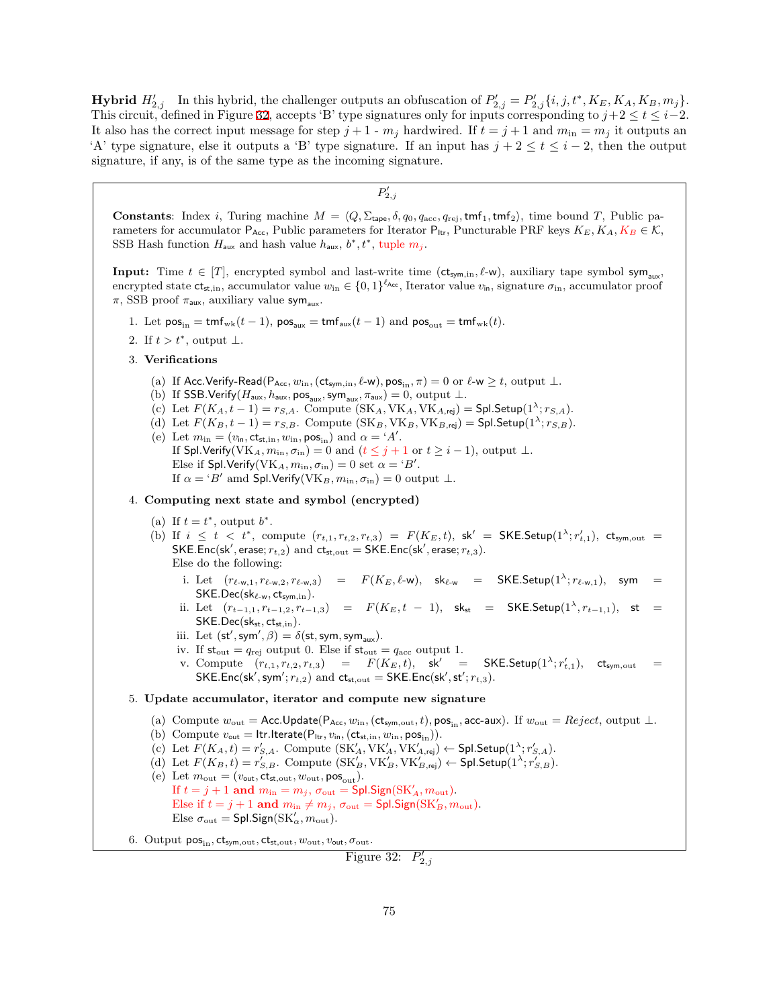**Hybrid**  $H'_{2,j}$  In this hybrid, the challenger outputs an obfuscation of  $P'_{2,j} = P'_{2,j} \{i, j, t^*, K_E, K_A, K_B, m_j\}.$ This circuit, defined in Figure [32](#page-74-0), accepts 'B' type signatures only for inputs corresponding to  $j+2 \le t \le i-2$ . It also has the correct input message for step  $j + 1 - m_j$  hardwired. If  $t = j + 1$  and  $m_{\text{in}} = m_j$  it outputs an 'A' type signature, else it outputs a 'B' type signature. If an input has  $j + 2 \le t \le i - 2$ , then the output signature, if any, is of the same type as the incoming signature.

 $P_{2,j}^{\prime}$ 

<span id="page-74-0"></span>**Constants**: Index *i*, Turing machine  $M = \langle Q, \Sigma_{\text{tape}}, \delta, q_0, q_{\text{acc}}, q_{\text{rej}}, \text{tmf}_1, \text{tmf}_2 \rangle$ , time bound *T*, Public parameters for accumulator  $P_{Acc}$ , Public parameters for Iterator  $P_{ltr}$ , Puncturable PRF keys  $K_E$ ,  $K_A$ ,  $K_B \in \mathcal{K}$ , SSB Hash function  $H_{\text{aux}}$  and hash value  $h_{\text{aux}}$ ,  $b^*$ ,  $t^*$ , tuple  $m_j$ .

**Input:** Time  $t \in [T]$ , encrypted symbol and last-write time (ct<sub>sym,in</sub>,  $\ell$ -w), auxiliary tape symbol sym<sub>aux</sub>, encrypted state  $ct_{st,in}$ , accumulator value  $w_{in} \in \{0,1\}^{\ell_{Acc}}$ , Iterator value  $v_{in}$ , signature  $\sigma_{in}$ , accumulator proof  $\pi$ , SSB proof  $\pi_{\text{aux}}$ , auxiliary value sym<sub>aux</sub>.

- 1. Let  $pos_{\text{in}} = \text{tmf}_{\text{wk}}(t-1)$ ,  $pos_{\text{aux}} = \text{tmf}_{\text{aux}}(t-1)$  and  $pos_{\text{out}} = \text{tmf}_{\text{wk}}(t)$ .
- 2. If *t > t<sup>∗</sup>* , output *⊥*.
- 3. **Verifications**
	- (a) If Acc.Verify-Read( $P_{Acc}, w_{in}$ , (ct<sub>sym,in</sub>,  $\ell$ -w),  $pos_{in}$ ,  $\pi$ ) = 0 or  $\ell$ -w  $\geq t$ , output  $\bot$ .
	- (b) If SSB.Verify( $H_{\text{aux}}, h_{\text{aux}},$  pos<sub>aux</sub>, sym<sub>aux</sub>,  $\pi_{\text{aux}}) = 0$ , output  $\perp$ .
	- (c) Let  $F(K_A, t-1) = r_{S,A}$ . Compute  $(SK_A, VK_A, VK_{A, \text{rej}}) = \text{Spl}.\text{Setup}(1^{\lambda}; r_{S,A}).$
	- (d) Let  $F(K_B, t-1) = r_{S,B}$ . Compute  $(SK_B, VK_B, VK_{B,req}) = \mathsf{Spl}.\mathsf{Setup}(1^{\lambda}; r_{S,B})$ .
	- (e) Let  $m_{\text{in}} = (v_{\text{in}}, \text{ct}_{\text{st},\text{in}}, w_{\text{in}}, \text{pos}_{\text{in}})$  and  $\alpha = 'A'.$ If Spl.Verify(VK<sub>A</sub>,  $m_{\text{in}}$ ,  $\sigma_{\text{in}}$ ) = 0 and ( $t \leq j + 1$  or  $t \geq i - 1$ ), output  $\perp$ . Else if  $\mathsf{Spl}.\mathsf{Verify}(\mathsf{VK}_A, m_{\text{in}}, \sigma_{\text{in}}) = 0$  set  $\alpha = 'B'.$ If  $\alpha = 'B'$  amd Spl.Verify( $VK_B, m_{in}, \sigma_{in}$ ) = 0 output  $\bot$ .

#### 4. **Computing next state and symbol (encrypted)**

- (a) If  $t = t^*$ , output  $b^*$ .
- (b) If  $i \le t \lt t^*$ , compute  $(r_{t,1}, r_{t,2}, r_{t,3}) = F(K_E, t)$ , sk' = SKE.Setup $(1^{\lambda}; r'_{t,1})$ , ct<sub>sym,out</sub> = SKE.Enc(sk', erase;  $r_{t,2}$ ) and  $ct_{st,out}$  = SKE.Enc(sk', erase;  $r_{t,3}$ ). Else do the following:
	- i. Let  $(r_{\ell-w,1}, r_{\ell-w,2}, r_{\ell-w,3}) = F(K_E, \ell-w), \text{ sk}_{\ell-w} = \text{SKE}.\text{Setup}(1^{\lambda}; r_{\ell-w,1}), \text{ sym} =$ SKE*.*Dec(sk*<sup>ℓ</sup>*-w*,* ctsym*,*in).
	- ii. Let  $(r_{t-1,1}, r_{t-1,2}, r_{t-1,3}) = F(K_E, t-1)$ , sk<sub>st</sub> = SKE.Setup $(1^{\lambda}, r_{t-1,1})$ , st = SKE*.*Dec(skst*,* ctst*,*in).
	- iii. Let  $(\mathsf{st}', \mathsf{sym}', \beta) = \delta(\mathsf{st}, \mathsf{sym}, \mathsf{sym}_{\mathsf{aux}}).$
	- iv. If  $st_{\text{out}} = q_{\text{rej}}$  output 0. Else if  $st_{\text{out}} = q_{\text{acc}}$  output 1.
	- v. Compute  $(r_{t,1}, r_{t,2}, r_{t,3})$  =  $F(K_E, t)$ , sk<sup>'</sup> = SKE.Setup $(1^{\lambda}; r'_{t,1})$ , ct<sub>sym,out</sub> = SKE.Enc(sk', sym';  $r_{t,2}$ ) and  $ct_{st,out}$  = SKE.Enc(sk', st';  $r_{t,3}$ ).

## 5. **Update accumulator, iterator and compute new signature**

- (a) Compute  $w_{\text{out}} = \text{Acc}.\text{Update}(P_{\text{Acc}}, w_{\text{in}}, (ct_{\text{sym,out}}, t), \text{pos}_{\text{in}}, \text{acc-aux}).$  If  $w_{\text{out}} = Reject$ , output  $\perp$ .
- (b) Compute  $v_{\text{out}} = \text{Itr}.\text{Iterate}(P_{\text{ltr}}, v_{\text{in}}, (\text{ct}_{\text{st},\text{in}}, w_{\text{in}}, \text{pos}_{\text{in}})).$
- (c) Let  $F(K_A, t) = r'_{S, A}$ . Compute  $(SK'_A, VK'_A, VK'_{A, rej}) \leftarrow$  Spl. Setup $(1^{\lambda}; r'_{S, A})$ .
- (d) Let  $F(K_B,t) = r'_{S,B}$ . Compute  $(SK'_B, VK'_B, VK'_{B, rel}) \leftarrow$  Spl. Setup $(1^{\lambda}; r'_{S,B})$ .
- (e) Let  $m_{\text{out}} = (v_{\text{out}}, ct_{\text{st,out}}, w_{\text{out}}, \text{pos}_{\text{out}}).$ If  $t = j + 1$  and  $m_{\text{in}} = m_j$ ,  $\sigma_{\text{out}} = \textsf{Spl}.\textsf{Sign}(\textsf{SK}'_A, m_{\text{out}})$ . Else if  $t = j + 1$  and  $m_{\text{in}} \neq m_j$ ,  $\sigma_{\text{out}} = \textsf{Spl}.\textsf{Sign}(\textsf{SK}'_B, m_{\text{out}})$ . Else  $\sigma_{\text{out}} = \text{Spl.Sign}(\text{SK}'_{\alpha}, m_{\text{out}}).$
- 6. Output posin*,* ctsym*,*out*,* ctst*,*out*, w*out*, v*out*, σ*out.

Figure 32:  $P'_{2,j}$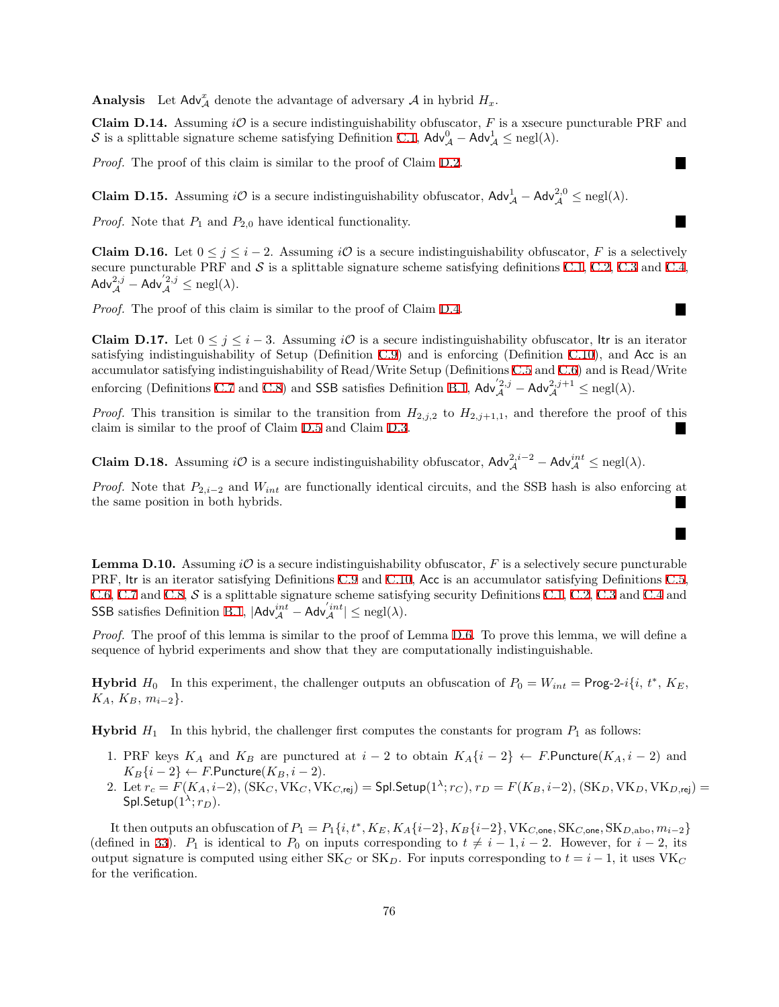**Analysis** Let  $\mathsf{Adv}_{\mathcal{A}}^x$  denote the advantage of adversary  $\mathcal{A}$  in hybrid  $H_x$ .

**Claim D.14.** Assuming  $i\mathcal{O}$  is a secure indistinguishability obfuscator,  $F$  is a xsecure puncturable PRF and  $S$  is a splittable signature scheme satisfying Definition [C.1](#page-51-0),  $\mathsf{Adv}_{\mathcal{A}}^0 - \mathsf{Adv}_{\mathcal{A}}^1 \le \text{negl}(\lambda)$ .

 $\blacksquare$ 

M

н

 $\blacksquare$ 

*Proof.* The proof of this claim is similar to the proof of Claim [D.2](#page-63-0).

**Claim D.15.** Assuming  $i\mathcal{O}$  is a secure indistinguishability obfuscator,  $\mathsf{Adv}_{\mathcal{A}}^1 - \mathsf{Adv}_{\mathcal{A}}^{2,0} \le \text{negl}(\lambda)$ .

*Proof.* Note that *P*<sup>1</sup> and *P*2*,*<sup>0</sup> have identical functionality.

**Claim D.16.** Let  $0 \leq j \leq i-2$ . Assuming *iO* is a secure indistinguishability obfuscator, *F* is a selectively secure puncturable PRF and *S* is a splittable signature scheme satisfying definitions [C.1,](#page-51-0) [C.2,](#page-51-1) [C.3](#page-51-2) and [C.4,](#page-52-0)  $\mathsf{Adv}_{\mathcal{A}}^{2,j} - \mathsf{Adv}_{\mathcal{A}}^{'2,j} \le \mathrm{negl}(\lambda).$ 

*Proof.* The proof of this claim is similar to the proof of Claim [D.4](#page-65-0).

**Claim D.17.** Let  $0 \leq j \leq i-3$ . Assuming *iO* is a secure indistinguishability obfuscator, Itr is an iterator satisfying indistinguishability of Setup (Definition [C.9\)](#page-55-0) and is enforcing (Definition [C.10](#page-55-1)), and Acc is an accumulator satisfying indistinguishability of Read/Write Setup (Definitions [C.5](#page-53-0) and [C.6](#page-53-1)) and is Read/Write enforcing (Definitions [C.7](#page-54-0) and [C.8\)](#page-54-1) and SSB satisfies Definition [B.1](#page-48-0),  $\mathsf{Adv}_{\mathcal{A}}^{2,j} - \mathsf{Adv}_{\mathcal{A}}^{2,j+1} \leq \text{negl}(\lambda)$ .

*Proof.* This transition is similar to the transition from  $H_{2,j,2}$  to  $H_{2,j+1,1}$ , and therefore the proof of this claim is similar to the proof of Claim [D.5](#page-65-1) and Claim [D.3](#page-63-1). Г

**Claim D.18.** Assuming *iO* is a secure indistinguishability obfuscator,  $\mathsf{Adv}_{\mathcal{A}}^{2,i-2} - \mathsf{Adv}_{\mathcal{A}}^{int} \leq \text{negl}(\lambda)$ .

*Proof.* Note that  $P_{2,i-2}$  and  $W_{int}$  are functionally identical circuits, and the SSB hash is also enforcing at the same position in both hybrids.

<span id="page-75-0"></span>**Lemma D.10.** Assuming  $i\mathcal{O}$  is a secure indistinguishability obfuscator, F is a selectively secure puncturable PRF, Itr is an iterator satisfying Definitions [C.9](#page-55-0) and [C.10,](#page-55-1) Acc is an accumulator satisfying Definitions [C.5,](#page-53-0) [C.6,](#page-53-1) [C.7](#page-54-0) and [C.8](#page-54-1), S is a splittable signature scheme satisfying security Definitions [C.1,](#page-51-0) [C.2,](#page-51-1) [C.3](#page-51-2) and [C.4](#page-52-0) and SSB satisfies Definition [B.1,](#page-48-0)  $|Adv_{\mathcal{A}}^{int} - Adv_{\mathcal{A}}^{'int}| \leq negl(\lambda)$ .

*Proof.* The proof of this lemma is similar to the proof of Lemma [D.6.](#page-66-0) To prove this lemma, we will define a sequence of hybrid experiments and show that they are computationally indistinguishable.

**Hybrid**  $H_0$  In this experiment, the challenger outputs an obfuscation of  $P_0 = W_{int} = \text{Prog-2-}i\{i, t^*, K_E,$ *KA*, *KB*, *m<sup>i</sup>−*<sup>2</sup>*}*.

**Hybrid**  $H_1$  In this hybrid, the challenger first computes the constants for program  $P_1$  as follows:

- 1. PRF keys  $K_A$  and  $K_B$  are punctured at  $i-2$  to obtain  $K_A\{i-2\}$  ← *F.*Puncture( $K_A, i-2$ ) and  $K_B\{i-2\} \leftarrow F$ .Puncture( $K_B, i-2$ ).
- 2. Let  $r_c = F(K_A, i-2)$ ,  $(SK_C, VK_C, VK_{C, rej}) =$  Spl.Setup $(1^{\lambda}; r_C), r_D = F(K_B, i-2)$ ,  $(SK_D, VK_D, VK_{D, rej}) =$  $\mathsf{Spl}.\mathsf{Setup}(1^{\lambda};r_D).$

It then outputs an obfuscation of  $P_1 = P_1\{i, t^*, K_E, K_A\{i-2\}, K_B\{i-2\}, \text{VK}_{C, \text{one}}, \text{SK}_{C, \text{one}}, \text{SK}_{D, \text{abo}}, m_{i-2}\}\$ (defined in [33](#page-76-0)).  $P_1$  is identical to  $P_0$  on inputs corresponding to  $t \neq i-1, i-2$ . However, for  $i-2$ , its output signature is computed using either  $SK_C$  or  $SK_D$ . For inputs corresponding to  $t = i - 1$ , it uses  $VK_C$ for the verification.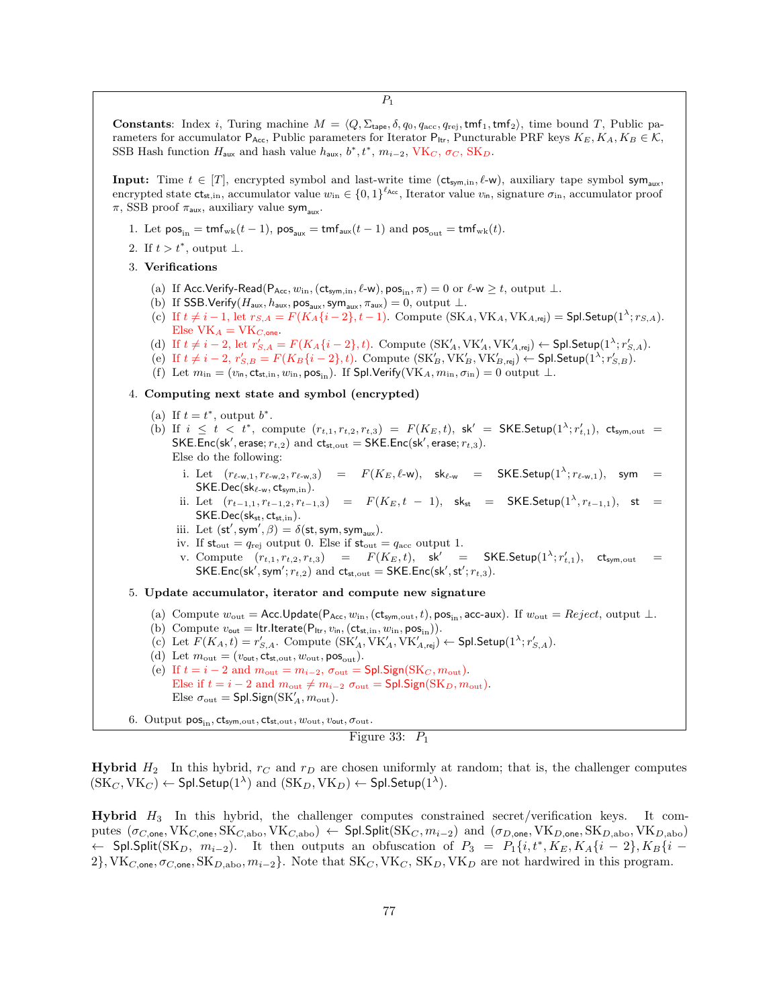<span id="page-76-0"></span>**Constants**: Index *i*, Turing machine  $M = \langle Q, \Sigma_{\text{tape}}, \delta, q_0, q_{\text{acc}}, q_{\text{rej}}, \text{tmf}_1, \text{tmf}_2 \rangle$ , time bound *T*, Public parameters for accumulator  $P_{Acc}$ , Public parameters for Iterator  $P_{ltr}$ , Puncturable PRF keys  $K_E$ ,  $K_A$ ,  $K_B \in \mathcal{K}$ , SSB Hash function  $H_{\text{aux}}$  and hash value  $h_{\text{aux}}$ ,  $b^*$ ,  $t^*$ ,  $m_{i-2}$ ,  $\text{VK}_C$ ,  $\sigma_C$ ,  $\text{SK}_D$ .

**Input:** Time  $t \in [T]$ , encrypted symbol and last-write time ( $ct_{sym,in}, \ell-w$ ), auxiliary tape symbol sym<sub>aux</sub>, encrypted state  $ct_{st,in}$ , accumulator value  $w_{in} \in \{0,1\}^{\ell_{Acc}}$ , Iterator value  $v_{in}$ , signature  $\sigma_{in}$ , accumulator proof  $\pi$ , SSB proof  $\pi_{\text{aux}}$ , auxiliary value sym<sub>aux</sub>.

- 1. Let  $pos_{\text{in}} = \text{tmf}_{\text{wk}}(t-1)$ ,  $pos_{\text{aux}} = \text{tmf}_{\text{aux}}(t-1)$  and  $pos_{\text{out}} = \text{tmf}_{\text{wk}}(t)$ .
- 2. If *t > t<sup>∗</sup>* , output *⊥*.
- 3. **Verifications**
	- (a) If Acc.Verify-Read( $P_{Acc}, w_{in}$ , (ct<sub>sym,in</sub>,  $\ell$ -w),  $pos_{in}, \pi$ ) = 0 or  $\ell$ -w  $\geq t$ , output  $\bot$ .
	- (b) If SSB.Verify $(H_{\text{aux}}, h_{\text{aux}}, \text{pos}_{\text{aux}}, \text{sym}_{\text{aux}}, \pi_{\text{aux}}) = 0$ , output  $\perp$ .
	- (c) If  $t \neq i-1$ , let  $r_{S,A} = F(K_A\{i-2\}, t-1)$ . Compute  $(SK_A, VK_A, VK_{A, rel}) =$  Spl. Setup $(1^{\lambda}; r_{S,A})$ . Else  $VK_A = VK_{C,one}$ .
	- (d) If  $t \neq i-2$ , let  $r'_{S,A} = F(K_A\{i-2\}, t)$ . Compute  $(SK'_A, VK'_A, VK'_{A, \text{rej}}) \leftarrow \text{Spl.Setup}(1^{\lambda}; r'_{S,A})$ .
	- (e) If  $t \neq i-2$ ,  $r'_{S,B} = F(K_B\{i-2\}, t)$ . Compute  $(SK'_B, VK'_B, VK'_{B, rej}) \leftarrow$  Spl. Setup $(1^{\lambda}; r'_{S,B})$ .
	- (f) Let  $m_{\text{in}} = (v_{\text{in}}, ct_{\text{st},\text{in}}, w_{\text{in}}, \text{pos}_{\text{in}})$ . If Spl.Verify(VK<sub>A</sub>*, m*<sub>in</sub>*,*  $\sigma_{\text{in}}) = 0$  output  $\perp$ .

#### 4. **Computing next state and symbol (encrypted)**

- (a) If  $t = t^*$ , output  $b^*$ .
- (b) If  $i \le t \lt t^*$ , compute  $(r_{t,1}, r_{t,2}, r_{t,3}) = F(K_E, t)$ , sk' = SKE.Setup $(1^{\lambda}; r'_{t,1})$ , ct<sub>sym,out</sub> = SKE.Enc(sk', erase;  $r_{t,2}$ ) and  $ct_{st,out}$  = SKE.Enc(sk', erase;  $r_{t,3}$ ). Else do the following:
	- i. Let  $(r_{\ell-w,1}, r_{\ell-w,2}, r_{\ell-w,3}) = F(K_E, \ell-w), \text{ sk}_{\ell-w} = \text{SKE}.\text{Setup}(1^{\lambda}; r_{\ell-w,1}), \text{ sym} =$ SKE*.*Dec(sk*<sup>ℓ</sup>*-w*,* ctsym*,*in).
	- ii. Let  $(r_{t-1,1}, r_{t-1,2}, r_{t-1,3}) = F(K_E, t-1)$ , sk<sub>st</sub> = SKE.Setup $(1^{\lambda}, r_{t-1,1})$ , st =  $SKE.Dec(s k_{st}, ct_{st,in}).$
	- iii. Let  $(\mathsf{st}', \mathsf{sym}', \beta) = \delta(\mathsf{st}, \mathsf{sym}, \mathsf{sym}_{\mathsf{aux}}).$
	- iv. If  $st_{\text{out}} = q_{\text{rej}}$  output 0. Else if  $st_{\text{out}} = q_{\text{acc}}$  output 1.
	- v. Compute  $(r_{t,1}, r_{t,2}, r_{t,3})$  =  $F(K_E, t)$ , sk<sup>'</sup> = SKE.Setup $(1^{\lambda}; r'_{t,1})$ , ct<sub>sym,out</sub> = SKE*.*Enc(sk', sym';  $r_{t,2}$ ) and  $ct_{st,out}$  = SKE*.Enc(sk', st';*  $r_{t,3}$ *).*

5. **Update accumulator, iterator and compute new signature**

- (a) Compute *w*out = Acc*.*Update(PAcc*, w*in*,*(ctsym*,*out*, t*)*,* posin*,* acc-aux). If *w*out = *Reject*, output *⊥*.
- (b) Compute  $v_{\text{out}} = \text{ltr.lterate}(P_{\text{ltr}}, v_{\text{in}}, (\text{ct}_{\text{st},\text{in}}, w_{\text{in}}, \text{pos}_{\text{in}})).$
- (c) Let  $F(K_A, t) = r'_{S, A}$ . Compute  $(SK'_A, VK'_A, VK'_{A, rej}) \leftarrow$  Spl. Setup $(1^{\lambda}; r'_{S, A})$ .
- (d) Let  $m_{\text{out}} = (v_{\text{out}}, \text{ct}_{\text{st},\text{out}}, w_{\text{out}}, \text{pos}_{\text{out}}).$
- (e) If  $t = i 2$  and  $m_{\text{out}} = m_{i-2}$ ,  $\sigma_{\text{out}} = \text{Spl.Sign}(\text{SK}_C, m_{\text{out}})$ .
- Else if  $t = i 2$  and  $m_{\text{out}} \neq m_{i-2} \sigma_{\text{out}} = \text{Spl.Sign}(\text{SK}_D, m_{\text{out}})$ .  $\text{Else } \sigma_{\text{out}} = \text{Spl}.\text{Sign}(\text{SK}'_A, m_{\text{out}}).$

6. Output  $pos_{\text{in}}, ct_{\text{sym,out}},ct_{\text{st,out}},w_{\text{out}},v_{\text{out}},\sigma_{\text{out}}.$ 

Figure 33: 
$$
P_1
$$

**Hybrid**  $H_2$  In this hybrid,  $r_C$  and  $r_D$  are chosen uniformly at random; that is, the challenger computes  $(SK_C, VK_C) \leftarrow$  Spl.Setup(1<sup> $\lambda$ </sup>) and  $(SK_D, VK_D) \leftarrow$  Spl.Setup(1<sup> $\lambda$ </sup>).

**Hybrid** *H*<sup>3</sup> In this hybrid, the challenger computes constrained secret/verification keys. It computes  $(\sigma_{C, \text{one}}, \text{VK}_{C, \text{one}}, \text{SK}_{C, \text{abo}}, \text{VK}_{C, \text{abo}}) \leftarrow \text{Spl.Split}(\text{SK}_C, m_{i-2})$  and  $(\sigma_{D, \text{one}}, \text{VK}_{D, \text{one}}, \text{SK}_{D, \text{abo}}, \text{VK}_{D, \text{abo}})$  $\leftarrow$  Spl.Split(SK<sub>D</sub>,  $m_{i-2}$ ). It then outputs an obfuscation of  $P_3 = P_1\{i, t^*, K_E, K_A\{i-2\}, K_B\{i-1\}, K_B\{i-1\}, K_B\{i-1\}, K_B\{i-1\}, K_B\{i-1\}, K_B\{i-1\}, K_B\{i-1\}, K_B\{i-1\}, K_B\{i-1\}, K_B\{i-1\}, K_B\{i-1\}, K_B\{i-1\}, K_B\{i-1\}, K_B\{i-1\},$  $2\}$ , VK<sub>C,</sub>one,  $\sigma_{C, \text{one}}$ , SK<sub>D,abo</sub>,  $m_{i-2}$ }. Note that SK<sub>C</sub>, VK<sub>C</sub>, SK<sub>D</sub>, VK<sub>D</sub> are not hardwired in this program.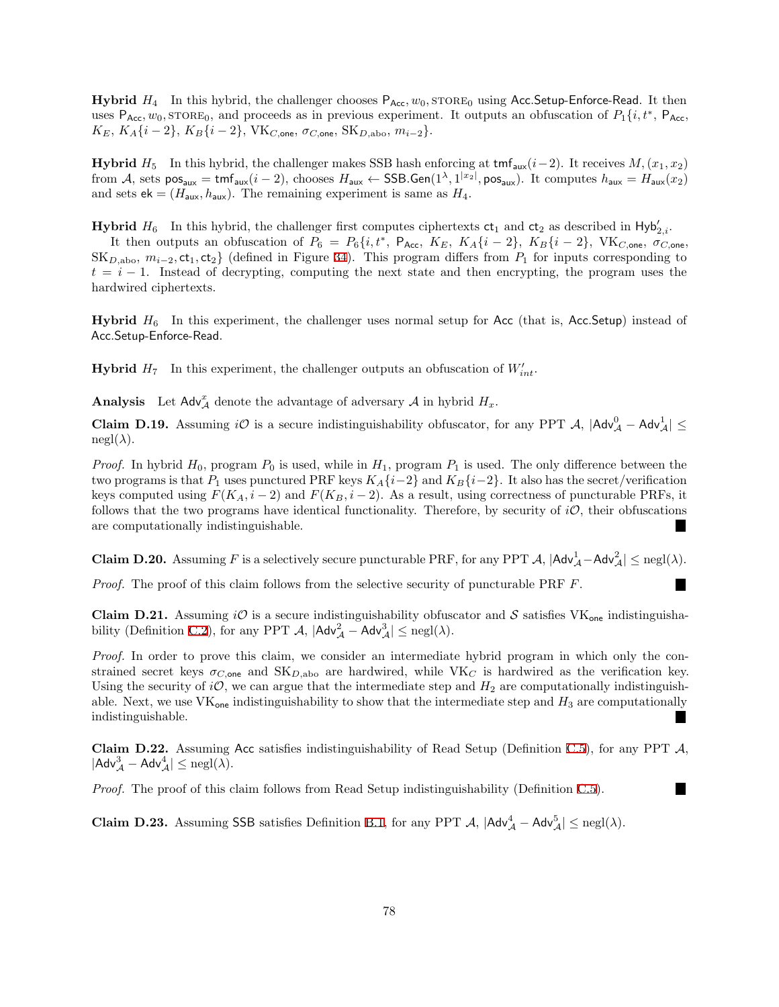**Hybrid**  $H_4$  In this hybrid, the challenger chooses  $P_{Acc}$ ,  $w_0$ ,  $STORE_0$  using Acc.Setup-Enforce-Read. It then uses  $P_{Acc}, w_0$ , store<sub>0</sub>, and proceeds as in previous experiment. It outputs an obfuscation of  $P_1\{i, t^*, P_{Acc},$  $K_E$ ,  $K_A\{i-2\}$ ,  $K_B\{i-2\}$ ,  $VK_{C, \text{one}}, \sigma_{C, \text{one}}$ ,  $SK_{D, \text{abo}}, m_{i-2}\}.$ 

**Hybrid**  $H_5$  In this hybrid, the challenger makes SSB hash enforcing at tmf<sub>aux</sub>( $i$ *−*2). It receives  $M$ ,( $x_1, x_2$ ) from *A*, sets  $pos_{aux} = \text{tmf}_{aux}(i-2)$ , chooses  $H_{aux} \leftarrow \text{SSB.Gen}(1^{\lambda}, 1^{|x_2|}, pos_{aux})$ . It computes  $h_{aux} = H_{aux}(x_2)$ and sets  $ek = (H_{\text{aux}}, h_{\text{aux}})$ . The remaining experiment is same as  $H_4$ .

**Hybrid**  $H_6$  In this hybrid, the challenger first computes ciphertexts  $ct_1$  and  $ct_2$  as described in  $Hyb'_{2,i}$ .

It then outputs an obfuscation of  $P_6 = P_6\{i, t^*, P_{Acc}, K_E, K_A\{i-2\}, K_B\{i-2\}, \nabla K_{C,one}, \sigma_{C,one}$  $SK_{D,abo}, m_{i-2}, ct_1, ct_2$  (defined in Figure [34\)](#page-78-0). This program differs from  $P_1$  for inputs corresponding to  $t = i - 1$ . Instead of decrypting, computing the next state and then encrypting, the program uses the hardwired ciphertexts.

**Hybrid**  $H_6$  In this experiment, the challenger uses normal setup for Acc (that is, Acc.Setup) instead of Acc*.*Setup-Enforce-Read.

**Hybrid**  $H_7$  In this experiment, the challenger outputs an obfuscation of  $W'_{int}$ .

**Analysis** Let  $\text{Adv}_{\mathcal{A}}^{x}$  denote the advantage of adversary  $\mathcal{A}$  in hybrid  $H_x$ .

**Claim D.19.** Assuming *iO* is a secure indistinguishability obfuscator, for any PPT *A*,  $|Adv^0_A - Adv^1_A| \leq$  $negl(\lambda)$ .

*Proof.* In hybrid *H*0, program *P*<sup>0</sup> is used, while in *H*1, program *P*<sup>1</sup> is used. The only difference between the two programs is that  $P_1$  uses punctured PRF keys  $K_A\{i-2\}$  and  $K_B\{i-2\}$ . It also has the secret/verification keys computed using  $F(K_A, i-2)$  and  $F(K_B, i-2)$ . As a result, using correctness of puncturable PRFs, it follows that the two programs have identical functionality. Therefore, by security of  $i\mathcal{O}$ , their obfuscations are computationally indistinguishable.

**Claim D.20.** Assuming *F* is a selectively secure puncturable PRF, for any PPT *A*,  $|\text{Adv}^1_{\mathcal{A}} - \text{Adv}^2_{\mathcal{A}}| \leq \text{negl}(\lambda)$ .

*Proof.* The proof of this claim follows from the selective security of puncturable PRF *F*.

**Claim D.21.** Assuming  $i\mathcal{O}$  is a secure indistinguishability obfuscator and *S* satisfies VK<sub>one</sub> indistinguisha-bility (Definition [C.2](#page-51-1)), for any PPT  $\mathcal{A}$ ,  $|\mathsf{Adv}_{\mathcal{A}}^2 - \mathsf{Adv}_{\mathcal{A}}^3| \le \text{negl}(\lambda)$ .

*Proof.* In order to prove this claim, we consider an intermediate hybrid program in which only the constrained secret keys  $\sigma_{C,one}$  and  $SK_{D,abc}$  are hardwired, while VK<sub>C</sub> is hardwired as the verification key. Using the security of *i* $O$ , we can argue that the intermediate step and  $H_2$  are computationally indistinguishable. Next, we use  $VK_{one}$  indistinguishability to show that the intermediate step and  $H_3$  are computationally indistinguishable.

**Claim D.22.** Assuming Acc satisfies indistinguishability of Read Setup (Definition [C.5](#page-53-0)), for any PPT *A*,  $|Adv^3_{\mathcal{A}} - Adv^4_{\mathcal{A}}| \leq \text{negl}(\lambda).$ 

П

*Proof.* The proof of this claim follows from Read Setup indistinguishability (Definition [C.5\)](#page-53-0).

**Claim D.23.** Assuming SSB satisfies Definition [B.1,](#page-48-0) for any PPT  $\mathcal{A}$ ,  $|Adv^4_{\mathcal{A}} - Adv^5_{\mathcal{A}}| \leq$  negl( $\lambda$ ).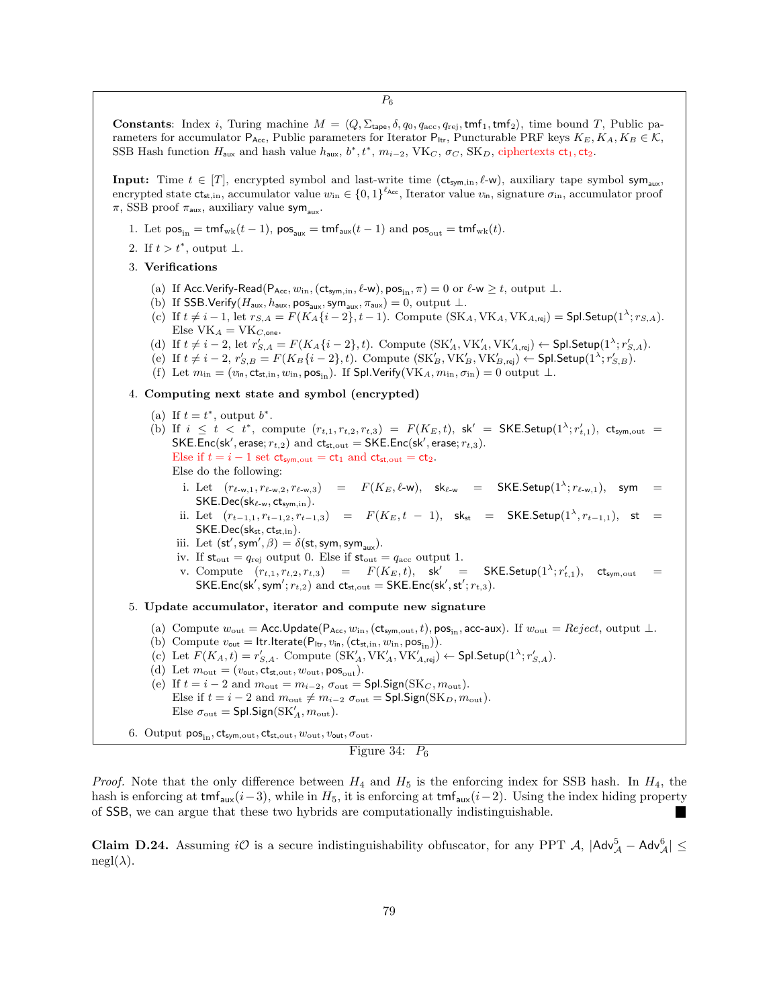<span id="page-78-0"></span>**Constants**: Index *i*, Turing machine  $M = \langle Q, \Sigma_{\text{tape}}, \delta, q_0, q_{\text{acc}}, q_{\text{rej}}, \text{tmf}_1, \text{tmf}_2 \rangle$ , time bound *T*, Public parameters for accumulator  $P_{Acc}$ , Public parameters for Iterator  $P_{ltr}$ , Puncturable PRF keys  $K_E$ ,  $K_A$ ,  $K_B \in \mathcal{K}$ , SSB Hash function  $H_{\text{aux}}$  and hash value  $h_{\text{aux}}$ ,  $b^*$ ,  $t^*$ ,  $m_{i-2}$ ,  $\text{VK}_C$ ,  $\sigma_C$ ,  $\text{SK}_D$ , ciphertexts  $\text{ct}_1$ ,  $\text{ct}_2$ .

**Input:** Time  $t \in [T]$ , encrypted symbol and last-write time ( $ct_{sym,in}, \ell-w$ ), auxiliary tape symbol sym<sub>aux</sub>, encrypted state  $ct_{st,in}$ , accumulator value  $w_{in} \in \{0,1\}^{\ell_{Acc}}$ , Iterator value  $v_{in}$ , signature  $\sigma_{in}$ , accumulator proof  $\pi$ , SSB proof  $\pi_{\text{aux}}$ , auxiliary value sym<sub>aux</sub>.

- 1. Let  $pos_{\text{in}} = \text{tmf}_{\text{wk}}(t-1)$ ,  $pos_{\text{aux}} = \text{tmf}_{\text{aux}}(t-1)$  and  $pos_{\text{out}} = \text{tmf}_{\text{wk}}(t)$ .
- 2. If *t > t<sup>∗</sup>* , output *⊥*.
- 3. **Verifications**
	- (a) If Acc.Verify-Read( $P_{Acc}, w_{in}$ , (ct<sub>sym,in</sub>,  $\ell$ -w),  $pos_{in}, \pi$ ) = 0 or  $\ell$ -w  $\geq t$ , output  $\bot$ .
	- (b) If SSB.Verify( $H_{\text{aux}}, h_{\text{aux}},$  pos<sub>aux</sub>, sym<sub>aux</sub>,  $\pi_{\text{aux}}$ ) = 0, output  $\perp$ .
	- (c) If  $t \neq i-1$ , let  $r_{S,A} = F(K_A\{i-2\}, t-1)$ . Compute  $(SK_A, VK_A, VK_{A, rel}) = \text{Spl}\text{Setup}(1^{\lambda}; r_{S,A})$ . Else  $VK_A = VK_{C,one}$ .
	- (d) If  $t \neq i-2$ , let  $r'_{S,A} = F(K_A\{i-2\}, t)$ . Compute  $(SK'_A, VK'_A, VK'_{A, \text{rej}}) \leftarrow \text{Spl.Setup}(1^{\lambda}; r'_{S,A})$ .
	- (e) If  $t \neq i-2$ ,  $r'_{S,B} = F(K_B\{i-2\}, t)$ . Compute  $(SK'_B, VK'_B, VK'_{B, rej}) \leftarrow$  Spl. Setup $(1^{\lambda}; r'_{S,B})$ .
	- (f) Let  $m_{\text{in}} = (v_{\text{in}}, ct_{\text{st},\text{in}}, w_{\text{in}}, \text{pos}_{\text{in}})$ . If Spl.Verify(VK<sub>A</sub>*, m*<sub>in</sub>*,*  $\sigma_{\text{in}}) = 0$  output  $\perp$ .

#### 4. **Computing next state and symbol (encrypted)**

- (a) If  $t = t^*$ , output  $b^*$ .
- (b) If  $i \le t \lt t^*$ , compute  $(r_{t,1}, r_{t,2}, r_{t,3}) = F(K_E, t)$ , sk' = SKE.Setup $(1^{\lambda}; r'_{t,1})$ , ct<sub>sym,out</sub> = SKE.Enc(sk', erase;  $r_{t,2}$ ) and  $ct_{st,out}$  = SKE.Enc(sk', erase;  $r_{t,3}$ ). Else if  $t = i - 1$  set  $ct_{sym,out} = ct_1$  and  $ct_{st,out} = ct_2$ . Else do the following:
	- i. Let  $(r_{\ell-w,1}, r_{\ell-w,2}, r_{\ell-w,3}) = F(K_E, \ell-w), \text{ sk}_{\ell-w} = \text{SKE}.\text{Setup}(1^{\lambda}; r_{\ell-w,1}), \text{ sym} =$ SKE*.*Dec(sk*<sup>ℓ</sup>*-w*,* ctsym*,*in).
	- ii. Let  $(r_{t-1,1}, r_{t-1,2}, r_{t-1,3}) = F(K_E, t-1)$ , sk<sub>st</sub> = SKE.Setup $(1^{\lambda}, r_{t-1,1})$ , st = SKE.Dec(sk<sub>st</sub>, ct<sub>st,in</sub>).
	- iii. Let  $(\mathsf{st}', \mathsf{sym}', \beta) = \delta(\mathsf{st}, \mathsf{sym}, \mathsf{sym}_{\mathsf{aux}}).$
	- iv. If  $st_{\text{out}} = q_{\text{rej}}$  output 0. Else if  $st_{\text{out}} = q_{\text{acc}}$  output 1.
	- v. Compute  $(r_{t,1}, r_{t,2}, r_{t,3})$  =  $F(K_E, t)$ , sk<sup>'</sup> = SKE.Setup $(1^{\lambda}; r'_{t,1})$ , ct<sub>sym,out</sub> = SKE.Enc(sk', sym';  $r_{t,2}$ ) and  $ct_{st,out}$  = SKE.Enc(sk', st';  $r_{t,3}$ ).
- 5. **Update accumulator, iterator and compute new signature**
	- (a) Compute  $w_{\text{out}} = \text{Acc}.\text{Update}(P_{\text{Acc}}, w_{\text{in}}, (\text{ct}_{\text{sym},\text{out}}, t), \text{pos}_{\text{in}}, \text{acc-aux})$ . If  $w_{\text{out}} = Reject$ , output  $\perp$ .
	- (b) Compute  $v_{\text{out}} = \text{Itr}.\text{Iterate}(P_{\text{ltr}}, v_{\text{in}}, (\text{ct}_{\text{st},\text{in}}, w_{\text{in}}, \text{pos}_{\text{in}})).$
	- (c) Let  $F(K_A, t) = r'_{S, A}$ . Compute  $(SK'_A, VK'_A, VK'_{A, rej}) \leftarrow$  Spl. Setup $(1^{\lambda}; r'_{S, A})$ .
	- (d) Let  $m_{\text{out}} = (v_{\text{out}}, \text{ct}_{\text{st,out}}, w_{\text{out}}, \text{pos}_{\text{out}}).$
	- (e) If  $t = i 2$  and  $m_{\text{out}} = m_{i-2}$ ,  $\sigma_{\text{out}} = \text{Spl.Sign}(\text{SK}_C, m_{\text{out}})$ . Else if  $t = i - 2$  and  $m_{\text{out}} \neq m_{i-2} \sigma_{\text{out}} = \text{Spl.Sign}(\text{SK}_D, m_{\text{out}})$ .  $\text{Else } \sigma_{\text{out}} = \text{Spl}.\text{Sign}(\text{SK}'_A, m_{\text{out}}).$
- 6. Output posin*,* ctsym*,*out*,* ctst*,*out*, w*out*, v*out*, σ*out.

Figure 34:  $P_6$ 

*Proof.* Note that the only difference between  $H_4$  and  $H_5$  is the enforcing index for SSB hash. In  $H_4$ , the hash is enforcing at tmf<sub>aux</sub> $(i-3)$ , while in  $H_5$ , it is enforcing at tmf<sub>aux</sub> $(i-2)$ . Using the index hiding property of SSB, we can argue that these two hybrids are computationally indistinguishable.

**Claim D.24.** Assuming *iO* is a secure indistinguishability obfuscator, for any PPT *A*,  $|Adv^5_A - Adv^6_A| \le$  $negl(\lambda)$ .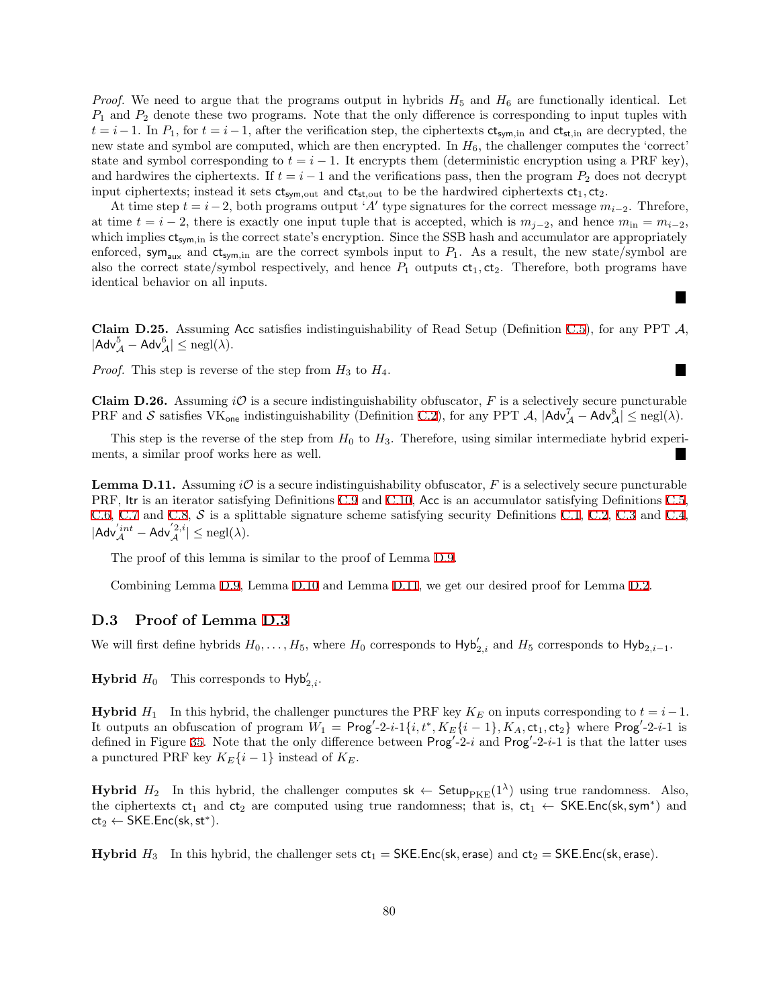*Proof.* We need to argue that the programs output in hybrids  $H_5$  and  $H_6$  are functionally identical. Let *P*<sup>1</sup> and *P*<sup>2</sup> denote these two programs. Note that the only difference is corresponding to input tuples with  $t = i - 1$ . In *P*<sub>1</sub>, for  $t = i - 1$ , after the verification step, the ciphertexts  $ct_{sym, in}$  and  $ct_{st, in}$  are decrypted, the new state and symbol are computed, which are then encrypted. In *H*6, the challenger computes the 'correct' state and symbol corresponding to  $t = i - 1$ . It encrypts them (deterministic encryption using a PRF key), and hardwires the ciphertexts. If  $t = i - 1$  and the verifications pass, then the program  $P_2$  does not decrypt input ciphertexts; instead it sets  $ct_{sym,out}$  and  $ct_{st,out}$  to be the hardwired ciphertexts  $ct_1, ct_2$ .

At time step  $t = i - 2$ , both programs output '*A'* type signatures for the correct message  $m_{i-2}$ . Threfore, at time  $t = i - 2$ , there is exactly one input tuple that is accepted, which is  $m_{j-2}$ , and hence  $m_{in} = m_{i-2}$ , which implies  $ct_{sym,in}$  is the correct state's encryption. Since the SSB hash and accumulator are appropriately enforced, sym<sub>aux</sub> and ct<sub>sym,in</sub> are the correct symbols input to  $P_1$ . As a result, the new state/symbol are also the correct state/symbol respectively, and hence  $P_1$  outputs  $ct_1, ct_2$ . Therefore, both programs have identical behavior on all inputs.

**Claim D.25.** Assuming Acc satisfies indistinguishability of Read Setup (Definition [C.5](#page-53-0)), for any PPT *A*,  $|Adv^5_{\mathcal{A}} - Adv^6_{\mathcal{A}}| \leq \text{negl}(\lambda).$ 

П

 $\blacksquare$ 

*Proof.* This step is reverse of the step from  $H_3$  to  $H_4$ .

**Claim D.26.** Assuming  $i\mathcal{O}$  is a secure indistinguishability obfuscator,  $F$  is a selectively secure puncturable PRF and *S* satisfies  $VK_{one}$  indistinguishability (Definition [C.2\)](#page-51-1), for any PPT *A*,  $|Adv_{\mathcal{A}}^7 - Adv_{\mathcal{A}}^8| \leq negl(\lambda)$ .

This step is the reverse of the step from *H*<sup>0</sup> to *H*3. Therefore, using similar intermediate hybrid experiments, a similar proof works here as well. н

<span id="page-79-0"></span>**Lemma D.11.** Assuming  $i\mathcal{O}$  is a secure indistinguishability obfuscator, F is a selectively secure puncturable PRF, Itr is an iterator satisfying Definitions [C.9](#page-55-0) and [C.10,](#page-55-1) Acc is an accumulator satisfying Definitions [C.5,](#page-53-0) [C.6,](#page-53-1) [C.7](#page-54-0) and [C.8,](#page-54-1) *S* is a splittable signature scheme satisfying security Definitions [C.1](#page-51-0), [C.2,](#page-51-1) [C.3](#page-51-2) and [C.4,](#page-52-0)  $|Adv_{\mathcal{A}}^{'int} - Adv_{\mathcal{A}}^{'2,i}| \leq \text{negl}(\lambda).$ 

The proof of this lemma is similar to the proof of Lemma [D.9.](#page-71-0)

Combining Lemma [D.9,](#page-71-0) Lemma [D.10](#page-75-0) and Lemma [D.11](#page-79-0), we get our desired proof for Lemma [D.2](#page-57-0).

## **D.3 Proof of Lemma [D.3](#page-58-0)**

We will first define hybrids  $H_0, \ldots, H_5$ , where  $H_0$  corresponds to  $Hyb'_{2,i}$  and  $H_5$  corresponds to  $Hyb_{2,i-1}$ .

**Hybrid**  $H_0$  This corresponds to  $Hyb'_{2,i}$ .

**Hybrid**  $H_1$  In this hybrid, the challenger punctures the PRF key  $K_E$  on inputs corresponding to  $t = i - 1$ . It outputs an obfuscation of program  $W_1 = \text{Prog}'\text{-}2-i-1\{i,t^*,K_E\{i-1\},K_A,\text{ct}_1,\text{ct}_2\}$  where  $\text{Prog}'\text{-}2-i-1$  is defined in Figure [35.](#page-80-0) Note that the only difference between Prog*′* -2-*i* and Prog*′* -2-*i*-1 is that the latter uses a punctured PRF key  $K_E\{i-1\}$  instead of  $K_E$ .

**Hybrid**  $H_2$  In this hybrid, the challenger computes  $sk \leftarrow$  Setup<sub>PKE</sub>(1<sup> $\lambda$ </sup>) using true randomness. Also, the ciphertexts  $ct_1$  and  $ct_2$  are computed using true randomness; that is,  $ct_1 \leftarrow \text{SKE}$ *.Enc(sk, sym<sup>\*</sup>)* and ct<sup>2</sup> *←* SKE*.*Enc(sk*,*st*<sup>∗</sup>* ).

**Hybrid**  $H_3$  In this hybrid, the challenger sets  $ct_1 = \mathsf{SKE}$ .Enc(sk, erase) and  $ct_2 = \mathsf{SKE}$ .Enc(sk, erase).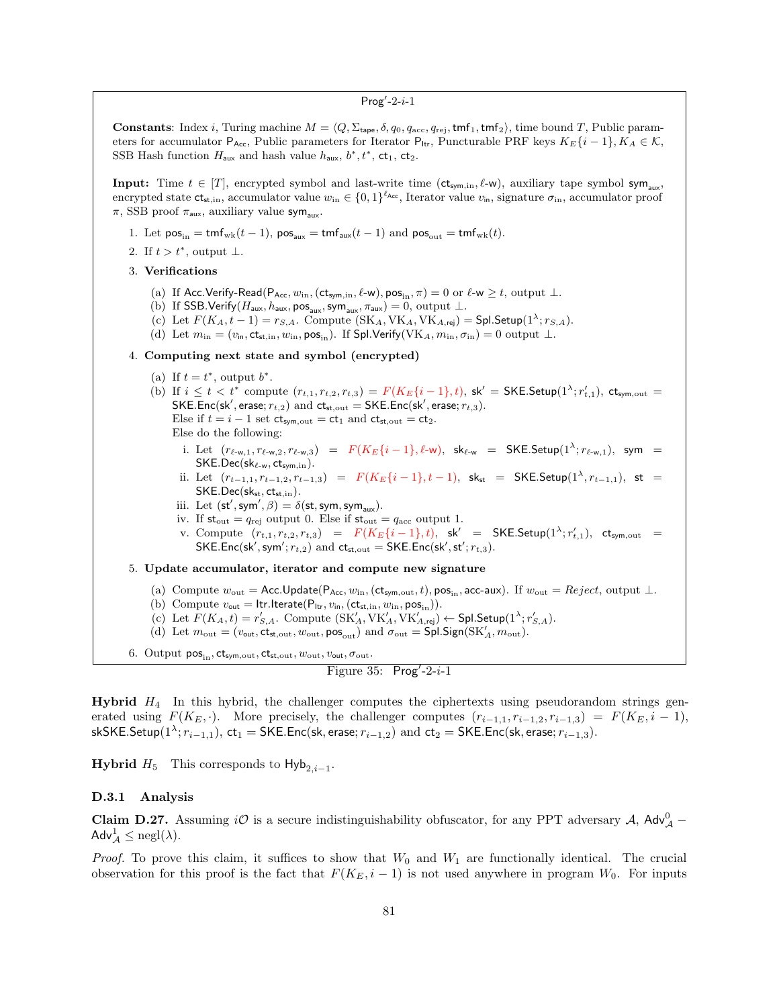Prog*′* -2-*i*-1

<span id="page-80-0"></span>**Constants**: Index *i*, Turing machine  $M = \langle Q, \Sigma_{\text{tape}}, \delta, q_0, q_{\text{acc}}, q_{\text{rej}}, \text{tmf}_1, \text{tmf}_2 \rangle$ , time bound *T*, Public parameters for accumulator  $P_{Acc}$ , Public parameters for Iterator  $P_{ltr}$ , Puncturable PRF keys  $K_E\{i-1\}$ ,  $K_A \in \mathcal{K}$ , SSB Hash function  $H_{\text{aux}}$  and hash value  $h_{\text{aux}}$ ,  $b^*$ ,  $t^*$ ,  $ct_1$ ,  $ct_2$ .

**Input:** Time  $t \in [T]$ , encrypted symbol and last-write time ( $ct_{sym,in}, \ell-w$ ), auxiliary tape symbol  $sym_{aux}$ , encrypted state  $ct_{st,in}$ , accumulator value  $w_{in} \in \{0,1\}^{\ell_{Acc}}$ , Iterator value  $v_{in}$ , signature  $\sigma_{in}$ , accumulator proof  $\pi$ , SSB proof  $\pi_{\text{aux}}$ , auxiliary value sym<sub>aux</sub>.

- 1. Let  $pos_{\text{in}} = \text{tmf}_{\text{wk}}(t-1)$ ,  $pos_{\text{aux}} = \text{tmf}_{\text{aux}}(t-1)$  and  $pos_{\text{out}} = \text{tmf}_{\text{wk}}(t)$ .
- 2. If *t > t<sup>∗</sup>* , output *⊥*.
- 3. **Verifications**
	- (a) If Acc.Verify-Read( $P_{Acc}, w_{in}$ , ( $ct_{sym,in}, \ell-w$ ),  $pos_{in}, \pi) = 0$  or  $\ell-w \geq t$ , output  $\bot$ .
	- $\mathcal{L}(\mathbf{b})$  If SSB.Verify $(H_{\mathsf{aux}}, h_{\mathsf{aux}}, \mathsf{pos}_{\mathsf{aux}}, \mathsf{sym}_{\mathsf{aux}}, \pi_{\mathsf{aux}}) = 0$ , output  $\bot$ .
	- (c) Let  $F(K_A, t-1) = r_{S,A}$ . Compute  $(SK_A, VK_A, VK_{A, \text{rej}}) = \text{Spl}.\text{Setup}(1^{\lambda}; r_{S,A}).$
	- (d) Let  $m_{\text{in}} = (v_{\text{in}}, \text{ct}_{\text{st},\text{in}}, w_{\text{in}}, \text{pos}_{\text{in}})$ . If Spl.Verify(VK<sub>A</sub>,  $m_{\text{in}}, \sigma_{\text{in}}) = 0$  output  $\perp$ .

## 4. **Computing next state and symbol (encrypted)**

- (a) If  $t = t^*$ , output  $b^*$ .
- (b) If  $i \le t < t^*$  compute  $(r_{t,1}, r_{t,2}, r_{t,3}) = F(K_E\{i-1\}, t)$ , sk' = SKE.Setup $(1^{\lambda}; r'_{t,1})$ , ct<sub>sym,out</sub> = SKE.Enc(sk', erase;  $r_{t,2}$ ) and  $ct_{st,out}$  = SKE.Enc(sk', erase;  $r_{t,3}$ ). Else if  $t = i - 1$  set  $ct_{sym,out} = ct_1$  and  $ct_{st,out} = ct_2$ . Else do the following:
	- i. Let  $(r_{\ell-w,1}, r_{\ell-w,2}, r_{\ell-w,3}) = F(K_E\{i-1\}, \ell-w), \; \mathsf{sk}_{\ell-w} = \mathsf{SKE}.\mathsf{Setup}(1^\lambda; r_{\ell-w,1}), \; \mathsf{sym} =$ SKE*.*Dec(sk*<sup>ℓ</sup>*-w*,* ctsym*,*in).
	- ii. Let  $(r_{t-1,1}, r_{t-1,2}, r_{t-1,3}) = F(K_E\{i-1\}, t-1)$ , sk<sub>st</sub> = SKE.Setup $(1^{\lambda}, r_{t-1,1})$ , st =  $SKE.Dec(sk_{st},ct_{st,in}).$
	- iii. Let  $(\mathsf{st}', \mathsf{sym}', \beta) = \delta(\mathsf{st}, \mathsf{sym}, \mathsf{sym}_{\mathsf{aux}}).$
	- iv. If  $st_{out} = q_{rej}$  output 0. Else if  $st_{out} = q_{acc}$  output 1.
	- v. Compute  $(r_{t,1}, r_{t,2}, r_{t,3}) = F(K_E\{i-1\}, t)$ , sk' = SKE.Setup $(1^{\lambda}; r'_{t,1})$ , ct<sub>sym,out</sub> = SKE.Enc(sk', sym';  $r_{t,2}$ ) and  $ct_{st,out}$  = SKE.Enc(sk', st';  $r_{t,3}$ ).
- 5. **Update accumulator, iterator and compute new signature**
	- (a) Compute  $w_{\text{out}} = \text{Acc}.\text{Update}(P_{\text{Acc}}, w_{\text{in}}, (\text{ct}_{\text{sym},\text{out}}, t), \text{pos}_{\text{in}}, \text{acc-aux}).$  If  $w_{\text{out}} = Reject$ , output  $\perp$ .
	- (b) Compute  $v_{\text{out}} = \text{ltr.lterate}(P_{\text{ltr}}, v_{\text{in}}, (\text{ct}_{\text{st},\text{in}}, w_{\text{in}}, \text{pos}_{\text{in}})).$
	- (c) Let  $F(K_A, t) = r'_{S, A}$ . Compute  $(SK'_A, VK'_A, VK'_{A, rej}) \leftarrow$  Spl. Setup $(1^{\lambda}; r'_{S, A})$ .
	- (d) Let  $m_{\text{out}} = (v_{\text{out}}, \text{ct}_{\text{st},\text{out}}, w_{\text{out}}, \text{pos}_{\text{out}})$  and  $\sigma_{\text{out}} = \text{Spl}.\text{Sign}(\text{SK}'_A, m_{\text{out}})$ .
- 6. Output  $pos_{in}, ct_{sym,out}, ct_{st,out}, w_{out}, v_{out}, \sigma_{out}.$

Figure 35: Prog*′* -2-*i*-1

**Hybrid** *H*<sup>4</sup> In this hybrid, the challenger computes the ciphertexts using pseudorandom strings generated using  $F(K_E, \cdot)$ . More precisely, the challenger computes  $(r_{i-1,1}, r_{i-1,2}, r_{i-1,3}) = F(K_E, i-1)$ ,  $\textsf{skSKE}$ .Setup $(1^{\lambda}; r_{i-1,1}), \textsf{ct}_1 = \textsf{SKE}$ .Enc(sk, erase;  $r_{i-1,2})$  and  $\textsf{ct}_2 = \textsf{SKE}$ .Enc(sk, erase;  $r_{i-1,3}$ ).

**Hybrid**  $H_5$  This corresponds to  $\text{Hyb}_{2,i-1}$ .

#### **D.3.1 Analysis**

**Claim D.27.** Assuming *iO* is a secure indistinguishability obfuscator, for any PPT adversary *A*, Adv<sub>A</sub> −  $\mathsf{Adv}_{\mathcal{A}}^1 \le \mathrm{negl}(\lambda).$ 

*Proof.* To prove this claim, it suffices to show that  $W_0$  and  $W_1$  are functionally identical. The crucial observation for this proof is the fact that  $F(K_E, i - 1)$  is not used anywhere in program  $W_0$ . For inputs